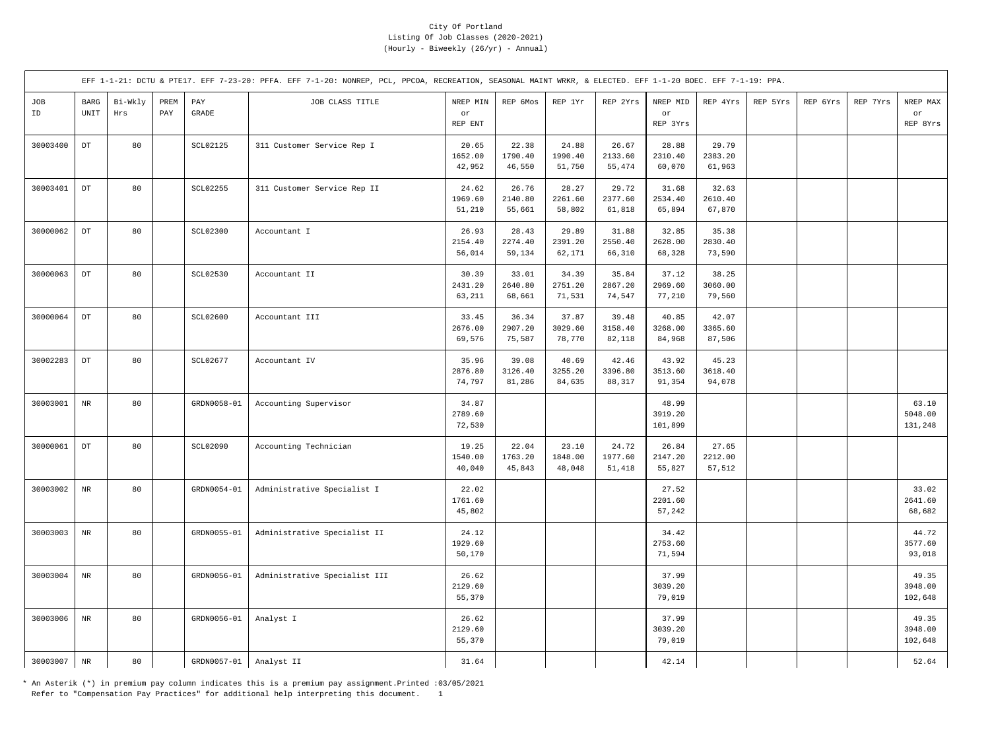|           |                            |                |             |                 | EFF 1-1-21: DCTU & PTE17. EFF 7-23-20: PFFA. EFF 7-1-20: NONREP, PCL, PPCOA, RECREATION, SEASONAL MAINT WRKR, & ELECTED. EFF 1-1-20 BOEC. EFF 7-1-19: PPA. |                            |                            |                            |                            |                             |                            |          |          |          |                             |
|-----------|----------------------------|----------------|-------------|-----------------|------------------------------------------------------------------------------------------------------------------------------------------------------------|----------------------------|----------------------------|----------------------------|----------------------------|-----------------------------|----------------------------|----------|----------|----------|-----------------------------|
| JOB<br>ID | BARG<br>UNIT               | Bi-Wkly<br>Hrs | PREM<br>PAY | PAY<br>GRADE    | JOB CLASS TITLE                                                                                                                                            | NREP MIN<br>or<br>REP ENT  | REP 6Mos                   | REP 1Yr                    | REP 2Yrs                   | NREP MID<br>or<br>REP 3Yrs  | REP 4Yrs                   | REP 5Yrs | REP 6Yrs | REP 7Yrs | NREP MAX<br>or<br>REP 8Yrs  |
| 30003400  | $\mathop{\rm DT}\nolimits$ | 80             |             | SCL02125        | 311 Customer Service Rep I                                                                                                                                 | 20.65<br>1652.00<br>42,952 | 22.38<br>1790.40<br>46,550 | 24.88<br>1990.40<br>51,750 | 26.67<br>2133.60<br>55,474 | 28.88<br>2310.40<br>60,070  | 29.79<br>2383.20<br>61,963 |          |          |          |                             |
| 30003401  | $_{\rm DT}$                | 80             |             | SCL02255        | 311 Customer Service Rep II                                                                                                                                | 24.62<br>1969.60<br>51,210 | 26.76<br>2140.80<br>55,661 | 28.27<br>2261.60<br>58,802 | 29.72<br>2377.60<br>61,818 | 31.68<br>2534.40<br>65,894  | 32.63<br>2610.40<br>67,870 |          |          |          |                             |
| 30000062  | $_{\rm DT}$                | 80             |             | <b>SCL02300</b> | Accountant I                                                                                                                                               | 26.93<br>2154.40<br>56,014 | 28.43<br>2274.40<br>59,134 | 29.89<br>2391.20<br>62,171 | 31.88<br>2550.40<br>66,310 | 32.85<br>2628.00<br>68,328  | 35.38<br>2830.40<br>73,590 |          |          |          |                             |
| 30000063  | $_{\rm DT}$                | 80             |             | SCL02530        | Accountant II                                                                                                                                              | 30.39<br>2431.20<br>63,211 | 33.01<br>2640.80<br>68,661 | 34.39<br>2751.20<br>71,531 | 35.84<br>2867.20<br>74,547 | 37.12<br>2969.60<br>77,210  | 38.25<br>3060.00<br>79,560 |          |          |          |                             |
| 30000064  | $_{\rm DT}$                | 80             |             | <b>SCL02600</b> | Accountant III                                                                                                                                             | 33.45<br>2676.00<br>69,576 | 36.34<br>2907.20<br>75,587 | 37.87<br>3029.60<br>78,770 | 39.48<br>3158.40<br>82,118 | 40.85<br>3268.00<br>84,968  | 42.07<br>3365.60<br>87,506 |          |          |          |                             |
| 30002283  | $_{\rm DT}$                | 80             |             | SCL02677        | Accountant IV                                                                                                                                              | 35.96<br>2876.80<br>74,797 | 39.08<br>3126.40<br>81,286 | 40.69<br>3255.20<br>84,635 | 42.46<br>3396.80<br>88,317 | 43.92<br>3513.60<br>91,354  | 45.23<br>3618.40<br>94,078 |          |          |          |                             |
| 30003001  | $\rm{NR}$                  | 80             |             | GRDN0058-01     | Accounting Supervisor                                                                                                                                      | 34.87<br>2789.60<br>72,530 |                            |                            |                            | 48.99<br>3919.20<br>101,899 |                            |          |          |          | 63.10<br>5048.00<br>131,248 |
| 30000061  | $\mathop{\rm DT}\nolimits$ | 80             |             | SCL02090        | Accounting Technician                                                                                                                                      | 19.25<br>1540.00<br>40,040 | 22.04<br>1763.20<br>45,843 | 23.10<br>1848.00<br>48,048 | 24.72<br>1977.60<br>51,418 | 26.84<br>2147.20<br>55,827  | 27.65<br>2212.00<br>57,512 |          |          |          |                             |
| 30003002  | $\rm{NR}$                  | 80             |             | GRDN0054-01     | Administrative Specialist I                                                                                                                                | 22.02<br>1761.60<br>45,802 |                            |                            |                            | 27.52<br>2201.60<br>57,242  |                            |          |          |          | 33.02<br>2641.60<br>68,682  |
| 30003003  | $\rm{NR}$                  | 80             |             | GRDN0055-01     | Administrative Specialist II                                                                                                                               | 24.12<br>1929.60<br>50,170 |                            |                            |                            | 34.42<br>2753.60<br>71,594  |                            |          |          |          | 44.72<br>3577.60<br>93,018  |
| 30003004  | $\rm{NR}$                  | 80             |             | GRDN0056-01     | Administrative Specialist III                                                                                                                              | 26.62<br>2129.60<br>55,370 |                            |                            |                            | 37.99<br>3039.20<br>79,019  |                            |          |          |          | 49.35<br>3948.00<br>102,648 |
| 30003006  | $\rm NR$                   | 80             |             | GRDN0056-01     | Analyst I                                                                                                                                                  | 26.62<br>2129.60<br>55,370 |                            |                            |                            | 37.99<br>3039.20<br>79,019  |                            |          |          |          | 49.35<br>3948.00<br>102,648 |
| 30003007  | $\rm NR$                   | 80             |             | GRDN0057-01     | Analyst II                                                                                                                                                 | 31.64                      |                            |                            |                            | 42.14                       |                            |          |          |          | 52.64                       |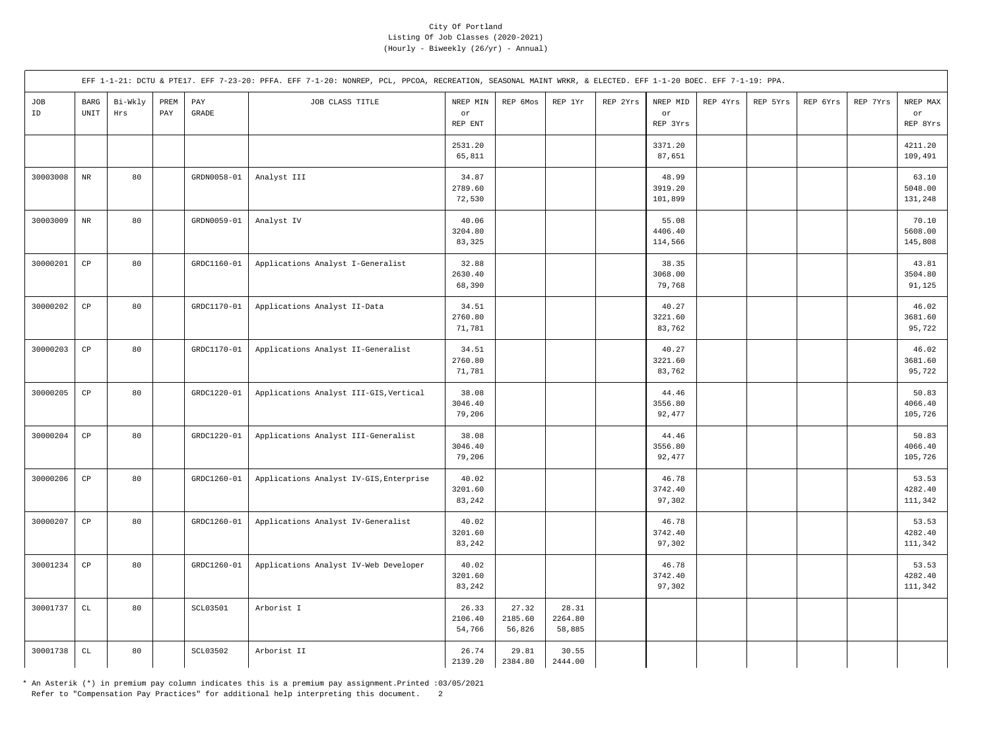|           |                                               |                |             |                       | EFF 1-1-21: DCTU & PTE17. EFF 7-23-20: PFFA. EFF 7-1-20: NONREP, PCL, PPCOA, RECREATION, SEASONAL MAINT WRKR, & ELECTED. EFF 1-1-20 BOEC. EFF 7-1-19: PPA. |                            |                            |                            |          |                             |          |          |          |          |                             |
|-----------|-----------------------------------------------|----------------|-------------|-----------------------|------------------------------------------------------------------------------------------------------------------------------------------------------------|----------------------------|----------------------------|----------------------------|----------|-----------------------------|----------|----------|----------|----------|-----------------------------|
| JOB<br>ID | $_{\rm BARG}$<br>$\ensuremath{\mathsf{UNIT}}$ | Bi-Wkly<br>Hrs | PREM<br>PAY | PAY<br>$\mbox{GRADE}$ | JOB CLASS TITLE                                                                                                                                            | NREP MIN<br>or<br>REP ENT  | REP 6Mos                   | REP 1Yr                    | REP 2Yrs | NREP MID<br>or<br>REP 3Yrs  | REP 4Yrs | REP 5Yrs | REP 6Yrs | REP 7Yrs | NREP MAX<br>or<br>REP 8Yrs  |
|           |                                               |                |             |                       |                                                                                                                                                            | 2531.20<br>65,811          |                            |                            |          | 3371.20<br>87,651           |          |          |          |          | 4211.20<br>109,491          |
| 30003008  | $\rm{NR}$                                     | 80             |             | GRDN0058-01           | Analyst III                                                                                                                                                | 34.87<br>2789.60<br>72,530 |                            |                            |          | 48.99<br>3919.20<br>101,899 |          |          |          |          | 63.10<br>5048.00<br>131,248 |
| 30003009  | $\rm{NR}$                                     | 80             |             | GRDN0059-01           | Analyst IV                                                                                                                                                 | 40.06<br>3204.80<br>83,325 |                            |                            |          | 55.08<br>4406.40<br>114,566 |          |          |          |          | 70.10<br>5608.00<br>145,808 |
| 30000201  | $_{\rm CP}$                                   | 80             |             | GRDC1160-01           | Applications Analyst I-Generalist                                                                                                                          | 32.88<br>2630.40<br>68,390 |                            |                            |          | 38.35<br>3068.00<br>79,768  |          |          |          |          | 43.81<br>3504.80<br>91,125  |
| 30000202  | $_{\rm CP}$                                   | 80             |             | GRDC1170-01           | Applications Analyst II-Data                                                                                                                               | 34.51<br>2760.80<br>71,781 |                            |                            |          | 40.27<br>3221.60<br>83,762  |          |          |          |          | 46.02<br>3681.60<br>95,722  |
| 30000203  | $_{\rm CP}$                                   | 80             |             | GRDC1170-01           | Applications Analyst II-Generalist                                                                                                                         | 34.51<br>2760.80<br>71,781 |                            |                            |          | 40.27<br>3221.60<br>83,762  |          |          |          |          | 46.02<br>3681.60<br>95,722  |
| 30000205  | $\mathbb{C}\mathbb{P}$                        | 80             |             | GRDC1220-01           | Applications Analyst III-GIS, Vertical                                                                                                                     | 38.08<br>3046.40<br>79,206 |                            |                            |          | 44.46<br>3556.80<br>92,477  |          |          |          |          | 50.83<br>4066.40<br>105,726 |
| 30000204  | $_{\rm CP}$                                   | 80             |             | GRDC1220-01           | Applications Analyst III-Generalist                                                                                                                        | 38.08<br>3046.40<br>79,206 |                            |                            |          | 44.46<br>3556.80<br>92,477  |          |          |          |          | 50.83<br>4066.40<br>105,726 |
| 30000206  | $_{\rm CP}$                                   | 80             |             | GRDC1260-01           | Applications Analyst IV-GIS, Enterprise                                                                                                                    | 40.02<br>3201.60<br>83,242 |                            |                            |          | 46.78<br>3742.40<br>97,302  |          |          |          |          | 53.53<br>4282.40<br>111,342 |
| 30000207  | $\mathbb{C}\mathbb{P}$                        | 80             |             | GRDC1260-01           | Applications Analyst IV-Generalist                                                                                                                         | 40.02<br>3201.60<br>83,242 |                            |                            |          | 46.78<br>3742.40<br>97,302  |          |          |          |          | 53.53<br>4282.40<br>111,342 |
| 30001234  | $_{\rm CP}$                                   | 80             |             | GRDC1260-01           | Applications Analyst IV-Web Developer                                                                                                                      | 40.02<br>3201.60<br>83,242 |                            |                            |          | 46.78<br>3742.40<br>97,302  |          |          |          |          | 53.53<br>4282.40<br>111,342 |
| 30001737  | $\mathtt{CL}$                                 | 80             |             | <b>SCL03501</b>       | Arborist I                                                                                                                                                 | 26.33<br>2106.40<br>54,766 | 27.32<br>2185.60<br>56,826 | 28.31<br>2264.80<br>58,885 |          |                             |          |          |          |          |                             |
| 30001738  | $\mathtt{CL}$                                 | 80             |             | SCL03502              | Arborist II                                                                                                                                                | 26.74<br>2139.20           | 29.81<br>2384.80           | 30.55<br>2444.00           |          |                             |          |          |          |          |                             |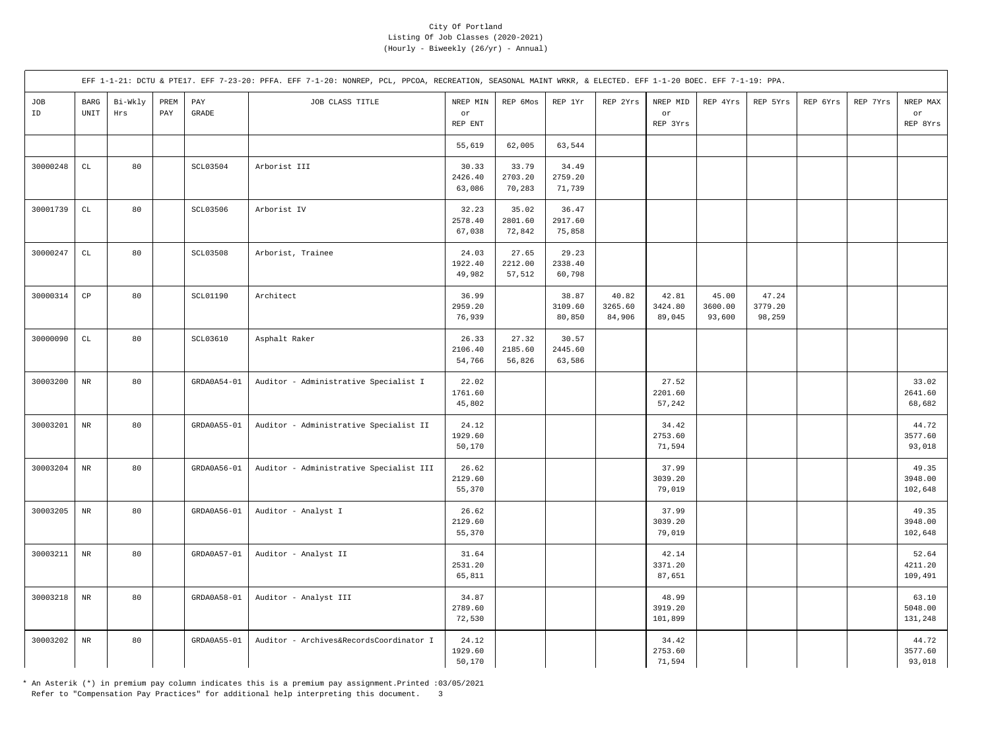|           |                                               |                |             |                       | EFF 1-1-21: DCTU & PTE17. EFF 7-23-20: PFFA. EFF 7-1-20: NONREP, PCL, PPCOA, RECREATION, SEASONAL MAINT WRKR, & ELECTED. EFF 1-1-20 BOEC. EFF 7-1-19: PPA. |                            |                            |                            |                            |                             |                            |                            |          |          |                             |
|-----------|-----------------------------------------------|----------------|-------------|-----------------------|------------------------------------------------------------------------------------------------------------------------------------------------------------|----------------------------|----------------------------|----------------------------|----------------------------|-----------------------------|----------------------------|----------------------------|----------|----------|-----------------------------|
| JOB<br>ID | $_{\rm BARG}$<br>$\ensuremath{\mathsf{UNIT}}$ | Bi-Wkly<br>Hrs | PREM<br>PAY | PAY<br>$\mbox{GRADE}$ | JOB CLASS TITLE                                                                                                                                            | NREP MIN<br>or<br>REP ENT  | REP 6Mos                   | REP 1Yr                    | REP 2Yrs                   | NREP MID<br>or<br>REP 3Yrs  | REP 4Yrs                   | REP 5Yrs                   | REP 6Yrs | REP 7Yrs | NREP MAX<br>or<br>REP 8Yrs  |
|           |                                               |                |             |                       |                                                                                                                                                            | 55,619                     | 62,005                     | 63,544                     |                            |                             |                            |                            |          |          |                             |
| 30000248  | $\mathtt{CL}$                                 | 80             |             | SCL03504              | Arborist III                                                                                                                                               | 30.33<br>2426.40<br>63,086 | 33.79<br>2703.20<br>70,283 | 34.49<br>2759.20<br>71,739 |                            |                             |                            |                            |          |          |                             |
| 30001739  | $\mathtt{CL}$                                 | 80             |             | SCL03506              | Arborist IV                                                                                                                                                | 32.23<br>2578.40<br>67,038 | 35.02<br>2801.60<br>72,842 | 36.47<br>2917.60<br>75,858 |                            |                             |                            |                            |          |          |                             |
| 30000247  | CL                                            | 80             |             | <b>SCL03508</b>       | Arborist, Trainee                                                                                                                                          | 24.03<br>1922.40<br>49,982 | 27.65<br>2212.00<br>57,512 | 29.23<br>2338.40<br>60,798 |                            |                             |                            |                            |          |          |                             |
| 30000314  | $\mathbb{C}\mathbb{P}$                        | 80             |             | <b>SCL01190</b>       | Architect                                                                                                                                                  | 36.99<br>2959.20<br>76,939 |                            | 38.87<br>3109.60<br>80,850 | 40.82<br>3265.60<br>84,906 | 42.81<br>3424.80<br>89,045  | 45.00<br>3600.00<br>93,600 | 47.24<br>3779.20<br>98,259 |          |          |                             |
| 30000090  | $\mathtt{CL}$                                 | 80             |             | SCL03610              | Asphalt Raker                                                                                                                                              | 26.33<br>2106.40<br>54,766 | 27.32<br>2185.60<br>56,826 | 30.57<br>2445.60<br>63,586 |                            |                             |                            |                            |          |          |                             |
| 30003200  | $_{\rm NR}$                                   | 80             |             | $GRDA0A54-01$         | Auditor - Administrative Specialist I                                                                                                                      | 22.02<br>1761.60<br>45,802 |                            |                            |                            | 27.52<br>2201.60<br>57,242  |                            |                            |          |          | 33.02<br>2641.60<br>68,682  |
| 30003201  | $\rm{NR}$                                     | 80             |             | GRDA0A55-01           | Auditor - Administrative Specialist II                                                                                                                     | 24.12<br>1929.60<br>50,170 |                            |                            |                            | 34.42<br>2753.60<br>71,594  |                            |                            |          |          | 44.72<br>3577.60<br>93,018  |
| 30003204  | $\rm{NR}$                                     | 80             |             | GRDA0A56-01           | Auditor - Administrative Specialist III                                                                                                                    | 26.62<br>2129.60<br>55,370 |                            |                            |                            | 37.99<br>3039.20<br>79,019  |                            |                            |          |          | 49.35<br>3948.00<br>102,648 |
| 30003205  | $\rm{NR}$                                     | 80             |             | GRDA0A56-01           | Auditor - Analyst I                                                                                                                                        | 26.62<br>2129.60<br>55,370 |                            |                            |                            | 37.99<br>3039.20<br>79,019  |                            |                            |          |          | 49.35<br>3948.00<br>102,648 |
| 30003211  | $\rm{NR}$                                     | 80             |             | GRDA0A57-01           | Auditor - Analyst II                                                                                                                                       | 31.64<br>2531.20<br>65,811 |                            |                            |                            | 42.14<br>3371.20<br>87,651  |                            |                            |          |          | 52.64<br>4211.20<br>109,491 |
| 30003218  | $\rm NR$                                      | 80             |             | $GRDA0A58-01$         | Auditor - Analyst III                                                                                                                                      | 34.87<br>2789.60<br>72,530 |                            |                            |                            | 48.99<br>3919.20<br>101,899 |                            |                            |          |          | 63.10<br>5048.00<br>131,248 |
| 30003202  | $\rm{NR}$                                     | 80             |             | GRDA0A55-01           | Auditor - Archives&RecordsCoordinator I                                                                                                                    | 24.12<br>1929.60<br>50,170 |                            |                            |                            | 34.42<br>2753.60<br>71,594  |                            |                            |          |          | 44.72<br>3577.60<br>93,018  |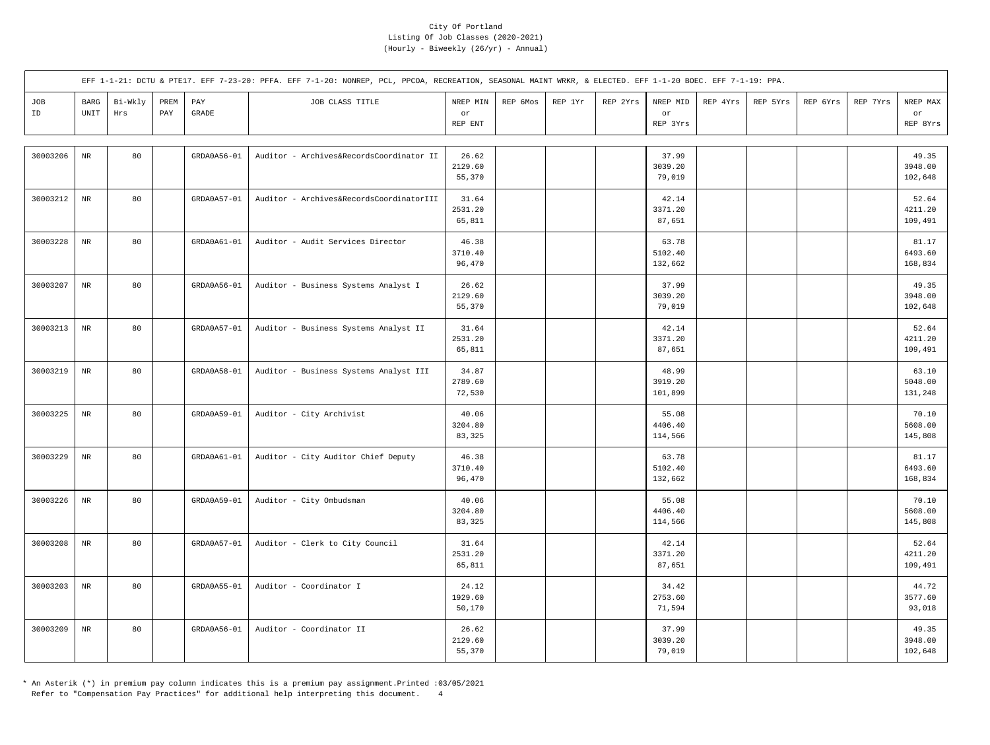|           |                       |                |             |                       | EFF 1-1-21: DCTU & PTE17. EFF 7-23-20: PFFA. EFF 7-1-20: NONREP, PCL, PPCOA, RECREATION, SEASONAL MAINT WRKR, & ELECTED. EFF 1-1-20 BOEC. EFF 7-1-19: PPA. |                            |          |         |          |                                   |          |          |          |          |                             |
|-----------|-----------------------|----------------|-------------|-----------------------|------------------------------------------------------------------------------------------------------------------------------------------------------------|----------------------------|----------|---------|----------|-----------------------------------|----------|----------|----------|----------|-----------------------------|
| JOB<br>ID | $_{\rm BARG}$<br>UNIT | Bi-Wkly<br>Hrs | PREM<br>PAY | PAY<br>$\mbox{GRADE}$ | JOB CLASS TITLE                                                                                                                                            | NREP MIN<br>or<br>REP ENT  | REP 6Mos | REP 1Yr | REP 2Yrs | NREP MID<br>$\circ r$<br>REP 3Yrs | REP 4Yrs | REP 5Yrs | REP 6Yrs | REP 7Yrs | NREP MAX<br>or<br>REP 8Yrs  |
| 30003206  | $_{\rm NR}$           | 80             |             | GRDA0A56-01           | Auditor - Archives&RecordsCoordinator II                                                                                                                   | 26.62<br>2129.60<br>55,370 |          |         |          | 37.99<br>3039.20<br>79,019        |          |          |          |          | 49.35<br>3948.00<br>102,648 |
| 30003212  | $\rm{NR}$             | 80             |             | GRDA0A57-01           | Auditor - Archives&RecordsCoordinatorIII                                                                                                                   | 31.64<br>2531.20<br>65,811 |          |         |          | 42.14<br>3371.20<br>87,651        |          |          |          |          | 52.64<br>4211.20<br>109,491 |
| 30003228  | $\rm{NR}$             | 80             |             | GRDA0A61-01           | Auditor - Audit Services Director                                                                                                                          | 46.38<br>3710.40<br>96,470 |          |         |          | 63.78<br>5102.40<br>132,662       |          |          |          |          | 81.17<br>6493.60<br>168,834 |
| 30003207  | $_{\rm NR}$           | 80             |             | GRDA0A56-01           | Auditor - Business Systems Analyst I                                                                                                                       | 26.62<br>2129.60<br>55,370 |          |         |          | 37.99<br>3039.20<br>79,019        |          |          |          |          | 49.35<br>3948.00<br>102,648 |
| 30003213  | $\rm NR$              | 80             |             | GRDA0A57-01           | Auditor - Business Systems Analyst II                                                                                                                      | 31.64<br>2531.20<br>65,811 |          |         |          | 42.14<br>3371.20<br>87,651        |          |          |          |          | 52.64<br>4211.20<br>109,491 |
| 30003219  | $\rm{NR}$             | 80             |             | GRDA0A58-01           | Auditor - Business Systems Analyst III                                                                                                                     | 34.87<br>2789.60<br>72,530 |          |         |          | 48.99<br>3919.20<br>101,899       |          |          |          |          | 63.10<br>5048.00<br>131,248 |
| 30003225  | $\rm{NR}$             | 80             |             | GRDA0A59-01           | Auditor - City Archivist                                                                                                                                   | 40.06<br>3204.80<br>83,325 |          |         |          | 55.08<br>4406.40<br>114,566       |          |          |          |          | 70.10<br>5608.00<br>145,808 |
| 30003229  | $\rm{NR}$             | 80             |             | GRDA0A61-01           | Auditor - City Auditor Chief Deputy                                                                                                                        | 46.38<br>3710.40<br>96,470 |          |         |          | 63.78<br>5102.40<br>132,662       |          |          |          |          | 81.17<br>6493.60<br>168,834 |
| 30003226  | $\rm{NR}$             | 80             |             | GRDA0A59-01           | Auditor - City Ombudsman                                                                                                                                   | 40.06<br>3204.80<br>83,325 |          |         |          | 55.08<br>4406.40<br>114,566       |          |          |          |          | 70.10<br>5608.00<br>145,808 |
| 30003208  | $\rm{NR}$             | 80             |             | GRDA0A57-01           | Auditor - Clerk to City Council                                                                                                                            | 31.64<br>2531.20<br>65,811 |          |         |          | 42.14<br>3371.20<br>87,651        |          |          |          |          | 52.64<br>4211.20<br>109,491 |
| 30003203  | $_{\rm NR}$           | 80             |             | GRDA0A55-01           | Auditor - Coordinator I                                                                                                                                    | 24.12<br>1929.60<br>50,170 |          |         |          | 34.42<br>2753.60<br>71,594        |          |          |          |          | 44.72<br>3577.60<br>93,018  |
| 30003209  | $\rm{NR}$             | 80             |             | GRDA0A56-01           | Auditor - Coordinator II                                                                                                                                   | 26.62<br>2129.60<br>55,370 |          |         |          | 37.99<br>3039.20<br>79,019        |          |          |          |          | 49.35<br>3948.00<br>102,648 |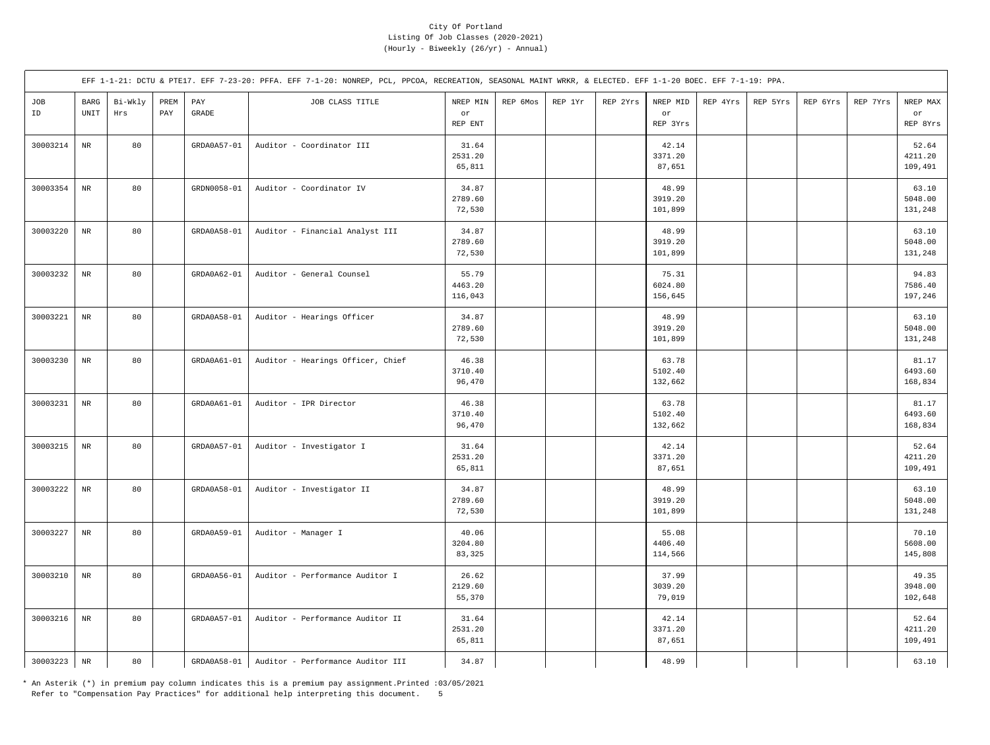|           |                                               |                |             |               | EFF 1-1-21: DCTU & PTE17. EFF 7-23-20: PFFA. EFF 7-1-20: NONREP, PCL, PPCOA, RECREATION, SEASONAL MAINT WRKR, & ELECTED. EFF 1-1-20 BOEC. EFF 7-1-19: PPA. |                             |          |         |          |                             |          |          |          |          |                             |
|-----------|-----------------------------------------------|----------------|-------------|---------------|------------------------------------------------------------------------------------------------------------------------------------------------------------|-----------------------------|----------|---------|----------|-----------------------------|----------|----------|----------|----------|-----------------------------|
| JOB<br>ID | $_{\rm BARG}$<br>$\ensuremath{\mathsf{UNIT}}$ | Bi-Wkly<br>Hrs | PREM<br>PAY | PAY<br>GRADE  | JOB CLASS TITLE                                                                                                                                            | NREP MIN<br>or<br>REP ENT   | REP 6Mos | REP 1Yr | REP 2Yrs | NREP MID<br>or<br>REP 3Yrs  | REP 4Yrs | REP 5Yrs | REP 6Yrs | REP 7Yrs | NREP MAX<br>or<br>REP 8Yrs  |
| 30003214  | $_{\rm NR}$                                   | 80             |             | GRDA0A57-01   | Auditor - Coordinator III                                                                                                                                  | 31.64<br>2531.20<br>65,811  |          |         |          | 42.14<br>3371.20<br>87,651  |          |          |          |          | 52.64<br>4211.20<br>109,491 |
| 30003354  | $\rm{NR}$                                     | 80             |             | GRDN0058-01   | Auditor - Coordinator IV                                                                                                                                   | 34.87<br>2789.60<br>72,530  |          |         |          | 48.99<br>3919.20<br>101,899 |          |          |          |          | 63.10<br>5048.00<br>131,248 |
| 30003220  | $_{\rm NR}$                                   | 80             |             | GRDA0A58-01   | Auditor - Financial Analyst III                                                                                                                            | 34.87<br>2789.60<br>72,530  |          |         |          | 48.99<br>3919.20<br>101,899 |          |          |          |          | 63.10<br>5048.00<br>131,248 |
| 30003232  | $\rm NR$                                      | 80             |             | $GRDA0A62-01$ | Auditor - General Counsel                                                                                                                                  | 55.79<br>4463.20<br>116,043 |          |         |          | 75.31<br>6024.80<br>156,645 |          |          |          |          | 94.83<br>7586.40<br>197,246 |
| 30003221  | $\rm{NR}$                                     | 80             |             | GRDA0A58-01   | Auditor - Hearings Officer                                                                                                                                 | 34.87<br>2789.60<br>72,530  |          |         |          | 48.99<br>3919.20<br>101,899 |          |          |          |          | 63.10<br>5048.00<br>131,248 |
| 30003230  | $_{\rm NR}$                                   | 80             |             | GRDA0A61-01   | Auditor - Hearings Officer, Chief                                                                                                                          | 46.38<br>3710.40<br>96,470  |          |         |          | 63.78<br>5102.40<br>132,662 |          |          |          |          | 81.17<br>6493.60<br>168,834 |
| 30003231  | $\rm NR$                                      | 80             |             | $GRDA0A61-01$ | Auditor - IPR Director                                                                                                                                     | 46.38<br>3710.40<br>96,470  |          |         |          | 63.78<br>5102.40<br>132,662 |          |          |          |          | 81.17<br>6493.60<br>168,834 |
| 30003215  | $\rm{NR}$                                     | 80             |             | GRDA0A57-01   | Auditor - Investigator I                                                                                                                                   | 31.64<br>2531.20<br>65,811  |          |         |          | 42.14<br>3371.20<br>87,651  |          |          |          |          | 52.64<br>4211.20<br>109,491 |
| 30003222  | $_{\rm NR}$                                   | 80             |             | GRDA0A58-01   | Auditor - Investigator II                                                                                                                                  | 34.87<br>2789.60<br>72,530  |          |         |          | 48.99<br>3919.20<br>101,899 |          |          |          |          | 63.10<br>5048.00<br>131,248 |
| 30003227  | $\rm{NR}$                                     | 80             |             | GRDA0A59-01   | Auditor - Manager I                                                                                                                                        | 40.06<br>3204.80<br>83,325  |          |         |          | 55.08<br>4406.40<br>114,566 |          |          |          |          | 70.10<br>5608.00<br>145,808 |
| 30003210  | $\rm{NR}$                                     | 80             |             | $GRDA0A56-01$ | Auditor - Performance Auditor I                                                                                                                            | 26.62<br>2129.60<br>55,370  |          |         |          | 37.99<br>3039.20<br>79,019  |          |          |          |          | 49.35<br>3948.00<br>102,648 |
| 30003216  | $\rm NR$                                      | 80             |             | GRDA0A57-01   | Auditor - Performance Auditor II                                                                                                                           | 31.64<br>2531.20<br>65,811  |          |         |          | 42.14<br>3371.20<br>87,651  |          |          |          |          | 52.64<br>4211.20<br>109,491 |
| 30003223  | $\rm NR$                                      | 80             |             | GRDA0A58-01   | Auditor - Performance Auditor III                                                                                                                          | 34.87                       |          |         |          | 48.99                       |          |          |          |          | 63.10                       |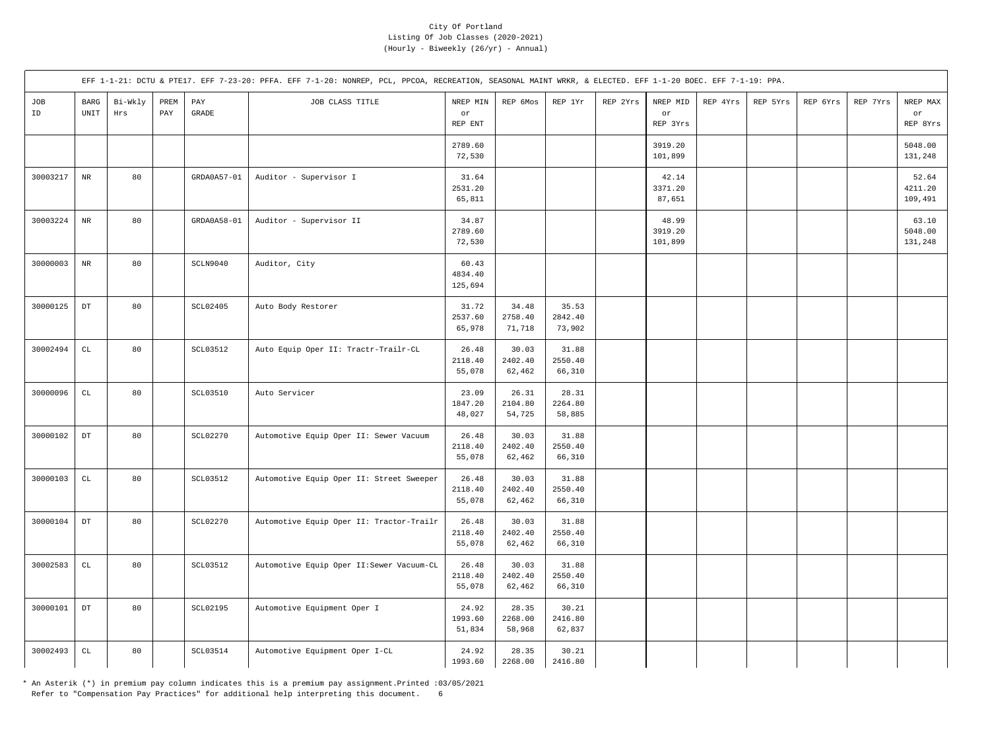|           |                                               |                |             |                 | EFF 1-1-21: DCTU & PTE17. EFF 7-23-20: PFFA. EFF 7-1-20: NONREP, PCL, PPCOA, RECREATION, SEASONAL MAINT WRKR, & ELECTED. EFF 1-1-20 BOEC. EFF 7-1-19: PPA. |                             |                            |                            |          |                             |          |          |          |          |                             |
|-----------|-----------------------------------------------|----------------|-------------|-----------------|------------------------------------------------------------------------------------------------------------------------------------------------------------|-----------------------------|----------------------------|----------------------------|----------|-----------------------------|----------|----------|----------|----------|-----------------------------|
| JOB<br>ID | $_{\rm BARG}$<br>$\ensuremath{\mathsf{UNIT}}$ | Bi-Wkly<br>Hrs | PREM<br>PAY | PAY<br>GRADE    | JOB CLASS TITLE                                                                                                                                            | NREP MIN<br>or<br>REP ENT   | REP 6Mos                   | REP 1Yr                    | REP 2Yrs | NREP MID<br>or<br>REP 3Yrs  | REP 4Yrs | REP 5Yrs | REP 6Yrs | REP 7Yrs | NREP MAX<br>or<br>REP 8Yrs  |
|           |                                               |                |             |                 |                                                                                                                                                            | 2789.60<br>72,530           |                            |                            |          | 3919.20<br>101,899          |          |          |          |          | 5048.00<br>131,248          |
| 30003217  | $_{\rm NR}$                                   | 80             |             | GRDA0A57-01     | Auditor - Supervisor I                                                                                                                                     | 31.64<br>2531.20<br>65,811  |                            |                            |          | 42.14<br>3371.20<br>87,651  |          |          |          |          | 52.64<br>4211.20<br>109,491 |
| 30003224  | $\rm{NR}$                                     | 80             |             | GRDA0A58-01     | Auditor - Supervisor II                                                                                                                                    | 34.87<br>2789.60<br>72,530  |                            |                            |          | 48.99<br>3919.20<br>101,899 |          |          |          |          | 63.10<br>5048.00<br>131,248 |
| 30000003  | $\rm{NR}$                                     | 80             |             | SCLN9040        | Auditor, City                                                                                                                                              | 60.43<br>4834.40<br>125,694 |                            |                            |          |                             |          |          |          |          |                             |
| 30000125  | $_{\rm DT}$                                   | 80             |             | SCL02405        | Auto Body Restorer                                                                                                                                         | 31.72<br>2537.60<br>65,978  | 34.48<br>2758.40<br>71,718 | 35.53<br>2842.40<br>73,902 |          |                             |          |          |          |          |                             |
| 30002494  | $\mathtt{CL}$                                 | 80             |             | <b>SCL03512</b> | Auto Equip Oper II: Tractr-Trailr-CL                                                                                                                       | 26.48<br>2118.40<br>55,078  | 30.03<br>2402.40<br>62,462 | 31.88<br>2550.40<br>66,310 |          |                             |          |          |          |          |                             |
| 30000096  | $\mathtt{CL}$                                 | 80             |             | <b>SCL03510</b> | Auto Servicer                                                                                                                                              | 23.09<br>1847.20<br>48,027  | 26.31<br>2104.80<br>54,725 | 28.31<br>2264.80<br>58,885 |          |                             |          |          |          |          |                             |
| 30000102  | $_{\rm DT}$                                   | 80             |             | <b>SCL02270</b> | Automotive Equip Oper II: Sewer Vacuum                                                                                                                     | 26.48<br>2118.40<br>55,078  | 30.03<br>2402.40<br>62,462 | 31.88<br>2550.40<br>66,310 |          |                             |          |          |          |          |                             |
| 30000103  | $\mathtt{CL}$                                 | 80             |             | <b>SCL03512</b> | Automotive Equip Oper II: Street Sweeper                                                                                                                   | 26.48<br>2118.40<br>55,078  | 30.03<br>2402.40<br>62,462 | 31.88<br>2550.40<br>66,310 |          |                             |          |          |          |          |                             |
| 30000104  | $_{\rm DT}$                                   | 80             |             | SCL02270        | Automotive Equip Oper II: Tractor-Trailr                                                                                                                   | 26.48<br>2118.40<br>55,078  | 30.03<br>2402.40<br>62,462 | 31.88<br>2550.40<br>66,310 |          |                             |          |          |          |          |                             |
| 30002583  | $\mathtt{CL}$                                 | 80             |             | <b>SCL03512</b> | Automotive Equip Oper II: Sewer Vacuum-CL                                                                                                                  | 26.48<br>2118.40<br>55,078  | 30.03<br>2402.40<br>62,462 | 31.88<br>2550.40<br>66,310 |          |                             |          |          |          |          |                             |
| 30000101  | $_{\rm DT}$                                   | 80             |             | SCL02195        | Automotive Equipment Oper I                                                                                                                                | 24.92<br>1993.60<br>51,834  | 28.35<br>2268.00<br>58,968 | 30.21<br>2416.80<br>62,837 |          |                             |          |          |          |          |                             |
| 30002493  | $\mathtt{CL}$                                 | 80             |             | SCL03514        | Automotive Equipment Oper I-CL                                                                                                                             | 24.92<br>1993.60            | 28.35<br>2268.00           | 30.21<br>2416.80           |          |                             |          |          |          |          |                             |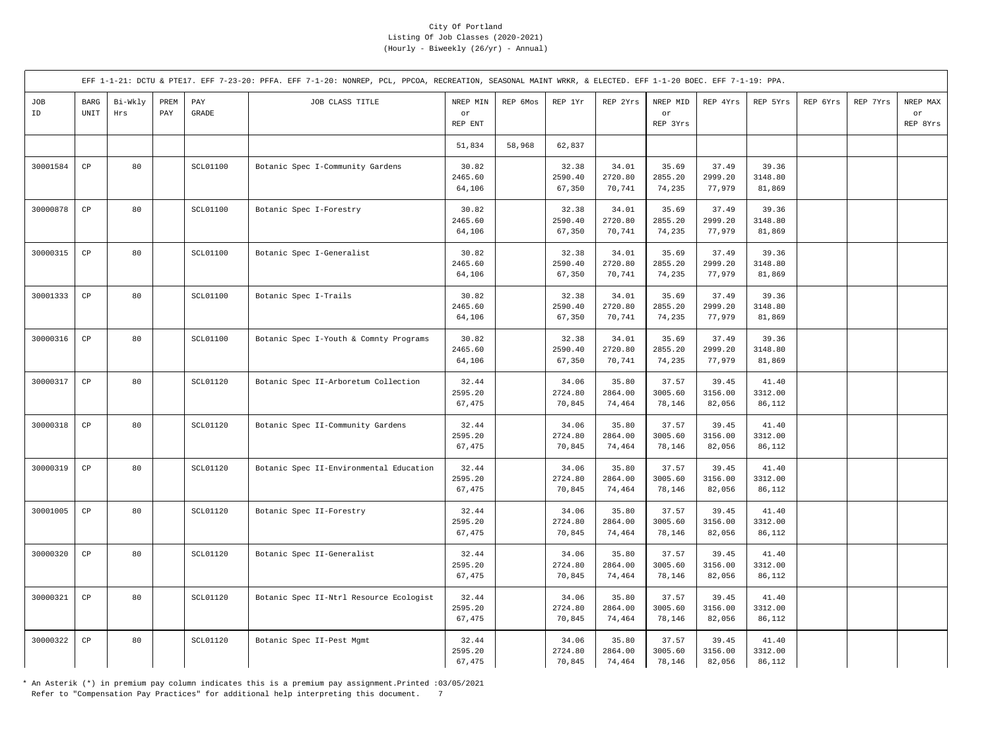|           |                            |                |             |                       | EFF 1-1-21: DCTU & PTE17. EFF 7-23-20: PFFA. EFF 7-1-20: NONREP, PCL, PPCOA, RECREATION, SEASONAL MAINT WRKR, & ELECTED. EFF 1-1-20 BOEC. EFF 7-1-19: PPA. |                            |          |                            |                            |                            |                            |                            |          |          |                            |
|-----------|----------------------------|----------------|-------------|-----------------------|------------------------------------------------------------------------------------------------------------------------------------------------------------|----------------------------|----------|----------------------------|----------------------------|----------------------------|----------------------------|----------------------------|----------|----------|----------------------------|
| JOB<br>ID | <b>BARG</b><br><b>UNIT</b> | Bi-Wkly<br>Hrs | PREM<br>PAY | PAY<br>$\mbox{GRADE}$ | JOB CLASS TITLE                                                                                                                                            | NREP MIN<br>or<br>REP ENT  | REP 6Mos | REP 1Yr                    | REP 2Yrs                   | NREP MID<br>or<br>REP 3Yrs | REP 4Yrs                   | REP 5Yrs                   | REP 6Yrs | REP 7Yrs | NREP MAX<br>or<br>REP 8Yrs |
|           |                            |                |             |                       |                                                                                                                                                            | 51,834                     | 58,968   | 62,837                     |                            |                            |                            |                            |          |          |                            |
| 30001584  | CP                         | 80             |             | <b>SCL01100</b>       | Botanic Spec I-Community Gardens                                                                                                                           | 30.82<br>2465.60<br>64,106 |          | 32.38<br>2590.40<br>67,350 | 34.01<br>2720.80<br>70,741 | 35.69<br>2855.20<br>74,235 | 37.49<br>2999.20<br>77,979 | 39.36<br>3148.80<br>81,869 |          |          |                            |
| 30000878  | CP                         | 80             |             | SCL01100              | Botanic Spec I-Forestry                                                                                                                                    | 30.82<br>2465.60<br>64,106 |          | 32.38<br>2590.40<br>67,350 | 34.01<br>2720.80<br>70,741 | 35.69<br>2855.20<br>74,235 | 37.49<br>2999.20<br>77,979 | 39.36<br>3148.80<br>81,869 |          |          |                            |
| 30000315  | $_{\rm CP}$                | 80             |             | SCL01100              | Botanic Spec I-Generalist                                                                                                                                  | 30.82<br>2465.60<br>64,106 |          | 32.38<br>2590.40<br>67,350 | 34.01<br>2720.80<br>70,741 | 35.69<br>2855.20<br>74,235 | 37.49<br>2999.20<br>77,979 | 39.36<br>3148.80<br>81,869 |          |          |                            |
| 30001333  | CP                         | 80             |             | <b>SCL01100</b>       | Botanic Spec I-Trails                                                                                                                                      | 30.82<br>2465.60<br>64,106 |          | 32.38<br>2590.40<br>67,350 | 34.01<br>2720.80<br>70,741 | 35.69<br>2855.20<br>74,235 | 37.49<br>2999.20<br>77,979 | 39.36<br>3148.80<br>81,869 |          |          |                            |
| 30000316  | $_{\rm CP}$                | 80             |             | <b>SCL01100</b>       | Botanic Spec I-Youth & Comnty Programs                                                                                                                     | 30.82<br>2465.60<br>64,106 |          | 32.38<br>2590.40<br>67,350 | 34.01<br>2720.80<br>70,741 | 35.69<br>2855.20<br>74,235 | 37.49<br>2999.20<br>77,979 | 39.36<br>3148.80<br>81,869 |          |          |                            |
| 30000317  | CP                         | 80             |             | <b>SCL01120</b>       | Botanic Spec II-Arboretum Collection                                                                                                                       | 32.44<br>2595.20<br>67,475 |          | 34.06<br>2724.80<br>70,845 | 35.80<br>2864.00<br>74,464 | 37.57<br>3005.60<br>78,146 | 39.45<br>3156.00<br>82,056 | 41.40<br>3312.00<br>86,112 |          |          |                            |
| 30000318  | $\mathbb{C}\mathbb{P}$     | 80             |             | SCL01120              | Botanic Spec II-Community Gardens                                                                                                                          | 32.44<br>2595.20<br>67,475 |          | 34.06<br>2724.80<br>70,845 | 35.80<br>2864.00<br>74,464 | 37.57<br>3005.60<br>78,146 | 39.45<br>3156.00<br>82,056 | 41.40<br>3312.00<br>86,112 |          |          |                            |
| 30000319  | $_{\rm CP}$                | 80             |             | SCL01120              | Botanic Spec II-Environmental Education                                                                                                                    | 32.44<br>2595.20<br>67,475 |          | 34.06<br>2724.80<br>70,845 | 35.80<br>2864.00<br>74,464 | 37.57<br>3005.60<br>78,146 | 39.45<br>3156.00<br>82,056 | 41.40<br>3312.00<br>86,112 |          |          |                            |
| 30001005  | CP                         | 80             |             | <b>SCL01120</b>       | Botanic Spec II-Forestry                                                                                                                                   | 32.44<br>2595.20<br>67,475 |          | 34.06<br>2724.80<br>70,845 | 35.80<br>2864.00<br>74,464 | 37.57<br>3005.60<br>78,146 | 39.45<br>3156.00<br>82,056 | 41.40<br>3312.00<br>86,112 |          |          |                            |
| 30000320  | $_{\rm CP}$                | 80             |             | <b>SCL01120</b>       | Botanic Spec II-Generalist                                                                                                                                 | 32.44<br>2595.20<br>67,475 |          | 34.06<br>2724.80<br>70,845 | 35.80<br>2864.00<br>74,464 | 37.57<br>3005.60<br>78,146 | 39.45<br>3156.00<br>82,056 | 41.40<br>3312.00<br>86,112 |          |          |                            |
| 30000321  | $_{\rm CP}$                | 80             |             | SCL01120              | Botanic Spec II-Ntrl Resource Ecologist                                                                                                                    | 32.44<br>2595.20<br>67,475 |          | 34.06<br>2724.80<br>70,845 | 35.80<br>2864.00<br>74,464 | 37.57<br>3005.60<br>78,146 | 39.45<br>3156.00<br>82,056 | 41.40<br>3312.00<br>86,112 |          |          |                            |
| 30000322  | CP                         | 80             |             | SCL01120              | Botanic Spec II-Pest Mgmt                                                                                                                                  | 32.44<br>2595.20<br>67,475 |          | 34.06<br>2724.80<br>70,845 | 35.80<br>2864.00<br>74,464 | 37.57<br>3005.60<br>78,146 | 39.45<br>3156.00<br>82,056 | 41.40<br>3312.00<br>86,112 |          |          |                            |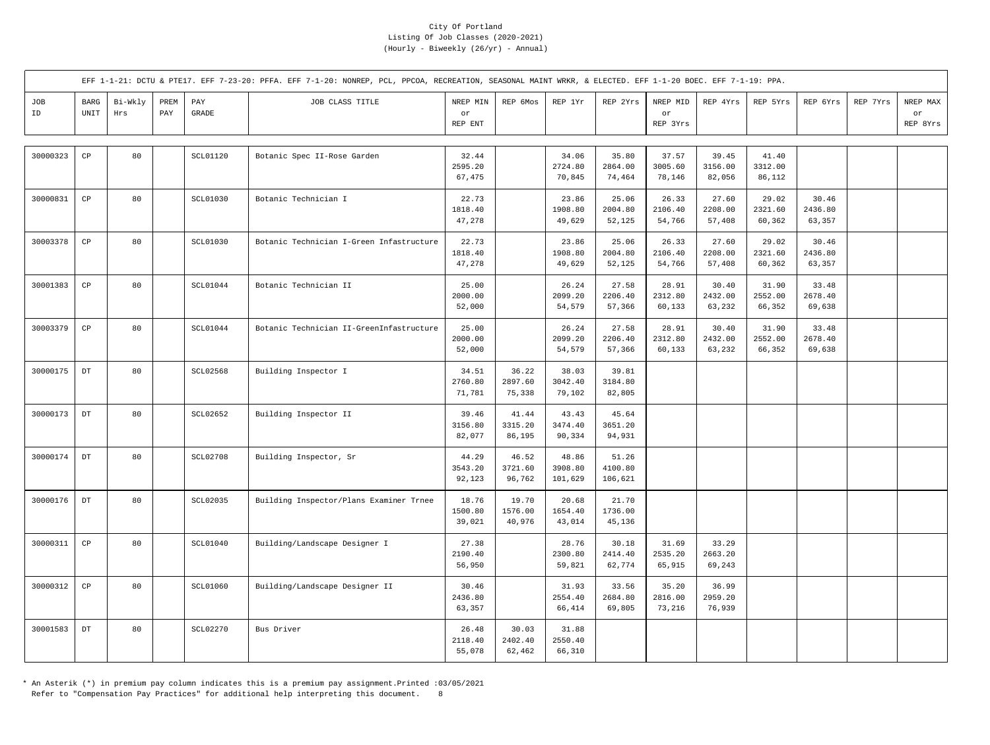|           |              |                |             |                 | EFF 1-1-21: DCTU & PTE17. EFF 7-23-20: PFFA. EFF 7-1-20: NONREP, PCL, PPCOA, RECREATION, SEASONAL MAINT WRKR, & ELECTED. EFF 1-1-20 BOEC. EFF 7-1-19: PPA. |                            |                            |                             |                             |                            |                            |                            |                            |          |                            |
|-----------|--------------|----------------|-------------|-----------------|------------------------------------------------------------------------------------------------------------------------------------------------------------|----------------------------|----------------------------|-----------------------------|-----------------------------|----------------------------|----------------------------|----------------------------|----------------------------|----------|----------------------------|
| JOB<br>ID | BARG<br>UNIT | Bi-Wkly<br>Hrs | PREM<br>PAY | PAY<br>GRADE    | JOB CLASS TITLE                                                                                                                                            | NREP MIN<br>or<br>REP ENT  | REP 6Mos                   | REP 1Yr                     | REP 2Yrs                    | NREP MID<br>or<br>REP 3Yrs | REP 4Yrs                   | REP 5Yrs                   | REP 6Yrs                   | REP 7Yrs | NREP MAX<br>or<br>REP 8Yrs |
| 30000323  | CP           | 80             |             | <b>SCL01120</b> | Botanic Spec II-Rose Garden                                                                                                                                | 32.44<br>2595.20<br>67,475 |                            | 34.06<br>2724.80<br>70,845  | 35.80<br>2864.00<br>74,464  | 37.57<br>3005.60<br>78,146 | 39.45<br>3156.00<br>82,056 | 41.40<br>3312.00<br>86,112 |                            |          |                            |
| 30000831  | CP           | 80             |             | SCL01030        | Botanic Technician I                                                                                                                                       | 22.73<br>1818.40<br>47,278 |                            | 23.86<br>1908.80<br>49,629  | 25.06<br>2004.80<br>52,125  | 26.33<br>2106.40<br>54,766 | 27.60<br>2208.00<br>57,408 | 29.02<br>2321.60<br>60,362 | 30.46<br>2436.80<br>63,357 |          |                            |
| 30003378  | CP           | 80             |             | <b>SCL01030</b> | Botanic Technician I-Green Infastructure                                                                                                                   | 22.73<br>1818.40<br>47,278 |                            | 23.86<br>1908.80<br>49,629  | 25.06<br>2004.80<br>52,125  | 26.33<br>2106.40<br>54,766 | 27.60<br>2208.00<br>57,408 | 29.02<br>2321.60<br>60,362 | 30.46<br>2436.80<br>63,357 |          |                            |
| 30001383  | CP           | 80             |             | SCL01044        | Botanic Technician II                                                                                                                                      | 25.00<br>2000.00<br>52,000 |                            | 26.24<br>2099.20<br>54,579  | 27.58<br>2206.40<br>57,366  | 28.91<br>2312.80<br>60,133 | 30.40<br>2432.00<br>63,232 | 31.90<br>2552.00<br>66,352 | 33.48<br>2678.40<br>69,638 |          |                            |
| 30003379  | CP           | 80             |             | SCL01044        | Botanic Technician II-GreenInfastructure                                                                                                                   | 25.00<br>2000.00<br>52,000 |                            | 26.24<br>2099.20<br>54,579  | 27.58<br>2206.40<br>57,366  | 28.91<br>2312.80<br>60,133 | 30.40<br>2432.00<br>63,232 | 31.90<br>2552.00<br>66,352 | 33.48<br>2678.40<br>69,638 |          |                            |
| 30000175  | $_{\rm DT}$  | 80             |             | <b>SCL02568</b> | Building Inspector I                                                                                                                                       | 34.51<br>2760.80<br>71,781 | 36.22<br>2897.60<br>75,338 | 38.03<br>3042.40<br>79,102  | 39.81<br>3184.80<br>82,805  |                            |                            |                            |                            |          |                            |
| 30000173  | $_{\rm DT}$  | 80             |             | SCL02652        | Building Inspector II                                                                                                                                      | 39.46<br>3156.80<br>82,077 | 41.44<br>3315.20<br>86,195 | 43.43<br>3474.40<br>90,334  | 45.64<br>3651.20<br>94,931  |                            |                            |                            |                            |          |                            |
| 30000174  | $_{\rm DT}$  | 80             |             | <b>SCL02708</b> | Building Inspector, Sr                                                                                                                                     | 44.29<br>3543.20<br>92,123 | 46.52<br>3721.60<br>96,762 | 48.86<br>3908.80<br>101,629 | 51.26<br>4100.80<br>106,621 |                            |                            |                            |                            |          |                            |
| 30000176  | $_{\rm DT}$  | 80             |             | SCL02035        | Building Inspector/Plans Examiner Trnee                                                                                                                    | 18.76<br>1500.80<br>39,021 | 19.70<br>1576.00<br>40,976 | 20.68<br>1654.40<br>43,014  | 21.70<br>1736.00<br>45,136  |                            |                            |                            |                            |          |                            |
| 30000311  | $_{\rm CP}$  | 80             |             | SCL01040        | Building/Landscape Designer I                                                                                                                              | 27.38<br>2190.40<br>56,950 |                            | 28.76<br>2300.80<br>59,821  | 30.18<br>2414.40<br>62,774  | 31.69<br>2535.20<br>65,915 | 33.29<br>2663.20<br>69,243 |                            |                            |          |                            |
| 30000312  | CP           | 80             |             | SCL01060        | Building/Landscape Designer II                                                                                                                             | 30.46<br>2436.80<br>63,357 |                            | 31.93<br>2554.40<br>66,414  | 33.56<br>2684.80<br>69,805  | 35.20<br>2816.00<br>73,216 | 36.99<br>2959.20<br>76,939 |                            |                            |          |                            |
| 30001583  | $_{\rm DT}$  | 80             |             | <b>SCL02270</b> | Bus Driver                                                                                                                                                 | 26.48<br>2118.40<br>55,078 | 30.03<br>2402.40<br>62,462 | 31.88<br>2550.40<br>66,310  |                             |                            |                            |                            |                            |          |                            |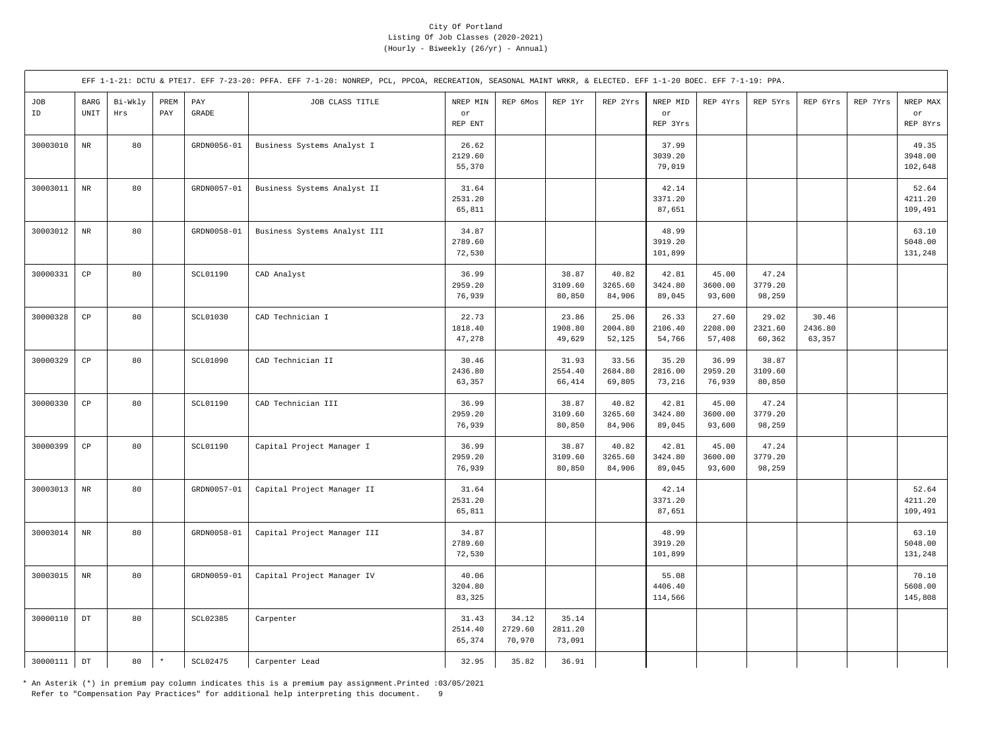|           |                                      |                |             |                 | EFF 1-1-21: DCTU & PTE17. EFF 7-23-20: PFFA. EFF 7-1-20: NONREP, PCL, PPCOA, RECREATION, SEASONAL MAINT WRKR, & ELECTED. EFF 1-1-20 BOEC. EFF 7-1-19: PPA. |                            |                            |                            |                            |                             |                            |                            |                            |          |                             |
|-----------|--------------------------------------|----------------|-------------|-----------------|------------------------------------------------------------------------------------------------------------------------------------------------------------|----------------------------|----------------------------|----------------------------|----------------------------|-----------------------------|----------------------------|----------------------------|----------------------------|----------|-----------------------------|
| JOB<br>ID | BARG<br>$\ensuremath{\mathsf{UNIT}}$ | Bi-Wkly<br>Hrs | PREM<br>PAY | PAY<br>GRADE    | JOB CLASS TITLE                                                                                                                                            | NREP MIN<br>or<br>REP ENT  | REP 6Mos                   | REP 1Yr                    | REP 2Yrs                   | NREP MID<br>or<br>REP 3Yrs  | REP 4Yrs                   | REP 5Yrs                   | REP 6Yrs                   | REP 7Yrs | NREP MAX<br>or<br>REP 8Yrs  |
| 30003010  | $_{\rm NR}$                          | 80             |             | GRDN0056-01     | Business Systems Analyst I                                                                                                                                 | 26.62<br>2129.60<br>55,370 |                            |                            |                            | 37.99<br>3039.20<br>79,019  |                            |                            |                            |          | 49.35<br>3948.00<br>102,648 |
| 30003011  | $\rm{NR}$                            | 80             |             | GRDN0057-01     | Business Systems Analyst II                                                                                                                                | 31.64<br>2531.20<br>65,811 |                            |                            |                            | 42.14<br>3371.20<br>87,651  |                            |                            |                            |          | 52.64<br>4211.20<br>109,491 |
| 30003012  | $\rm{NR}$                            | 80             |             | GRDN0058-01     | Business Systems Analyst III                                                                                                                               | 34.87<br>2789.60<br>72,530 |                            |                            |                            | 48.99<br>3919.20<br>101,899 |                            |                            |                            |          | 63.10<br>5048.00<br>131,248 |
| 30000331  | $_{\rm CP}$                          | 80             |             | SCL01190        | CAD Analyst                                                                                                                                                | 36.99<br>2959.20<br>76,939 |                            | 38.87<br>3109.60<br>80,850 | 40.82<br>3265.60<br>84,906 | 42.81<br>3424.80<br>89,045  | 45.00<br>3600.00<br>93,600 | 47.24<br>3779.20<br>98,259 |                            |          |                             |
| 30000328  | CP                                   | 80             |             | <b>SCL01030</b> | CAD Technician I                                                                                                                                           | 22.73<br>1818.40<br>47,278 |                            | 23.86<br>1908.80<br>49,629 | 25.06<br>2004.80<br>52,125 | 26.33<br>2106.40<br>54,766  | 27.60<br>2208.00<br>57,408 | 29.02<br>2321.60<br>60,362 | 30.46<br>2436.80<br>63,357 |          |                             |
| 30000329  | $_{\rm CP}$                          | 80             |             | SCL01090        | CAD Technician II                                                                                                                                          | 30.46<br>2436.80<br>63,357 |                            | 31.93<br>2554.40<br>66,414 | 33.56<br>2684.80<br>69,805 | 35.20<br>2816.00<br>73,216  | 36.99<br>2959.20<br>76,939 | 38.87<br>3109.60<br>80,850 |                            |          |                             |
| 30000330  | $_{\rm CP}$                          | 80             |             | <b>SCL01190</b> | CAD Technician III                                                                                                                                         | 36.99<br>2959.20<br>76,939 |                            | 38.87<br>3109.60<br>80,850 | 40.82<br>3265.60<br>84,906 | 42.81<br>3424.80<br>89,045  | 45.00<br>3600.00<br>93,600 | 47.24<br>3779.20<br>98,259 |                            |          |                             |
| 30000399  | $_{\rm CP}$                          | 80             |             | SCL01190        | Capital Project Manager I                                                                                                                                  | 36.99<br>2959.20<br>76,939 |                            | 38.87<br>3109.60<br>80,850 | 40.82<br>3265.60<br>84,906 | 42.81<br>3424.80<br>89,045  | 45.00<br>3600.00<br>93,600 | 47.24<br>3779.20<br>98,259 |                            |          |                             |
| 30003013  | $\rm{NR}$                            | 80             |             | GRDN0057-01     | Capital Project Manager II                                                                                                                                 | 31.64<br>2531.20<br>65,811 |                            |                            |                            | 42.14<br>3371.20<br>87,651  |                            |                            |                            |          | 52.64<br>4211.20<br>109,491 |
| 30003014  | $\rm{NR}$                            | 80             |             | GRDN0058-01     | Capital Project Manager III                                                                                                                                | 34.87<br>2789.60<br>72,530 |                            |                            |                            | 48.99<br>3919.20<br>101,899 |                            |                            |                            |          | 63.10<br>5048.00<br>131,248 |
| 30003015  | $\rm{NR}$                            | 80             |             | GRDN0059-01     | Capital Project Manager IV                                                                                                                                 | 40.06<br>3204.80<br>83,325 |                            |                            |                            | 55.08<br>4406.40<br>114,566 |                            |                            |                            |          | 70.10<br>5608.00<br>145,808 |
| 30000110  | $_{\rm DT}$                          | 80             |             | SCL02385        | Carpenter                                                                                                                                                  | 31.43<br>2514.40<br>65,374 | 34.12<br>2729.60<br>70,970 | 35.14<br>2811.20<br>73,091 |                            |                             |                            |                            |                            |          |                             |
| 30000111  | $_{\rm DT}$                          | 80             | $\star$     | SCL02475        | Carpenter Lead                                                                                                                                             | 32.95                      | 35.82                      | 36.91                      |                            |                             |                            |                            |                            |          |                             |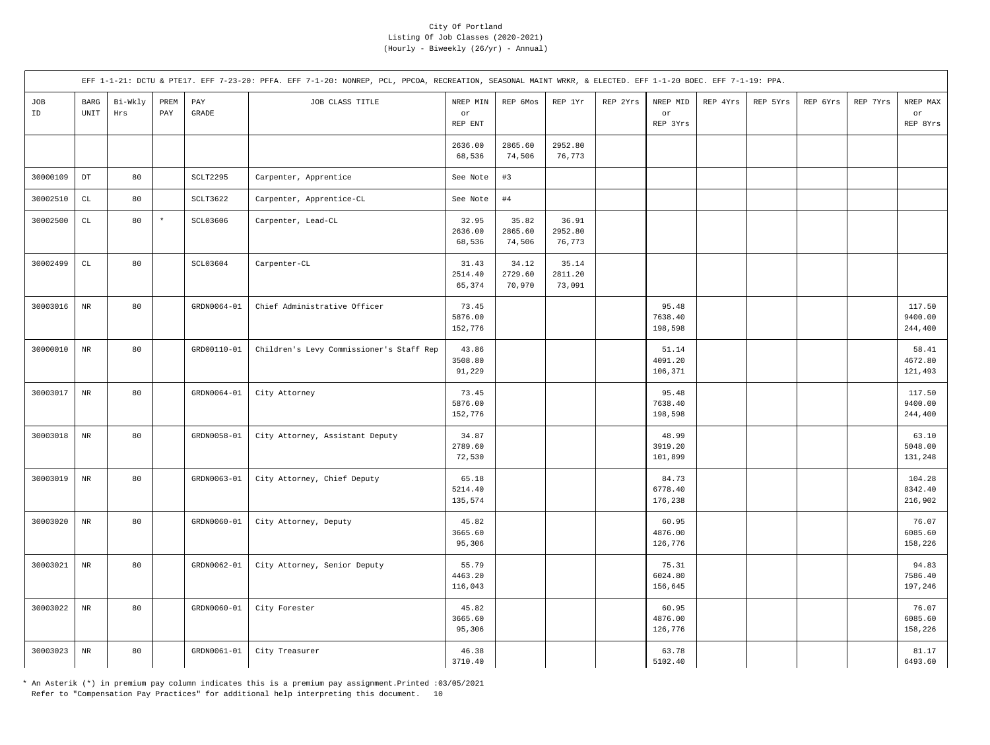|           |                        |                |             |                                           | EFF 1-1-21: DCTU & PTE17. EFF 7-23-20: PFFA. EFF 7-1-20: NONREP, PCL, PPCOA, RECREATION, SEASONAL MAINT WRKR, & ELECTED. EFF 1-1-20 BOEC. EFF 7-1-19: PPA. |                             |                            |                            |          |                             |          |          |          |          |                              |
|-----------|------------------------|----------------|-------------|-------------------------------------------|------------------------------------------------------------------------------------------------------------------------------------------------------------|-----------------------------|----------------------------|----------------------------|----------|-----------------------------|----------|----------|----------|----------|------------------------------|
| JOB<br>ID | $_{\rm BARG}$<br>UNIT  | Bi-Wkly<br>Hrs | PREM<br>PAY | $\mathop{\mathrm{PAY}}$<br>$\mbox{GRADE}$ | JOB CLASS TITLE                                                                                                                                            | NREP MIN<br>or<br>REP ENT   | REP 6Mos                   | REP 1Yr                    | REP 2Yrs | NREP MID<br>or<br>REP 3Yrs  | REP 4Yrs | REP 5Yrs | REP 6Yrs | REP 7Yrs | NREP MAX<br>or<br>REP 8Yrs   |
|           |                        |                |             |                                           |                                                                                                                                                            | 2636.00<br>68,536           | 2865.60<br>74,506          | 2952.80<br>76,773          |          |                             |          |          |          |          |                              |
| 30000109  | $_{\rm DT}$            | 80             |             | SCLT2295                                  | Carpenter, Apprentice                                                                                                                                      | See Note                    | #3                         |                            |          |                             |          |          |          |          |                              |
| 30002510  | $\mathtt{CL}$          | 80             |             | SCLT3622                                  | Carpenter, Apprentice-CL                                                                                                                                   | See Note                    | #4                         |                            |          |                             |          |          |          |          |                              |
| 30002500  | $\mathbb{C}\mathbb{L}$ | 80             | $\star$     | SCL03606                                  | Carpenter, Lead-CL                                                                                                                                         | 32.95<br>2636.00<br>68,536  | 35.82<br>2865.60<br>74,506 | 36.91<br>2952.80<br>76,773 |          |                             |          |          |          |          |                              |
| 30002499  | $\mathtt{CL}$          | 80             |             | <b>SCL03604</b>                           | Carpenter-CL                                                                                                                                               | 31.43<br>2514.40<br>65,374  | 34.12<br>2729.60<br>70,970 | 35.14<br>2811.20<br>73,091 |          |                             |          |          |          |          |                              |
| 30003016  | $\rm{NR}$              | 80             |             | GRDN0064-01                               | Chief Administrative Officer                                                                                                                               | 73.45<br>5876.00<br>152,776 |                            |                            |          | 95.48<br>7638.40<br>198,598 |          |          |          |          | 117.50<br>9400.00<br>244,400 |
| 30000010  | $_{\rm NR}$            | 80             |             | GRD00110-01                               | Children's Levy Commissioner's Staff Rep                                                                                                                   | 43.86<br>3508.80<br>91,229  |                            |                            |          | 51.14<br>4091.20<br>106,371 |          |          |          |          | 58.41<br>4672.80<br>121,493  |
| 30003017  | $\rm{NR}$              | 80             |             | GRDN0064-01                               | City Attorney                                                                                                                                              | 73.45<br>5876.00<br>152,776 |                            |                            |          | 95.48<br>7638.40<br>198,598 |          |          |          |          | 117.50<br>9400.00<br>244,400 |
| 30003018  | $\rm{NR}$              | 80             |             | GRDN0058-01                               | City Attorney, Assistant Deputy                                                                                                                            | 34.87<br>2789.60<br>72,530  |                            |                            |          | 48.99<br>3919.20<br>101,899 |          |          |          |          | 63.10<br>5048.00<br>131,248  |
| 30003019  | $\rm{NR}$              | 80             |             | GRDN0063-01                               | City Attorney, Chief Deputy                                                                                                                                | 65.18<br>5214.40<br>135,574 |                            |                            |          | 84.73<br>6778.40<br>176,238 |          |          |          |          | 104.28<br>8342.40<br>216,902 |
| 30003020  | $\rm NR$               | 80             |             | GRDN0060-01                               | City Attorney, Deputy                                                                                                                                      | 45.82<br>3665.60<br>95,306  |                            |                            |          | 60.95<br>4876.00<br>126,776 |          |          |          |          | 76.07<br>6085.60<br>158,226  |
| 30003021  | $_{\rm NR}$            | 80             |             | GRDN0062-01                               | City Attorney, Senior Deputy                                                                                                                               | 55.79<br>4463.20<br>116,043 |                            |                            |          | 75.31<br>6024.80<br>156,645 |          |          |          |          | 94.83<br>7586.40<br>197,246  |
| 30003022  | $_{\rm NR}$            | 80             |             | GRDN0060-01                               | City Forester                                                                                                                                              | 45.82<br>3665.60<br>95,306  |                            |                            |          | 60.95<br>4876.00<br>126,776 |          |          |          |          | 76.07<br>6085.60<br>158,226  |
| 30003023  | $\rm NR$               | 80             |             | GRDN0061-01                               | City Treasurer                                                                                                                                             | 46.38<br>3710.40            |                            |                            |          | 63.78<br>5102.40            |          |          |          |          | 81.17<br>6493.60             |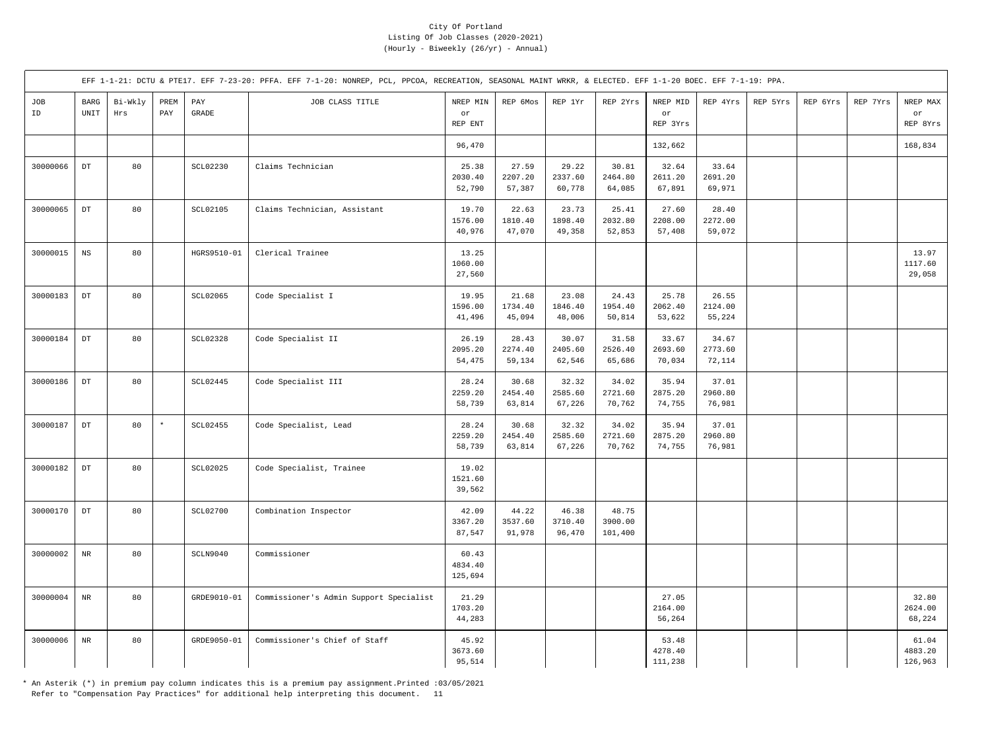|           |                            |                |             |                 | EFF 1-1-21: DCTU & PTE17. EFF 7-23-20: PFFA. EFF 7-1-20: NONREP, PCL, PPCOA, RECREATION, SEASONAL MAINT WRKR, & ELECTED. EFF 1-1-20 BOEC. EFF 7-1-19: PPA. |                             |                            |                            |                             |                             |                            |          |          |          |                             |
|-----------|----------------------------|----------------|-------------|-----------------|------------------------------------------------------------------------------------------------------------------------------------------------------------|-----------------------------|----------------------------|----------------------------|-----------------------------|-----------------------------|----------------------------|----------|----------|----------|-----------------------------|
| JOB<br>ID | <b>BARG</b><br>UNIT        | Bi-Wkly<br>Hrs | PREM<br>PAY | PAY<br>GRADE    | JOB CLASS TITLE                                                                                                                                            | NREP MIN<br>or<br>REP ENT   | REP 6Mos                   | REP 1Yr                    | REP 2Yrs                    | NREP MID<br>or<br>REP 3Yrs  | REP 4Yrs                   | REP 5Yrs | REP 6Yrs | REP 7Yrs | NREP MAX<br>or<br>REP 8Yrs  |
|           |                            |                |             |                 |                                                                                                                                                            | 96,470                      |                            |                            |                             | 132,662                     |                            |          |          |          | 168,834                     |
| 30000066  | $_{\rm DT}$                | 80             |             | SCL02230        | Claims Technician                                                                                                                                          | 25.38<br>2030.40<br>52,790  | 27.59<br>2207.20<br>57,387 | 29.22<br>2337.60<br>60,778 | 30.81<br>2464.80<br>64,085  | 32.64<br>2611.20<br>67,891  | 33.64<br>2691.20<br>69,971 |          |          |          |                             |
| 30000065  | $\mathop{\rm DT}\nolimits$ | 80             |             | SCL02105        | Claims Technician, Assistant                                                                                                                               | 19.70<br>1576.00<br>40,976  | 22.63<br>1810.40<br>47,070 | 23.73<br>1898.40<br>49,358 | 25.41<br>2032.80<br>52,853  | 27.60<br>2208.00<br>57,408  | 28.40<br>2272.00<br>59,072 |          |          |          |                             |
| 30000015  | $_{\rm NS}$                | 80             |             | HGRS9510-01     | Clerical Trainee                                                                                                                                           | 13.25<br>1060.00<br>27,560  |                            |                            |                             |                             |                            |          |          |          | 13.97<br>1117.60<br>29,058  |
| 30000183  | $_{\rm DT}$                | 80             |             | SCL02065        | Code Specialist I                                                                                                                                          | 19.95<br>1596.00<br>41,496  | 21.68<br>1734.40<br>45,094 | 23.08<br>1846.40<br>48,006 | 24.43<br>1954.40<br>50,814  | 25.78<br>2062.40<br>53,622  | 26.55<br>2124.00<br>55,224 |          |          |          |                             |
| 30000184  | $\mathop{\rm DT}\nolimits$ | 80             |             | <b>SCL02328</b> | Code Specialist II                                                                                                                                         | 26.19<br>2095.20<br>54,475  | 28.43<br>2274.40<br>59,134 | 30.07<br>2405.60<br>62,546 | 31.58<br>2526.40<br>65,686  | 33.67<br>2693.60<br>70,034  | 34.67<br>2773.60<br>72,114 |          |          |          |                             |
| 30000186  | $_{\rm DT}$                | 80             |             | SCL02445        | Code Specialist III                                                                                                                                        | 28.24<br>2259.20<br>58,739  | 30.68<br>2454.40<br>63,814 | 32.32<br>2585.60<br>67,226 | 34.02<br>2721.60<br>70,762  | 35.94<br>2875.20<br>74,755  | 37.01<br>2960.80<br>76,981 |          |          |          |                             |
| 30000187  | $_{\rm DT}$                | 80             | $\star$     | SCL02455        | Code Specialist, Lead                                                                                                                                      | 28.24<br>2259.20<br>58,739  | 30.68<br>2454.40<br>63,814 | 32.32<br>2585.60<br>67,226 | 34.02<br>2721.60<br>70,762  | 35.94<br>2875.20<br>74,755  | 37.01<br>2960.80<br>76,981 |          |          |          |                             |
| 30000182  | $_{\mathrm{DT}}$           | 80             |             | SCL02025        | Code Specialist, Trainee                                                                                                                                   | 19.02<br>1521.60<br>39,562  |                            |                            |                             |                             |                            |          |          |          |                             |
| 30000170  | $_{\mathrm{DT}}$           | 80             |             | SCL02700        | Combination Inspector                                                                                                                                      | 42.09<br>3367.20<br>87,547  | 44.22<br>3537.60<br>91,978 | 46.38<br>3710.40<br>96,470 | 48.75<br>3900.00<br>101,400 |                             |                            |          |          |          |                             |
| 30000002  | $\rm{NR}$                  | 80             |             | SCLN9040        | Commissioner                                                                                                                                               | 60.43<br>4834.40<br>125,694 |                            |                            |                             |                             |                            |          |          |          |                             |
| 30000004  | $\rm{NR}$                  | 80             |             | GRDE9010-01     | Commissioner's Admin Support Specialist                                                                                                                    | 21.29<br>1703.20<br>44,283  |                            |                            |                             | 27.05<br>2164.00<br>56,264  |                            |          |          |          | 32.80<br>2624.00<br>68,224  |
| 30000006  | $\rm{NR}$                  | 80             |             | GRDE9050-01     | Commissioner's Chief of Staff                                                                                                                              | 45.92<br>3673.60<br>95,514  |                            |                            |                             | 53.48<br>4278.40<br>111,238 |                            |          |          |          | 61.04<br>4883.20<br>126,963 |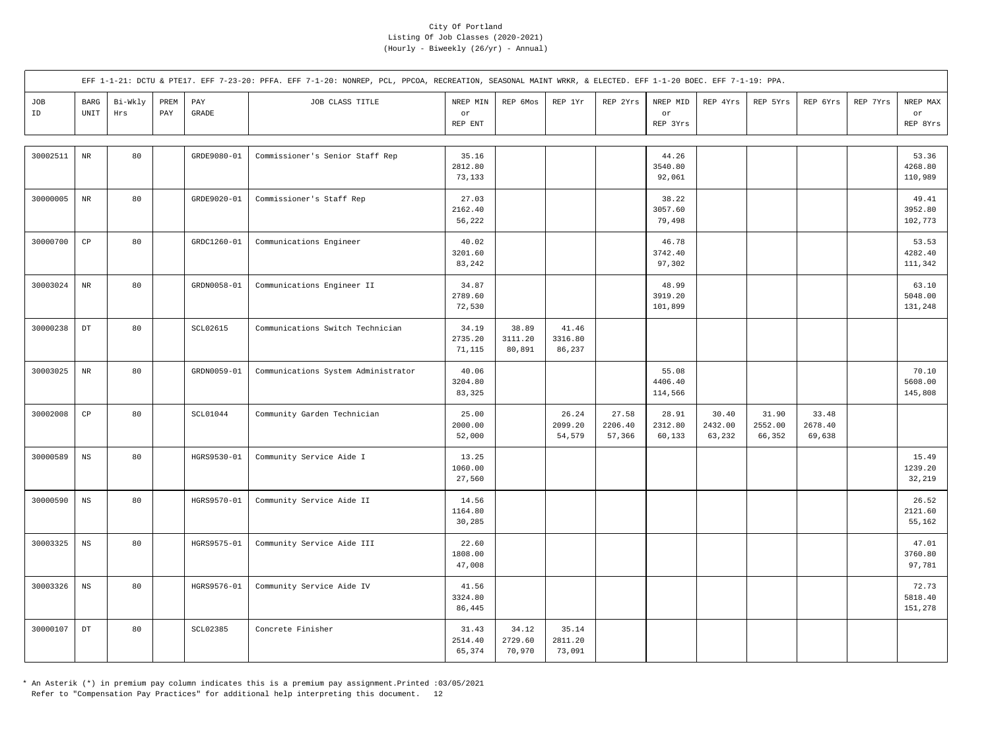|           |                        |                |             |                       | EFF 1-1-21: DCTU & PTE17. EFF 7-23-20: PFFA. EFF 7-1-20: NONREP, PCL, PPCOA, RECREATION, SEASONAL MAINT WRKR, & ELECTED. EFF 1-1-20 BOEC. EFF 7-1-19: PPA. |                            |                            |                            |                            |                             |                            |                            |                            |          |                             |
|-----------|------------------------|----------------|-------------|-----------------------|------------------------------------------------------------------------------------------------------------------------------------------------------------|----------------------------|----------------------------|----------------------------|----------------------------|-----------------------------|----------------------------|----------------------------|----------------------------|----------|-----------------------------|
| JOB<br>ID | BARG<br>UNIT           | Bi-Wkly<br>Hrs | PREM<br>PAY | PAY<br>$\mbox{GRADE}$ | JOB CLASS TITLE                                                                                                                                            | NREP MIN<br>or<br>REP ENT  | REP 6Mos                   | REP 1Yr                    | REP 2Yrs                   | NREP MID<br>or<br>REP 3Yrs  | REP 4Yrs                   | REP 5Yrs                   | REP 6Yrs                   | REP 7Yrs | NREP MAX<br>or<br>REP 8Yrs  |
| 30002511  | $\rm{NR}$              | 80             |             | GRDE9080-01           | Commissioner's Senior Staff Rep                                                                                                                            | 35.16<br>2812.80<br>73,133 |                            |                            |                            | 44.26<br>3540.80<br>92,061  |                            |                            |                            |          | 53.36<br>4268.80<br>110,989 |
| 30000005  | $\rm{NR}$              | 80             |             | GRDE9020-01           | Commissioner's Staff Rep                                                                                                                                   | 27.03<br>2162.40<br>56,222 |                            |                            |                            | 38.22<br>3057.60<br>79,498  |                            |                            |                            |          | 49.41<br>3952.80<br>102,773 |
| 30000700  | $_{\rm CP}$            | 80             |             | GRDC1260-01           | Communications Engineer                                                                                                                                    | 40.02<br>3201.60<br>83,242 |                            |                            |                            | 46.78<br>3742.40<br>97,302  |                            |                            |                            |          | 53.53<br>4282.40<br>111,342 |
| 30003024  | $\rm{NR}$              | 80             |             | GRDN0058-01           | Communications Engineer II                                                                                                                                 | 34.87<br>2789.60<br>72,530 |                            |                            |                            | 48.99<br>3919.20<br>101,899 |                            |                            |                            |          | 63.10<br>5048.00<br>131,248 |
| 30000238  | $_{\rm DT}$            | 80             |             | SCL02615              | Communications Switch Technician                                                                                                                           | 34.19<br>2735.20<br>71,115 | 38.89<br>3111.20<br>80,891 | 41.46<br>3316.80<br>86,237 |                            |                             |                            |                            |                            |          |                             |
| 30003025  | $\rm{NR}$              | 80             |             | GRDN0059-01           | Communications System Administrator                                                                                                                        | 40.06<br>3204.80<br>83,325 |                            |                            |                            | 55.08<br>4406.40<br>114,566 |                            |                            |                            |          | 70.10<br>5608.00<br>145,808 |
| 30002008  | $\mathbb{C}\mathbb{P}$ | 80             |             | SCL01044              | Community Garden Technician                                                                                                                                | 25.00<br>2000.00<br>52,000 |                            | 26.24<br>2099.20<br>54,579 | 27.58<br>2206.40<br>57,366 | 28.91<br>2312.80<br>60,133  | 30.40<br>2432.00<br>63,232 | 31.90<br>2552.00<br>66,352 | 33.48<br>2678.40<br>69,638 |          |                             |
| 30000589  | $_{\rm NS}$            | 80             |             | HGRS9530-01           | Community Service Aide I                                                                                                                                   | 13.25<br>1060.00<br>27,560 |                            |                            |                            |                             |                            |                            |                            |          | 15.49<br>1239.20<br>32,219  |
| 30000590  | $_{\rm NS}$            | 80             |             | HGRS9570-01           | Community Service Aide II                                                                                                                                  | 14.56<br>1164.80<br>30,285 |                            |                            |                            |                             |                            |                            |                            |          | 26.52<br>2121.60<br>55,162  |
| 30003325  | $_{\rm NS}$            | 80             |             | HGRS9575-01           | Community Service Aide III                                                                                                                                 | 22.60<br>1808.00<br>47,008 |                            |                            |                            |                             |                            |                            |                            |          | 47.01<br>3760.80<br>97,781  |
| 30003326  | $_{\rm NS}$            | 80             |             | HGRS9576-01           | Community Service Aide IV                                                                                                                                  | 41.56<br>3324.80<br>86,445 |                            |                            |                            |                             |                            |                            |                            |          | 72.73<br>5818.40<br>151,278 |
| 30000107  | $_{\mathrm{DT}}$       | 80             |             | SCL02385              | Concrete Finisher                                                                                                                                          | 31.43<br>2514.40<br>65,374 | 34.12<br>2729.60<br>70,970 | 35.14<br>2811.20<br>73,091 |                            |                             |                            |                            |                            |          |                             |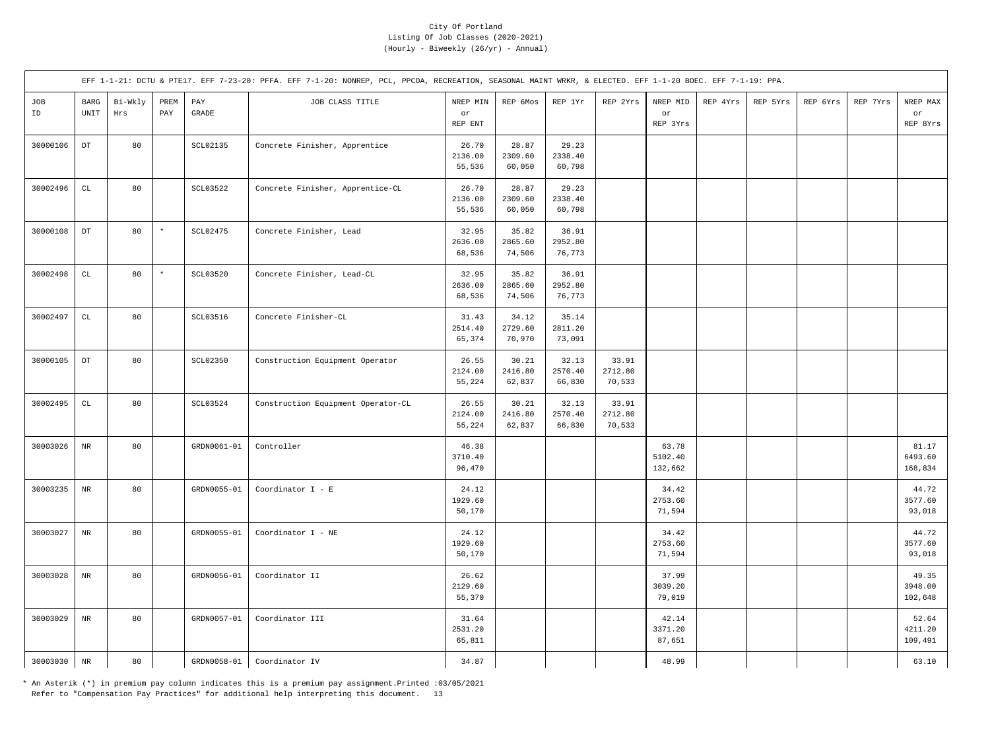|           |                                               |                |             |                 | EFF 1-1-21: DCTU & PTE17. EFF 7-23-20: PFFA. EFF 7-1-20: NONREP, PCL, PPCOA, RECREATION, SEASONAL MAINT WRKR, & ELECTED. EFF 1-1-20 BOEC. EFF 7-1-19: PPA. |                            |                            |                            |                            |                             |          |          |          |          |                             |
|-----------|-----------------------------------------------|----------------|-------------|-----------------|------------------------------------------------------------------------------------------------------------------------------------------------------------|----------------------------|----------------------------|----------------------------|----------------------------|-----------------------------|----------|----------|----------|----------|-----------------------------|
| JOB<br>ID | $_{\rm BARG}$<br>$\ensuremath{\mathsf{UNIT}}$ | Bi-Wkly<br>Hrs | PREM<br>PAY | PAY<br>GRADE    | JOB CLASS TITLE                                                                                                                                            | NREP MIN<br>or<br>REP ENT  | REP 6Mos                   | REP 1Yr                    | REP 2Yrs                   | NREP MID<br>or<br>REP 3Yrs  | REP 4Yrs | REP 5Yrs | REP 6Yrs | REP 7Yrs | NREP MAX<br>or<br>REP 8Yrs  |
| 30000106  | $_{\rm DT}$                                   | 80             |             | SCL02135        | Concrete Finisher, Apprentice                                                                                                                              | 26.70<br>2136.00<br>55,536 | 28.87<br>2309.60<br>60,050 | 29.23<br>2338.40<br>60,798 |                            |                             |          |          |          |          |                             |
| 30002496  | $\mathtt{CL}$                                 | 80             |             | SCL03522        | Concrete Finisher, Apprentice-CL                                                                                                                           | 26.70<br>2136.00<br>55,536 | 28.87<br>2309.60<br>60,050 | 29.23<br>2338.40<br>60,798 |                            |                             |          |          |          |          |                             |
| 30000108  | $_{\rm DT}$                                   | 80             | $\star$     | SCL02475        | Concrete Finisher, Lead                                                                                                                                    | 32.95<br>2636.00<br>68,536 | 35.82<br>2865.60<br>74,506 | 36.91<br>2952.80<br>76,773 |                            |                             |          |          |          |          |                             |
| 30002498  | $\mathtt{CL}$                                 | 80             | $\star$     | <b>SCL03520</b> | Concrete Finisher, Lead-CL                                                                                                                                 | 32.95<br>2636.00<br>68,536 | 35.82<br>2865.60<br>74,506 | 36.91<br>2952.80<br>76,773 |                            |                             |          |          |          |          |                             |
| 30002497  | $\mathbb{C}\mathbb{L}$                        | 80             |             | SCL03516        | Concrete Finisher-CL                                                                                                                                       | 31.43<br>2514.40<br>65,374 | 34.12<br>2729.60<br>70,970 | 35.14<br>2811.20<br>73,091 |                            |                             |          |          |          |          |                             |
| 30000105  | $_{\mathrm{DT}}$                              | 80             |             | <b>SCL02350</b> | Construction Equipment Operator                                                                                                                            | 26.55<br>2124.00<br>55,224 | 30.21<br>2416.80<br>62,837 | 32.13<br>2570.40<br>66,830 | 33.91<br>2712.80<br>70,533 |                             |          |          |          |          |                             |
| 30002495  | $\mathbb{C}\mathbb{L}$                        | 80             |             | SCL03524        | Construction Equipment Operator-CL                                                                                                                         | 26.55<br>2124.00<br>55,224 | 30.21<br>2416.80<br>62,837 | 32.13<br>2570.40<br>66,830 | 33.91<br>2712.80<br>70,533 |                             |          |          |          |          |                             |
| 30003026  | $\rm NR$                                      | 80             |             | GRDN0061-01     | Controller                                                                                                                                                 | 46.38<br>3710.40<br>96,470 |                            |                            |                            | 63.78<br>5102.40<br>132,662 |          |          |          |          | 81.17<br>6493.60<br>168,834 |
| 30003235  | $\rm NR$                                      | 80             |             | GRDN0055-01     | Coordinator $I - E$                                                                                                                                        | 24.12<br>1929.60<br>50,170 |                            |                            |                            | 34.42<br>2753.60<br>71,594  |          |          |          |          | 44.72<br>3577.60<br>93,018  |
| 30003027  | $_{\rm NR}$                                   | 80             |             | GRDN0055-01     | Coordinator I - NE                                                                                                                                         | 24.12<br>1929.60<br>50,170 |                            |                            |                            | 34.42<br>2753.60<br>71,594  |          |          |          |          | 44.72<br>3577.60<br>93,018  |
| 30003028  | $\rm{NR}$                                     | 80             |             | GRDN0056-01     | Coordinator II                                                                                                                                             | 26.62<br>2129.60<br>55,370 |                            |                            |                            | 37.99<br>3039.20<br>79,019  |          |          |          |          | 49.35<br>3948.00<br>102,648 |
| 30003029  | $\rm{NR}$                                     | 80             |             | GRDN0057-01     | Coordinator III                                                                                                                                            | 31.64<br>2531.20<br>65,811 |                            |                            |                            | 42.14<br>3371.20<br>87,651  |          |          |          |          | 52.64<br>4211.20<br>109,491 |
| 30003030  | $\rm NR$                                      | 80             |             | GRDN0058-01     | Coordinator IV                                                                                                                                             | 34.87                      |                            |                            |                            | 48.99                       |          |          |          |          | 63.10                       |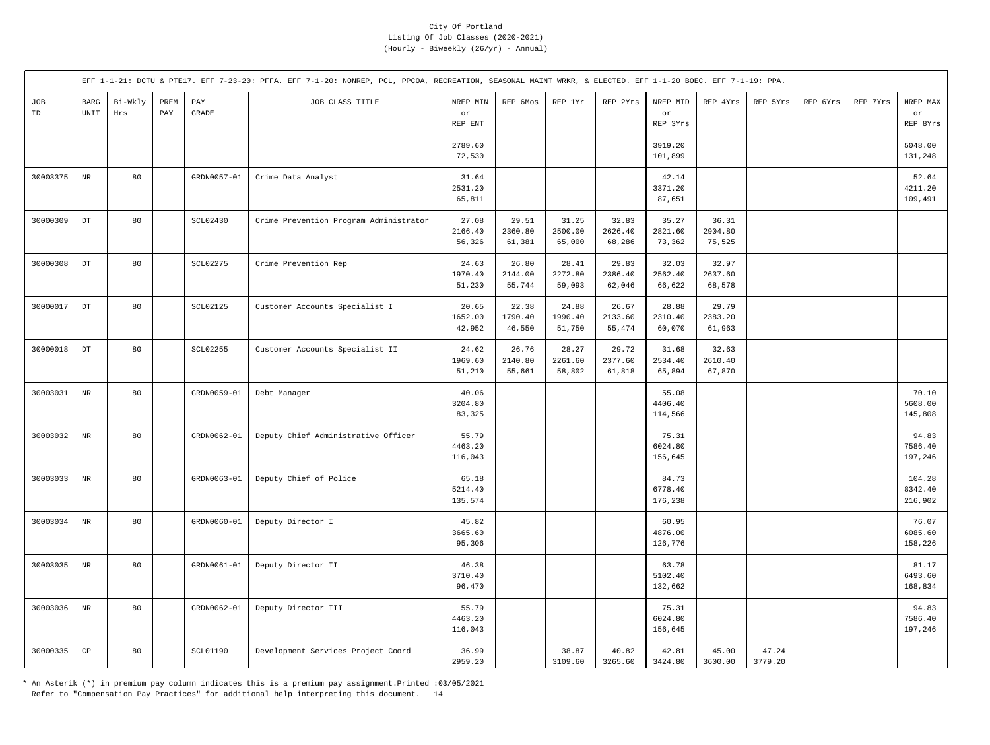|           |                                      |                |             |                       | EFF 1-1-21: DCTU & PTE17. EFF 7-23-20: PFFA. EFF 7-1-20: NONREP, PCL, PPCOA, RECREATION, SEASONAL MAINT WRKR, & ELECTED. EFF 1-1-20 BOEC. EFF 7-1-19: PPA. |                             |                            |                            |                            |                             |                            |                  |          |          |                              |
|-----------|--------------------------------------|----------------|-------------|-----------------------|------------------------------------------------------------------------------------------------------------------------------------------------------------|-----------------------------|----------------------------|----------------------------|----------------------------|-----------------------------|----------------------------|------------------|----------|----------|------------------------------|
| JOB<br>ID | BARG<br>$\ensuremath{\mathsf{UNIT}}$ | Bi-Wkly<br>Hrs | PREM<br>PAY | PAY<br>$\mbox{GRADE}$ | JOB CLASS TITLE                                                                                                                                            | NREP MIN<br>or<br>REP ENT   | REP 6Mos                   | REP 1Yr                    | REP 2Yrs                   | NREP MID<br>or<br>REP 3Yrs  | REP 4Yrs                   | REP 5Yrs         | REP 6Yrs | REP 7Yrs | NREP MAX<br>or<br>REP 8Yrs   |
|           |                                      |                |             |                       |                                                                                                                                                            | 2789.60<br>72,530           |                            |                            |                            | 3919.20<br>101,899          |                            |                  |          |          | 5048.00<br>131,248           |
| 30003375  | $\rm{NR}$                            | 80             |             | GRDN0057-01           | Crime Data Analyst                                                                                                                                         | 31.64<br>2531.20<br>65,811  |                            |                            |                            | 42.14<br>3371.20<br>87,651  |                            |                  |          |          | 52.64<br>4211.20<br>109,491  |
| 30000309  | $_{\rm DT}$                          | 80             |             | SCL02430              | Crime Prevention Program Administrator                                                                                                                     | 27.08<br>2166.40<br>56,326  | 29.51<br>2360.80<br>61,381 | 31.25<br>2500.00<br>65,000 | 32.83<br>2626.40<br>68,286 | 35.27<br>2821.60<br>73,362  | 36.31<br>2904.80<br>75,525 |                  |          |          |                              |
| 30000308  | $_{\rm DT}$                          | 80             |             | <b>SCL02275</b>       | Crime Prevention Rep                                                                                                                                       | 24.63<br>1970.40<br>51,230  | 26.80<br>2144.00<br>55,744 | 28.41<br>2272.80<br>59,093 | 29.83<br>2386.40<br>62,046 | 32.03<br>2562.40<br>66,622  | 32.97<br>2637.60<br>68,578 |                  |          |          |                              |
| 30000017  | $_{\rm DT}$                          | 80             |             | SCL02125              | Customer Accounts Specialist I                                                                                                                             | 20.65<br>1652.00<br>42,952  | 22.38<br>1790.40<br>46,550 | 24.88<br>1990.40<br>51,750 | 26.67<br>2133.60<br>55,474 | 28.88<br>2310.40<br>60,070  | 29.79<br>2383.20<br>61,963 |                  |          |          |                              |
| 30000018  | DT                                   | 80             |             | <b>SCL02255</b>       | Customer Accounts Specialist II                                                                                                                            | 24.62<br>1969.60<br>51,210  | 26.76<br>2140.80<br>55,661 | 28.27<br>2261.60<br>58,802 | 29.72<br>2377.60<br>61,818 | 31.68<br>2534.40<br>65,894  | 32.63<br>2610.40<br>67,870 |                  |          |          |                              |
| 30003031  | $_{\rm NR}$                          | 80             |             | GRDN0059-01           | Debt Manager                                                                                                                                               | 40.06<br>3204.80<br>83,325  |                            |                            |                            | 55.08<br>4406.40<br>114,566 |                            |                  |          |          | 70.10<br>5608.00<br>145,808  |
| 30003032  | $\rm{NR}$                            | 80             |             | GRDN0062-01           | Deputy Chief Administrative Officer                                                                                                                        | 55.79<br>4463.20<br>116,043 |                            |                            |                            | 75.31<br>6024.80<br>156,645 |                            |                  |          |          | 94.83<br>7586.40<br>197,246  |
| 30003033  | $\rm{NR}$                            | 80             |             | GRDN0063-01           | Deputy Chief of Police                                                                                                                                     | 65.18<br>5214.40<br>135,574 |                            |                            |                            | 84.73<br>6778.40<br>176,238 |                            |                  |          |          | 104.28<br>8342.40<br>216,902 |
| 30003034  | $_{\rm NR}$                          | 80             |             | GRDN0060-01           | Deputy Director I                                                                                                                                          | 45.82<br>3665.60<br>95,306  |                            |                            |                            | 60.95<br>4876.00<br>126,776 |                            |                  |          |          | 76.07<br>6085.60<br>158,226  |
| 30003035  | $\rm{NR}$                            | 80             |             | GRDN0061-01           | Deputy Director II                                                                                                                                         | 46.38<br>3710.40<br>96,470  |                            |                            |                            | 63.78<br>5102.40<br>132,662 |                            |                  |          |          | 81.17<br>6493.60<br>168,834  |
| 30003036  | $\rm{NR}$                            | 80             |             | GRDN0062-01           | Deputy Director III                                                                                                                                        | 55.79<br>4463.20<br>116,043 |                            |                            |                            | 75.31<br>6024.80<br>156,645 |                            |                  |          |          | 94.83<br>7586.40<br>197,246  |
| 30000335  | $_{\rm CP}$                          | 80             |             | <b>SCL01190</b>       | Development Services Project Coord                                                                                                                         | 36.99<br>2959.20            |                            | 38.87<br>3109.60           | 40.82<br>3265.60           | 42.81<br>3424.80            | 45.00<br>3600.00           | 47.24<br>3779.20 |          |          |                              |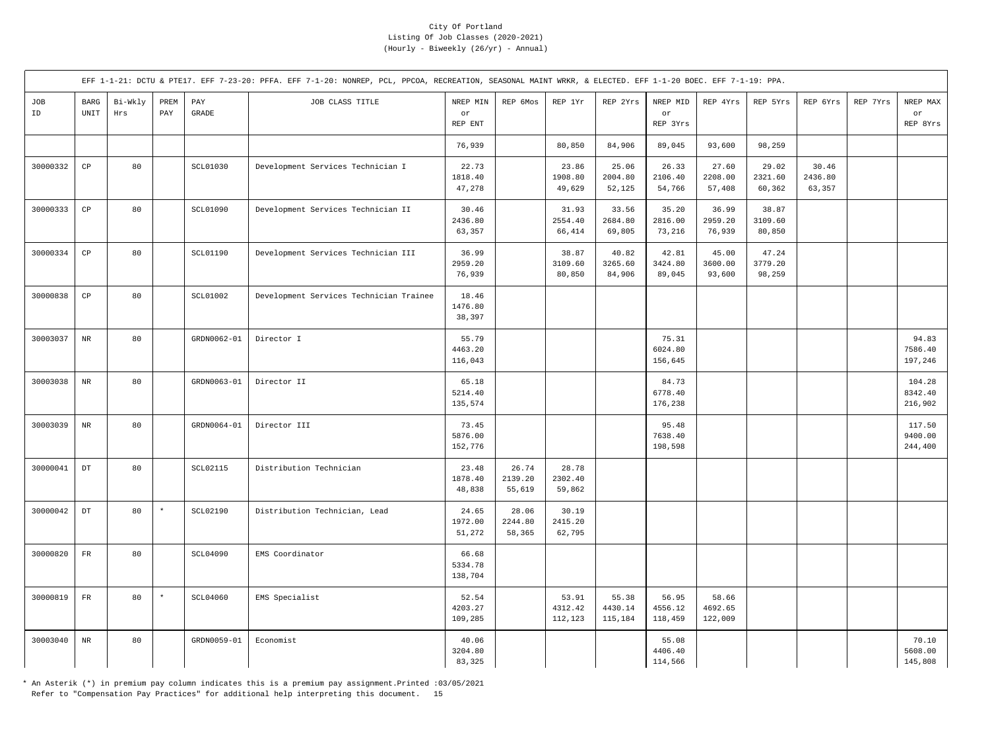|           |                                      |                |             |                 | EFF 1-1-21: DCTU & PTE17. EFF 7-23-20: PFFA. EFF 7-1-20: NONREP, PCL, PPCOA, RECREATION, SEASONAL MAINT WRKR, & ELECTED. EFF 1-1-20 BOEC. EFF 7-1-19: PPA. |                             |                            |                             |                             |                             |                             |                            |                            |          |                              |
|-----------|--------------------------------------|----------------|-------------|-----------------|------------------------------------------------------------------------------------------------------------------------------------------------------------|-----------------------------|----------------------------|-----------------------------|-----------------------------|-----------------------------|-----------------------------|----------------------------|----------------------------|----------|------------------------------|
| JOB<br>ID | BARG<br>$\ensuremath{\mathsf{UNIT}}$ | Bi-Wkly<br>Hrs | PREM<br>PAY | PAY<br>GRADE    | JOB CLASS TITLE                                                                                                                                            | NREP MIN<br>or<br>REP ENT   | REP 6Mos                   | REP 1Yr                     | REP 2Yrs                    | NREP MID<br>or<br>REP 3Yrs  | REP 4Yrs                    | REP 5Yrs                   | REP 6Yrs                   | REP 7Yrs | NREP MAX<br>or<br>REP 8Yrs   |
|           |                                      |                |             |                 |                                                                                                                                                            | 76,939                      |                            | 80,850                      | 84,906                      | 89,045                      | 93,600                      | 98,259                     |                            |          |                              |
| 30000332  | $\mathbb{C}\mathbb{P}$               | 80             |             | SCL01030        | Development Services Technician I                                                                                                                          | 22.73<br>1818.40<br>47,278  |                            | 23.86<br>1908.80<br>49,629  | 25.06<br>2004.80<br>52,125  | 26.33<br>2106.40<br>54,766  | 27.60<br>2208.00<br>57,408  | 29.02<br>2321.60<br>60,362 | 30.46<br>2436.80<br>63,357 |          |                              |
| 30000333  | $_{\rm CP}$                          | 80             |             | SCL01090        | Development Services Technician II                                                                                                                         | 30.46<br>2436.80<br>63,357  |                            | 31.93<br>2554.40<br>66,414  | 33.56<br>2684.80<br>69,805  | 35.20<br>2816.00<br>73,216  | 36.99<br>2959.20<br>76,939  | 38.87<br>3109.60<br>80,850 |                            |          |                              |
| 30000334  | $_{\rm CP}$                          | 80             |             | SCL01190        | Development Services Technician III                                                                                                                        | 36.99<br>2959.20<br>76,939  |                            | 38.87<br>3109.60<br>80,850  | 40.82<br>3265.60<br>84,906  | 42.81<br>3424.80<br>89,045  | 45.00<br>3600.00<br>93,600  | 47.24<br>3779.20<br>98,259 |                            |          |                              |
| 30000838  | CP                                   | 80             |             | <b>SCL01002</b> | Development Services Technician Trainee                                                                                                                    | 18.46<br>1476.80<br>38,397  |                            |                             |                             |                             |                             |                            |                            |          |                              |
| 30003037  | $_{\rm NR}$                          | 80             |             | GRDN0062-01     | Director I                                                                                                                                                 | 55.79<br>4463.20<br>116,043 |                            |                             |                             | 75.31<br>6024.80<br>156,645 |                             |                            |                            |          | 94.83<br>7586.40<br>197,246  |
| 30003038  | $_{\rm NR}$                          | 80             |             | GRDN0063-01     | Director II                                                                                                                                                | 65.18<br>5214.40<br>135,574 |                            |                             |                             | 84.73<br>6778.40<br>176,238 |                             |                            |                            |          | 104.28<br>8342.40<br>216,902 |
| 30003039  | $\rm NR$                             | 80             |             | GRDN0064-01     | Director III                                                                                                                                               | 73.45<br>5876.00<br>152,776 |                            |                             |                             | 95.48<br>7638.40<br>198,598 |                             |                            |                            |          | 117.50<br>9400.00<br>244,400 |
| 30000041  | $_{\rm DT}$                          | 80             |             | SCL02115        | Distribution Technician                                                                                                                                    | 23.48<br>1878.40<br>48,838  | 26.74<br>2139.20<br>55,619 | 28.78<br>2302.40<br>59,862  |                             |                             |                             |                            |                            |          |                              |
| 30000042  | $_{\rm DT}$                          | 80             | $\star$     | <b>SCL02190</b> | Distribution Technician, Lead                                                                                                                              | 24.65<br>1972.00<br>51,272  | 28.06<br>2244.80<br>58,365 | 30.19<br>2415.20<br>62,795  |                             |                             |                             |                            |                            |          |                              |
| 30000820  | $_{\rm FR}$                          | 80             |             | SCL04090        | EMS Coordinator                                                                                                                                            | 66.68<br>5334.78<br>138,704 |                            |                             |                             |                             |                             |                            |                            |          |                              |
| 30000819  | $_{\rm FR}$                          | 80             | $\star$     | SCL04060        | EMS Specialist                                                                                                                                             | 52.54<br>4203.27<br>109,285 |                            | 53.91<br>4312.42<br>112,123 | 55.38<br>4430.14<br>115,184 | 56.95<br>4556.12<br>118,459 | 58.66<br>4692.65<br>122,009 |                            |                            |          |                              |
| 30003040  | $\rm{NR}$                            | 80             |             | GRDN0059-01     | Economist                                                                                                                                                  | 40.06<br>3204.80<br>83,325  |                            |                             |                             | 55.08<br>4406.40<br>114,566 |                             |                            |                            |          | 70.10<br>5608.00<br>145,808  |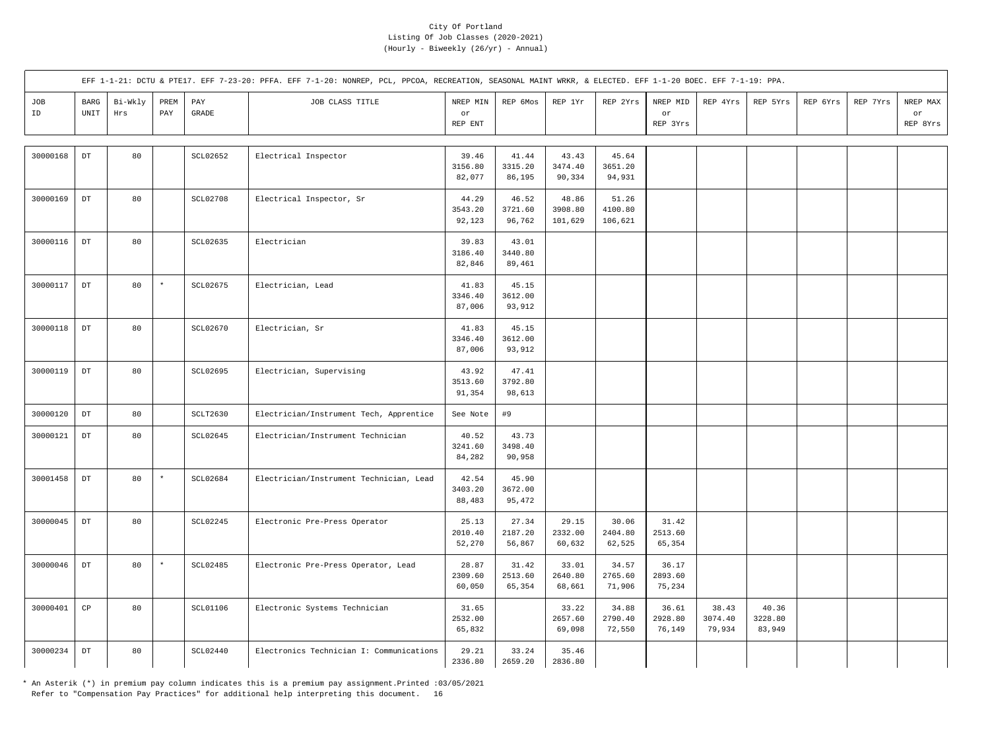|           |                            |                |             |                     | EFF 1-1-21: DCTU & PTE17. EFF 7-23-20: PFFA. EFF 7-1-20: NONREP, PCL, PPCOA, RECREATION, SEASONAL MAINT WRKR, & ELECTED. EFF 1-1-20 BOEC. EFF 7-1-19: PPA. |                            |                            |                             |                             |                                   |                            |                            |          |          |                            |
|-----------|----------------------------|----------------|-------------|---------------------|------------------------------------------------------------------------------------------------------------------------------------------------------------|----------------------------|----------------------------|-----------------------------|-----------------------------|-----------------------------------|----------------------------|----------------------------|----------|----------|----------------------------|
| JOB<br>ID | $_{\rm BARG}$<br>UNIT      | Bi-Wkly<br>Hrs | PREM<br>PAY | PAY<br><b>GRADE</b> | JOB CLASS TITLE                                                                                                                                            | NREP MIN<br>or<br>REP ENT  | REP 6Mos                   | REP 1Yr                     | REP 2Yrs                    | NREP MID<br>$\circ r$<br>REP 3Yrs | REP 4Yrs                   | REP 5Yrs                   | REP 6Yrs | REP 7Yrs | NREP MAX<br>or<br>REP 8Yrs |
| 30000168  | $_{\rm DT}$                | 80             |             | SCL02652            | Electrical Inspector                                                                                                                                       | 39.46<br>3156.80<br>82,077 | 41.44<br>3315.20<br>86,195 | 43.43<br>3474.40<br>90,334  | 45.64<br>3651.20<br>94,931  |                                   |                            |                            |          |          |                            |
| 30000169  | $\mathop{\rm DT}\nolimits$ | 80             |             | <b>SCL02708</b>     | Electrical Inspector, Sr                                                                                                                                   | 44.29<br>3543.20<br>92,123 | 46.52<br>3721.60<br>96,762 | 48.86<br>3908.80<br>101,629 | 51.26<br>4100.80<br>106,621 |                                   |                            |                            |          |          |                            |
| 30000116  | $_{\rm DT}$                | 80             |             | SCL02635            | Electrician                                                                                                                                                | 39.83<br>3186.40<br>82,846 | 43.01<br>3440.80<br>89,461 |                             |                             |                                   |                            |                            |          |          |                            |
| 30000117  | $\mathop{\rm DT}\nolimits$ | 80             | $\star$     | <b>SCL02675</b>     | Electrician, Lead                                                                                                                                          | 41.83<br>3346.40<br>87,006 | 45.15<br>3612.00<br>93,912 |                             |                             |                                   |                            |                            |          |          |                            |
| 30000118  | $\mathop{\rm DT}\nolimits$ | 80             |             | SCL02670            | Electrician, Sr                                                                                                                                            | 41.83<br>3346.40<br>87,006 | 45.15<br>3612.00<br>93,912 |                             |                             |                                   |                            |                            |          |          |                            |
| 30000119  | $_{\rm DT}$                | 80             |             | SCL02695            | Electrician, Supervising                                                                                                                                   | 43.92<br>3513.60<br>91,354 | 47.41<br>3792.80<br>98,613 |                             |                             |                                   |                            |                            |          |          |                            |
| 30000120  | $\mathop{\rm DT}\nolimits$ | 80             |             | SCLT2630            | Electrician/Instrument Tech, Apprentice                                                                                                                    | See Note                   | #9                         |                             |                             |                                   |                            |                            |          |          |                            |
| 30000121  | $_{\rm DT}$                | 80             |             | SCL02645            | Electrician/Instrument Technician                                                                                                                          | 40.52<br>3241.60<br>84,282 | 43.73<br>3498.40<br>90,958 |                             |                             |                                   |                            |                            |          |          |                            |
| 30001458  | $\mathop{\rm DT}\nolimits$ | 80             | $\star$     | SCL02684            | Electrician/Instrument Technician, Lead                                                                                                                    | 42.54<br>3403.20<br>88,483 | 45.90<br>3672.00<br>95,472 |                             |                             |                                   |                            |                            |          |          |                            |
| 30000045  | $_{\rm DT}$                | 80             |             | SCL02245            | Electronic Pre-Press Operator                                                                                                                              | 25.13<br>2010.40<br>52,270 | 27.34<br>2187.20<br>56,867 | 29.15<br>2332.00<br>60,632  | 30.06<br>2404.80<br>62,525  | 31.42<br>2513.60<br>65,354        |                            |                            |          |          |                            |
| 30000046  | $_{\rm DT}$                | 80             | $\star$     | <b>SCL02485</b>     | Electronic Pre-Press Operator, Lead                                                                                                                        | 28.87<br>2309.60<br>60,050 | 31.42<br>2513.60<br>65,354 | 33.01<br>2640.80<br>68,661  | 34.57<br>2765.60<br>71,906  | 36.17<br>2893.60<br>75,234        |                            |                            |          |          |                            |
| 30000401  | CP                         | 80             |             | SCL01106            | Electronic Systems Technician                                                                                                                              | 31.65<br>2532.00<br>65,832 |                            | 33.22<br>2657.60<br>69,098  | 34.88<br>2790.40<br>72,550  | 36.61<br>2928.80<br>76,149        | 38.43<br>3074.40<br>79,934 | 40.36<br>3228.80<br>83,949 |          |          |                            |
| 30000234  | $_{\rm DT}$                | 80             |             | SCL02440            | Electronics Technician I: Communications                                                                                                                   | 29.21<br>2336.80           | 33.24<br>2659.20           | 35.46<br>2836.80            |                             |                                   |                            |                            |          |          |                            |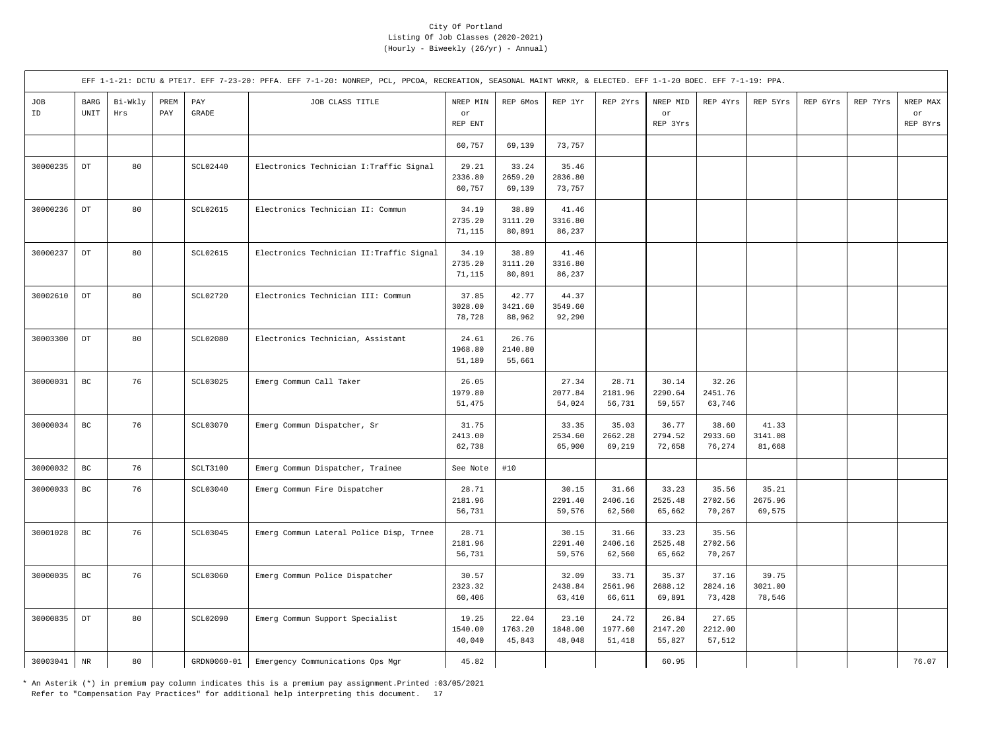|           |                       |                |                                     |                                  | EFF 1-1-21: DCTU & PTE17. EFF 7-23-20: PFFA. EFF 7-1-20: NONREP, PCL, PPCOA, RECREATION, SEASONAL MAINT WRKR, & ELECTED. EFF 1-1-20 BOEC. EFF 7-1-19: PPA. |                            |                            |                            |                            |                            |                            |                            |          |          |                            |
|-----------|-----------------------|----------------|-------------------------------------|----------------------------------|------------------------------------------------------------------------------------------------------------------------------------------------------------|----------------------------|----------------------------|----------------------------|----------------------------|----------------------------|----------------------------|----------------------------|----------|----------|----------------------------|
| JOB<br>ID | $_{\rm BARG}$<br>UNIT | Bi-Wkly<br>Hrs | PREM<br>$\ensuremath{\mathrm{PAY}}$ | $\mathop{\mathrm{PAY}}$<br>GRADE | JOB CLASS TITLE                                                                                                                                            | NREP MIN<br>or<br>REP ENT  | REP 6Mos                   | REP 1Yr                    | REP 2Yrs                   | NREP MID<br>or<br>REP 3Yrs | REP 4Yrs                   | REP 5Yrs                   | REP 6Yrs | REP 7Yrs | NREP MAX<br>or<br>REP 8Yrs |
|           |                       |                |                                     |                                  |                                                                                                                                                            | 60,757                     | 69,139                     | 73,757                     |                            |                            |                            |                            |          |          |                            |
| 30000235  | $_{\rm DT}$           | 80             |                                     | SCL02440                         | Electronics Technician I: Traffic Signal                                                                                                                   | 29.21<br>2336.80<br>60,757 | 33.24<br>2659.20<br>69,139 | 35.46<br>2836.80<br>73,757 |                            |                            |                            |                            |          |          |                            |
| 30000236  | DT                    | 80             |                                     | <b>SCL02615</b>                  | Electronics Technician II: Commun                                                                                                                          | 34.19<br>2735.20<br>71,115 | 38.89<br>3111.20<br>80,891 | 41.46<br>3316.80<br>86,237 |                            |                            |                            |                            |          |          |                            |
| 30000237  | $_{\rm DT}$           | 80             |                                     | <b>SCL02615</b>                  | Electronics Technician II: Traffic Signal                                                                                                                  | 34.19<br>2735.20<br>71,115 | 38.89<br>3111.20<br>80,891 | 41.46<br>3316.80<br>86,237 |                            |                            |                            |                            |          |          |                            |
| 30002610  | $_{\rm DT}$           | 80             |                                     | SCL02720                         | Electronics Technician III: Commun                                                                                                                         | 37.85<br>3028.00<br>78,728 | 42.77<br>3421.60<br>88,962 | 44.37<br>3549.60<br>92,290 |                            |                            |                            |                            |          |          |                            |
| 30003300  | $_{\rm DT}$           | 80             |                                     | <b>SCL02080</b>                  | Electronics Technician, Assistant                                                                                                                          | 24.61<br>1968.80<br>51,189 | 26.76<br>2140.80<br>55,661 |                            |                            |                            |                            |                            |          |          |                            |
| 30000031  | $_{\rm BC}$           | 76             |                                     | SCL03025                         | Emerg Commun Call Taker                                                                                                                                    | 26.05<br>1979.80<br>51,475 |                            | 27.34<br>2077.84<br>54,024 | 28.71<br>2181.96<br>56,731 | 30.14<br>2290.64<br>59,557 | 32.26<br>2451.76<br>63,746 |                            |          |          |                            |
| 30000034  | $_{\rm BC}$           | 76             |                                     | SCL03070                         | Emerg Commun Dispatcher, Sr                                                                                                                                | 31.75<br>2413.00<br>62,738 |                            | 33.35<br>2534.60<br>65,900 | 35.03<br>2662.28<br>69,219 | 36.77<br>2794.52<br>72,658 | 38.60<br>2933.60<br>76,274 | 41.33<br>3141.08<br>81,668 |          |          |                            |
| 30000032  | BC                    | 76             |                                     | SCLT3100                         | Emerg Commun Dispatcher, Trainee                                                                                                                           | See Note                   | #10                        |                            |                            |                            |                            |                            |          |          |                            |
| 30000033  | $_{\rm BC}$           | 76             |                                     | SCL03040                         | Emerg Commun Fire Dispatcher                                                                                                                               | 28.71<br>2181.96<br>56,731 |                            | 30.15<br>2291.40<br>59,576 | 31.66<br>2406.16<br>62,560 | 33.23<br>2525.48<br>65,662 | 35.56<br>2702.56<br>70,267 | 35.21<br>2675.96<br>69,575 |          |          |                            |
| 30001028  | $_{\rm BC}$           | 76             |                                     | SCL03045                         | Emerg Commun Lateral Police Disp, Trnee                                                                                                                    | 28.71<br>2181.96<br>56,731 |                            | 30.15<br>2291.40<br>59,576 | 31.66<br>2406.16<br>62,560 | 33.23<br>2525.48<br>65,662 | 35.56<br>2702.56<br>70,267 |                            |          |          |                            |
| 30000035  | $_{\rm BC}$           | 76             |                                     | SCL03060                         | Emerg Commun Police Dispatcher                                                                                                                             | 30.57<br>2323.32<br>60,406 |                            | 32.09<br>2438.84<br>63,410 | 33.71<br>2561.96<br>66,611 | 35.37<br>2688.12<br>69,891 | 37.16<br>2824.16<br>73,428 | 39.75<br>3021.00<br>78,546 |          |          |                            |
| 30000835  | $_{\rm DT}$           | 80             |                                     | <b>SCL02090</b>                  | Emerg Commun Support Specialist                                                                                                                            | 19.25<br>1540.00<br>40,040 | 22.04<br>1763.20<br>45,843 | 23.10<br>1848.00<br>48,048 | 24.72<br>1977.60<br>51,418 | 26.84<br>2147.20<br>55,827 | 27.65<br>2212.00<br>57,512 |                            |          |          |                            |
| 30003041  | $_{\rm NR}$           | 80             |                                     | GRDN0060-01                      | Emergency Communications Ops Mgr                                                                                                                           | 45.82                      |                            |                            |                            | 60.95                      |                            |                            |          |          | 76.07                      |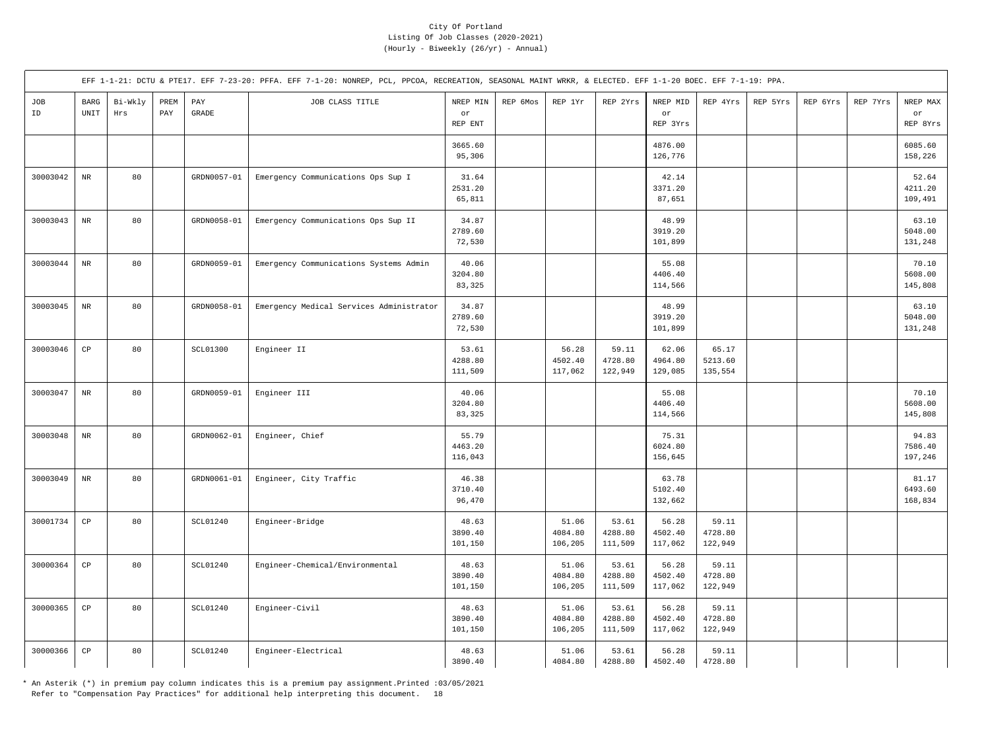|           |                        |                |                                     |                                  | EFF 1-1-21: DCTU & PTE17. EFF 7-23-20: PFFA. EFF 7-1-20: NONREP, PCL, PPCOA, RECREATION, SEASONAL MAINT WRKR, & ELECTED. EFF 1-1-20 BOEC. EFF 7-1-19: PPA. |                             |          |                             |                             |                             |                             |          |          |          |                             |
|-----------|------------------------|----------------|-------------------------------------|----------------------------------|------------------------------------------------------------------------------------------------------------------------------------------------------------|-----------------------------|----------|-----------------------------|-----------------------------|-----------------------------|-----------------------------|----------|----------|----------|-----------------------------|
| JOB<br>ID | $_{\rm BARG}$<br>UNIT  | Bi-Wkly<br>Hrs | PREM<br>$\ensuremath{\mathrm{PAY}}$ | $\mathop{\mathrm{PAY}}$<br>GRADE | JOB CLASS TITLE                                                                                                                                            | NREP MIN<br>or<br>REP ENT   | REP 6Mos | REP 1Yr                     | REP 2Yrs                    | NREP MID<br>or<br>REP 3Yrs  | REP 4Yrs                    | REP 5Yrs | REP 6Yrs | REP 7Yrs | NREP MAX<br>or<br>REP 8Yrs  |
|           |                        |                |                                     |                                  |                                                                                                                                                            | 3665.60<br>95,306           |          |                             |                             | 4876.00<br>126,776          |                             |          |          |          | 6085.60<br>158,226          |
| 30003042  | $_{\rm NR}$            | 80             |                                     | GRDN0057-01                      | Emergency Communications Ops Sup I                                                                                                                         | 31.64<br>2531.20<br>65,811  |          |                             |                             | 42.14<br>3371.20<br>87,651  |                             |          |          |          | 52.64<br>4211.20<br>109,491 |
| 30003043  | $_{\rm NR}$            | 80             |                                     | GRDN0058-01                      | Emergency Communications Ops Sup II                                                                                                                        | 34.87<br>2789.60<br>72,530  |          |                             |                             | 48.99<br>3919.20<br>101,899 |                             |          |          |          | 63.10<br>5048.00<br>131,248 |
| 30003044  | $\rm{NR}$              | 80             |                                     | GRDN0059-01                      | Emergency Communications Systems Admin                                                                                                                     | 40.06<br>3204.80<br>83,325  |          |                             |                             | 55.08<br>4406.40<br>114,566 |                             |          |          |          | 70.10<br>5608.00<br>145,808 |
| 30003045  | $_{\rm NR}$            | 80             |                                     | GRDN0058-01                      | Emergency Medical Services Administrator                                                                                                                   | 34.87<br>2789.60<br>72,530  |          |                             |                             | 48.99<br>3919.20<br>101,899 |                             |          |          |          | 63.10<br>5048.00<br>131,248 |
| 30003046  | $_{\rm CP}$            | 80             |                                     | SCL01300                         | Engineer II                                                                                                                                                | 53.61<br>4288.80<br>111,509 |          | 56.28<br>4502.40<br>117,062 | 59.11<br>4728.80<br>122,949 | 62.06<br>4964.80<br>129,085 | 65.17<br>5213.60<br>135,554 |          |          |          |                             |
| 30003047  | $\rm{NR}$              | 80             |                                     | GRDN0059-01                      | Engineer III                                                                                                                                               | 40.06<br>3204.80<br>83,325  |          |                             |                             | 55.08<br>4406.40<br>114,566 |                             |          |          |          | 70.10<br>5608.00<br>145,808 |
| 30003048  | $_{\rm NR}$            | 80             |                                     | GRDN0062-01                      | Engineer, Chief                                                                                                                                            | 55.79<br>4463.20<br>116,043 |          |                             |                             | 75.31<br>6024.80<br>156,645 |                             |          |          |          | 94.83<br>7586.40<br>197,246 |
| 30003049  | $\rm{NR}$              | 80             |                                     | GRDN0061-01                      | Engineer, City Traffic                                                                                                                                     | 46.38<br>3710.40<br>96,470  |          |                             |                             | 63.78<br>5102.40<br>132,662 |                             |          |          |          | 81.17<br>6493.60<br>168,834 |
| 30001734  | $_{\rm CP}$            | 80             |                                     | SCL01240                         | Engineer-Bridge                                                                                                                                            | 48.63<br>3890.40<br>101,150 |          | 51.06<br>4084.80<br>106,205 | 53.61<br>4288.80<br>111,509 | 56.28<br>4502.40<br>117,062 | 59.11<br>4728.80<br>122,949 |          |          |          |                             |
| 30000364  | $_{\rm CP}$            | 80             |                                     | SCL01240                         | Engineer-Chemical/Environmental                                                                                                                            | 48.63<br>3890.40<br>101,150 |          | 51.06<br>4084.80<br>106,205 | 53.61<br>4288.80<br>111,509 | 56.28<br>4502.40<br>117,062 | 59.11<br>4728.80<br>122,949 |          |          |          |                             |
| 30000365  | $\mathbb{C}\mathbb{P}$ | 80             |                                     | SCL01240                         | Engineer-Civil                                                                                                                                             | 48.63<br>3890.40<br>101,150 |          | 51.06<br>4084.80<br>106,205 | 53.61<br>4288.80<br>111,509 | 56.28<br>4502.40<br>117,062 | 59.11<br>4728.80<br>122,949 |          |          |          |                             |
| 30000366  | $_{\rm CP}$            | 80             |                                     | SCL01240                         | Engineer-Electrical                                                                                                                                        | 48.63<br>3890.40            |          | 51.06<br>4084.80            | 53.61<br>4288.80            | 56.28<br>4502.40            | 59.11<br>4728.80            |          |          |          |                             |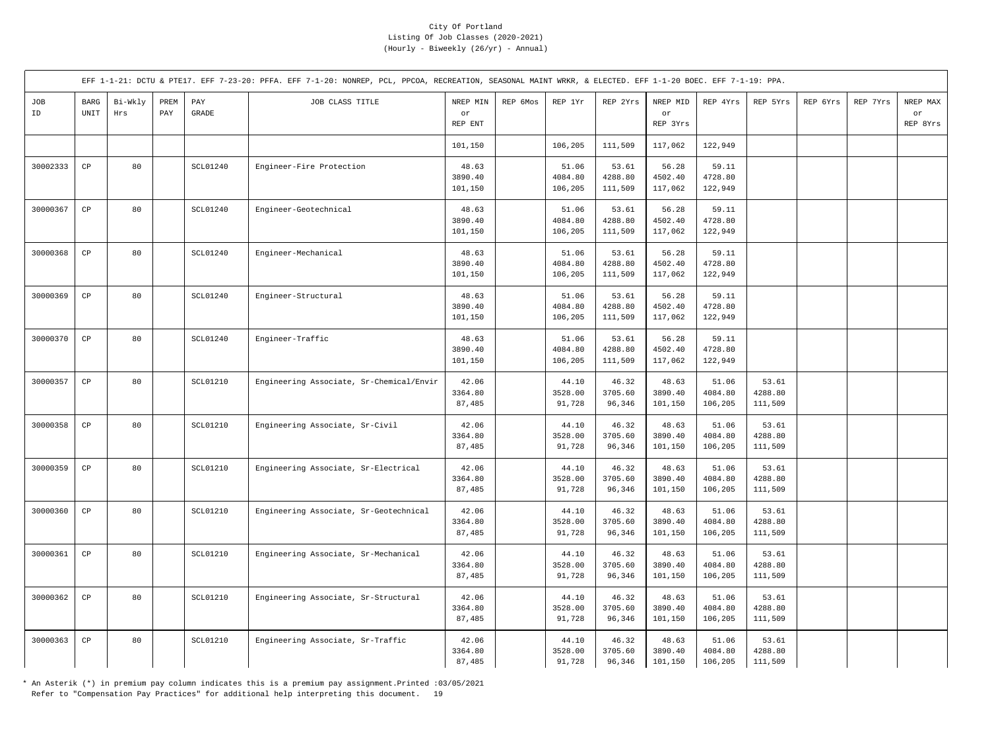|           |              |                |             |                       | EFF 1-1-21: DCTU & PTE17. EFF 7-23-20: PFFA. EFF 7-1-20: NONREP, PCL, PPCOA, RECREATION, SEASONAL MAINT WRKR, & ELECTED. EFF 1-1-20 BOEC. EFF 7-1-19: PPA. |                             |          |                             |                             |                             |                             |                             |          |          |                            |
|-----------|--------------|----------------|-------------|-----------------------|------------------------------------------------------------------------------------------------------------------------------------------------------------|-----------------------------|----------|-----------------------------|-----------------------------|-----------------------------|-----------------------------|-----------------------------|----------|----------|----------------------------|
| JOB<br>ID | BARG<br>UNIT | Bi-Wkly<br>Hrs | PREM<br>PAY | PAY<br>$\mbox{GRADE}$ | JOB CLASS TITLE                                                                                                                                            | NREP MIN<br>or<br>REP ENT   | REP 6Mos | REP 1Yr                     | REP 2Yrs                    | NREP MID<br>or<br>REP 3Yrs  | REP 4Yrs                    | REP 5Yrs                    | REP 6Yrs | REP 7Yrs | NREP MAX<br>or<br>REP 8Yrs |
|           |              |                |             |                       |                                                                                                                                                            | 101,150                     |          | 106,205                     | 111,509                     | 117,062                     | 122,949                     |                             |          |          |                            |
| 30002333  | CP           | 80             |             | <b>SCL01240</b>       | Engineer-Fire Protection                                                                                                                                   | 48.63<br>3890.40<br>101,150 |          | 51.06<br>4084.80<br>106,205 | 53.61<br>4288.80<br>111,509 | 56.28<br>4502.40<br>117,062 | 59.11<br>4728.80<br>122,949 |                             |          |          |                            |
| 30000367  | $_{\rm CP}$  | 80             |             | <b>SCL01240</b>       | Engineer-Geotechnical                                                                                                                                      | 48.63<br>3890.40<br>101,150 |          | 51.06<br>4084.80<br>106,205 | 53.61<br>4288.80<br>111,509 | 56.28<br>4502.40<br>117,062 | 59.11<br>4728.80<br>122,949 |                             |          |          |                            |
| 30000368  | CP           | 80             |             | <b>SCL01240</b>       | Engineer-Mechanical                                                                                                                                        | 48.63<br>3890.40<br>101,150 |          | 51.06<br>4084.80<br>106,205 | 53.61<br>4288.80<br>111,509 | 56.28<br>4502.40<br>117,062 | 59.11<br>4728.80<br>122,949 |                             |          |          |                            |
| 30000369  | CP           | 80             |             | <b>SCL01240</b>       | Engineer-Structural                                                                                                                                        | 48.63<br>3890.40<br>101,150 |          | 51.06<br>4084.80<br>106,205 | 53.61<br>4288.80<br>111,509 | 56.28<br>4502.40<br>117,062 | 59.11<br>4728.80<br>122,949 |                             |          |          |                            |
| 30000370  | $_{\rm CP}$  | 80             |             | SCL01240              | Engineer-Traffic                                                                                                                                           | 48.63<br>3890.40<br>101,150 |          | 51.06<br>4084.80<br>106,205 | 53.61<br>4288.80<br>111,509 | 56.28<br>4502.40<br>117,062 | 59.11<br>4728.80<br>122,949 |                             |          |          |                            |
| 30000357  | CP           | 80             |             | <b>SCL01210</b>       | Engineering Associate, Sr-Chemical/Envir                                                                                                                   | 42.06<br>3364.80<br>87,485  |          | 44.10<br>3528.00<br>91,728  | 46.32<br>3705.60<br>96,346  | 48.63<br>3890.40<br>101,150 | 51.06<br>4084.80<br>106,205 | 53.61<br>4288.80<br>111,509 |          |          |                            |
| 30000358  | CP           | 80             |             | <b>SCL01210</b>       | Engineering Associate, Sr-Civil                                                                                                                            | 42.06<br>3364.80<br>87,485  |          | 44.10<br>3528.00<br>91,728  | 46.32<br>3705.60<br>96,346  | 48.63<br>3890.40<br>101,150 | 51.06<br>4084.80<br>106,205 | 53.61<br>4288.80<br>111,509 |          |          |                            |
| 30000359  | $_{\rm CP}$  | 80             |             | SCL01210              | Engineering Associate, Sr-Electrical                                                                                                                       | 42.06<br>3364.80<br>87,485  |          | 44.10<br>3528.00<br>91,728  | 46.32<br>3705.60<br>96,346  | 48.63<br>3890.40<br>101,150 | 51.06<br>4084.80<br>106,205 | 53.61<br>4288.80<br>111,509 |          |          |                            |
| 30000360  | $_{\rm CP}$  | 80             |             | SCL01210              | Engineering Associate, Sr-Geotechnical                                                                                                                     | 42.06<br>3364.80<br>87,485  |          | 44.10<br>3528.00<br>91,728  | 46.32<br>3705.60<br>96,346  | 48.63<br>3890.40<br>101,150 | 51.06<br>4084.80<br>106,205 | 53.61<br>4288.80<br>111,509 |          |          |                            |
| 30000361  | CP           | 80             |             | <b>SCL01210</b>       | Engineering Associate, Sr-Mechanical                                                                                                                       | 42.06<br>3364.80<br>87,485  |          | 44.10<br>3528.00<br>91,728  | 46.32<br>3705.60<br>96,346  | 48.63<br>3890.40<br>101,150 | 51.06<br>4084.80<br>106,205 | 53.61<br>4288.80<br>111,509 |          |          |                            |
| 30000362  | $_{\rm CP}$  | 80             |             | SCL01210              | Engineering Associate, Sr-Structural                                                                                                                       | 42.06<br>3364.80<br>87,485  |          | 44.10<br>3528.00<br>91,728  | 46.32<br>3705.60<br>96,346  | 48.63<br>3890.40<br>101,150 | 51.06<br>4084.80<br>106,205 | 53.61<br>4288.80<br>111,509 |          |          |                            |
| 30000363  | CP           | 80             |             | SCL01210              | Engineering Associate, Sr-Traffic                                                                                                                          | 42.06<br>3364.80<br>87,485  |          | 44.10<br>3528.00<br>91,728  | 46.32<br>3705.60<br>96,346  | 48.63<br>3890.40<br>101,150 | 51.06<br>4084.80<br>106,205 | 53.61<br>4288.80<br>111,509 |          |          |                            |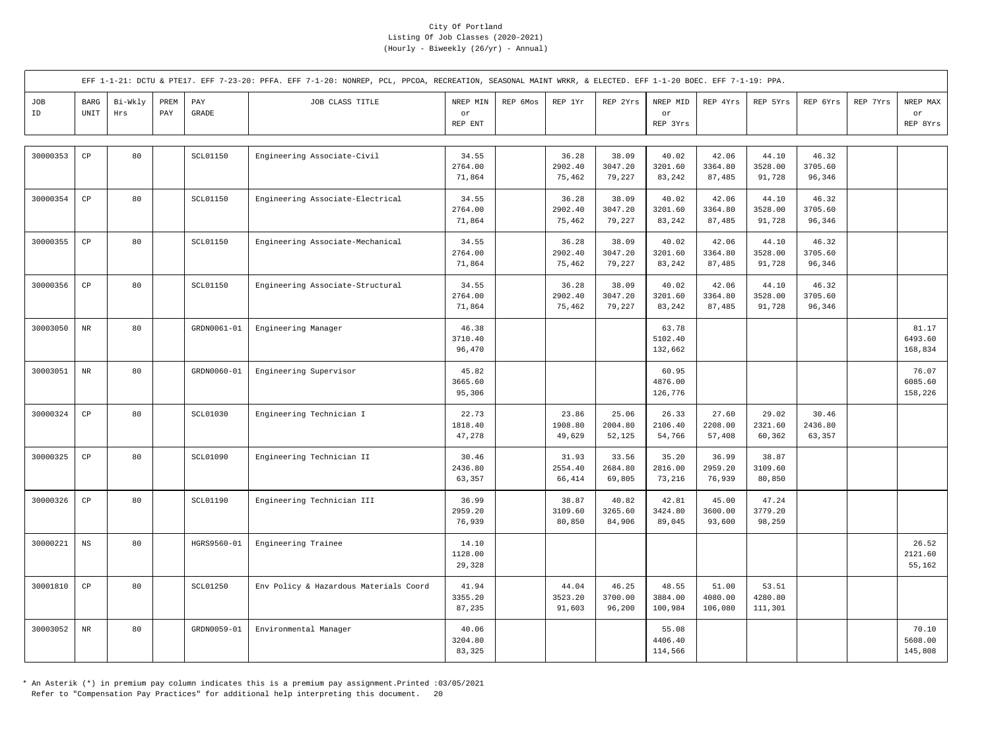|           |                                             |                |             |                       | EFF 1-1-21: DCTU & PTE17. EFF 7-23-20: PFFA. EFF 7-1-20: NONREP, PCL, PPCOA, RECREATION, SEASONAL MAINT WRKR, & ELECTED. EFF 1-1-20 BOEC. EFF 7-1-19: PPA. |                            |          |                            |                            |                                   |                             |                             |                            |          |                             |
|-----------|---------------------------------------------|----------------|-------------|-----------------------|------------------------------------------------------------------------------------------------------------------------------------------------------------|----------------------------|----------|----------------------------|----------------------------|-----------------------------------|-----------------------------|-----------------------------|----------------------------|----------|-----------------------------|
| JOB<br>ID | <b>BARG</b><br>$\ensuremath{\mathsf{UNIT}}$ | Bi-Wkly<br>Hrs | PREM<br>PAY | PAY<br>$\mbox{GRADE}$ | JOB CLASS TITLE                                                                                                                                            | NREP MIN<br>or<br>REP ENT  | REP 6Mos | REP 1Yr                    | REP 2Yrs                   | NREP MID<br>$\circ r$<br>REP 3Yrs | REP 4Yrs                    | REP 5Yrs                    | REP 6Yrs                   | REP 7Yrs | NREP MAX<br>or<br>REP 8Yrs  |
| 30000353  | $_{\rm CP}$                                 | 80             |             | <b>SCL01150</b>       | Engineering Associate-Civil                                                                                                                                | 34.55<br>2764.00<br>71,864 |          | 36.28<br>2902.40<br>75,462 | 38.09<br>3047.20<br>79,227 | 40.02<br>3201.60<br>83,242        | 42.06<br>3364.80<br>87,485  | 44.10<br>3528.00<br>91,728  | 46.32<br>3705.60<br>96,346 |          |                             |
| 30000354  | $_{\rm CP}$                                 | 80             |             | <b>SCL01150</b>       | Engineering Associate-Electrical                                                                                                                           | 34.55<br>2764.00<br>71,864 |          | 36.28<br>2902.40<br>75,462 | 38.09<br>3047.20<br>79,227 | 40.02<br>3201.60<br>83,242        | 42.06<br>3364.80<br>87,485  | 44.10<br>3528.00<br>91,728  | 46.32<br>3705.60<br>96,346 |          |                             |
| 30000355  | $\mathbb{C}\mathbb{P}$                      | 80             |             | <b>SCL01150</b>       | Engineering Associate-Mechanical                                                                                                                           | 34.55<br>2764.00<br>71,864 |          | 36.28<br>2902.40<br>75,462 | 38.09<br>3047.20<br>79,227 | 40.02<br>3201.60<br>83,242        | 42.06<br>3364.80<br>87,485  | 44.10<br>3528.00<br>91,728  | 46.32<br>3705.60<br>96,346 |          |                             |
| 30000356  | $_{\rm CP}$                                 | 80             |             | <b>SCL01150</b>       | Engineering Associate-Structural                                                                                                                           | 34.55<br>2764.00<br>71,864 |          | 36.28<br>2902.40<br>75,462 | 38.09<br>3047.20<br>79,227 | 40.02<br>3201.60<br>83,242        | 42.06<br>3364.80<br>87,485  | 44.10<br>3528.00<br>91,728  | 46.32<br>3705.60<br>96,346 |          |                             |
| 30003050  | $_{\rm NR}$                                 | 80             |             | GRDN0061-01           | Engineering Manager                                                                                                                                        | 46.38<br>3710.40<br>96,470 |          |                            |                            | 63.78<br>5102.40<br>132,662       |                             |                             |                            |          | 81.17<br>6493.60<br>168,834 |
| 30003051  | $_{\rm NR}$                                 | 80             |             | GRDN0060-01           | Engineering Supervisor                                                                                                                                     | 45.82<br>3665.60<br>95,306 |          |                            |                            | 60.95<br>4876.00<br>126,776       |                             |                             |                            |          | 76.07<br>6085.60<br>158,226 |
| 30000324  | $_{\rm CP}$                                 | 80             |             | SCL01030              | Engineering Technician I                                                                                                                                   | 22.73<br>1818.40<br>47,278 |          | 23.86<br>1908.80<br>49,629 | 25.06<br>2004.80<br>52,125 | 26.33<br>2106.40<br>54,766        | 27.60<br>2208.00<br>57,408  | 29.02<br>2321.60<br>60,362  | 30.46<br>2436.80<br>63,357 |          |                             |
| 30000325  | $_{\rm CP}$                                 | 80             |             | SCL01090              | Engineering Technician II                                                                                                                                  | 30.46<br>2436.80<br>63,357 |          | 31.93<br>2554.40<br>66,414 | 33.56<br>2684.80<br>69,805 | 35.20<br>2816.00<br>73,216        | 36.99<br>2959.20<br>76,939  | 38.87<br>3109.60<br>80,850  |                            |          |                             |
| 30000326  | CP                                          | 80             |             | <b>SCL01190</b>       | Engineering Technician III                                                                                                                                 | 36.99<br>2959.20<br>76,939 |          | 38.87<br>3109.60<br>80,850 | 40.82<br>3265.60<br>84,906 | 42.81<br>3424.80<br>89,045        | 45.00<br>3600.00<br>93,600  | 47.24<br>3779.20<br>98,259  |                            |          |                             |
| 30000221  | $_{\rm NS}$                                 | 80             |             | HGRS9560-01           | Engineering Trainee                                                                                                                                        | 14.10<br>1128.00<br>29,328 |          |                            |                            |                                   |                             |                             |                            |          | 26.52<br>2121.60<br>55,162  |
| 30001810  | CP                                          | 80             |             | SCL01250              | Env Policy & Hazardous Materials Coord                                                                                                                     | 41.94<br>3355.20<br>87,235 |          | 44.04<br>3523.20<br>91,603 | 46.25<br>3700.00<br>96,200 | 48.55<br>3884.00<br>100,984       | 51.00<br>4080.00<br>106,080 | 53.51<br>4280.80<br>111,301 |                            |          |                             |
| 30003052  | $\rm NR$                                    | 80             |             | GRDN0059-01           | Environmental Manager                                                                                                                                      | 40.06<br>3204.80<br>83,325 |          |                            |                            | 55.08<br>4406.40<br>114,566       |                             |                             |                            |          | 70.10<br>5608.00<br>145,808 |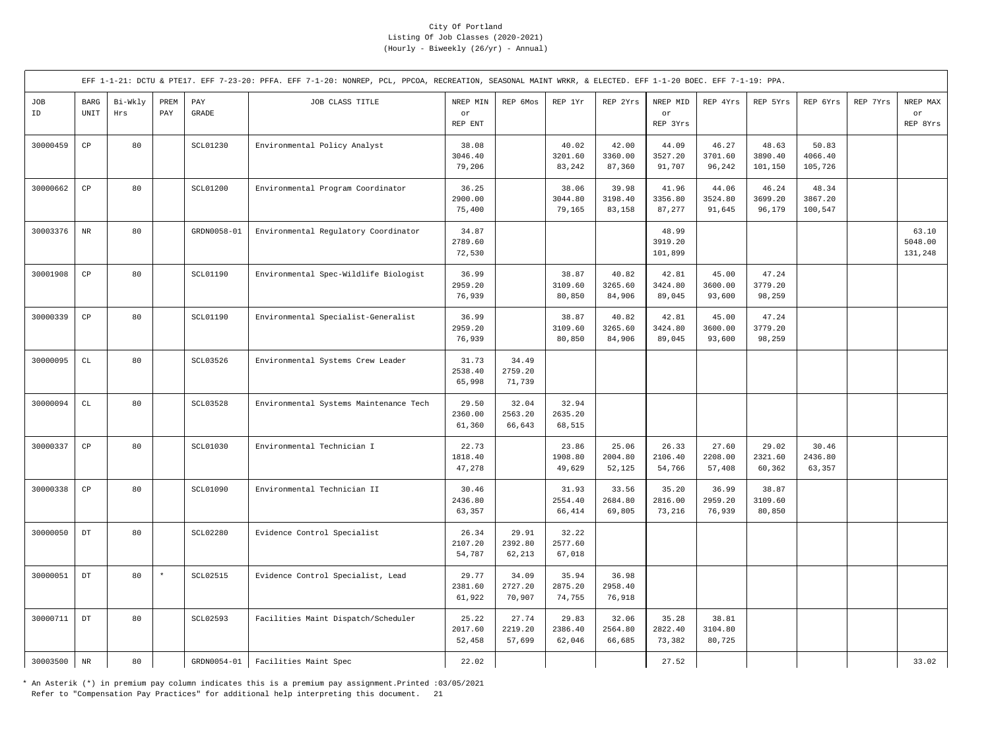|           |                                               |                |             |                                  | EFF 1-1-21: DCTU & PTE17. EFF 7-23-20: PFFA. EFF 7-1-20: NONREP, PCL, PPCOA, RECREATION, SEASONAL MAINT WRKR, & ELECTED. EFF 1-1-20 BOEC. EFF 7-1-19: PPA. |                            |                            |                            |                            |                             |                            |                             |                             |          |                             |
|-----------|-----------------------------------------------|----------------|-------------|----------------------------------|------------------------------------------------------------------------------------------------------------------------------------------------------------|----------------------------|----------------------------|----------------------------|----------------------------|-----------------------------|----------------------------|-----------------------------|-----------------------------|----------|-----------------------------|
| JOB<br>ID | $_{\rm BARG}$<br>$\ensuremath{\mathsf{UNIT}}$ | Bi-Wkly<br>Hrs | PREM<br>PAY | $\mathop{\mathrm{PAY}}$<br>GRADE | JOB CLASS TITLE                                                                                                                                            | NREP MIN<br>or<br>REP ENT  | REP 6Mos                   | REP 1Yr                    | REP 2Yrs                   | NREP MID<br>or<br>REP 3Yrs  | REP 4Yrs                   | REP 5Yrs                    | REP 6Yrs                    | REP 7Yrs | NREP MAX<br>or<br>REP 8Yrs  |
| 30000459  | $\mathbb{C}\mathbb{P}$                        | 80             |             | SCL01230                         | Environmental Policy Analyst                                                                                                                               | 38.08<br>3046.40<br>79,206 |                            | 40.02<br>3201.60<br>83,242 | 42.00<br>3360.00<br>87,360 | 44.09<br>3527.20<br>91,707  | 46.27<br>3701.60<br>96,242 | 48.63<br>3890.40<br>101,150 | 50.83<br>4066.40<br>105,726 |          |                             |
| 30000662  | $\mathbb{C}\mathbb{P}$                        | 80             |             | <b>SCL01200</b>                  | Environmental Program Coordinator                                                                                                                          | 36.25<br>2900.00<br>75,400 |                            | 38.06<br>3044.80<br>79,165 | 39.98<br>3198.40<br>83,158 | 41.96<br>3356.80<br>87,277  | 44.06<br>3524.80<br>91,645 | 46.24<br>3699.20<br>96,179  | 48.34<br>3867.20<br>100,547 |          |                             |
| 30003376  | $_{\rm NR}$                                   | 80             |             | GRDN0058-01                      | Environmental Regulatory Coordinator                                                                                                                       | 34.87<br>2789.60<br>72,530 |                            |                            |                            | 48.99<br>3919.20<br>101,899 |                            |                             |                             |          | 63.10<br>5048.00<br>131,248 |
| 30001908  | $_{\rm CP}$                                   | 80             |             | SCL01190                         | Environmental Spec-Wildlife Biologist                                                                                                                      | 36.99<br>2959.20<br>76,939 |                            | 38.87<br>3109.60<br>80,850 | 40.82<br>3265.60<br>84,906 | 42.81<br>3424.80<br>89,045  | 45.00<br>3600.00<br>93,600 | 47.24<br>3779.20<br>98,259  |                             |          |                             |
| 30000339  | $_{\rm CP}$                                   | 80             |             | SCL01190                         | Environmental Specialist-Generalist                                                                                                                        | 36.99<br>2959.20<br>76,939 |                            | 38.87<br>3109.60<br>80,850 | 40.82<br>3265.60<br>84,906 | 42.81<br>3424.80<br>89,045  | 45.00<br>3600.00<br>93,600 | 47.24<br>3779.20<br>98,259  |                             |          |                             |
| 30000095  | $\mathtt{CL}$                                 | 80             |             | SCL03526                         | Environmental Systems Crew Leader                                                                                                                          | 31.73<br>2538.40<br>65,998 | 34.49<br>2759.20<br>71,739 |                            |                            |                             |                            |                             |                             |          |                             |
| 30000094  | $\mathtt{CL}$                                 | 80             |             | SCL03528                         | Environmental Systems Maintenance Tech                                                                                                                     | 29.50<br>2360.00<br>61,360 | 32.04<br>2563.20<br>66,643 | 32.94<br>2635.20<br>68,515 |                            |                             |                            |                             |                             |          |                             |
| 30000337  | $\mathbb{C}\mathbb{P}$                        | 80             |             | SCL01030                         | Environmental Technician I                                                                                                                                 | 22.73<br>1818.40<br>47,278 |                            | 23.86<br>1908.80<br>49,629 | 25.06<br>2004.80<br>52,125 | 26.33<br>2106.40<br>54,766  | 27.60<br>2208.00<br>57,408 | 29.02<br>2321.60<br>60,362  | 30.46<br>2436.80<br>63,357  |          |                             |
| 30000338  | $_{\rm CP}$                                   | 80             |             | SCL01090                         | Environmental Technician II                                                                                                                                | 30.46<br>2436.80<br>63,357 |                            | 31.93<br>2554.40<br>66,414 | 33.56<br>2684.80<br>69,805 | 35.20<br>2816.00<br>73,216  | 36.99<br>2959.20<br>76,939 | 38.87<br>3109.60<br>80,850  |                             |          |                             |
| 30000050  | $_{\rm DT}$                                   | 80             |             | SCL02280                         | Evidence Control Specialist                                                                                                                                | 26.34<br>2107.20<br>54,787 | 29.91<br>2392.80<br>62,213 | 32.22<br>2577.60<br>67,018 |                            |                             |                            |                             |                             |          |                             |
| 30000051  | $_{\rm DT}$                                   | 80             | $\star$     | <b>SCL02515</b>                  | Evidence Control Specialist, Lead                                                                                                                          | 29.77<br>2381.60<br>61,922 | 34.09<br>2727.20<br>70,907 | 35.94<br>2875.20<br>74,755 | 36.98<br>2958.40<br>76,918 |                             |                            |                             |                             |          |                             |
| 30000711  | $_{\rm DT}$                                   | 80             |             | SCL02593                         | Facilities Maint Dispatch/Scheduler                                                                                                                        | 25.22<br>2017.60<br>52,458 | 27.74<br>2219.20<br>57,699 | 29.83<br>2386.40<br>62,046 | 32.06<br>2564.80<br>66,685 | 35.28<br>2822.40<br>73,382  | 38.81<br>3104.80<br>80,725 |                             |                             |          |                             |
| 30003500  | $\rm NR$                                      | 80             |             | GRDN0054-01                      | Facilities Maint Spec                                                                                                                                      | 22.02                      |                            |                            |                            | 27.52                       |                            |                             |                             |          | 33.02                       |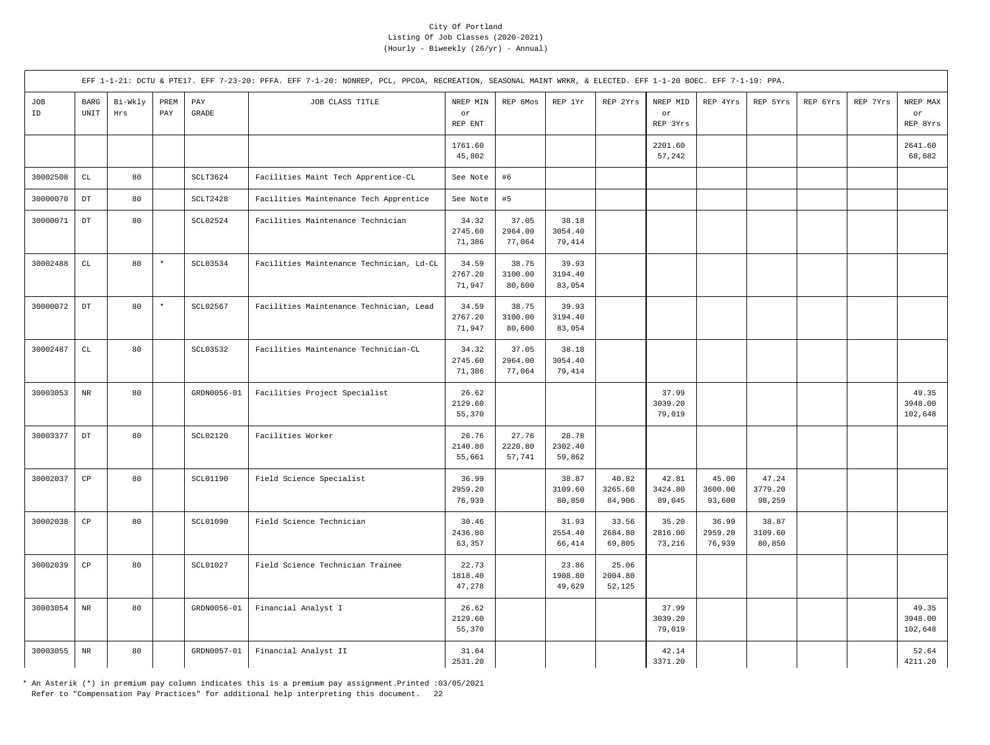|           |                        |                |                                     |                       | EFF 1-1-21: DCTU & PTE17. EFF 7-23-20: PFFA. EFF 7-1-20: NONREP, PCL, PPCOA, RECREATION, SEASONAL MAINT WRKR, & ELECTED. EFF 1-1-20 BOEC. EFF 7-1-19: PPA. |                            |                            |                            |                            |                            |                            |                            |          |          |                             |
|-----------|------------------------|----------------|-------------------------------------|-----------------------|------------------------------------------------------------------------------------------------------------------------------------------------------------|----------------------------|----------------------------|----------------------------|----------------------------|----------------------------|----------------------------|----------------------------|----------|----------|-----------------------------|
| JOB<br>ID | <b>BARG</b><br>UNIT    | Bi-Wkly<br>Hrs | PREM<br>$\ensuremath{\mathrm{PAY}}$ | PAY<br>$\mbox{GRADE}$ | JOB CLASS TITLE                                                                                                                                            | NREP MIN<br>or<br>REP ENT  | REP 6Mos                   | REP 1Yr                    | REP 2Yrs                   | NREP MID<br>or<br>REP 3Yrs | REP 4Yrs                   | REP 5Yrs                   | REP 6Yrs | REP 7Yrs | NREP MAX<br>or<br>REP 8Yrs  |
|           |                        |                |                                     |                       |                                                                                                                                                            | 1761.60<br>45,802          |                            |                            |                            | 2201.60<br>57,242          |                            |                            |          |          | 2641.60<br>68,682           |
| 30002508  | $\mathtt{CL}$          | 80             |                                     | SCLT3624              | Facilities Maint Tech Apprentice-CL                                                                                                                        | See Note                   | #6                         |                            |                            |                            |                            |                            |          |          |                             |
| 30000070  | $_{\rm DT}$            | 80             |                                     | SCLT2428              | Facilities Maintenance Tech Apprentice                                                                                                                     | See Note                   | #5                         |                            |                            |                            |                            |                            |          |          |                             |
| 30000071  | $_{\mathrm{DT}}$       | 80             |                                     | <b>SCL02524</b>       | Facilities Maintenance Technician                                                                                                                          | 34.32<br>2745.60<br>71,386 | 37.05<br>2964.00<br>77,064 | 38.18<br>3054.40<br>79,414 |                            |                            |                            |                            |          |          |                             |
| 30002488  | $\mathtt{CL}$          | 80             | $\star$                             | SCL03534              | Facilities Maintenance Technician, Ld-CL                                                                                                                   | 34.59<br>2767.20<br>71,947 | 38.75<br>3100.00<br>80,600 | 39.93<br>3194.40<br>83,054 |                            |                            |                            |                            |          |          |                             |
| 30000072  | $_{\rm DT}$            | 80             | $\star$                             | SCL02567              | Facilities Maintenance Technician, Lead                                                                                                                    | 34.59<br>2767.20<br>71,947 | 38.75<br>3100.00<br>80,600 | 39.93<br>3194.40<br>83,054 |                            |                            |                            |                            |          |          |                             |
| 30002487  | $\mathbb{C}\mathbb{L}$ | 80             |                                     | SCL03532              | Facilities Maintenance Technician-CL                                                                                                                       | 34.32<br>2745.60<br>71,386 | 37.05<br>2964.00<br>77,064 | 38.18<br>3054.40<br>79,414 |                            |                            |                            |                            |          |          |                             |
| 30003053  | $\rm{NR}$              | 80             |                                     | GRDN0056-01           | Facilities Project Specialist                                                                                                                              | 26.62<br>2129.60<br>55,370 |                            |                            |                            | 37.99<br>3039.20<br>79,019 |                            |                            |          |          | 49.35<br>3948.00<br>102,648 |
| 30003377  | $_{\mathrm{DT}}$       | 80             |                                     | SCL02120              | Facilities Worker                                                                                                                                          | 26.76<br>2140.80<br>55,661 | 27.76<br>2220.80<br>57,741 | 28.78<br>2302.40<br>59,862 |                            |                            |                            |                            |          |          |                             |
| 30002037  | $_{\rm CP}$            | 80             |                                     | SCL01190              | Field Science Specialist                                                                                                                                   | 36.99<br>2959.20<br>76,939 |                            | 38.87<br>3109.60<br>80,850 | 40.82<br>3265.60<br>84,906 | 42.81<br>3424.80<br>89,045 | 45.00<br>3600.00<br>93,600 | 47.24<br>3779.20<br>98,259 |          |          |                             |
| 30002038  | $\mathbb{C}\mathbb{P}$ | 80             |                                     | SCL01090              | Field Science Technician                                                                                                                                   | 30.46<br>2436.80<br>63,357 |                            | 31.93<br>2554.40<br>66,414 | 33.56<br>2684.80<br>69,805 | 35.20<br>2816.00<br>73,216 | 36.99<br>2959.20<br>76,939 | 38.87<br>3109.60<br>80,850 |          |          |                             |
| 30002039  | $_{\rm CP}$            | 80             |                                     | SCL01027              | Field Science Technician Trainee                                                                                                                           | 22.73<br>1818.40<br>47,278 |                            | 23.86<br>1908.80<br>49,629 | 25.06<br>2004.80<br>52,125 |                            |                            |                            |          |          |                             |
| 30003054  | $_{\rm NR}$            | 80             |                                     | GRDN0056-01           | Financial Analyst I                                                                                                                                        | 26.62<br>2129.60<br>55,370 |                            |                            |                            | 37.99<br>3039.20<br>79,019 |                            |                            |          |          | 49.35<br>3948.00<br>102,648 |
| 30003055  | $\rm{NR}$              | 80             |                                     | GRDN0057-01           | Financial Analyst II                                                                                                                                       | 31.64<br>2531.20           |                            |                            |                            | 42.14<br>3371.20           |                            |                            |          |          | 52.64<br>4211.20            |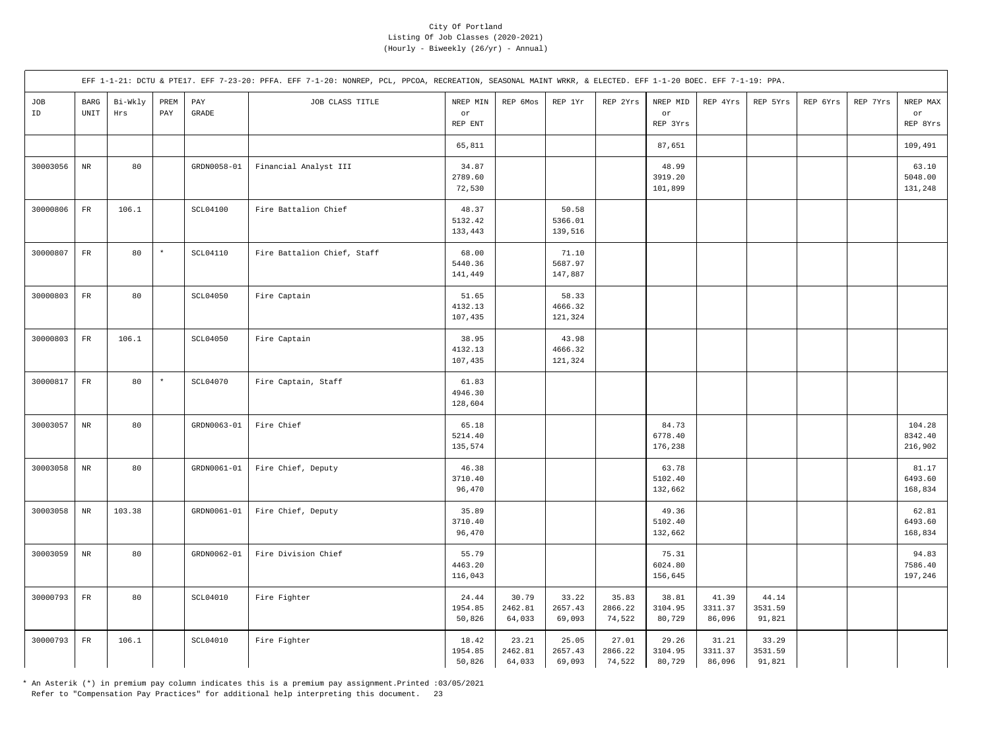|           |                                             |                |             |                       | EFF 1-1-21: DCTU & PTE17. EFF 7-23-20: PFFA. EFF 7-1-20: NONREP, PCL, PPCOA, RECREATION, SEASONAL MAINT WRKR, & ELECTED. EFF 1-1-20 BOEC. EFF 7-1-19: PPA. |                             |                            |                             |                            |                             |                            |                            |          |          |                              |
|-----------|---------------------------------------------|----------------|-------------|-----------------------|------------------------------------------------------------------------------------------------------------------------------------------------------------|-----------------------------|----------------------------|-----------------------------|----------------------------|-----------------------------|----------------------------|----------------------------|----------|----------|------------------------------|
| JOB<br>ID | <b>BARG</b><br>$\ensuremath{\mathsf{UNIT}}$ | Bi-Wkly<br>Hrs | PREM<br>PAY | PAY<br>$\mbox{GRADE}$ | JOB CLASS TITLE                                                                                                                                            | NREP MIN<br>or<br>REP ENT   | REP 6Mos                   | REP 1Yr                     | REP 2Yrs                   | NREP MID<br>or<br>REP 3Yrs  | REP 4Yrs                   | REP 5Yrs                   | REP 6Yrs | REP 7Yrs | NREP MAX<br>or<br>REP 8Yrs   |
|           |                                             |                |             |                       |                                                                                                                                                            | 65,811                      |                            |                             |                            | 87,651                      |                            |                            |          |          | 109,491                      |
| 30003056  | $\rm{NR}$                                   | 80             |             | GRDN0058-01           | Financial Analyst III                                                                                                                                      | 34.87<br>2789.60<br>72,530  |                            |                             |                            | 48.99<br>3919.20<br>101,899 |                            |                            |          |          | 63.10<br>5048.00<br>131,248  |
| 30000806  | $_{\rm FR}$                                 | 106.1          |             | SCL04100              | Fire Battalion Chief                                                                                                                                       | 48.37<br>5132.42<br>133,443 |                            | 50.58<br>5366.01<br>139,516 |                            |                             |                            |                            |          |          |                              |
| 30000807  | $_{\rm FR}$                                 | 80             | $\star$     | SCL04110              | Fire Battalion Chief, Staff                                                                                                                                | 68.00<br>5440.36<br>141,449 |                            | 71.10<br>5687.97<br>147,887 |                            |                             |                            |                            |          |          |                              |
| 30000803  | ${\rm FR}$                                  | 80             |             | <b>SCL04050</b>       | Fire Captain                                                                                                                                               | 51.65<br>4132.13<br>107,435 |                            | 58.33<br>4666.32<br>121,324 |                            |                             |                            |                            |          |          |                              |
| 30000803  | ${\rm FR}$                                  | 106.1          |             | SCL04050              | Fire Captain                                                                                                                                               | 38.95<br>4132.13<br>107,435 |                            | 43.98<br>4666.32<br>121,324 |                            |                             |                            |                            |          |          |                              |
| 30000817  | $_{\rm FR}$                                 | 80             | $\star$     | SCL04070              | Fire Captain, Staff                                                                                                                                        | 61.83<br>4946.30<br>128,604 |                            |                             |                            |                             |                            |                            |          |          |                              |
| 30003057  | $_{\rm NR}$                                 | 80             |             | GRDN0063-01           | Fire Chief                                                                                                                                                 | 65.18<br>5214.40<br>135,574 |                            |                             |                            | 84.73<br>6778.40<br>176,238 |                            |                            |          |          | 104.28<br>8342.40<br>216,902 |
| 30003058  | $_{\rm NR}$                                 | 80             |             | GRDN0061-01           | Fire Chief, Deputy                                                                                                                                         | 46.38<br>3710.40<br>96,470  |                            |                             |                            | 63.78<br>5102.40<br>132,662 |                            |                            |          |          | 81.17<br>6493.60<br>168,834  |
| 30003058  | $_{\rm NR}$                                 | 103.38         |             | GRDN0061-01           | Fire Chief, Deputy                                                                                                                                         | 35.89<br>3710.40<br>96,470  |                            |                             |                            | 49.36<br>5102.40<br>132,662 |                            |                            |          |          | 62.81<br>6493.60<br>168,834  |
| 30003059  | $\rm{NR}$                                   | 80             |             | GRDN0062-01           | Fire Division Chief                                                                                                                                        | 55.79<br>4463.20<br>116,043 |                            |                             |                            | 75.31<br>6024.80<br>156,645 |                            |                            |          |          | 94.83<br>7586.40<br>197,246  |
| 30000793  | ${\rm FR}$                                  | 80             |             | SCL04010              | Fire Fighter                                                                                                                                               | 24.44<br>1954.85<br>50,826  | 30.79<br>2462.81<br>64,033 | 33.22<br>2657.43<br>69,093  | 35.83<br>2866.22<br>74,522 | 38.81<br>3104.95<br>80,729  | 41.39<br>3311.37<br>86,096 | 44.14<br>3531.59<br>91,821 |          |          |                              |
| 30000793  | ${\rm FR}$                                  | 106.1          |             | SCL04010              | Fire Fighter                                                                                                                                               | 18.42<br>1954.85<br>50,826  | 23.21<br>2462.81<br>64,033 | 25.05<br>2657.43<br>69,093  | 27.01<br>2866.22<br>74,522 | 29.26<br>3104.95<br>80,729  | 31.21<br>3311.37<br>86,096 | 33.29<br>3531.59<br>91,821 |          |          |                              |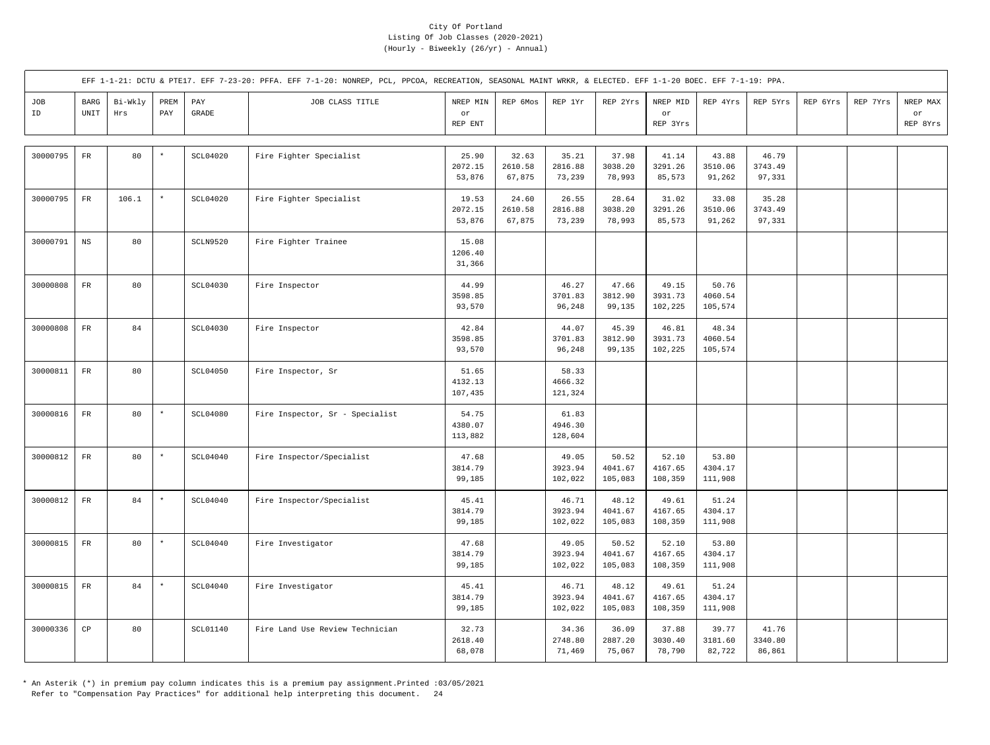|           |                                             |                |             |                       | EFF 1-1-21: DCTU & PTE17. EFF 7-23-20: PFFA. EFF 7-1-20: NONREP, PCL, PPCOA, RECREATION, SEASONAL MAINT WRKR, & ELECTED. EFF 1-1-20 BOEC. EFF 7-1-19: PPA. |                             |                            |                             |                             |                             |                             |                            |          |          |                            |
|-----------|---------------------------------------------|----------------|-------------|-----------------------|------------------------------------------------------------------------------------------------------------------------------------------------------------|-----------------------------|----------------------------|-----------------------------|-----------------------------|-----------------------------|-----------------------------|----------------------------|----------|----------|----------------------------|
| JOB<br>ID | <b>BARG</b><br>$\ensuremath{\mathsf{UNIT}}$ | Bi-Wkly<br>Hrs | PREM<br>PAY | PAY<br>$\mbox{GRADE}$ | JOB CLASS TITLE                                                                                                                                            | NREP MIN<br>or<br>REP ENT   | REP 6Mos                   | REP 1Yr                     | REP 2Yrs                    | NREP MID<br>or<br>REP 3Yrs  | REP 4Yrs                    | REP 5Yrs                   | REP 6Yrs | REP 7Yrs | NREP MAX<br>or<br>REP 8Yrs |
| 30000795  | ${\rm FR}$                                  | 80             | $\star$     | <b>SCL04020</b>       | Fire Fighter Specialist                                                                                                                                    | 25.90<br>2072.15<br>53,876  | 32.63<br>2610.58<br>67,875 | 35.21<br>2816.88<br>73,239  | 37.98<br>3038.20<br>78,993  | 41.14<br>3291.26<br>85,573  | 43.88<br>3510.06<br>91,262  | 46.79<br>3743.49<br>97,331 |          |          |                            |
| 30000795  | ${\rm FR}$                                  | 106.1          | $\star$     | <b>SCL04020</b>       | Fire Fighter Specialist                                                                                                                                    | 19.53<br>2072.15<br>53,876  | 24.60<br>2610.58<br>67,875 | 26.55<br>2816.88<br>73,239  | 28.64<br>3038.20<br>78,993  | 31.02<br>3291.26<br>85,573  | 33.08<br>3510.06<br>91,262  | 35.28<br>3743.49<br>97,331 |          |          |                            |
| 30000791  | $_{\rm NS}$                                 | 80             |             | SCLN9520              | Fire Fighter Trainee                                                                                                                                       | 15.08<br>1206.40<br>31,366  |                            |                             |                             |                             |                             |                            |          |          |                            |
| 30000808  | ${\rm FR}$                                  | 80             |             | <b>SCL04030</b>       | Fire Inspector                                                                                                                                             | 44.99<br>3598.85<br>93,570  |                            | 46.27<br>3701.83<br>96,248  | 47.66<br>3812.90<br>99,135  | 49.15<br>3931.73<br>102,225 | 50.76<br>4060.54<br>105,574 |                            |          |          |                            |
| 30000808  | ${\rm FR}$                                  | 84             |             | SCL04030              | Fire Inspector                                                                                                                                             | 42.84<br>3598.85<br>93,570  |                            | 44.07<br>3701.83<br>96,248  | 45.39<br>3812.90<br>99,135  | 46.81<br>3931.73<br>102,225 | 48.34<br>4060.54<br>105,574 |                            |          |          |                            |
| 30000811  | ${\rm FR}$                                  | 80             |             | <b>SCL04050</b>       | Fire Inspector, Sr                                                                                                                                         | 51.65<br>4132.13<br>107,435 |                            | 58.33<br>4666.32<br>121,324 |                             |                             |                             |                            |          |          |                            |
| 30000816  | ${\rm FR}$                                  | 80             | $\star$     | <b>SCL04080</b>       | Fire Inspector, Sr - Specialist                                                                                                                            | 54.75<br>4380.07<br>113,882 |                            | 61.83<br>4946.30<br>128,604 |                             |                             |                             |                            |          |          |                            |
| 30000812  | ${\rm FR}$                                  | 80             | $\star$     | <b>SCL04040</b>       | Fire Inspector/Specialist                                                                                                                                  | 47.68<br>3814.79<br>99,185  |                            | 49.05<br>3923.94<br>102,022 | 50.52<br>4041.67<br>105,083 | 52.10<br>4167.65<br>108,359 | 53.80<br>4304.17<br>111,908 |                            |          |          |                            |
| 30000812  | ${\rm FR}$                                  | 84             | $\star$     | SCL04040              | Fire Inspector/Specialist                                                                                                                                  | 45.41<br>3814.79<br>99,185  |                            | 46.71<br>3923.94<br>102,022 | 48.12<br>4041.67<br>105,083 | 49.61<br>4167.65<br>108,359 | 51.24<br>4304.17<br>111,908 |                            |          |          |                            |
| 30000815  | ${\rm FR}$                                  | 80             | $\star$     | SCL04040              | Fire Investigator                                                                                                                                          | 47.68<br>3814.79<br>99,185  |                            | 49.05<br>3923.94<br>102,022 | 50.52<br>4041.67<br>105,083 | 52.10<br>4167.65<br>108,359 | 53.80<br>4304.17<br>111,908 |                            |          |          |                            |
| 30000815  | ${\rm FR}$                                  | 84             | $\star$     | SCL04040              | Fire Investigator                                                                                                                                          | 45.41<br>3814.79<br>99,185  |                            | 46.71<br>3923.94<br>102,022 | 48.12<br>4041.67<br>105,083 | 49.61<br>4167.65<br>108,359 | 51.24<br>4304.17<br>111,908 |                            |          |          |                            |
| 30000336  | $_{\rm CP}$                                 | 80             |             | SCL01140              | Fire Land Use Review Technician                                                                                                                            | 32.73<br>2618.40<br>68,078  |                            | 34.36<br>2748.80<br>71,469  | 36.09<br>2887.20<br>75,067  | 37.88<br>3030.40<br>78,790  | 39.77<br>3181.60<br>82,722  | 41.76<br>3340.80<br>86,861 |          |          |                            |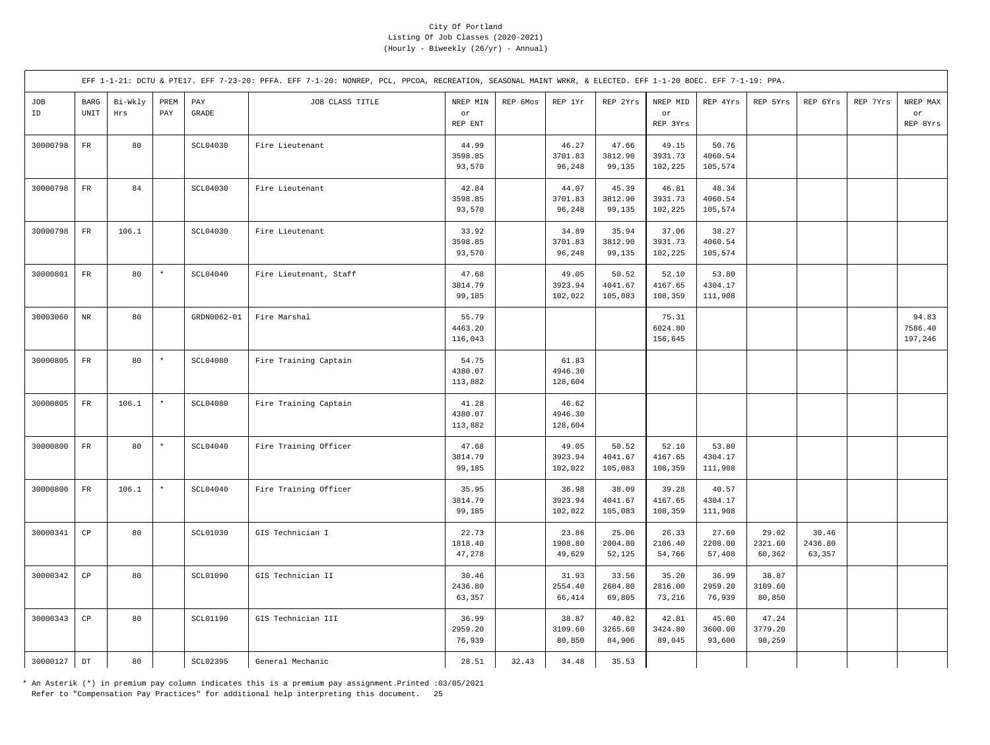|           |                                             |                |             |                       | EFF 1-1-21: DCTU & PTE17. EFF 7-23-20: PFFA. EFF 7-1-20: NONREP, PCL, PPCOA, RECREATION, SEASONAL MAINT WRKR, & ELECTED. EFF 1-1-20 BOEC. EFF 7-1-19: PPA. |                             |          |                             |                             |                             |                             |                            |                            |          |                             |
|-----------|---------------------------------------------|----------------|-------------|-----------------------|------------------------------------------------------------------------------------------------------------------------------------------------------------|-----------------------------|----------|-----------------------------|-----------------------------|-----------------------------|-----------------------------|----------------------------|----------------------------|----------|-----------------------------|
| JOB<br>ID | <b>BARG</b><br>$\ensuremath{\mathsf{UNIT}}$ | Bi-Wkly<br>Hrs | PREM<br>PAY | PAY<br>$\mbox{GRADE}$ | JOB CLASS TITLE                                                                                                                                            | NREP MIN<br>or<br>REP ENT   | REP 6Mos | REP 1Yr                     | REP 2Yrs                    | NREP MID<br>or<br>REP 3Yrs  | REP 4Yrs                    | REP 5Yrs                   | REP 6Yrs                   | REP 7Yrs | NREP MAX<br>or<br>REP 8Yrs  |
| 30000798  | ${\rm FR}$                                  | 80             |             | SCL04030              | Fire Lieutenant                                                                                                                                            | 44.99<br>3598.85<br>93,570  |          | 46.27<br>3701.83<br>96,248  | 47.66<br>3812.90<br>99,135  | 49.15<br>3931.73<br>102,225 | 50.76<br>4060.54<br>105,574 |                            |                            |          |                             |
| 30000798  | $_{\rm FR}$                                 | 84             |             | SCL04030              | Fire Lieutenant                                                                                                                                            | 42.84<br>3598.85<br>93,570  |          | 44.07<br>3701.83<br>96,248  | 45.39<br>3812.90<br>99,135  | 46.81<br>3931.73<br>102,225 | 48.34<br>4060.54<br>105,574 |                            |                            |          |                             |
| 30000798  | $_{\rm FR}$                                 | 106.1          |             | <b>SCL04030</b>       | Fire Lieutenant                                                                                                                                            | 33.92<br>3598.85<br>93,570  |          | 34.89<br>3701.83<br>96,248  | 35.94<br>3812.90<br>99,135  | 37.06<br>3931.73<br>102,225 | 38.27<br>4060.54<br>105,574 |                            |                            |          |                             |
| 30000801  | $_{\rm FR}$                                 | 80             | $\star$     | SCL04040              | Fire Lieutenant, Staff                                                                                                                                     | 47.68<br>3814.79<br>99,185  |          | 49.05<br>3923.94<br>102,022 | 50.52<br>4041.67<br>105,083 | 52.10<br>4167.65<br>108,359 | 53.80<br>4304.17<br>111,908 |                            |                            |          |                             |
| 30003060  | $\rm{NR}$                                   | 80             |             | GRDN0062-01           | Fire Marshal                                                                                                                                               | 55.79<br>4463.20<br>116,043 |          |                             |                             | 75.31<br>6024.80<br>156,645 |                             |                            |                            |          | 94.83<br>7586.40<br>197,246 |
| 30000805  | ${\rm FR}$                                  | 80             | $\star$     | SCL04080              | Fire Training Captain                                                                                                                                      | 54.75<br>4380.07<br>113,882 |          | 61.83<br>4946.30<br>128,604 |                             |                             |                             |                            |                            |          |                             |
| 30000805  | $_{\rm FR}$                                 | 106.1          | $\star$     | <b>SCL04080</b>       | Fire Training Captain                                                                                                                                      | 41.28<br>4380.07<br>113,882 |          | 46.62<br>4946.30<br>128,604 |                             |                             |                             |                            |                            |          |                             |
| 30000800  | $_{\rm FR}$                                 | 80             | $\star$     | SCL04040              | Fire Training Officer                                                                                                                                      | 47.68<br>3814.79<br>99,185  |          | 49.05<br>3923.94<br>102,022 | 50.52<br>4041.67<br>105,083 | 52.10<br>4167.65<br>108,359 | 53.80<br>4304.17<br>111,908 |                            |                            |          |                             |
| 30000800  | $_{\rm FR}$                                 | 106.1          | $\star$     | <b>SCL04040</b>       | Fire Training Officer                                                                                                                                      | 35.95<br>3814.79<br>99,185  |          | 36.98<br>3923.94<br>102,022 | 38.09<br>4041.67<br>105,083 | 39.28<br>4167.65<br>108,359 | 40.57<br>4304.17<br>111,908 |                            |                            |          |                             |
| 30000341  | $_{\rm CP}$                                 | 80             |             | SCL01030              | GIS Technician I                                                                                                                                           | 22.73<br>1818.40<br>47,278  |          | 23.86<br>1908.80<br>49,629  | 25.06<br>2004.80<br>52,125  | 26.33<br>2106.40<br>54,766  | 27.60<br>2208.00<br>57,408  | 29.02<br>2321.60<br>60,362 | 30.46<br>2436.80<br>63,357 |          |                             |
| 30000342  | $_{\rm CP}$                                 | 80             |             | <b>SCL01090</b>       | GIS Technician II                                                                                                                                          | 30.46<br>2436.80<br>63,357  |          | 31.93<br>2554.40<br>66,414  | 33.56<br>2684.80<br>69,805  | 35.20<br>2816.00<br>73,216  | 36.99<br>2959.20<br>76,939  | 38.87<br>3109.60<br>80,850 |                            |          |                             |
| 30000343  | $_{\rm CP}$                                 | 80             |             | SCL01190              | GIS Technician III                                                                                                                                         | 36.99<br>2959.20<br>76,939  |          | 38.87<br>3109.60<br>80,850  | 40.82<br>3265.60<br>84,906  | 42.81<br>3424.80<br>89,045  | 45.00<br>3600.00<br>93,600  | 47.24<br>3779.20<br>98,259 |                            |          |                             |
| 30000127  | $_{\mathrm{DT}}$                            | 80             |             | SCL02395              | General Mechanic                                                                                                                                           | 28.51                       | 32.43    | 34.48                       | 35.53                       |                             |                             |                            |                            |          |                             |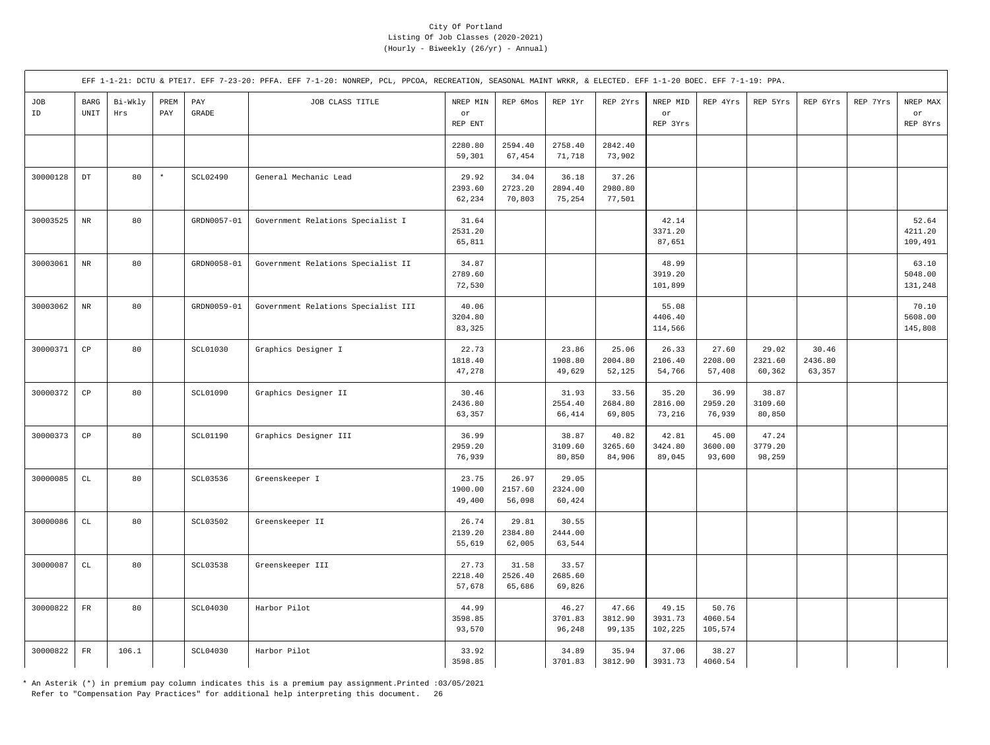|           |                                               |                |             |                       | EFF 1-1-21: DCTU & PTE17. EFF 7-23-20: PFFA. EFF 7-1-20: NONREP, PCL, PPCOA, RECREATION, SEASONAL MAINT WRKR, & ELECTED. EFF 1-1-20 BOEC. EFF 7-1-19: PPA. |                            |                            |                            |                            |                             |                             |                            |                            |          |                             |
|-----------|-----------------------------------------------|----------------|-------------|-----------------------|------------------------------------------------------------------------------------------------------------------------------------------------------------|----------------------------|----------------------------|----------------------------|----------------------------|-----------------------------|-----------------------------|----------------------------|----------------------------|----------|-----------------------------|
| JOB<br>ID | $_{\rm BARG}$<br>$\ensuremath{\mathsf{UNIT}}$ | Bi-Wkly<br>Hrs | PREM<br>PAY | PAY<br>$\mbox{GRADE}$ | JOB CLASS TITLE                                                                                                                                            | NREP MIN<br>or<br>REP ENT  | REP 6Mos                   | REP 1Yr                    | REP 2Yrs                   | NREP MID<br>or<br>REP 3Yrs  | REP 4Yrs                    | REP 5Yrs                   | REP 6Yrs                   | REP 7Yrs | NREP MAX<br>or<br>REP 8Yrs  |
|           |                                               |                |             |                       |                                                                                                                                                            | 2280.80<br>59,301          | 2594.40<br>67,454          | 2758.40<br>71,718          | 2842.40<br>73,902          |                             |                             |                            |                            |          |                             |
| 30000128  | $_{\rm DT}$                                   | 80             | $^\star$    | SCL02490              | General Mechanic Lead                                                                                                                                      | 29.92<br>2393.60<br>62,234 | 34.04<br>2723.20<br>70,803 | 36.18<br>2894.40<br>75,254 | 37.26<br>2980.80<br>77,501 |                             |                             |                            |                            |          |                             |
| 30003525  | $\rm{NR}$                                     | 80             |             | GRDN0057-01           | Government Relations Specialist I                                                                                                                          | 31.64<br>2531.20<br>65,811 |                            |                            |                            | 42.14<br>3371.20<br>87,651  |                             |                            |                            |          | 52.64<br>4211.20<br>109,491 |
| 30003061  | $\rm{NR}$                                     | 80             |             | GRDN0058-01           | Government Relations Specialist II                                                                                                                         | 34.87<br>2789.60<br>72,530 |                            |                            |                            | 48.99<br>3919.20<br>101,899 |                             |                            |                            |          | 63.10<br>5048.00<br>131,248 |
| 30003062  | $\rm NR$                                      | 80             |             | GRDN0059-01           | Government Relations Specialist III                                                                                                                        | 40.06<br>3204.80<br>83,325 |                            |                            |                            | 55.08<br>4406.40<br>114,566 |                             |                            |                            |          | 70.10<br>5608.00<br>145,808 |
| 30000371  | $_{\rm CP}$                                   | 80             |             | <b>SCL01030</b>       | Graphics Designer I                                                                                                                                        | 22.73<br>1818.40<br>47,278 |                            | 23.86<br>1908.80<br>49,629 | 25.06<br>2004.80<br>52,125 | 26.33<br>2106.40<br>54,766  | 27.60<br>2208.00<br>57,408  | 29.02<br>2321.60<br>60,362 | 30.46<br>2436.80<br>63,357 |          |                             |
| 30000372  | $_{\rm CP}$                                   | 80             |             | <b>SCL01090</b>       | Graphics Designer II                                                                                                                                       | 30.46<br>2436.80<br>63,357 |                            | 31.93<br>2554.40<br>66,414 | 33.56<br>2684.80<br>69,805 | 35.20<br>2816.00<br>73,216  | 36.99<br>2959.20<br>76,939  | 38.87<br>3109.60<br>80,850 |                            |          |                             |
| 30000373  | $_{\rm CP}$                                   | 80             |             | <b>SCL01190</b>       | Graphics Designer III                                                                                                                                      | 36.99<br>2959.20<br>76,939 |                            | 38.87<br>3109.60<br>80,850 | 40.82<br>3265.60<br>84,906 | 42.81<br>3424.80<br>89,045  | 45.00<br>3600.00<br>93,600  | 47.24<br>3779.20<br>98,259 |                            |          |                             |
| 30000085  | $\mathtt{CL}$                                 | 80             |             | SCL03536              | Greenskeeper I                                                                                                                                             | 23.75<br>1900.00<br>49,400 | 26.97<br>2157.60<br>56,098 | 29.05<br>2324.00<br>60,424 |                            |                             |                             |                            |                            |          |                             |
| 30000086  | $\mathtt{CL}$                                 | 80             |             | SCL03502              | Greenskeeper II                                                                                                                                            | 26.74<br>2139.20<br>55,619 | 29.81<br>2384.80<br>62,005 | 30.55<br>2444.00<br>63,544 |                            |                             |                             |                            |                            |          |                             |
| 30000087  | $\mathtt{CL}$                                 | 80             |             | <b>SCL03538</b>       | Greenskeeper III                                                                                                                                           | 27.73<br>2218.40<br>57,678 | 31.58<br>2526.40<br>65,686 | 33.57<br>2685.60<br>69,826 |                            |                             |                             |                            |                            |          |                             |
| 30000822  | $_{\rm FR}$                                   | 80             |             | SCL04030              | Harbor Pilot                                                                                                                                               | 44.99<br>3598.85<br>93,570 |                            | 46.27<br>3701.83<br>96,248 | 47.66<br>3812.90<br>99,135 | 49.15<br>3931.73<br>102,225 | 50.76<br>4060.54<br>105,574 |                            |                            |          |                             |
| 30000822  | $_{\rm FR}$                                   | 106.1          |             | SCL04030              | Harbor Pilot                                                                                                                                               | 33.92<br>3598.85           |                            | 34.89<br>3701.83           | 35.94<br>3812.90           | 37.06<br>3931.73            | 38.27<br>4060.54            |                            |                            |          |                             |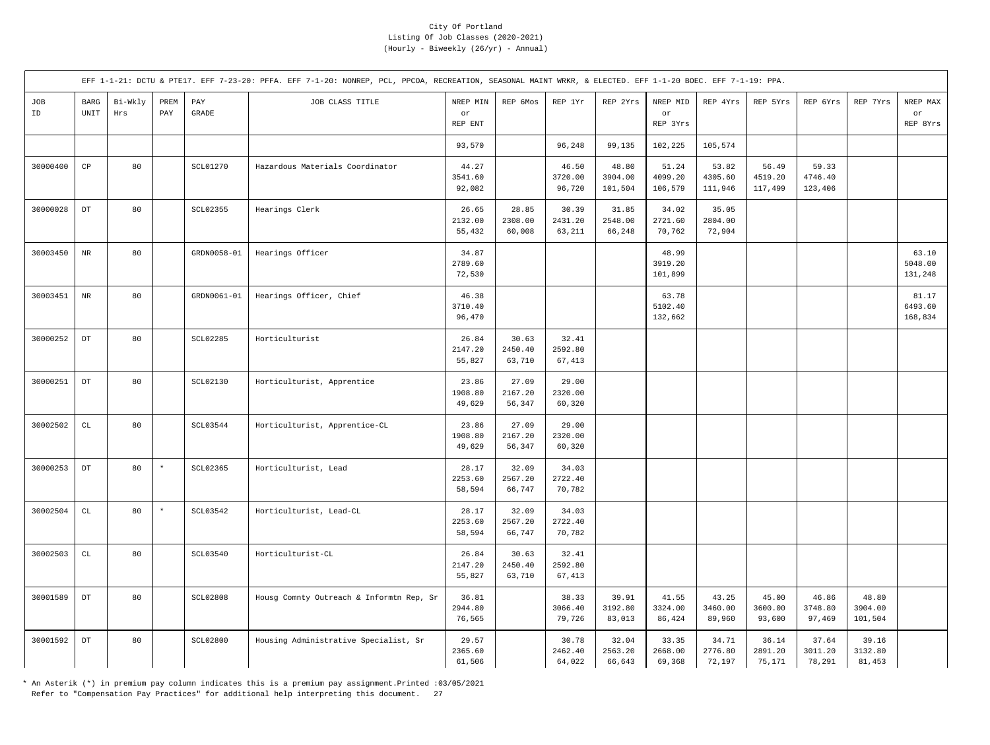|           |                                      |                |             |                       | EFF 1-1-21: DCTU & PTE17. EFF 7-23-20: PFFA. EFF 7-1-20: NONREP, PCL, PPCOA, RECREATION, SEASONAL MAINT WRKR, & ELECTED. EFF 1-1-20 BOEC. EFF 7-1-19: PPA. |                            |                            |                            |                             |                             |                             |                             |                             |                             |                             |
|-----------|--------------------------------------|----------------|-------------|-----------------------|------------------------------------------------------------------------------------------------------------------------------------------------------------|----------------------------|----------------------------|----------------------------|-----------------------------|-----------------------------|-----------------------------|-----------------------------|-----------------------------|-----------------------------|-----------------------------|
| JOB<br>ID | BARG<br>$\ensuremath{\mathsf{UNIT}}$ | Bi-Wkly<br>Hrs | PREM<br>PAY | PAY<br>$\mbox{GRADE}$ | JOB CLASS TITLE                                                                                                                                            | NREP MIN<br>or<br>REP ENT  | REP 6Mos                   | REP 1Yr                    | REP 2Yrs                    | NREP MID<br>or<br>REP 3Yrs  | REP 4Yrs                    | REP 5Yrs                    | REP 6Yrs                    | REP 7Yrs                    | NREP MAX<br>or<br>REP 8Yrs  |
|           |                                      |                |             |                       |                                                                                                                                                            | 93,570                     |                            | 96,248                     | 99,135                      | 102,225                     | 105,574                     |                             |                             |                             |                             |
| 30000400  | $_{\rm CP}$                          | 80             |             | SCL01270              | Hazardous Materials Coordinator                                                                                                                            | 44.27<br>3541.60<br>92,082 |                            | 46.50<br>3720.00<br>96,720 | 48.80<br>3904.00<br>101,504 | 51.24<br>4099.20<br>106,579 | 53.82<br>4305.60<br>111,946 | 56.49<br>4519.20<br>117,499 | 59.33<br>4746.40<br>123,406 |                             |                             |
| 30000028  | $_{\rm DT}$                          | 80             |             | SCL02355              | Hearings Clerk                                                                                                                                             | 26.65<br>2132.00<br>55,432 | 28.85<br>2308.00<br>60,008 | 30.39<br>2431.20<br>63,211 | 31.85<br>2548.00<br>66,248  | 34.02<br>2721.60<br>70,762  | 35.05<br>2804.00<br>72,904  |                             |                             |                             |                             |
| 30003450  | $\rm{NR}$                            | 80             |             | GRDN0058-01           | Hearings Officer                                                                                                                                           | 34.87<br>2789.60<br>72,530 |                            |                            |                             | 48.99<br>3919.20<br>101,899 |                             |                             |                             |                             | 63.10<br>5048.00<br>131,248 |
| 30003451  | $\rm{NR}$                            | 80             |             | GRDN0061-01           | Hearings Officer, Chief                                                                                                                                    | 46.38<br>3710.40<br>96,470 |                            |                            |                             | 63.78<br>5102.40<br>132,662 |                             |                             |                             |                             | 81.17<br>6493.60<br>168,834 |
| 30000252  | $_{\rm DT}$                          | 80             |             | SCL02285              | Horticulturist                                                                                                                                             | 26.84<br>2147.20<br>55,827 | 30.63<br>2450.40<br>63,710 | 32.41<br>2592.80<br>67,413 |                             |                             |                             |                             |                             |                             |                             |
| 30000251  | $\mathop{\rm DT}\nolimits$           | 80             |             | SCL02130              | Horticulturist, Apprentice                                                                                                                                 | 23.86<br>1908.80<br>49,629 | 27.09<br>2167.20<br>56,347 | 29.00<br>2320.00<br>60,320 |                             |                             |                             |                             |                             |                             |                             |
| 30002502  | $\mathtt{CL}$                        | 80             |             | SCL03544              | Horticulturist, Apprentice-CL                                                                                                                              | 23.86<br>1908.80<br>49,629 | 27.09<br>2167.20<br>56,347 | 29.00<br>2320.00<br>60,320 |                             |                             |                             |                             |                             |                             |                             |
| 30000253  | $_{\rm DT}$                          | 80             | $\star$     | SCL02365              | Horticulturist, Lead                                                                                                                                       | 28.17<br>2253.60<br>58,594 | 32.09<br>2567.20<br>66,747 | 34.03<br>2722.40<br>70,782 |                             |                             |                             |                             |                             |                             |                             |
| 30002504  | $\mathtt{CL}$                        | 80             | $\star$     | SCL03542              | Horticulturist, Lead-CL                                                                                                                                    | 28.17<br>2253.60<br>58,594 | 32.09<br>2567.20<br>66,747 | 34.03<br>2722.40<br>70,782 |                             |                             |                             |                             |                             |                             |                             |
| 30002503  | $\mathtt{CL}$                        | 80             |             | <b>SCL03540</b>       | Horticulturist-CL                                                                                                                                          | 26.84<br>2147.20<br>55,827 | 30.63<br>2450.40<br>63,710 | 32.41<br>2592.80<br>67,413 |                             |                             |                             |                             |                             |                             |                             |
| 30001589  | $_{\rm DT}$                          | 80             |             | <b>SCL02808</b>       | Housg Comnty Outreach & Informtn Rep, Sr                                                                                                                   | 36.81<br>2944.80<br>76,565 |                            | 38.33<br>3066.40<br>79,726 | 39.91<br>3192.80<br>83,013  | 41.55<br>3324.00<br>86,424  | 43.25<br>3460.00<br>89,960  | 45.00<br>3600.00<br>93,600  | 46.86<br>3748.80<br>97,469  | 48.80<br>3904.00<br>101,504 |                             |
| 30001592  | $\mathop{\rm DT}\nolimits$           | 80             |             | <b>SCL02800</b>       | Housing Administrative Specialist, Sr                                                                                                                      | 29.57<br>2365.60<br>61,506 |                            | 30.78<br>2462.40<br>64,022 | 32.04<br>2563.20<br>66,643  | 33.35<br>2668.00<br>69,368  | 34.71<br>2776.80<br>72,197  | 36.14<br>2891.20<br>75,171  | 37.64<br>3011.20<br>78,291  | 39.16<br>3132.80<br>81,453  |                             |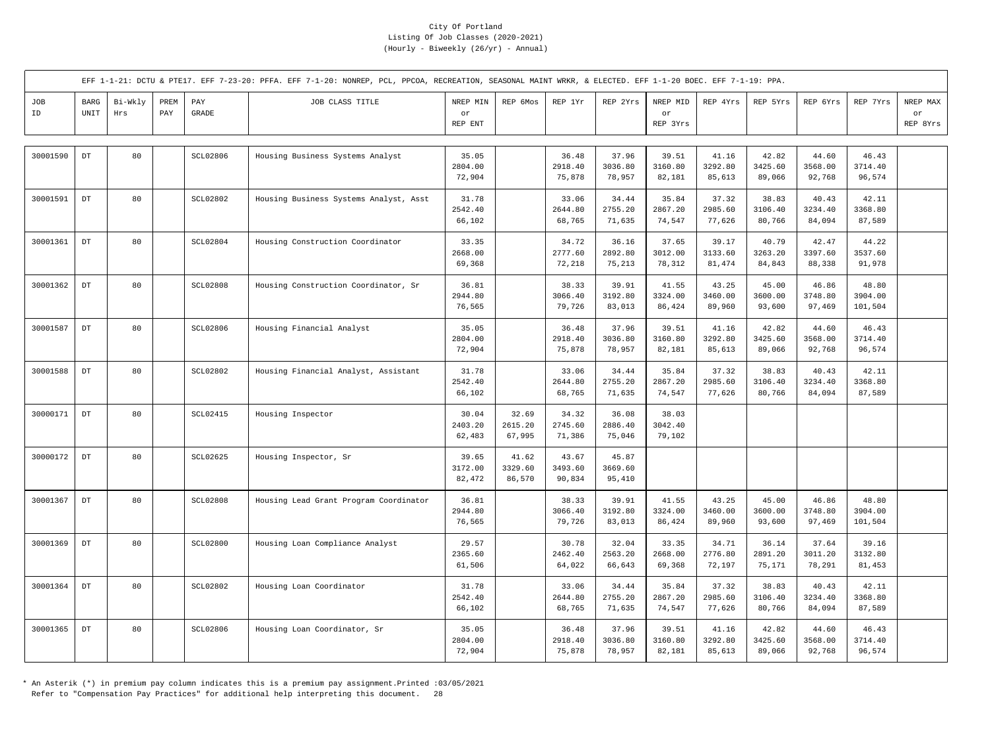|           |                            |                |             |                       | EFF 1-1-21: DCTU & PTE17. EFF 7-23-20: PFFA. EFF 7-1-20: NONREP, PCL, PPCOA, RECREATION, SEASONAL MAINT WRKR, & ELECTED. EFF 1-1-20 BOEC. EFF 7-1-19: PPA. |                            |                            |                            |                            |                            |                            |                            |                            |                             |                            |
|-----------|----------------------------|----------------|-------------|-----------------------|------------------------------------------------------------------------------------------------------------------------------------------------------------|----------------------------|----------------------------|----------------------------|----------------------------|----------------------------|----------------------------|----------------------------|----------------------------|-----------------------------|----------------------------|
| JOB<br>ID | BARG<br>UNIT               | Bi-Wkly<br>Hrs | PREM<br>PAY | PAY<br>$\mbox{GRADE}$ | JOB CLASS TITLE                                                                                                                                            | NREP MIN<br>or<br>REP ENT  | REP 6Mos                   | REP 1Yr                    | REP 2Yrs                   | NREP MID<br>or<br>REP 3Yrs | REP 4Yrs                   | REP 5Yrs                   | REP 6Yrs                   | REP 7Yrs                    | NREP MAX<br>or<br>REP 8Yrs |
| 30001590  | $\mathop{\rm DT}\nolimits$ | 80             |             | SCL02806              | Housing Business Systems Analyst                                                                                                                           | 35.05<br>2804.00<br>72,904 |                            | 36.48<br>2918.40<br>75,878 | 37.96<br>3036.80<br>78,957 | 39.51<br>3160.80<br>82,181 | 41.16<br>3292.80<br>85,613 | 42.82<br>3425.60<br>89,066 | 44.60<br>3568.00<br>92,768 | 46.43<br>3714.40<br>96,574  |                            |
| 30001591  | $\mathop{\rm DT}\nolimits$ | 80             |             | <b>SCL02802</b>       | Housing Business Systems Analyst, Asst                                                                                                                     | 31.78<br>2542.40<br>66,102 |                            | 33.06<br>2644.80<br>68,765 | 34.44<br>2755.20<br>71,635 | 35.84<br>2867.20<br>74,547 | 37.32<br>2985.60<br>77,626 | 38.83<br>3106.40<br>80,766 | 40.43<br>3234.40<br>84,094 | 42.11<br>3368.80<br>87,589  |                            |
| 30001361  | $_{\rm DT}$                | 80             |             | SCL02804              | Housing Construction Coordinator                                                                                                                           | 33.35<br>2668.00<br>69,368 |                            | 34.72<br>2777.60<br>72,218 | 36.16<br>2892.80<br>75,213 | 37.65<br>3012.00<br>78,312 | 39.17<br>3133.60<br>81,474 | 40.79<br>3263.20<br>84,843 | 42.47<br>3397.60<br>88,338 | 44.22<br>3537.60<br>91,978  |                            |
| 30001362  | $\mathop{\rm DT}\nolimits$ | 80             |             | <b>SCL02808</b>       | Housing Construction Coordinator, Sr                                                                                                                       | 36.81<br>2944.80<br>76,565 |                            | 38.33<br>3066.40<br>79,726 | 39.91<br>3192.80<br>83,013 | 41.55<br>3324.00<br>86,424 | 43.25<br>3460.00<br>89,960 | 45.00<br>3600.00<br>93,600 | 46.86<br>3748.80<br>97,469 | 48.80<br>3904.00<br>101,504 |                            |
| 30001587  | $\mathop{\rm DT}\nolimits$ | 80             |             | SCL02806              | Housing Financial Analyst                                                                                                                                  | 35.05<br>2804.00<br>72,904 |                            | 36.48<br>2918.40<br>75,878 | 37.96<br>3036.80<br>78,957 | 39.51<br>3160.80<br>82,181 | 41.16<br>3292.80<br>85,613 | 42.82<br>3425.60<br>89,066 | 44.60<br>3568.00<br>92,768 | 46.43<br>3714.40<br>96,574  |                            |
| 30001588  | $_{\rm DT}$                | 80             |             | <b>SCL02802</b>       | Housing Financial Analyst, Assistant                                                                                                                       | 31.78<br>2542.40<br>66,102 |                            | 33.06<br>2644.80<br>68,765 | 34.44<br>2755.20<br>71,635 | 35.84<br>2867.20<br>74,547 | 37.32<br>2985.60<br>77,626 | 38.83<br>3106.40<br>80,766 | 40.43<br>3234.40<br>84,094 | 42.11<br>3368.80<br>87,589  |                            |
| 30000171  | $\mathop{\rm DT}\nolimits$ | 80             |             | <b>SCL02415</b>       | Housing Inspector                                                                                                                                          | 30.04<br>2403.20<br>62,483 | 32.69<br>2615.20<br>67,995 | 34.32<br>2745.60<br>71,386 | 36.08<br>2886.40<br>75,046 | 38.03<br>3042.40<br>79,102 |                            |                            |                            |                             |                            |
| 30000172  | DT                         | 80             |             | SCL02625              | Housing Inspector, Sr                                                                                                                                      | 39.65<br>3172.00<br>82,472 | 41.62<br>3329.60<br>86,570 | 43.67<br>3493.60<br>90,834 | 45.87<br>3669.60<br>95,410 |                            |                            |                            |                            |                             |                            |
| 30001367  | $_{\rm DT}$                | 80             |             | <b>SCL02808</b>       | Housing Lead Grant Program Coordinator                                                                                                                     | 36.81<br>2944.80<br>76,565 |                            | 38.33<br>3066.40<br>79,726 | 39.91<br>3192.80<br>83,013 | 41.55<br>3324.00<br>86,424 | 43.25<br>3460.00<br>89,960 | 45.00<br>3600.00<br>93,600 | 46.86<br>3748.80<br>97,469 | 48.80<br>3904.00<br>101,504 |                            |
| 30001369  | $_{\mathrm{DT}}$           | 80             |             | <b>SCL02800</b>       | Housing Loan Compliance Analyst                                                                                                                            | 29.57<br>2365.60<br>61,506 |                            | 30.78<br>2462.40<br>64,022 | 32.04<br>2563.20<br>66,643 | 33.35<br>2668.00<br>69,368 | 34.71<br>2776.80<br>72,197 | 36.14<br>2891.20<br>75,171 | 37.64<br>3011.20<br>78,291 | 39.16<br>3132.80<br>81,453  |                            |
| 30001364  | $_{\rm DT}$                | 80             |             | <b>SCL02802</b>       | Housing Loan Coordinator                                                                                                                                   | 31.78<br>2542.40<br>66,102 |                            | 33.06<br>2644.80<br>68,765 | 34.44<br>2755.20<br>71,635 | 35.84<br>2867.20<br>74,547 | 37.32<br>2985.60<br>77,626 | 38.83<br>3106.40<br>80,766 | 40.43<br>3234.40<br>84,094 | 42.11<br>3368.80<br>87,589  |                            |
| 30001365  | $_{\rm DT}$                | 80             |             | SCL02806              | Housing Loan Coordinator, Sr                                                                                                                               | 35.05<br>2804.00<br>72,904 |                            | 36.48<br>2918.40<br>75,878 | 37.96<br>3036.80<br>78,957 | 39.51<br>3160.80<br>82,181 | 41.16<br>3292.80<br>85,613 | 42.82<br>3425.60<br>89,066 | 44.60<br>3568.00<br>92,768 | 46.43<br>3714.40<br>96,574  |                            |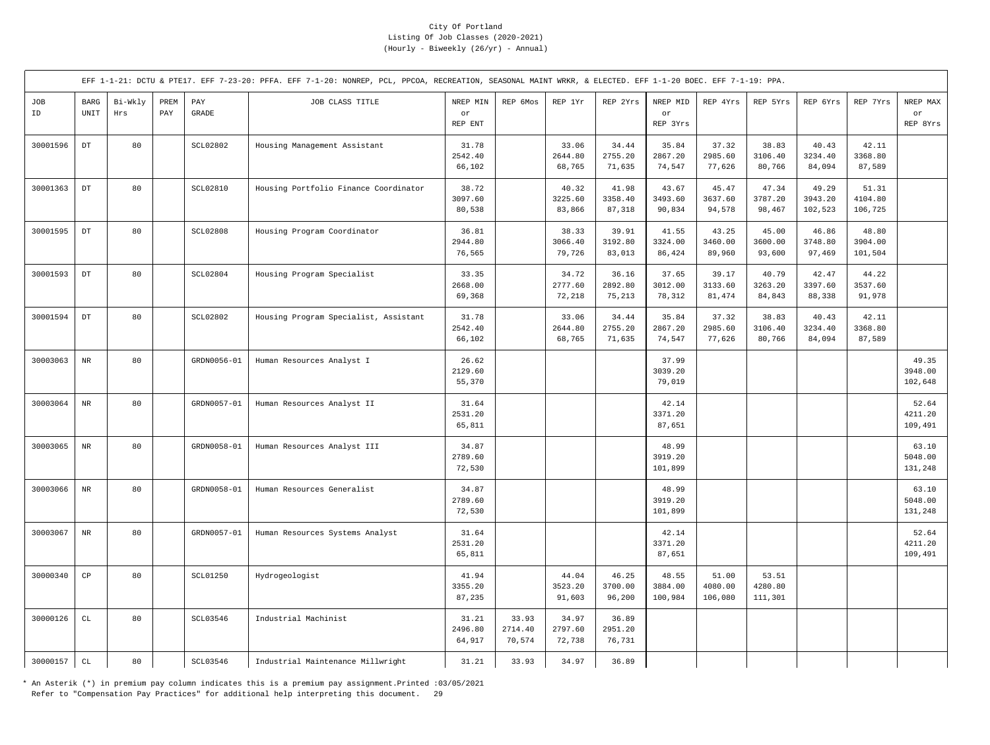|           |                                             |                |             |                 | EFF 1-1-21: DCTU & PTE17. EFF 7-23-20: PFFA. EFF 7-1-20: NONREP, PCL, PPCOA, RECREATION, SEASONAL MAINT WRKR, & ELECTED. EFF 1-1-20 BOEC. EFF 7-1-19: PPA. |                            |                            |                            |                            |                             |                             |                             |                             |                             |                             |
|-----------|---------------------------------------------|----------------|-------------|-----------------|------------------------------------------------------------------------------------------------------------------------------------------------------------|----------------------------|----------------------------|----------------------------|----------------------------|-----------------------------|-----------------------------|-----------------------------|-----------------------------|-----------------------------|-----------------------------|
| JOB<br>ID | <b>BARG</b><br>$\ensuremath{\mathsf{UNIT}}$ | Bi-Wkly<br>Hrs | PREM<br>PAY | PAY<br>GRADE    | JOB CLASS TITLE                                                                                                                                            | NREP MIN<br>or<br>REP ENT  | REP 6Mos                   | REP 1Yr                    | REP 2Yrs                   | NREP MID<br>or<br>REP 3Yrs  | REP 4Yrs                    | REP 5Yrs                    | REP 6Yrs                    | REP 7Yrs                    | NREP MAX<br>or<br>REP 8Yrs  |
| 30001596  | $\mathop{\rm DT}\nolimits$                  | 80             |             | <b>SCL02802</b> | Housing Management Assistant                                                                                                                               | 31.78<br>2542.40<br>66,102 |                            | 33.06<br>2644.80<br>68,765 | 34.44<br>2755.20<br>71,635 | 35.84<br>2867.20<br>74,547  | 37.32<br>2985.60<br>77,626  | 38.83<br>3106.40<br>80,766  | 40.43<br>3234.40<br>84,094  | 42.11<br>3368.80<br>87,589  |                             |
| 30001363  | $_{\rm DT}$                                 | 80             |             | <b>SCL02810</b> | Housing Portfolio Finance Coordinator                                                                                                                      | 38.72<br>3097.60<br>80,538 |                            | 40.32<br>3225.60<br>83,866 | 41.98<br>3358.40<br>87,318 | 43.67<br>3493.60<br>90,834  | 45.47<br>3637.60<br>94,578  | 47.34<br>3787.20<br>98,467  | 49.29<br>3943.20<br>102,523 | 51.31<br>4104.80<br>106,725 |                             |
| 30001595  | $_{\rm DT}$                                 | 80             |             | <b>SCL02808</b> | Housing Program Coordinator                                                                                                                                | 36.81<br>2944.80<br>76,565 |                            | 38.33<br>3066.40<br>79,726 | 39.91<br>3192.80<br>83,013 | 41.55<br>3324.00<br>86,424  | 43.25<br>3460.00<br>89,960  | 45.00<br>3600.00<br>93,600  | 46.86<br>3748.80<br>97,469  | 48.80<br>3904.00<br>101,504 |                             |
| 30001593  | $_{\rm DT}$                                 | 80             |             | <b>SCL02804</b> | Housing Program Specialist                                                                                                                                 | 33.35<br>2668.00<br>69,368 |                            | 34.72<br>2777.60<br>72,218 | 36.16<br>2892.80<br>75,213 | 37.65<br>3012.00<br>78,312  | 39.17<br>3133.60<br>81,474  | 40.79<br>3263.20<br>84,843  | 42.47<br>3397.60<br>88,338  | 44.22<br>3537.60<br>91,978  |                             |
| 30001594  | $_{\rm DT}$                                 | 80             |             | <b>SCL02802</b> | Housing Program Specialist, Assistant                                                                                                                      | 31.78<br>2542.40<br>66,102 |                            | 33.06<br>2644.80<br>68,765 | 34.44<br>2755.20<br>71,635 | 35.84<br>2867.20<br>74,547  | 37.32<br>2985.60<br>77,626  | 38.83<br>3106.40<br>80,766  | 40.43<br>3234.40<br>84,094  | 42.11<br>3368.80<br>87,589  |                             |
| 30003063  | $_{\rm NR}$                                 | 80             |             | GRDN0056-01     | Human Resources Analyst I                                                                                                                                  | 26.62<br>2129.60<br>55,370 |                            |                            |                            | 37.99<br>3039.20<br>79,019  |                             |                             |                             |                             | 49.35<br>3948.00<br>102,648 |
| 30003064  | $\rm{NR}$                                   | 80             |             | GRDN0057-01     | Human Resources Analyst II                                                                                                                                 | 31.64<br>2531.20<br>65,811 |                            |                            |                            | 42.14<br>3371.20<br>87,651  |                             |                             |                             |                             | 52.64<br>4211.20<br>109,491 |
| 30003065  | $_{\rm NR}$                                 | 80             |             | GRDN0058-01     | Human Resources Analyst III                                                                                                                                | 34.87<br>2789.60<br>72,530 |                            |                            |                            | 48.99<br>3919.20<br>101,899 |                             |                             |                             |                             | 63.10<br>5048.00<br>131,248 |
| 30003066  | $\rm{NR}$                                   | 80             |             | GRDN0058-01     | Human Resources Generalist                                                                                                                                 | 34.87<br>2789.60<br>72,530 |                            |                            |                            | 48.99<br>3919.20<br>101,899 |                             |                             |                             |                             | 63.10<br>5048.00<br>131,248 |
| 30003067  | $\rm{NR}$                                   | 80             |             | GRDN0057-01     | Human Resources Systems Analyst                                                                                                                            | 31.64<br>2531.20<br>65,811 |                            |                            |                            | 42.14<br>3371.20<br>87,651  |                             |                             |                             |                             | 52.64<br>4211.20<br>109,491 |
| 30000340  | $_{\rm CP}$                                 | 80             |             | <b>SCL01250</b> | Hydrogeologist                                                                                                                                             | 41.94<br>3355.20<br>87,235 |                            | 44.04<br>3523.20<br>91,603 | 46.25<br>3700.00<br>96,200 | 48.55<br>3884.00<br>100,984 | 51.00<br>4080.00<br>106,080 | 53.51<br>4280.80<br>111,301 |                             |                             |                             |
| 30000126  | $\mathtt{CL}$                               | 80             |             | SCL03546        | Industrial Machinist                                                                                                                                       | 31.21<br>2496.80<br>64,917 | 33.93<br>2714.40<br>70,574 | 34.97<br>2797.60<br>72,738 | 36.89<br>2951.20<br>76,731 |                             |                             |                             |                             |                             |                             |
| 30000157  | $\mathtt{CL}$                               | 80             |             | <b>SCL03546</b> | Industrial Maintenance Millwright                                                                                                                          | 31.21                      | 33.93                      | 34.97                      | 36.89                      |                             |                             |                             |                             |                             |                             |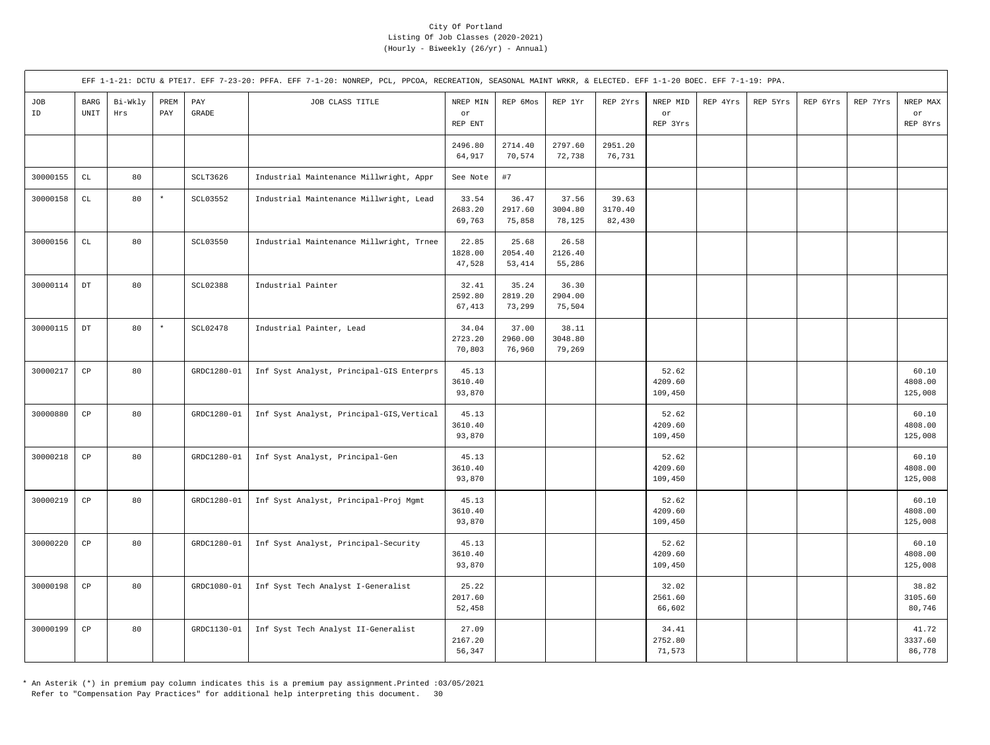|           |                        |                |             |                     | EFF 1-1-21: DCTU & PTE17. EFF 7-23-20: PFFA. EFF 7-1-20: NONREP, PCL, PPCOA, RECREATION, SEASONAL MAINT WRKR, & ELECTED. EFF 1-1-20 BOEC. EFF 7-1-19: PPA. |                            |                             |                            |                            |                             |          |          |          |          |                             |
|-----------|------------------------|----------------|-------------|---------------------|------------------------------------------------------------------------------------------------------------------------------------------------------------|----------------------------|-----------------------------|----------------------------|----------------------------|-----------------------------|----------|----------|----------|----------|-----------------------------|
| JOB<br>ID | $_{\rm BARG}$<br>UNIT  | Bi-Wkly<br>Hrs | PREM<br>PAY | PAY<br><b>GRADE</b> | JOB CLASS TITLE                                                                                                                                            | NREP MIN<br>or<br>REP ENT  | REP 6Mos                    | REP 1Yr                    | REP 2Yrs                   | NREP MID<br>or<br>REP 3Yrs  | REP 4Yrs | REP 5Yrs | REP 6Yrs | REP 7Yrs | NREP MAX<br>or<br>REP 8Yrs  |
|           |                        |                |             |                     |                                                                                                                                                            | 2496.80<br>64,917          | 2714.40<br>70,574           | 2797.60<br>72,738          | 2951.20<br>76,731          |                             |          |          |          |          |                             |
| 30000155  | $\mathtt{CL}$          | 80             |             | SCLT3626            | Industrial Maintenance Millwright, Appr                                                                                                                    | See Note                   | #7                          |                            |                            |                             |          |          |          |          |                             |
| 30000158  | $\mathtt{CL}$          | 80             | $\star$     | SCL03552            | Industrial Maintenance Millwright, Lead                                                                                                                    | 33.54<br>2683.20<br>69,763 | 36.47<br>2917.60<br>75,858  | 37.56<br>3004.80<br>78,125 | 39.63<br>3170.40<br>82,430 |                             |          |          |          |          |                             |
| 30000156  | $\mathtt{CL}$          | 80             |             | SCL03550            | Industrial Maintenance Millwright, Trnee                                                                                                                   | 22.85<br>1828.00<br>47,528 | 25.68<br>2054.40<br>53, 414 | 26.58<br>2126.40<br>55,286 |                            |                             |          |          |          |          |                             |
| 30000114  | $_{\mathrm{DT}}$       | 80             |             | <b>SCL02388</b>     | Industrial Painter                                                                                                                                         | 32.41<br>2592.80<br>67,413 | 35.24<br>2819.20<br>73,299  | 36.30<br>2904.00<br>75,504 |                            |                             |          |          |          |          |                             |
| 30000115  | $_{\mathrm{DT}}$       | 80             | $\star$     | <b>SCL02478</b>     | Industrial Painter, Lead                                                                                                                                   | 34.04<br>2723.20<br>70,803 | 37.00<br>2960.00<br>76,960  | 38.11<br>3048.80<br>79,269 |                            |                             |          |          |          |          |                             |
| 30000217  | $_{\rm CP}$            | 80             |             | GRDC1280-01         | Inf Syst Analyst, Principal-GIS Enterprs                                                                                                                   | 45.13<br>3610.40<br>93,870 |                             |                            |                            | 52.62<br>4209.60<br>109,450 |          |          |          |          | 60.10<br>4808.00<br>125,008 |
| 30000880  | $\mathbb{C}\mathbb{P}$ | 80             |             | GRDC1280-01         | Inf Syst Analyst, Principal-GIS, Vertical                                                                                                                  | 45.13<br>3610.40<br>93,870 |                             |                            |                            | 52.62<br>4209.60<br>109,450 |          |          |          |          | 60.10<br>4808.00<br>125,008 |
| 30000218  | $\mathbb{C}\mathbb{P}$ | 80             |             | GRDC1280-01         | Inf Syst Analyst, Principal-Gen                                                                                                                            | 45.13<br>3610.40<br>93,870 |                             |                            |                            | 52.62<br>4209.60<br>109,450 |          |          |          |          | 60.10<br>4808.00<br>125,008 |
| 30000219  | $\mathbb{C}\mathbb{P}$ | 80             |             | GRDC1280-01         | Inf Syst Analyst, Principal-Proj Mgmt                                                                                                                      | 45.13<br>3610.40<br>93,870 |                             |                            |                            | 52.62<br>4209.60<br>109,450 |          |          |          |          | 60.10<br>4808.00<br>125,008 |
| 30000220  | $_{\rm CP}$            | 80             |             | GRDC1280-01         | Inf Syst Analyst, Principal-Security                                                                                                                       | 45.13<br>3610.40<br>93,870 |                             |                            |                            | 52.62<br>4209.60<br>109,450 |          |          |          |          | 60.10<br>4808.00<br>125,008 |
| 30000198  | $\mathbb{C}\mathbb{P}$ | 80             |             | GRDC1080-01         | Inf Syst Tech Analyst I-Generalist                                                                                                                         | 25.22<br>2017.60<br>52,458 |                             |                            |                            | 32.02<br>2561.60<br>66,602  |          |          |          |          | 38.82<br>3105.60<br>80,746  |
| 30000199  | $_{\rm CP}$            | 80             |             | GRDC1130-01         | Inf Syst Tech Analyst II-Generalist                                                                                                                        | 27.09<br>2167.20<br>56,347 |                             |                            |                            | 34.41<br>2752.80<br>71,573  |          |          |          |          | 41.72<br>3337.60<br>86,778  |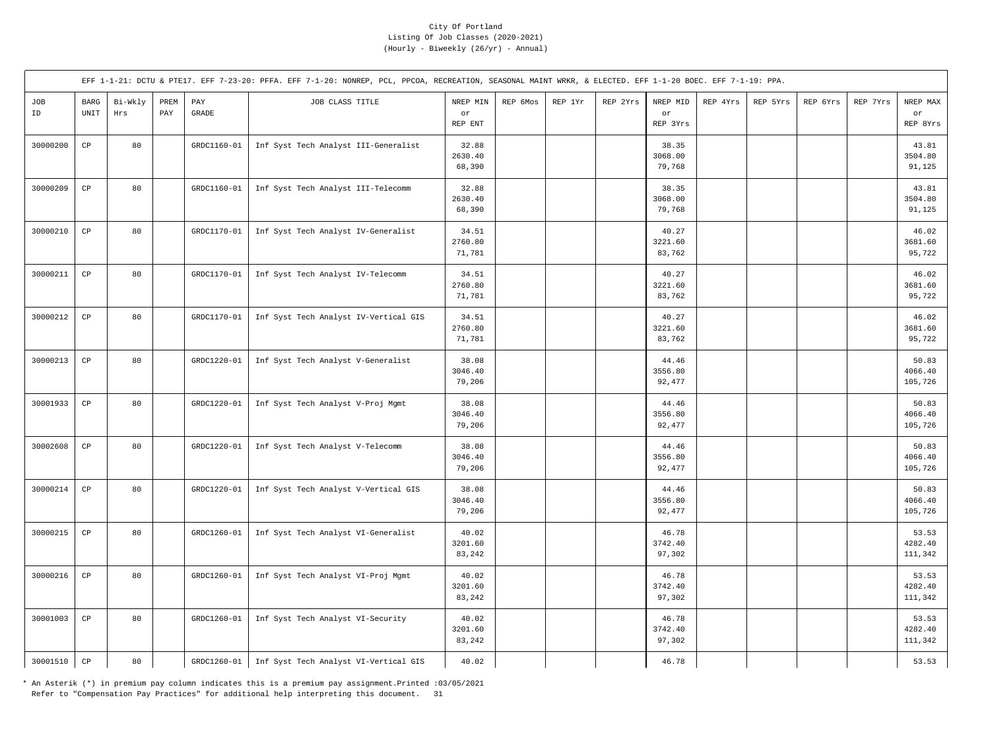|           |                                               |                |             |                                  | EFF 1-1-21: DCTU & PTE17. EFF 7-23-20: PFFA. EFF 7-1-20: NONREP, PCL, PPCOA, RECREATION, SEASONAL MAINT WRKR, & ELECTED. EFF 1-1-20 BOEC. EFF 7-1-19: PPA. |                            |          |         |          |                            |          |          |          |          |                             |
|-----------|-----------------------------------------------|----------------|-------------|----------------------------------|------------------------------------------------------------------------------------------------------------------------------------------------------------|----------------------------|----------|---------|----------|----------------------------|----------|----------|----------|----------|-----------------------------|
| JOB<br>ID | $_{\rm BARG}$<br>$\ensuremath{\mathsf{UNIT}}$ | Bi-Wkly<br>Hrs | PREM<br>PAY | $\mathop{\mathrm{PAY}}$<br>GRADE | JOB CLASS TITLE                                                                                                                                            | NREP MIN<br>or<br>REP ENT  | REP 6Mos | REP 1Yr | REP 2Yrs | NREP MID<br>or<br>REP 3Yrs | REP 4Yrs | REP 5Yrs | REP 6Yrs | REP 7Yrs | NREP MAX<br>or<br>REP 8Yrs  |
| 30000200  | $_{\rm CP}$                                   | 80             |             | GRDC1160-01                      | Inf Syst Tech Analyst III-Generalist                                                                                                                       | 32.88<br>2630.40<br>68,390 |          |         |          | 38.35<br>3068.00<br>79,768 |          |          |          |          | 43.81<br>3504.80<br>91,125  |
| 30000209  | $\mathbb{C}\mathbb{P}$                        | 80             |             | GRDC1160-01                      | Inf Syst Tech Analyst III-Telecomm                                                                                                                         | 32.88<br>2630.40<br>68,390 |          |         |          | 38.35<br>3068.00<br>79,768 |          |          |          |          | 43.81<br>3504.80<br>91,125  |
| 30000210  | $_{\rm CP}$                                   | 80             |             | GRDC1170-01                      | Inf Syst Tech Analyst IV-Generalist                                                                                                                        | 34.51<br>2760.80<br>71,781 |          |         |          | 40.27<br>3221.60<br>83,762 |          |          |          |          | 46.02<br>3681.60<br>95,722  |
| 30000211  | $_{\rm CP}$                                   | 80             |             | GRDC1170-01                      | Inf Syst Tech Analyst IV-Telecomm                                                                                                                          | 34.51<br>2760.80<br>71,781 |          |         |          | 40.27<br>3221.60<br>83,762 |          |          |          |          | 46.02<br>3681.60<br>95,722  |
| 30000212  | $_{\rm CP}$                                   | 80             |             | GRDC1170-01                      | Inf Syst Tech Analyst IV-Vertical GIS                                                                                                                      | 34.51<br>2760.80<br>71,781 |          |         |          | 40.27<br>3221.60<br>83,762 |          |          |          |          | 46.02<br>3681.60<br>95,722  |
| 30000213  | $_{\rm CP}$                                   | 80             |             | GRDC1220-01                      | Inf Syst Tech Analyst V-Generalist                                                                                                                         | 38.08<br>3046.40<br>79,206 |          |         |          | 44.46<br>3556.80<br>92,477 |          |          |          |          | 50.83<br>4066.40<br>105,726 |
| 30001933  | $_{\rm CP}$                                   | 80             |             | GRDC1220-01                      | Inf Syst Tech Analyst V-Proj Mgmt                                                                                                                          | 38.08<br>3046.40<br>79,206 |          |         |          | 44.46<br>3556.80<br>92,477 |          |          |          |          | 50.83<br>4066.40<br>105,726 |
| 30002608  | $\mathbb{C}\mathbb{P}$                        | 80             |             | GRDC1220-01                      | Inf Syst Tech Analyst V-Telecomm                                                                                                                           | 38.08<br>3046.40<br>79,206 |          |         |          | 44.46<br>3556.80<br>92,477 |          |          |          |          | 50.83<br>4066.40<br>105,726 |
| 30000214  | $_{\rm CP}$                                   | 80             |             | GRDC1220-01                      | Inf Syst Tech Analyst V-Vertical GIS                                                                                                                       | 38.08<br>3046.40<br>79,206 |          |         |          | 44.46<br>3556.80<br>92,477 |          |          |          |          | 50.83<br>4066.40<br>105,726 |
| 30000215  | $\mathbb{C}\mathbb{P}$                        | 80             |             | GRDC1260-01                      | Inf Syst Tech Analyst VI-Generalist                                                                                                                        | 40.02<br>3201.60<br>83,242 |          |         |          | 46.78<br>3742.40<br>97,302 |          |          |          |          | 53.53<br>4282.40<br>111,342 |
| 30000216  | $\mathbb{C}\mathbb{P}$                        | 80             |             | GRDC1260-01                      | Inf Syst Tech Analyst VI-Proj Mgmt                                                                                                                         | 40.02<br>3201.60<br>83,242 |          |         |          | 46.78<br>3742.40<br>97,302 |          |          |          |          | 53.53<br>4282.40<br>111,342 |
| 30001003  | $_{\rm CP}$                                   | 80             |             | GRDC1260-01                      | Inf Syst Tech Analyst VI-Security                                                                                                                          | 40.02<br>3201.60<br>83,242 |          |         |          | 46.78<br>3742.40<br>97,302 |          |          |          |          | 53.53<br>4282.40<br>111,342 |
| 30001510  | $_{\rm CP}$                                   | 80             |             | GRDC1260-01                      | Inf Syst Tech Analyst VI-Vertical GIS                                                                                                                      | 40.02                      |          |         |          | 46.78                      |          |          |          |          | 53.53                       |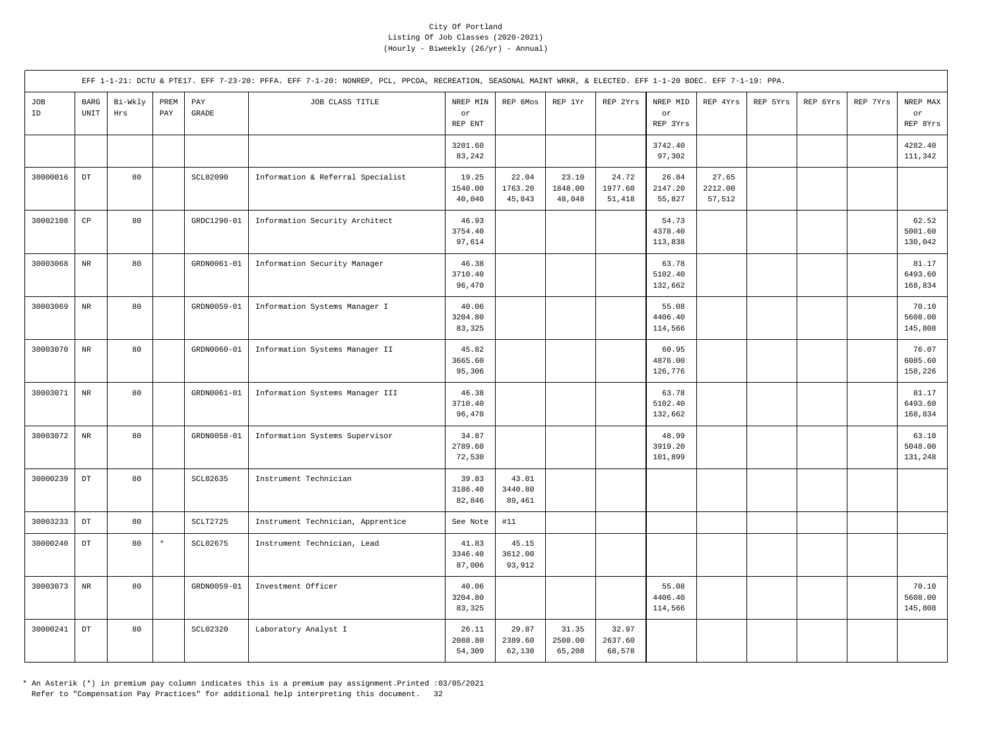|           |                     |                |             |              | EFF 1-1-21: DCTU & PTE17. EFF 7-23-20: PFFA. EFF 7-1-20: NONREP, PCL, PPCOA, RECREATION, SEASONAL MAINT WRKR, & ELECTED. EFF 1-1-20 BOEC. EFF 7-1-19: PPA. |                            |                            |                            |                            |                             |                            |          |          |          |                             |
|-----------|---------------------|----------------|-------------|--------------|------------------------------------------------------------------------------------------------------------------------------------------------------------|----------------------------|----------------------------|----------------------------|----------------------------|-----------------------------|----------------------------|----------|----------|----------|-----------------------------|
| JOB<br>ID | <b>BARG</b><br>UNIT | Bi-Wkly<br>Hrs | PREM<br>PAY | PAY<br>GRADE | JOB CLASS TITLE                                                                                                                                            | NREP MIN<br>or<br>REP ENT  | REP 6Mos                   | REP 1Yr                    | REP 2Yrs                   | NREP MID<br>or<br>REP 3Yrs  | REP 4Yrs                   | REP 5Yrs | REP 6Yrs | REP 7Yrs | NREP MAX<br>or<br>REP 8Yrs  |
|           |                     |                |             |              |                                                                                                                                                            | 3201.60<br>83,242          |                            |                            |                            | 3742.40<br>97,302           |                            |          |          |          | 4282.40<br>111,342          |
| 30000016  | $_{\rm DT}$         | 80             |             | SCL02090     | Information & Referral Specialist                                                                                                                          | 19.25<br>1540.00<br>40,040 | 22.04<br>1763.20<br>45,843 | 23.10<br>1848.00<br>48,048 | 24.72<br>1977.60<br>51,418 | 26.84<br>2147.20<br>55,827  | 27.65<br>2212.00<br>57,512 |          |          |          |                             |
| 30002108  | CP                  | 80             |             | GRDC1290-01  | Information Security Architect                                                                                                                             | 46.93<br>3754.40<br>97,614 |                            |                            |                            | 54.73<br>4378.40<br>113,838 |                            |          |          |          | 62.52<br>5001.60<br>130,042 |
| 30003068  | $\rm NR$            | 80             |             | GRDN0061-01  | Information Security Manager                                                                                                                               | 46.38<br>3710.40<br>96,470 |                            |                            |                            | 63.78<br>5102.40<br>132,662 |                            |          |          |          | 81.17<br>6493.60<br>168,834 |
| 30003069  | $_{\rm NR}$         | 80             |             | GRDN0059-01  | Information Systems Manager I                                                                                                                              | 40.06<br>3204.80<br>83,325 |                            |                            |                            | 55.08<br>4406.40<br>114,566 |                            |          |          |          | 70.10<br>5608.00<br>145,808 |
| 30003070  | $_{\rm NR}$         | 80             |             | GRDN0060-01  | Information Systems Manager II                                                                                                                             | 45.82<br>3665.60<br>95,306 |                            |                            |                            | 60.95<br>4876.00<br>126,776 |                            |          |          |          | 76.07<br>6085.60<br>158,226 |
| 30003071  | $_{\rm NR}$         | 80             |             | GRDN0061-01  | Information Systems Manager III                                                                                                                            | 46.38<br>3710.40<br>96,470 |                            |                            |                            | 63.78<br>5102.40<br>132,662 |                            |          |          |          | 81.17<br>6493.60<br>168,834 |
| 30003072  | NR                  | 80             |             | GRDN0058-01  | Information Systems Supervisor                                                                                                                             | 34.87<br>2789.60<br>72,530 |                            |                            |                            | 48.99<br>3919.20<br>101,899 |                            |          |          |          | 63.10<br>5048.00<br>131,248 |
| 30000239  | $_{\rm DT}$         | 80             |             | SCL02635     | Instrument Technician                                                                                                                                      | 39.83<br>3186.40<br>82,846 | 43.01<br>3440.80<br>89,461 |                            |                            |                             |                            |          |          |          |                             |
| 30003233  | $_{\rm DT}$         | 80             |             | SCLT2725     | Instrument Technician, Apprentice                                                                                                                          | See Note                   | #11                        |                            |                            |                             |                            |          |          |          |                             |
| 30000240  | $_{\rm DT}$         | 80             | $\star$     | SCL02675     | Instrument Technician, Lead                                                                                                                                | 41.83<br>3346.40<br>87,006 | 45.15<br>3612.00<br>93,912 |                            |                            |                             |                            |          |          |          |                             |
| 30003073  | NR                  | 80             |             | GRDN0059-01  | Investment Officer                                                                                                                                         | 40.06<br>3204.80<br>83,325 |                            |                            |                            | 55.08<br>4406.40<br>114,566 |                            |          |          |          | 70.10<br>5608.00<br>145,808 |
| 30000241  | $_{\rm DT}$         | 80             |             | SCL02320     | Laboratory Analyst I                                                                                                                                       | 26.11<br>2088.80<br>54,309 | 29.87<br>2389.60<br>62,130 | 31.35<br>2508.00<br>65,208 | 32.97<br>2637.60<br>68,578 |                             |                            |          |          |          |                             |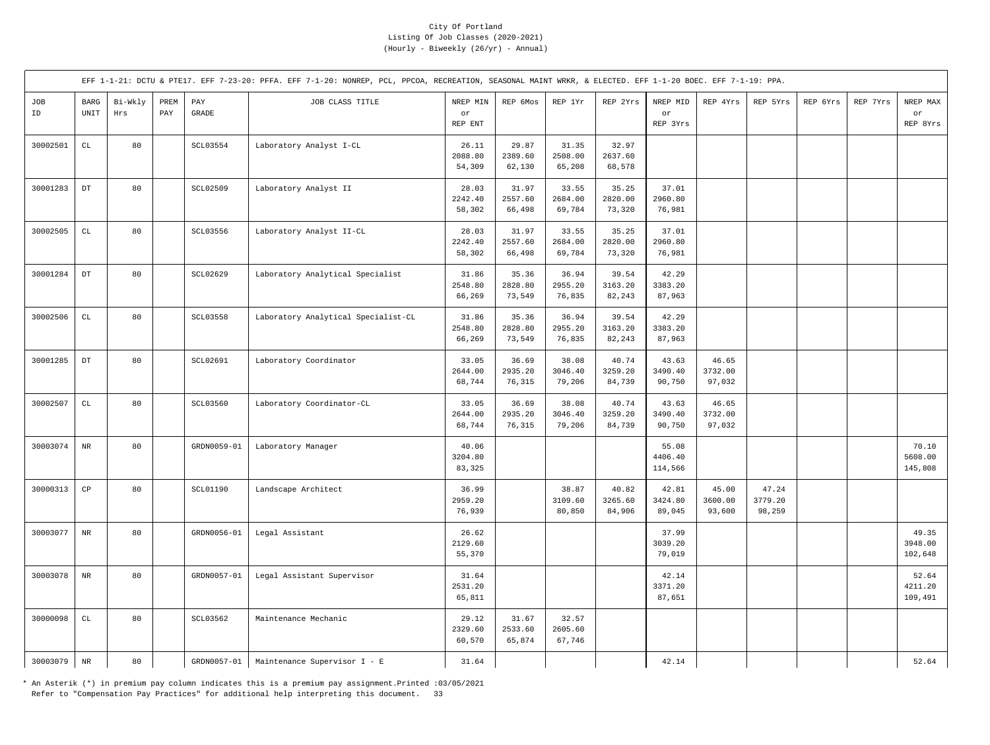|           |                     |                |             |                 | EFF 1-1-21: DCTU & PTE17. EFF 7-23-20: PFFA. EFF 7-1-20: NONREP, PCL, PPCOA, RECREATION, SEASONAL MAINT WRKR, & ELECTED. EFF 1-1-20 BOEC. EFF 7-1-19: PPA. |                            |                            |                            |                            |                             |                            |                            |          |          |                             |
|-----------|---------------------|----------------|-------------|-----------------|------------------------------------------------------------------------------------------------------------------------------------------------------------|----------------------------|----------------------------|----------------------------|----------------------------|-----------------------------|----------------------------|----------------------------|----------|----------|-----------------------------|
| JOB<br>ID | <b>BARG</b><br>UNIT | Bi-Wkly<br>Hrs | PREM<br>PAY | PAY<br>GRADE    | JOB CLASS TITLE                                                                                                                                            | NREP MIN<br>or<br>REP ENT  | REP 6Mos                   | REP 1Yr                    | REP 2Yrs                   | NREP MID<br>or<br>REP 3Yrs  | REP 4Yrs                   | REP 5Yrs                   | REP 6Yrs | REP 7Yrs | NREP MAX<br>or<br>REP 8Yrs  |
| 30002501  | $\mathtt{CL}$       | 80             |             | SCL03554        | Laboratory Analyst I-CL                                                                                                                                    | 26.11<br>2088.80<br>54,309 | 29.87<br>2389.60<br>62,130 | 31.35<br>2508.00<br>65,208 | 32.97<br>2637.60<br>68,578 |                             |                            |                            |          |          |                             |
| 30001283  | $_{\rm DT}$         | 80             |             | SCL02509        | Laboratory Analyst II                                                                                                                                      | 28.03<br>2242.40<br>58,302 | 31.97<br>2557.60<br>66,498 | 33.55<br>2684.00<br>69,784 | 35.25<br>2820.00<br>73,320 | 37.01<br>2960.80<br>76,981  |                            |                            |          |          |                             |
| 30002505  | $\mathtt{CL}$       | 80             |             | SCL03556        | Laboratory Analyst II-CL                                                                                                                                   | 28.03<br>2242.40<br>58,302 | 31.97<br>2557.60<br>66,498 | 33.55<br>2684.00<br>69,784 | 35.25<br>2820.00<br>73,320 | 37.01<br>2960.80<br>76,981  |                            |                            |          |          |                             |
| 30001284  | $_{\rm DT}$         | 80             |             | SCL02629        | Laboratory Analytical Specialist                                                                                                                           | 31.86<br>2548.80<br>66,269 | 35.36<br>2828.80<br>73,549 | 36.94<br>2955.20<br>76,835 | 39.54<br>3163.20<br>82,243 | 42.29<br>3383.20<br>87,963  |                            |                            |          |          |                             |
| 30002506  | $\mathtt{CL}$       | 80             |             | <b>SCL03558</b> | Laboratory Analytical Specialist-CL                                                                                                                        | 31.86<br>2548.80<br>66,269 | 35.36<br>2828.80<br>73,549 | 36.94<br>2955.20<br>76,835 | 39.54<br>3163.20<br>82,243 | 42.29<br>3383.20<br>87,963  |                            |                            |          |          |                             |
| 30001285  | $_{\rm DT}$         | 80             |             | SCL02691        | Laboratory Coordinator                                                                                                                                     | 33.05<br>2644.00<br>68,744 | 36.69<br>2935.20<br>76,315 | 38.08<br>3046.40<br>79,206 | 40.74<br>3259.20<br>84,739 | 43.63<br>3490.40<br>90,750  | 46.65<br>3732.00<br>97,032 |                            |          |          |                             |
| 30002507  | $\mathtt{CL}$       | 80             |             | SCL03560        | Laboratory Coordinator-CL                                                                                                                                  | 33.05<br>2644.00<br>68,744 | 36.69<br>2935.20<br>76,315 | 38.08<br>3046.40<br>79,206 | 40.74<br>3259.20<br>84,739 | 43.63<br>3490.40<br>90,750  | 46.65<br>3732.00<br>97,032 |                            |          |          |                             |
| 30003074  | $_{\rm NR}$         | 80             |             | GRDN0059-01     | Laboratory Manager                                                                                                                                         | 40.06<br>3204.80<br>83,325 |                            |                            |                            | 55.08<br>4406.40<br>114,566 |                            |                            |          |          | 70.10<br>5608.00<br>145,808 |
| 30000313  | $_{\rm CP}$         | 80             |             | <b>SCL01190</b> | Landscape Architect                                                                                                                                        | 36.99<br>2959.20<br>76,939 |                            | 38.87<br>3109.60<br>80,850 | 40.82<br>3265.60<br>84,906 | 42.81<br>3424.80<br>89,045  | 45.00<br>3600.00<br>93,600 | 47.24<br>3779.20<br>98,259 |          |          |                             |
| 30003077  | $_{\rm NR}$         | 80             |             | GRDN0056-01     | Legal Assistant                                                                                                                                            | 26.62<br>2129.60<br>55,370 |                            |                            |                            | 37.99<br>3039.20<br>79,019  |                            |                            |          |          | 49.35<br>3948.00<br>102,648 |
| 30003078  | $_{\rm NR}$         | 80             |             | GRDN0057-01     | Legal Assistant Supervisor                                                                                                                                 | 31.64<br>2531.20<br>65,811 |                            |                            |                            | 42.14<br>3371.20<br>87,651  |                            |                            |          |          | 52.64<br>4211.20<br>109,491 |
| 30000098  | $\mathtt{CL}$       | 80             |             | SCL03562        | Maintenance Mechanic                                                                                                                                       | 29.12<br>2329.60<br>60,570 | 31.67<br>2533.60<br>65,874 | 32.57<br>2605.60<br>67,746 |                            |                             |                            |                            |          |          |                             |
| 30003079  | $\rm NR$            | 80             |             | GRDN0057-01     | Maintenance Supervisor I - E                                                                                                                               | 31.64                      |                            |                            |                            | 42.14                       |                            |                            |          |          | 52.64                       |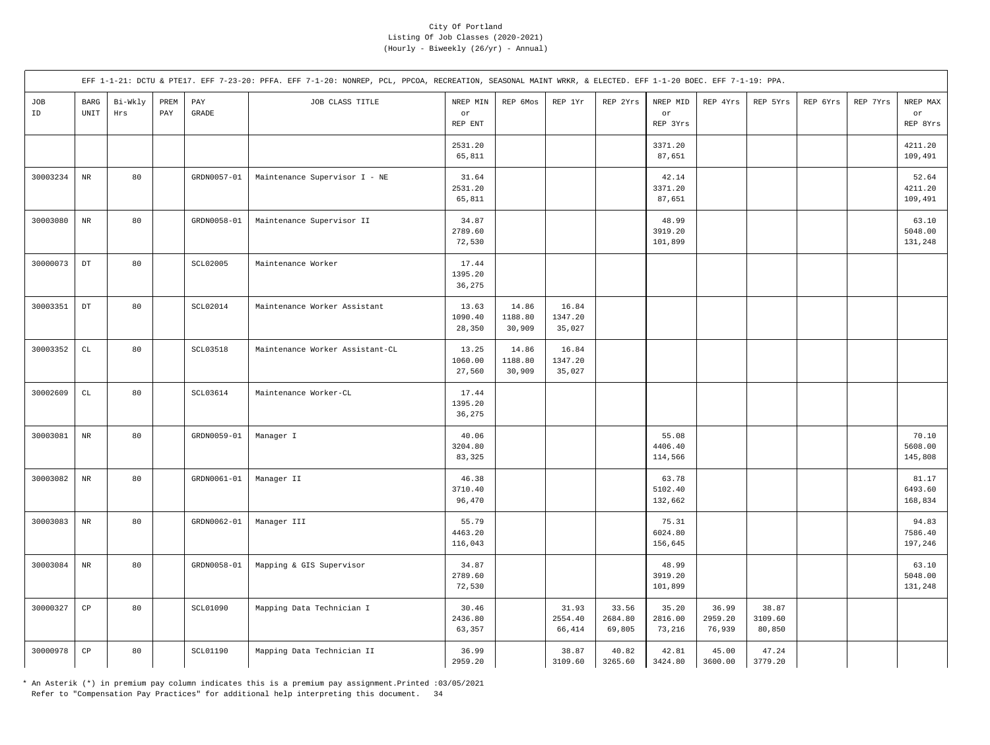|           |                        |                |             |                       | EFF 1-1-21: DCTU & PTE17. EFF 7-23-20: PFFA. EFF 7-1-20: NONREP, PCL, PPCOA, RECREATION, SEASONAL MAINT WRKR, & ELECTED. EFF 1-1-20 BOEC. EFF 7-1-19: PPA. |                             |                            |                            |                            |                             |                            |                            |          |          |                             |
|-----------|------------------------|----------------|-------------|-----------------------|------------------------------------------------------------------------------------------------------------------------------------------------------------|-----------------------------|----------------------------|----------------------------|----------------------------|-----------------------------|----------------------------|----------------------------|----------|----------|-----------------------------|
| JOB<br>ID | $_{\rm BARG}$<br>UNIT  | Bi-Wkly<br>Hrs | PREM<br>PAY | PAY<br>$\mbox{GRADE}$ | JOB CLASS TITLE                                                                                                                                            | NREP MIN<br>or<br>REP ENT   | REP 6Mos                   | REP 1Yr                    | REP 2Yrs                   | NREP MID<br>or<br>REP 3Yrs  | REP 4Yrs                   | REP 5Yrs                   | REP 6Yrs | REP 7Yrs | NREP MAX<br>or<br>REP 8Yrs  |
|           |                        |                |             |                       |                                                                                                                                                            | 2531.20<br>65,811           |                            |                            |                            | 3371.20<br>87,651           |                            |                            |          |          | 4211.20<br>109,491          |
| 30003234  | $\rm NR$               | 80             |             | GRDN0057-01           | Maintenance Supervisor I - NE                                                                                                                              | 31.64<br>2531.20<br>65,811  |                            |                            |                            | 42.14<br>3371.20<br>87,651  |                            |                            |          |          | 52.64<br>4211.20<br>109,491 |
| 30003080  | $_{\rm NR}$            | 80             |             | GRDN0058-01           | Maintenance Supervisor II                                                                                                                                  | 34.87<br>2789.60<br>72,530  |                            |                            |                            | 48.99<br>3919.20<br>101,899 |                            |                            |          |          | 63.10<br>5048.00<br>131,248 |
| 30000073  | $_{\rm DT}$            | 80             |             | <b>SCL02005</b>       | Maintenance Worker                                                                                                                                         | 17.44<br>1395.20<br>36,275  |                            |                            |                            |                             |                            |                            |          |          |                             |
| 30003351  | $_{\mathrm{DT}}$       | 80             |             | SCL02014              | Maintenance Worker Assistant                                                                                                                               | 13.63<br>1090.40<br>28,350  | 14.86<br>1188.80<br>30,909 | 16.84<br>1347.20<br>35,027 |                            |                             |                            |                            |          |          |                             |
| 30003352  | $\mathbb{C}\mathbb{L}$ | 80             |             | SCL03518              | Maintenance Worker Assistant-CL                                                                                                                            | 13.25<br>1060.00<br>27,560  | 14.86<br>1188.80<br>30,909 | 16.84<br>1347.20<br>35,027 |                            |                             |                            |                            |          |          |                             |
| 30002609  | $\mathtt{CL}$          | 80             |             | SCL03614              | Maintenance Worker-CL                                                                                                                                      | 17.44<br>1395.20<br>36,275  |                            |                            |                            |                             |                            |                            |          |          |                             |
| 30003081  | $_{\rm NR}$            | 80             |             | GRDN0059-01           | Manager I                                                                                                                                                  | 40.06<br>3204.80<br>83,325  |                            |                            |                            | 55.08<br>4406.40<br>114,566 |                            |                            |          |          | 70.10<br>5608.00<br>145,808 |
| 30003082  | $\rm{NR}$              | 80             |             | GRDN0061-01           | Manager II                                                                                                                                                 | 46.38<br>3710.40<br>96,470  |                            |                            |                            | 63.78<br>5102.40<br>132,662 |                            |                            |          |          | 81.17<br>6493.60<br>168,834 |
| 30003083  | $\rm NR$               | 80             |             | GRDN0062-01           | Manager III                                                                                                                                                | 55.79<br>4463.20<br>116,043 |                            |                            |                            | 75.31<br>6024.80<br>156,645 |                            |                            |          |          | 94.83<br>7586.40<br>197,246 |
| 30003084  | $\rm NR$               | 80             |             | GRDN0058-01           | Mapping & GIS Supervisor                                                                                                                                   | 34.87<br>2789.60<br>72,530  |                            |                            |                            | 48.99<br>3919.20<br>101,899 |                            |                            |          |          | 63.10<br>5048.00<br>131,248 |
| 30000327  | $_{\rm CP}$            | 80             |             | <b>SCL01090</b>       | Mapping Data Technician I                                                                                                                                  | 30.46<br>2436.80<br>63,357  |                            | 31.93<br>2554.40<br>66,414 | 33.56<br>2684.80<br>69,805 | 35.20<br>2816.00<br>73,216  | 36.99<br>2959.20<br>76,939 | 38.87<br>3109.60<br>80,850 |          |          |                             |
| 30000978  | $_{\rm CP}$            | 80             |             | SCL01190              | Mapping Data Technician II                                                                                                                                 | 36.99<br>2959.20            |                            | 38.87<br>3109.60           | 40.82<br>3265.60           | 42.81<br>3424.80            | 45.00<br>3600.00           | 47.24<br>3779.20           |          |          |                             |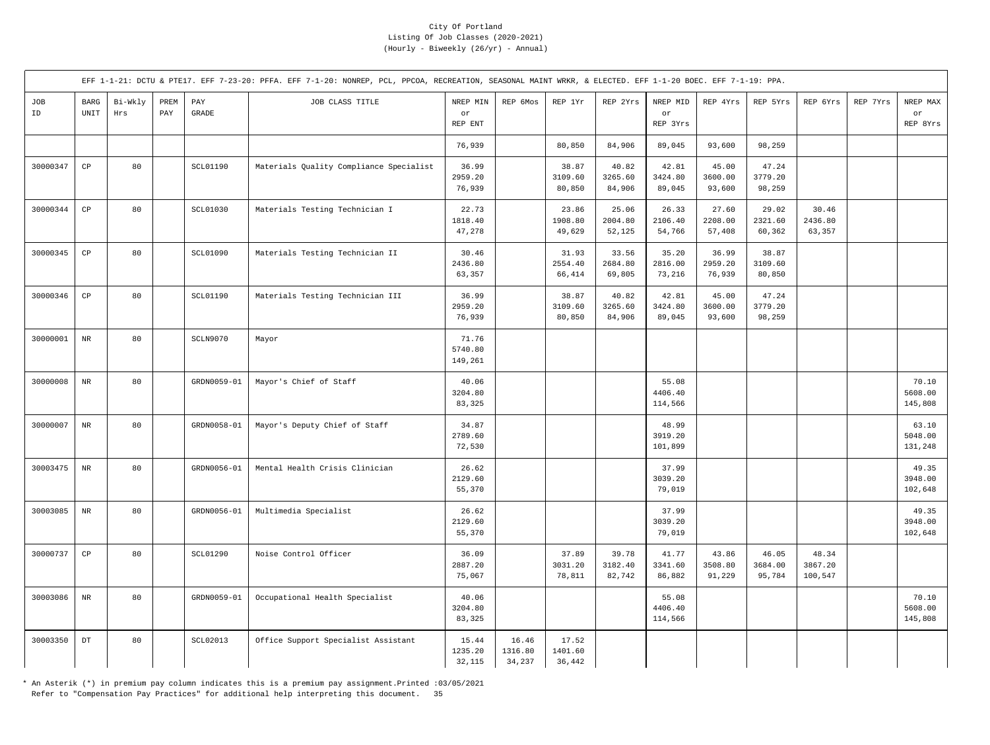|           |                                             |                |             |                 | EFF 1-1-21: DCTU & PTE17. EFF 7-23-20: PFFA. EFF 7-1-20: NONREP, PCL, PPCOA, RECREATION, SEASONAL MAINT WRKR, & ELECTED. EFF 1-1-20 BOEC. EFF 7-1-19: PPA. |                             |                            |                            |                            |                             |                            |                            |                             |          |                             |
|-----------|---------------------------------------------|----------------|-------------|-----------------|------------------------------------------------------------------------------------------------------------------------------------------------------------|-----------------------------|----------------------------|----------------------------|----------------------------|-----------------------------|----------------------------|----------------------------|-----------------------------|----------|-----------------------------|
| JOB<br>ID | <b>BARG</b><br>$\ensuremath{\mathsf{UNIT}}$ | Bi-Wkly<br>Hrs | PREM<br>PAY | PAY<br>GRADE    | JOB CLASS TITLE                                                                                                                                            | NREP MIN<br>or<br>REP ENT   | REP 6Mos                   | REP 1Yr                    | REP 2Yrs                   | NREP MID<br>or<br>REP 3Yrs  | REP 4Yrs                   | REP 5Yrs                   | REP 6Yrs                    | REP 7Yrs | NREP MAX<br>or<br>REP 8Yrs  |
|           |                                             |                |             |                 |                                                                                                                                                            | 76,939                      |                            | 80,850                     | 84,906                     | 89,045                      | 93,600                     | 98,259                     |                             |          |                             |
| 30000347  | $\mathbb{C}\mathbb{P}$                      | 80             |             | SCL01190        | Materials Quality Compliance Specialist                                                                                                                    | 36.99<br>2959.20<br>76,939  |                            | 38.87<br>3109.60<br>80,850 | 40.82<br>3265.60<br>84,906 | 42.81<br>3424.80<br>89,045  | 45.00<br>3600.00<br>93,600 | 47.24<br>3779.20<br>98,259 |                             |          |                             |
| 30000344  | $_{\rm CP}$                                 | 80             |             | SCL01030        | Materials Testing Technician I                                                                                                                             | 22.73<br>1818.40<br>47,278  |                            | 23.86<br>1908.80<br>49,629 | 25.06<br>2004.80<br>52,125 | 26.33<br>2106.40<br>54,766  | 27.60<br>2208.00<br>57,408 | 29.02<br>2321.60<br>60,362 | 30.46<br>2436.80<br>63,357  |          |                             |
| 30000345  | CP                                          | 80             |             | SCL01090        | Materials Testing Technician II                                                                                                                            | 30.46<br>2436.80<br>63,357  |                            | 31.93<br>2554.40<br>66,414 | 33.56<br>2684.80<br>69,805 | 35.20<br>2816.00<br>73,216  | 36.99<br>2959.20<br>76,939 | 38.87<br>3109.60<br>80,850 |                             |          |                             |
| 30000346  | CP                                          | 80             |             | <b>SCL01190</b> | Materials Testing Technician III                                                                                                                           | 36.99<br>2959.20<br>76,939  |                            | 38.87<br>3109.60<br>80,850 | 40.82<br>3265.60<br>84,906 | 42.81<br>3424.80<br>89,045  | 45.00<br>3600.00<br>93,600 | 47.24<br>3779.20<br>98,259 |                             |          |                             |
| 30000001  | $_{\rm NR}$                                 | 80             |             | SCLN9070        | Mayor                                                                                                                                                      | 71.76<br>5740.80<br>149,261 |                            |                            |                            |                             |                            |                            |                             |          |                             |
| 30000008  | $_{\rm NR}$                                 | 80             |             | GRDN0059-01     | Mayor's Chief of Staff                                                                                                                                     | 40.06<br>3204.80<br>83,325  |                            |                            |                            | 55.08<br>4406.40<br>114,566 |                            |                            |                             |          | 70.10<br>5608.00<br>145,808 |
| 30000007  | $_{\rm NR}$                                 | 80             |             | GRDN0058-01     | Mayor's Deputy Chief of Staff                                                                                                                              | 34.87<br>2789.60<br>72,530  |                            |                            |                            | 48.99<br>3919.20<br>101,899 |                            |                            |                             |          | 63.10<br>5048.00<br>131,248 |
| 30003475  | $\rm{NR}$                                   | 80             |             | GRDN0056-01     | Mental Health Crisis Clinician                                                                                                                             | 26.62<br>2129.60<br>55,370  |                            |                            |                            | 37.99<br>3039.20<br>79,019  |                            |                            |                             |          | 49.35<br>3948.00<br>102,648 |
| 30003085  | $\rm{NR}$                                   | 80             |             | GRDN0056-01     | Multimedia Specialist                                                                                                                                      | 26.62<br>2129.60<br>55,370  |                            |                            |                            | 37.99<br>3039.20<br>79,019  |                            |                            |                             |          | 49.35<br>3948.00<br>102,648 |
| 30000737  | $_{\rm CP}$                                 | 80             |             | SCL01290        | Noise Control Officer                                                                                                                                      | 36.09<br>2887.20<br>75,067  |                            | 37.89<br>3031.20<br>78,811 | 39.78<br>3182.40<br>82,742 | 41.77<br>3341.60<br>86,882  | 43.86<br>3508.80<br>91,229 | 46.05<br>3684.00<br>95,784 | 48.34<br>3867.20<br>100,547 |          |                             |
| 30003086  | $_{\rm NR}$                                 | 80             |             | GRDN0059-01     | Occupational Health Specialist                                                                                                                             | 40.06<br>3204.80<br>83,325  |                            |                            |                            | 55.08<br>4406.40<br>114,566 |                            |                            |                             |          | 70.10<br>5608.00<br>145,808 |
| 30003350  | $\mathop{\rm DT}\nolimits$                  | 80             |             | <b>SCL02013</b> | Office Support Specialist Assistant                                                                                                                        | 15.44<br>1235.20<br>32,115  | 16.46<br>1316.80<br>34,237 | 17.52<br>1401.60<br>36,442 |                            |                             |                            |                            |                             |          |                             |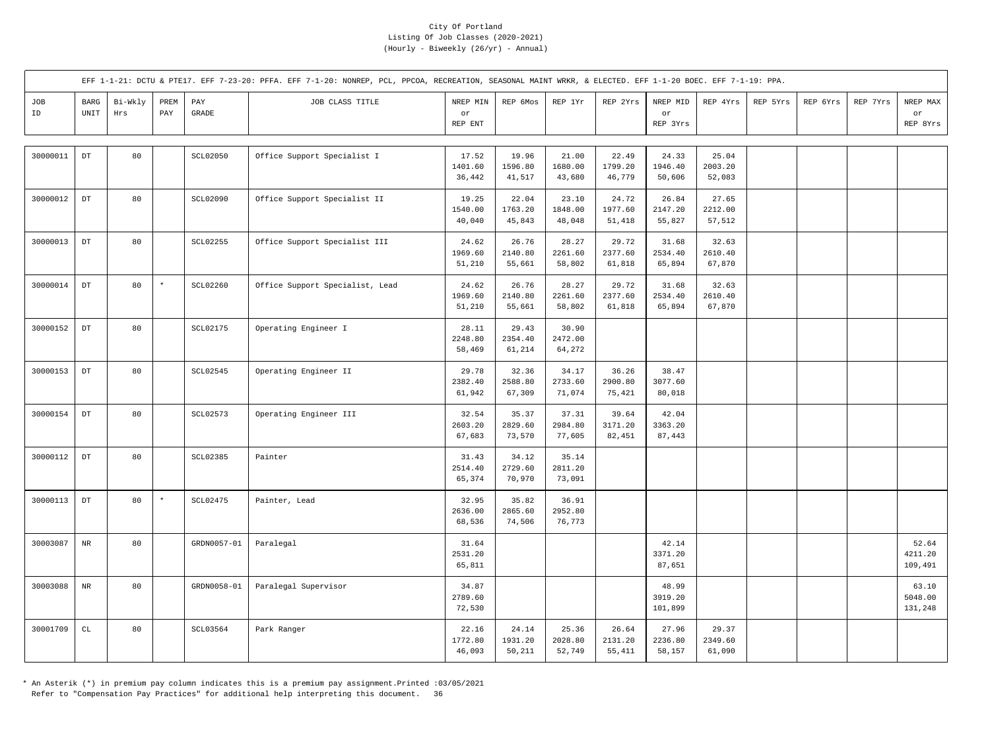|           |                                             |                |             |                       | EFF 1-1-21: DCTU & PTE17. EFF 7-23-20: PFFA. EFF 7-1-20: NONREP, PCL, PPCOA, RECREATION, SEASONAL MAINT WRKR, & ELECTED. EFF 1-1-20 BOEC. EFF 7-1-19: PPA. |                            |                            |                            |                            |                             |                            |          |          |          |                             |
|-----------|---------------------------------------------|----------------|-------------|-----------------------|------------------------------------------------------------------------------------------------------------------------------------------------------------|----------------------------|----------------------------|----------------------------|----------------------------|-----------------------------|----------------------------|----------|----------|----------|-----------------------------|
| JOB<br>ID | <b>BARG</b><br>$\ensuremath{\mathsf{UNIT}}$ | Bi-Wkly<br>Hrs | PREM<br>PAY | PAY<br>$\mbox{GRADE}$ | JOB CLASS TITLE                                                                                                                                            | NREP MIN<br>or<br>REP ENT  | REP 6Mos                   | REP 1Yr                    | REP 2Yrs                   | NREP MID<br>or<br>REP 3Yrs  | REP 4Yrs                   | REP 5Yrs | REP 6Yrs | REP 7Yrs | NREP MAX<br>or<br>REP 8Yrs  |
| 30000011  | $\mathop{\rm DT}\nolimits$                  | 80             |             | SCL02050              | Office Support Specialist I                                                                                                                                | 17.52<br>1401.60<br>36,442 | 19.96<br>1596.80<br>41,517 | 21.00<br>1680.00<br>43,680 | 22.49<br>1799.20<br>46,779 | 24.33<br>1946.40<br>50,606  | 25.04<br>2003.20<br>52,083 |          |          |          |                             |
| 30000012  | $\mathop{\rm DT}\nolimits$                  | 80             |             | SCL02090              | Office Support Specialist II                                                                                                                               | 19.25<br>1540.00<br>40,040 | 22.04<br>1763.20<br>45,843 | 23.10<br>1848.00<br>48,048 | 24.72<br>1977.60<br>51,418 | 26.84<br>2147.20<br>55,827  | 27.65<br>2212.00<br>57,512 |          |          |          |                             |
| 30000013  | $\mathop{\rm DT}\nolimits$                  | 80             |             | <b>SCL02255</b>       | Office Support Specialist III                                                                                                                              | 24.62<br>1969.60<br>51,210 | 26.76<br>2140.80<br>55,661 | 28.27<br>2261.60<br>58,802 | 29.72<br>2377.60<br>61,818 | 31.68<br>2534.40<br>65,894  | 32.63<br>2610.40<br>67,870 |          |          |          |                             |
| 30000014  | $\mathop{\rm DT}\nolimits$                  | 80             | $^{\star}$  | SCL02260              | Office Support Specialist, Lead                                                                                                                            | 24.62<br>1969.60<br>51,210 | 26.76<br>2140.80<br>55,661 | 28.27<br>2261.60<br>58,802 | 29.72<br>2377.60<br>61,818 | 31.68<br>2534.40<br>65,894  | 32.63<br>2610.40<br>67,870 |          |          |          |                             |
| 30000152  | $_{\rm DT}$                                 | 80             |             | SCL02175              | Operating Engineer I                                                                                                                                       | 28.11<br>2248.80<br>58,469 | 29.43<br>2354.40<br>61,214 | 30.90<br>2472.00<br>64,272 |                            |                             |                            |          |          |          |                             |
| 30000153  | $_{\rm DT}$                                 | 80             |             | SCL02545              | Operating Engineer II                                                                                                                                      | 29.78<br>2382.40<br>61,942 | 32.36<br>2588.80<br>67,309 | 34.17<br>2733.60<br>71,074 | 36.26<br>2900.80<br>75,421 | 38.47<br>3077.60<br>80,018  |                            |          |          |          |                             |
| 30000154  | $_{\mathrm{DT}}$                            | 80             |             | SCL02573              | Operating Engineer III                                                                                                                                     | 32.54<br>2603.20<br>67,683 | 35.37<br>2829.60<br>73,570 | 37.31<br>2984.80<br>77,605 | 39.64<br>3171.20<br>82,451 | 42.04<br>3363.20<br>87,443  |                            |          |          |          |                             |
| 30000112  | $_{\rm DT}$                                 | 80             |             | SCL02385              | Painter                                                                                                                                                    | 31.43<br>2514.40<br>65,374 | 34.12<br>2729.60<br>70,970 | 35.14<br>2811.20<br>73,091 |                            |                             |                            |          |          |          |                             |
| 30000113  | $\mathop{\rm DT}\nolimits$                  | 80             | $\star$     | SCL02475              | Painter, Lead                                                                                                                                              | 32.95<br>2636.00<br>68,536 | 35.82<br>2865.60<br>74,506 | 36.91<br>2952.80<br>76,773 |                            |                             |                            |          |          |          |                             |
| 30003087  | $_{\rm NR}$                                 | 80             |             | GRDN0057-01           | Paralegal                                                                                                                                                  | 31.64<br>2531.20<br>65,811 |                            |                            |                            | 42.14<br>3371.20<br>87,651  |                            |          |          |          | 52.64<br>4211.20<br>109,491 |
| 30003088  | $_{\rm NR}$                                 | 80             |             | GRDN0058-01           | Paralegal Supervisor                                                                                                                                       | 34.87<br>2789.60<br>72,530 |                            |                            |                            | 48.99<br>3919.20<br>101,899 |                            |          |          |          | 63.10<br>5048.00<br>131,248 |
| 30001709  | CL                                          | 80             |             | SCL03564              | Park Ranger                                                                                                                                                | 22.16<br>1772.80<br>46,093 | 24.14<br>1931.20<br>50,211 | 25.36<br>2028.80<br>52,749 | 26.64<br>2131.20<br>55,411 | 27.96<br>2236.80<br>58,157  | 29.37<br>2349.60<br>61,090 |          |          |          |                             |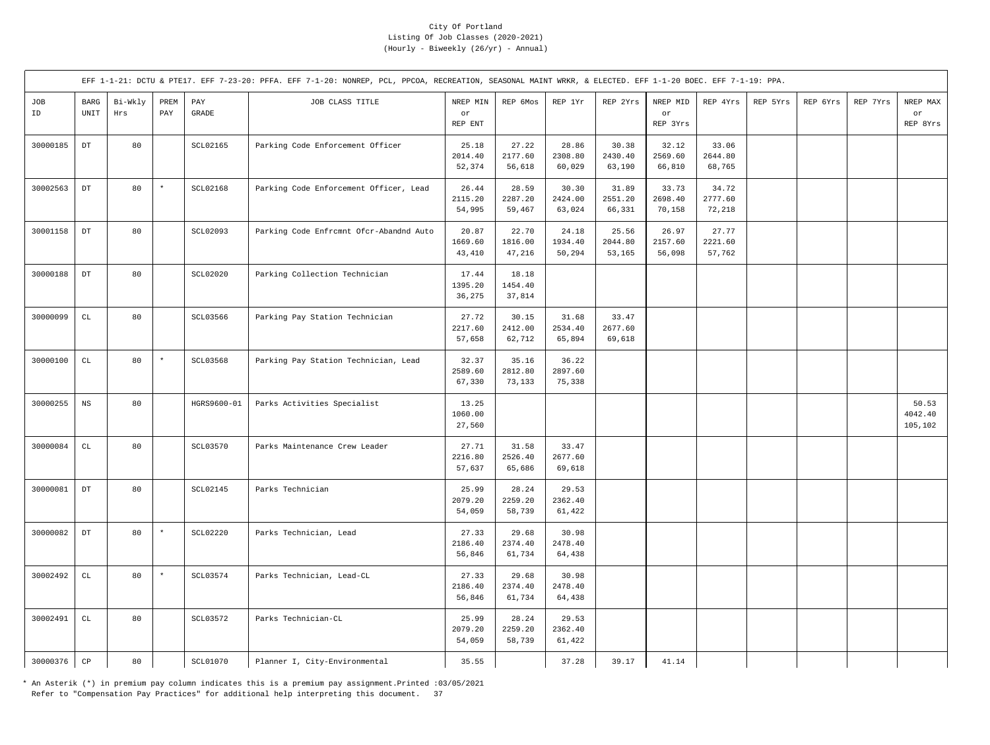|           |                            |                |             |                                  | EFF 1-1-21: DCTU & PTE17. EFF 7-23-20: PFFA. EFF 7-1-20: NONREP, PCL, PPCOA, RECREATION, SEASONAL MAINT WRKR, & ELECTED. EFF 1-1-20 BOEC. EFF 7-1-19: PPA. |                            |                            |                            |                            |                            |                            |          |          |          |                             |
|-----------|----------------------------|----------------|-------------|----------------------------------|------------------------------------------------------------------------------------------------------------------------------------------------------------|----------------------------|----------------------------|----------------------------|----------------------------|----------------------------|----------------------------|----------|----------|----------|-----------------------------|
| JOB<br>ID | $_{\rm BARG}$<br>UNIT      | Bi-Wkly<br>Hrs | PREM<br>PAY | $\mathop{\mathrm{PAY}}$<br>GRADE | JOB CLASS TITLE                                                                                                                                            | NREP MIN<br>or<br>REP ENT  | REP 6Mos                   | REP 1Yr                    | REP 2Yrs                   | NREP MID<br>or<br>REP 3Yrs | REP 4Yrs                   | REP 5Yrs | REP 6Yrs | REP 7Yrs | NREP MAX<br>or<br>REP 8Yrs  |
| 30000185  | $\mathop{\rm DT}\nolimits$ | 80             |             | SCL02165                         | Parking Code Enforcement Officer                                                                                                                           | 25.18<br>2014.40<br>52,374 | 27.22<br>2177.60<br>56,618 | 28.86<br>2308.80<br>60,029 | 30.38<br>2430.40<br>63,190 | 32.12<br>2569.60<br>66,810 | 33.06<br>2644.80<br>68,765 |          |          |          |                             |
| 30002563  | $_{\mathrm{DT}}$           | 80             | $\star$     | SCL02168                         | Parking Code Enforcement Officer, Lead                                                                                                                     | 26.44<br>2115.20<br>54,995 | 28.59<br>2287.20<br>59,467 | 30.30<br>2424.00<br>63,024 | 31.89<br>2551.20<br>66,331 | 33.73<br>2698.40<br>70,158 | 34.72<br>2777.60<br>72,218 |          |          |          |                             |
| 30001158  | $_{\rm DT}$                | 80             |             | SCL02093                         | Parking Code Enfrcmnt Ofcr-Abandnd Auto                                                                                                                    | 20.87<br>1669.60<br>43,410 | 22.70<br>1816.00<br>47,216 | 24.18<br>1934.40<br>50,294 | 25.56<br>2044.80<br>53,165 | 26.97<br>2157.60<br>56,098 | 27.77<br>2221.60<br>57,762 |          |          |          |                             |
| 30000188  | $\mathop{\rm DT}\nolimits$ | 80             |             | <b>SCL02020</b>                  | Parking Collection Technician                                                                                                                              | 17.44<br>1395.20<br>36,275 | 18.18<br>1454.40<br>37,814 |                            |                            |                            |                            |          |          |          |                             |
| 30000099  | $\mathbb{C}\mathbb{L}$     | 80             |             | SCL03566                         | Parking Pay Station Technician                                                                                                                             | 27.72<br>2217.60<br>57,658 | 30.15<br>2412.00<br>62,712 | 31.68<br>2534.40<br>65,894 | 33.47<br>2677.60<br>69,618 |                            |                            |          |          |          |                             |
| 30000100  | $\mathtt{CL}$              | 80             | $\star$     | SCL03568                         | Parking Pay Station Technician, Lead                                                                                                                       | 32.37<br>2589.60<br>67,330 | 35.16<br>2812.80<br>73,133 | 36.22<br>2897.60<br>75,338 |                            |                            |                            |          |          |          |                             |
| 30000255  | $_{\rm NS}$                | 80             |             | HGRS9600-01                      | Parks Activities Specialist                                                                                                                                | 13.25<br>1060.00<br>27,560 |                            |                            |                            |                            |                            |          |          |          | 50.53<br>4042.40<br>105,102 |
| 30000084  | $\mathtt{CL}$              | 80             |             | SCL03570                         | Parks Maintenance Crew Leader                                                                                                                              | 27.71<br>2216.80<br>57,637 | 31.58<br>2526.40<br>65,686 | 33.47<br>2677.60<br>69,618 |                            |                            |                            |          |          |          |                             |
| 30000081  | $_{\rm DT}$                | 80             |             | <b>SCL02145</b>                  | Parks Technician                                                                                                                                           | 25.99<br>2079.20<br>54,059 | 28.24<br>2259.20<br>58,739 | 29.53<br>2362.40<br>61,422 |                            |                            |                            |          |          |          |                             |
| 30000082  | $_{\rm DT}$                | 80             | $\star$     | <b>SCL02220</b>                  | Parks Technician, Lead                                                                                                                                     | 27.33<br>2186.40<br>56,846 | 29.68<br>2374.40<br>61,734 | 30.98<br>2478.40<br>64,438 |                            |                            |                            |          |          |          |                             |
| 30002492  | $\mathtt{CL}$              | 80             | $\star$     | SCL03574                         | Parks Technician, Lead-CL                                                                                                                                  | 27.33<br>2186.40<br>56,846 | 29.68<br>2374.40<br>61,734 | 30.98<br>2478.40<br>64,438 |                            |                            |                            |          |          |          |                             |
| 30002491  | $\mathtt{CL}$              | 80             |             | SCL03572                         | Parks Technician-CL                                                                                                                                        | 25.99<br>2079.20<br>54,059 | 28.24<br>2259.20<br>58,739 | 29.53<br>2362.40<br>61,422 |                            |                            |                            |          |          |          |                             |
| 30000376  | $\mathbb{C}\mathbb{P}$     | 80             |             | SCL01070                         | Planner I, City-Environmental                                                                                                                              | 35.55                      |                            | 37.28                      | 39.17                      | 41.14                      |                            |          |          |          |                             |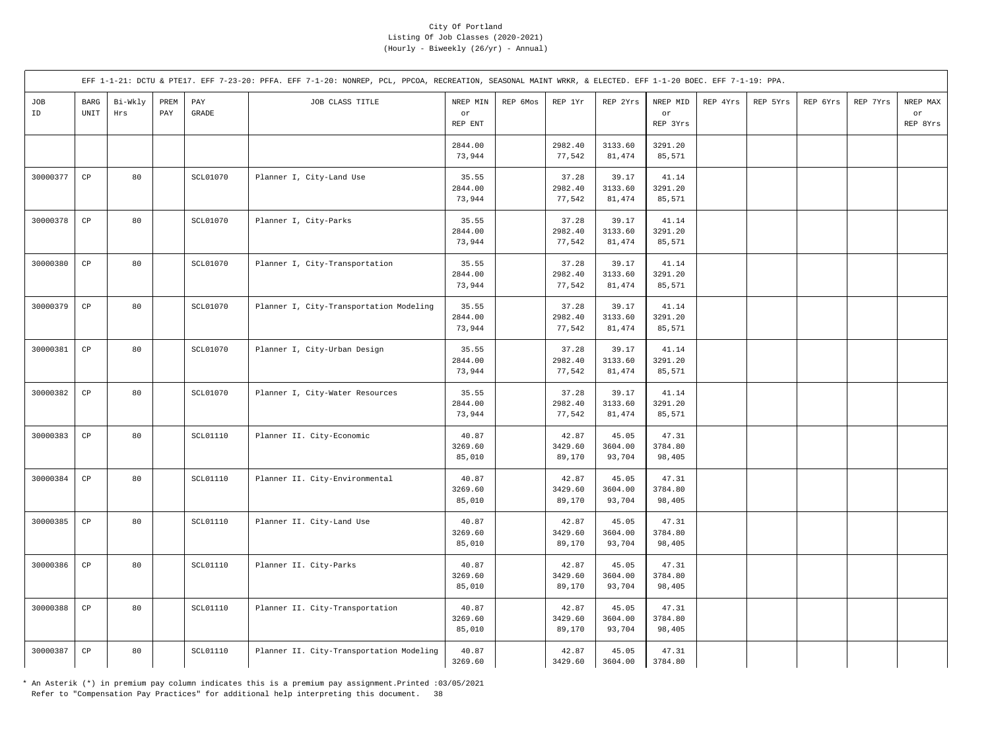|           |                                             |                |             |                       | EFF 1-1-21: DCTU & PTE17. EFF 7-23-20: PFFA. EFF 7-1-20: NONREP, PCL, PPCOA, RECREATION, SEASONAL MAINT WRKR, & ELECTED. EFF 1-1-20 BOEC. EFF 7-1-19: PPA. |                            |          |                            |                            |                            |          |          |          |          |                            |
|-----------|---------------------------------------------|----------------|-------------|-----------------------|------------------------------------------------------------------------------------------------------------------------------------------------------------|----------------------------|----------|----------------------------|----------------------------|----------------------------|----------|----------|----------|----------|----------------------------|
| JOB<br>ID | <b>BARG</b><br>$\ensuremath{\mathsf{UNIT}}$ | Bi-Wkly<br>Hrs | PREM<br>PAY | PAY<br>$\mbox{GRADE}$ | JOB CLASS TITLE                                                                                                                                            | NREP MIN<br>or<br>REP ENT  | REP 6Mos | REP 1Yr                    | REP 2Yrs                   | NREP MID<br>or<br>REP 3Yrs | REP 4Yrs | REP 5Yrs | REP 6Yrs | REP 7Yrs | NREP MAX<br>or<br>REP 8Yrs |
|           |                                             |                |             |                       |                                                                                                                                                            | 2844.00<br>73,944          |          | 2982.40<br>77,542          | 3133.60<br>81,474          | 3291.20<br>85,571          |          |          |          |          |                            |
| 30000377  | $_{\rm CP}$                                 | 80             |             | SCL01070              | Planner I, City-Land Use                                                                                                                                   | 35.55<br>2844.00<br>73,944 |          | 37.28<br>2982.40<br>77,542 | 39.17<br>3133.60<br>81,474 | 41.14<br>3291.20<br>85,571 |          |          |          |          |                            |
| 30000378  | $_{\rm CP}$                                 | 80             |             | SCL01070              | Planner I, City-Parks                                                                                                                                      | 35.55<br>2844.00<br>73,944 |          | 37.28<br>2982.40<br>77,542 | 39.17<br>3133.60<br>81,474 | 41.14<br>3291.20<br>85,571 |          |          |          |          |                            |
| 30000380  | CP                                          | 80             |             | <b>SCL01070</b>       | Planner I, City-Transportation                                                                                                                             | 35.55<br>2844.00<br>73,944 |          | 37.28<br>2982.40<br>77,542 | 39.17<br>3133.60<br>81,474 | 41.14<br>3291.20<br>85,571 |          |          |          |          |                            |
| 30000379  | $_{\rm CP}$                                 | 80             |             | SCL01070              | Planner I, City-Transportation Modeling                                                                                                                    | 35.55<br>2844.00<br>73,944 |          | 37.28<br>2982.40<br>77,542 | 39.17<br>3133.60<br>81,474 | 41.14<br>3291.20<br>85,571 |          |          |          |          |                            |
| 30000381  | CP                                          | 80             |             | <b>SCL01070</b>       | Planner I, City-Urban Design                                                                                                                               | 35.55<br>2844.00<br>73,944 |          | 37.28<br>2982.40<br>77,542 | 39.17<br>3133.60<br>81,474 | 41.14<br>3291.20<br>85,571 |          |          |          |          |                            |
| 30000382  | $\mathbb{C}\mathbb{P}$                      | 80             |             | SCL01070              | Planner I, City-Water Resources                                                                                                                            | 35.55<br>2844.00<br>73,944 |          | 37.28<br>2982.40<br>77,542 | 39.17<br>3133.60<br>81,474 | 41.14<br>3291.20<br>85,571 |          |          |          |          |                            |
| 30000383  | $_{\rm CP}$                                 | 80             |             | SCL01110              | Planner II. City-Economic                                                                                                                                  | 40.87<br>3269.60<br>85,010 |          | 42.87<br>3429.60<br>89,170 | 45.05<br>3604.00<br>93,704 | 47.31<br>3784.80<br>98,405 |          |          |          |          |                            |
| 30000384  | CP                                          | 80             |             | SCL01110              | Planner II. City-Environmental                                                                                                                             | 40.87<br>3269.60<br>85,010 |          | 42.87<br>3429.60<br>89,170 | 45.05<br>3604.00<br>93,704 | 47.31<br>3784.80<br>98,405 |          |          |          |          |                            |
| 30000385  | $_{\rm CP}$                                 | 80             |             | SCL01110              | Planner II. City-Land Use                                                                                                                                  | 40.87<br>3269.60<br>85,010 |          | 42.87<br>3429.60<br>89,170 | 45.05<br>3604.00<br>93,704 | 47.31<br>3784.80<br>98,405 |          |          |          |          |                            |
| 30000386  | $_{\rm CP}$                                 | 80             |             | SCL01110              | Planner II. City-Parks                                                                                                                                     | 40.87<br>3269.60<br>85,010 |          | 42.87<br>3429.60<br>89,170 | 45.05<br>3604.00<br>93,704 | 47.31<br>3784.80<br>98,405 |          |          |          |          |                            |
| 30000388  | $_{\rm CP}$                                 | 80             |             | <b>SCL01110</b>       | Planner II. City-Transportation                                                                                                                            | 40.87<br>3269.60<br>85,010 |          | 42.87<br>3429.60<br>89,170 | 45.05<br>3604.00<br>93,704 | 47.31<br>3784.80<br>98,405 |          |          |          |          |                            |
| 30000387  | $_{\rm CP}$                                 | 80             |             | SCL01110              | Planner II. City-Transportation Modeling                                                                                                                   | 40.87<br>3269.60           |          | 42.87<br>3429.60           | 45.05<br>3604.00           | 47.31<br>3784.80           |          |          |          |          |                            |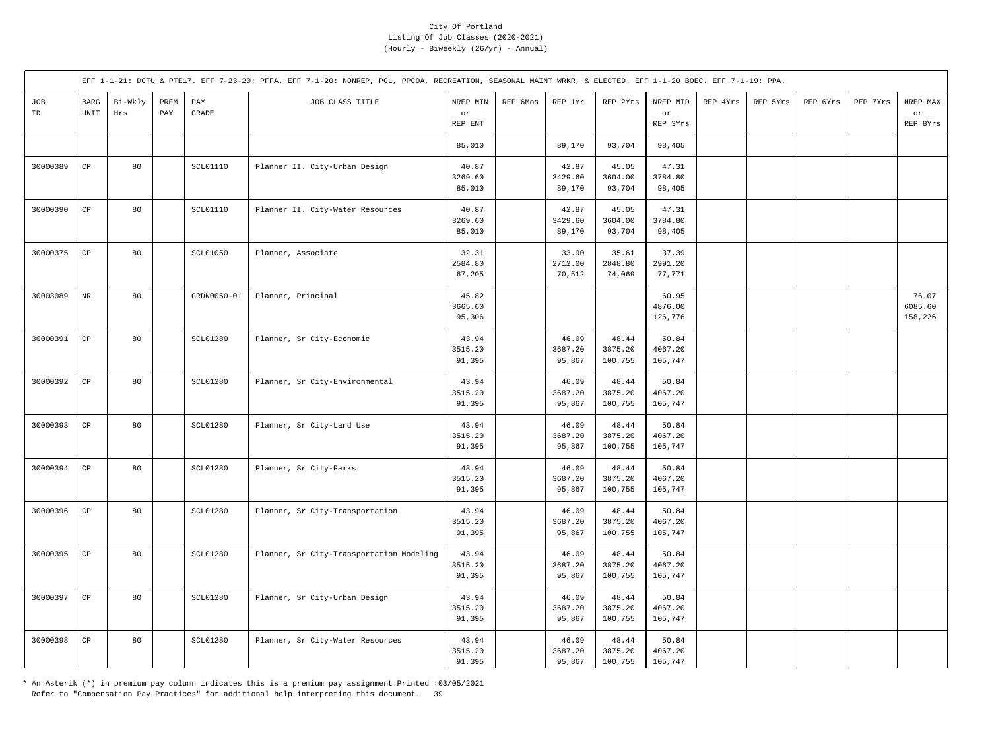|           |                        |                |             |                 | EFF 1-1-21: DCTU & PTE17. EFF 7-23-20: PFFA. EFF 7-1-20: NONREP, PCL, PPCOA, RECREATION, SEASONAL MAINT WRKR, & ELECTED. EFF 1-1-20 BOEC. EFF 7-1-19: PPA. |                            |          |                            |                             |                             |          |          |          |          |                             |
|-----------|------------------------|----------------|-------------|-----------------|------------------------------------------------------------------------------------------------------------------------------------------------------------|----------------------------|----------|----------------------------|-----------------------------|-----------------------------|----------|----------|----------|----------|-----------------------------|
| JOB<br>ID | BARG<br>UNIT           | Bi-Wkly<br>Hrs | PREM<br>PAY | PAY<br>GRADE    | JOB CLASS TITLE                                                                                                                                            | NREP MIN<br>or<br>REP ENT  | REP 6Mos | REP 1Yr                    | REP 2Yrs                    | NREP MID<br>or<br>REP 3Yrs  | REP 4Yrs | REP 5Yrs | REP 6Yrs | REP 7Yrs | NREP MAX<br>or<br>REP 8Yrs  |
|           |                        |                |             |                 |                                                                                                                                                            | 85,010                     |          | 89,170                     | 93,704                      | 98,405                      |          |          |          |          |                             |
| 30000389  | $\mathbb{C}\mathbb{P}$ | 80             |             | SCL01110        | Planner II. City-Urban Design                                                                                                                              | 40.87<br>3269.60<br>85,010 |          | 42.87<br>3429.60<br>89,170 | 45.05<br>3604.00<br>93,704  | 47.31<br>3784.80<br>98,405  |          |          |          |          |                             |
| 30000390  | $_{\rm CP}$            | 80             |             | <b>SCL01110</b> | Planner II. City-Water Resources                                                                                                                           | 40.87<br>3269.60<br>85,010 |          | 42.87<br>3429.60<br>89,170 | 45.05<br>3604.00<br>93,704  | 47.31<br>3784.80<br>98,405  |          |          |          |          |                             |
| 30000375  | $_{\rm CP}$            | 80             |             | <b>SCL01050</b> | Planner, Associate                                                                                                                                         | 32.31<br>2584.80<br>67,205 |          | 33.90<br>2712.00<br>70,512 | 35.61<br>2848.80<br>74,069  | 37.39<br>2991.20<br>77,771  |          |          |          |          |                             |
| 30003089  | $\rm{NR}$              | 80             |             | GRDN0060-01     | Planner, Principal                                                                                                                                         | 45.82<br>3665.60<br>95,306 |          |                            |                             | 60.95<br>4876.00<br>126,776 |          |          |          |          | 76.07<br>6085.60<br>158,226 |
| 30000391  | $_{\rm CP}$            | 80             |             | SCL01280        | Planner, Sr City-Economic                                                                                                                                  | 43.94<br>3515.20<br>91,395 |          | 46.09<br>3687.20<br>95,867 | 48.44<br>3875.20<br>100,755 | 50.84<br>4067.20<br>105,747 |          |          |          |          |                             |
| 30000392  | CP                     | 80             |             | <b>SCL01280</b> | Planner, Sr City-Environmental                                                                                                                             | 43.94<br>3515.20<br>91,395 |          | 46.09<br>3687.20<br>95,867 | 48.44<br>3875.20<br>100,755 | 50.84<br>4067.20<br>105,747 |          |          |          |          |                             |
| 30000393  | $_{\rm CP}$            | 80             |             | <b>SCL01280</b> | Planner, Sr City-Land Use                                                                                                                                  | 43.94<br>3515.20<br>91,395 |          | 46.09<br>3687.20<br>95,867 | 48.44<br>3875.20<br>100,755 | 50.84<br>4067.20<br>105,747 |          |          |          |          |                             |
| 30000394  | $_{\rm CP}$            | 80             |             | SCL01280        | Planner, Sr City-Parks                                                                                                                                     | 43.94<br>3515.20<br>91,395 |          | 46.09<br>3687.20<br>95,867 | 48.44<br>3875.20<br>100,755 | 50.84<br>4067.20<br>105,747 |          |          |          |          |                             |
| 30000396  | $_{\rm CP}$            | 80             |             | SCL01280        | Planner, Sr City-Transportation                                                                                                                            | 43.94<br>3515.20<br>91,395 |          | 46.09<br>3687.20<br>95,867 | 48.44<br>3875.20<br>100,755 | 50.84<br>4067.20<br>105,747 |          |          |          |          |                             |
| 30000395  | $_{\rm CP}$            | 80             |             | SCL01280        | Planner, Sr City-Transportation Modeling                                                                                                                   | 43.94<br>3515.20<br>91,395 |          | 46.09<br>3687.20<br>95,867 | 48.44<br>3875.20<br>100,755 | 50.84<br>4067.20<br>105,747 |          |          |          |          |                             |
| 30000397  | $_{\rm CP}$            | 80             |             | SCL01280        | Planner, Sr City-Urban Design                                                                                                                              | 43.94<br>3515.20<br>91,395 |          | 46.09<br>3687.20<br>95,867 | 48.44<br>3875.20<br>100,755 | 50.84<br>4067.20<br>105,747 |          |          |          |          |                             |
| 30000398  | $\mathbb{C}\mathbb{P}$ | 80             |             | <b>SCL01280</b> | Planner, Sr City-Water Resources                                                                                                                           | 43.94<br>3515.20<br>91,395 |          | 46.09<br>3687.20<br>95,867 | 48.44<br>3875.20<br>100,755 | 50.84<br>4067.20<br>105,747 |          |          |          |          |                             |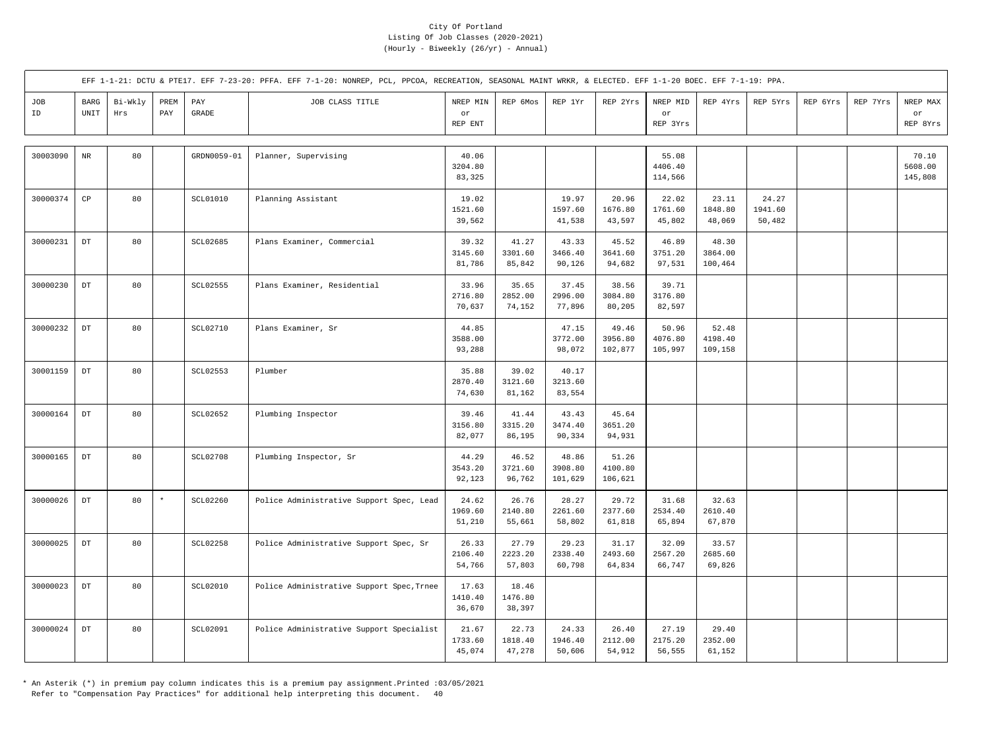|           |                                             |                |             |                       | EFF 1-1-21: DCTU & PTE17. EFF 7-23-20: PFFA. EFF 7-1-20: NONREP, PCL, PPCOA, RECREATION, SEASONAL MAINT WRKR, & ELECTED. EFF 1-1-20 BOEC. EFF 7-1-19: PPA. |                            |                            |                             |                             |                             |                             |                            |          |          |                             |
|-----------|---------------------------------------------|----------------|-------------|-----------------------|------------------------------------------------------------------------------------------------------------------------------------------------------------|----------------------------|----------------------------|-----------------------------|-----------------------------|-----------------------------|-----------------------------|----------------------------|----------|----------|-----------------------------|
| JOB<br>ID | <b>BARG</b><br>$\ensuremath{\mathsf{UNIT}}$ | Bi-Wkly<br>Hrs | PREM<br>PAY | PAY<br>$\mbox{GRADE}$ | JOB CLASS TITLE                                                                                                                                            | NREP MIN<br>or<br>REP ENT  | REP 6Mos                   | REP 1Yr                     | REP 2Yrs                    | NREP MID<br>or<br>REP 3Yrs  | REP 4Yrs                    | REP 5Yrs                   | REP 6Yrs | REP 7Yrs | NREP MAX<br>or<br>REP 8Yrs  |
| 30003090  | $_{\rm NR}$                                 | 80             |             | GRDN0059-01           | Planner, Supervising                                                                                                                                       | 40.06<br>3204.80<br>83,325 |                            |                             |                             | 55.08<br>4406.40<br>114,566 |                             |                            |          |          | 70.10<br>5608.00<br>145,808 |
| 30000374  | $_{\rm CP}$                                 | 80             |             | SCL01010              | Planning Assistant                                                                                                                                         | 19.02<br>1521.60<br>39,562 |                            | 19.97<br>1597.60<br>41,538  | 20.96<br>1676.80<br>43,597  | 22.02<br>1761.60<br>45,802  | 23.11<br>1848.80<br>48,069  | 24.27<br>1941.60<br>50,482 |          |          |                             |
| 30000231  | $\mathop{\rm DT}\nolimits$                  | 80             |             | SCL02685              | Plans Examiner, Commercial                                                                                                                                 | 39.32<br>3145.60<br>81,786 | 41.27<br>3301.60<br>85,842 | 43.33<br>3466.40<br>90,126  | 45.52<br>3641.60<br>94,682  | 46.89<br>3751.20<br>97,531  | 48.30<br>3864.00<br>100,464 |                            |          |          |                             |
| 30000230  | DT                                          | 80             |             | <b>SCL02555</b>       | Plans Examiner, Residential                                                                                                                                | 33.96<br>2716.80<br>70,637 | 35.65<br>2852.00<br>74,152 | 37.45<br>2996.00<br>77,896  | 38.56<br>3084.80<br>80,205  | 39.71<br>3176.80<br>82,597  |                             |                            |          |          |                             |
| 30000232  | $_{\rm DT}$                                 | 80             |             | <b>SCL02710</b>       | Plans Examiner, Sr                                                                                                                                         | 44.85<br>3588.00<br>93,288 |                            | 47.15<br>3772.00<br>98,072  | 49.46<br>3956.80<br>102,877 | 50.96<br>4076.80<br>105,997 | 52.48<br>4198.40<br>109,158 |                            |          |          |                             |
| 30001159  | $_{\rm DT}$                                 | 80             |             | SCL02553              | Plumber                                                                                                                                                    | 35.88<br>2870.40<br>74,630 | 39.02<br>3121.60<br>81,162 | 40.17<br>3213.60<br>83,554  |                             |                             |                             |                            |          |          |                             |
| 30000164  | $\mathop{\rm DT}\nolimits$                  | 80             |             | SCL02652              | Plumbing Inspector                                                                                                                                         | 39.46<br>3156.80<br>82,077 | 41.44<br>3315.20<br>86,195 | 43.43<br>3474.40<br>90,334  | 45.64<br>3651.20<br>94,931  |                             |                             |                            |          |          |                             |
| 30000165  | $\mathop{\rm DT}\nolimits$                  | 80             |             | <b>SCL02708</b>       | Plumbing Inspector, Sr                                                                                                                                     | 44.29<br>3543.20<br>92,123 | 46.52<br>3721.60<br>96,762 | 48.86<br>3908.80<br>101,629 | 51.26<br>4100.80<br>106,621 |                             |                             |                            |          |          |                             |
| 30000026  | $\mathop{\rm DT}\nolimits$                  | 80             | $\star$     | <b>SCL02260</b>       | Police Administrative Support Spec, Lead                                                                                                                   | 24.62<br>1969.60<br>51,210 | 26.76<br>2140.80<br>55,661 | 28.27<br>2261.60<br>58,802  | 29.72<br>2377.60<br>61,818  | 31.68<br>2534.40<br>65,894  | 32.63<br>2610.40<br>67,870  |                            |          |          |                             |
| 30000025  | $\mathop{\rm DT}\nolimits$                  | 80             |             | <b>SCL02258</b>       | Police Administrative Support Spec, Sr                                                                                                                     | 26.33<br>2106.40<br>54,766 | 27.79<br>2223.20<br>57,803 | 29.23<br>2338.40<br>60,798  | 31.17<br>2493.60<br>64,834  | 32.09<br>2567.20<br>66,747  | 33.57<br>2685.60<br>69,826  |                            |          |          |                             |
| 30000023  | $\mathop{\rm DT}\nolimits$                  | 80             |             | <b>SCL02010</b>       | Police Administrative Support Spec, Trnee                                                                                                                  | 17.63<br>1410.40<br>36,670 | 18.46<br>1476.80<br>38,397 |                             |                             |                             |                             |                            |          |          |                             |
| 30000024  | DT                                          | 80             |             | <b>SCL02091</b>       | Police Administrative Support Specialist                                                                                                                   | 21.67<br>1733.60<br>45,074 | 22.73<br>1818.40<br>47,278 | 24.33<br>1946.40<br>50,606  | 26.40<br>2112.00<br>54,912  | 27.19<br>2175.20<br>56,555  | 29.40<br>2352.00<br>61,152  |                            |          |          |                             |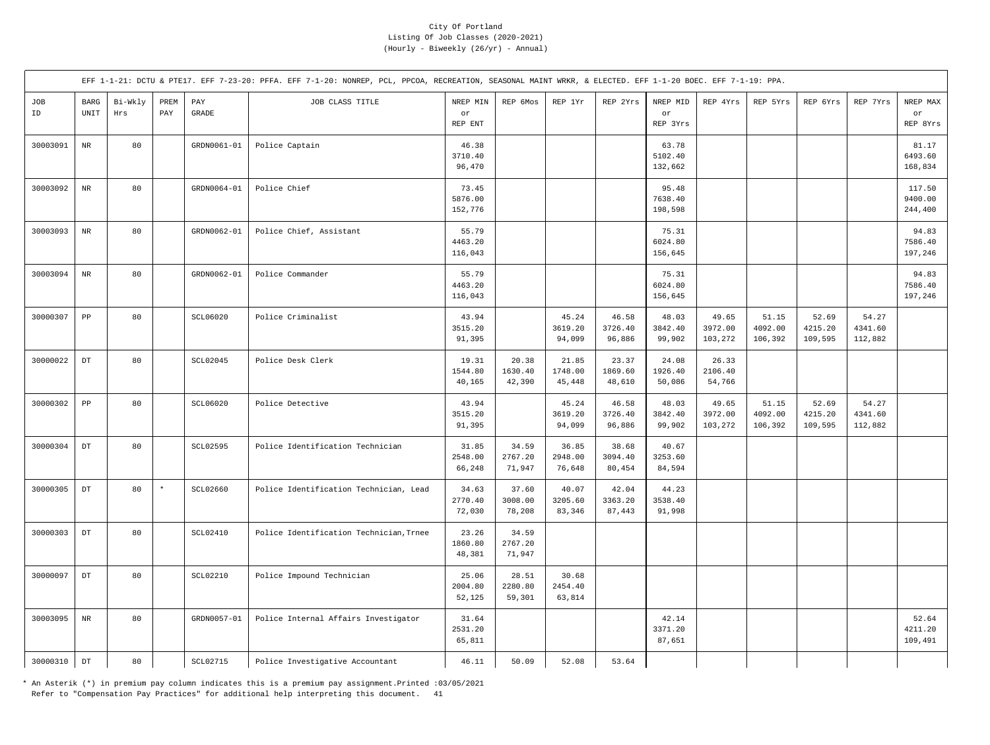|           |                                               |                |             |                                  | EFF 1-1-21: DCTU & PTE17. EFF 7-23-20: PFFA. EFF 7-1-20: NONREP, PCL, PPCOA, RECREATION, SEASONAL MAINT WRKR, & ELECTED. EFF 1-1-20 BOEC. EFF 7-1-19: PPA. |                             |                            |                            |                            |                             |                             |                             |                             |                             |                              |
|-----------|-----------------------------------------------|----------------|-------------|----------------------------------|------------------------------------------------------------------------------------------------------------------------------------------------------------|-----------------------------|----------------------------|----------------------------|----------------------------|-----------------------------|-----------------------------|-----------------------------|-----------------------------|-----------------------------|------------------------------|
| JOB<br>ID | $_{\rm BARG}$<br>$\ensuremath{\mathsf{UNIT}}$ | Bi-Wkly<br>Hrs | PREM<br>PAY | $\mathop{\mathrm{PAY}}$<br>GRADE | JOB CLASS TITLE                                                                                                                                            | NREP MIN<br>or<br>REP ENT   | REP 6Mos                   | REP 1Yr                    | REP 2Yrs                   | NREP MID<br>or<br>REP 3Yrs  | REP 4Yrs                    | REP 5Yrs                    | REP 6Yrs                    | REP 7Yrs                    | NREP MAX<br>or<br>REP 8Yrs   |
| 30003091  | $\rm{NR}$                                     | 80             |             | GRDN0061-01                      | Police Captain                                                                                                                                             | 46.38<br>3710.40<br>96,470  |                            |                            |                            | 63.78<br>5102.40<br>132,662 |                             |                             |                             |                             | 81.17<br>6493.60<br>168,834  |
| 30003092  | $\rm{NR}$                                     | 80             |             | GRDN0064-01                      | Police Chief                                                                                                                                               | 73.45<br>5876.00<br>152,776 |                            |                            |                            | 95.48<br>7638.40<br>198,598 |                             |                             |                             |                             | 117.50<br>9400.00<br>244,400 |
| 30003093  | $_{\rm NR}$                                   | 80             |             | GRDN0062-01                      | Police Chief, Assistant                                                                                                                                    | 55.79<br>4463.20<br>116,043 |                            |                            |                            | 75.31<br>6024.80<br>156,645 |                             |                             |                             |                             | 94.83<br>7586.40<br>197,246  |
| 30003094  | $\rm{NR}$                                     | 80             |             | GRDN0062-01                      | Police Commander                                                                                                                                           | 55.79<br>4463.20<br>116,043 |                            |                            |                            | 75.31<br>6024.80<br>156,645 |                             |                             |                             |                             | 94.83<br>7586.40<br>197,246  |
| 30000307  | ${\tt PP}$                                    | 80             |             | SCL06020                         | Police Criminalist                                                                                                                                         | 43.94<br>3515.20<br>91,395  |                            | 45.24<br>3619.20<br>94,099 | 46.58<br>3726.40<br>96,886 | 48.03<br>3842.40<br>99,902  | 49.65<br>3972.00<br>103,272 | 51.15<br>4092.00<br>106,392 | 52.69<br>4215.20<br>109,595 | 54.27<br>4341.60<br>112,882 |                              |
| 30000022  | $_{\rm DT}$                                   | 80             |             | SCL02045                         | Police Desk Clerk                                                                                                                                          | 19.31<br>1544.80<br>40,165  | 20.38<br>1630.40<br>42,390 | 21.85<br>1748.00<br>45,448 | 23.37<br>1869.60<br>48,610 | 24.08<br>1926.40<br>50,086  | 26.33<br>2106.40<br>54,766  |                             |                             |                             |                              |
| 30000302  | ${\tt PP}$                                    | 80             |             | SCL06020                         | Police Detective                                                                                                                                           | 43.94<br>3515.20<br>91,395  |                            | 45.24<br>3619.20<br>94,099 | 46.58<br>3726.40<br>96,886 | 48.03<br>3842.40<br>99,902  | 49.65<br>3972.00<br>103,272 | 51.15<br>4092.00<br>106,392 | 52.69<br>4215.20<br>109,595 | 54.27<br>4341.60<br>112,882 |                              |
| 30000304  | $_{\rm DT}$                                   | 80             |             | SCL02595                         | Police Identification Technician                                                                                                                           | 31.85<br>2548.00<br>66,248  | 34.59<br>2767.20<br>71,947 | 36.85<br>2948.00<br>76,648 | 38.68<br>3094.40<br>80,454 | 40.67<br>3253.60<br>84,594  |                             |                             |                             |                             |                              |
| 30000305  | $_{\rm DT}$                                   | 80             | $\star$     | SCL02660                         | Police Identification Technician, Lead                                                                                                                     | 34.63<br>2770.40<br>72,030  | 37.60<br>3008.00<br>78,208 | 40.07<br>3205.60<br>83,346 | 42.04<br>3363.20<br>87,443 | 44.23<br>3538.40<br>91,998  |                             |                             |                             |                             |                              |
| 30000303  | $_{\rm DT}$                                   | 80             |             | SCL02410                         | Police Identification Technician, Trnee                                                                                                                    | 23.26<br>1860.80<br>48,381  | 34.59<br>2767.20<br>71,947 |                            |                            |                             |                             |                             |                             |                             |                              |
| 30000097  | $_{\rm DT}$                                   | 80             |             | <b>SCL02210</b>                  | Police Impound Technician                                                                                                                                  | 25.06<br>2004.80<br>52,125  | 28.51<br>2280.80<br>59,301 | 30.68<br>2454.40<br>63,814 |                            |                             |                             |                             |                             |                             |                              |
| 30003095  | $\rm{NR}$                                     | 80             |             | GRDN0057-01                      | Police Internal Affairs Investigator                                                                                                                       | 31.64<br>2531.20<br>65,811  |                            |                            |                            | 42.14<br>3371.20<br>87,651  |                             |                             |                             |                             | 52.64<br>4211.20<br>109,491  |
| 30000310  | $_{\rm DT}$                                   | 80             |             | <b>SCL02715</b>                  | Police Investigative Accountant                                                                                                                            | 46.11                       | 50.09                      | 52.08                      | 53.64                      |                             |                             |                             |                             |                             |                              |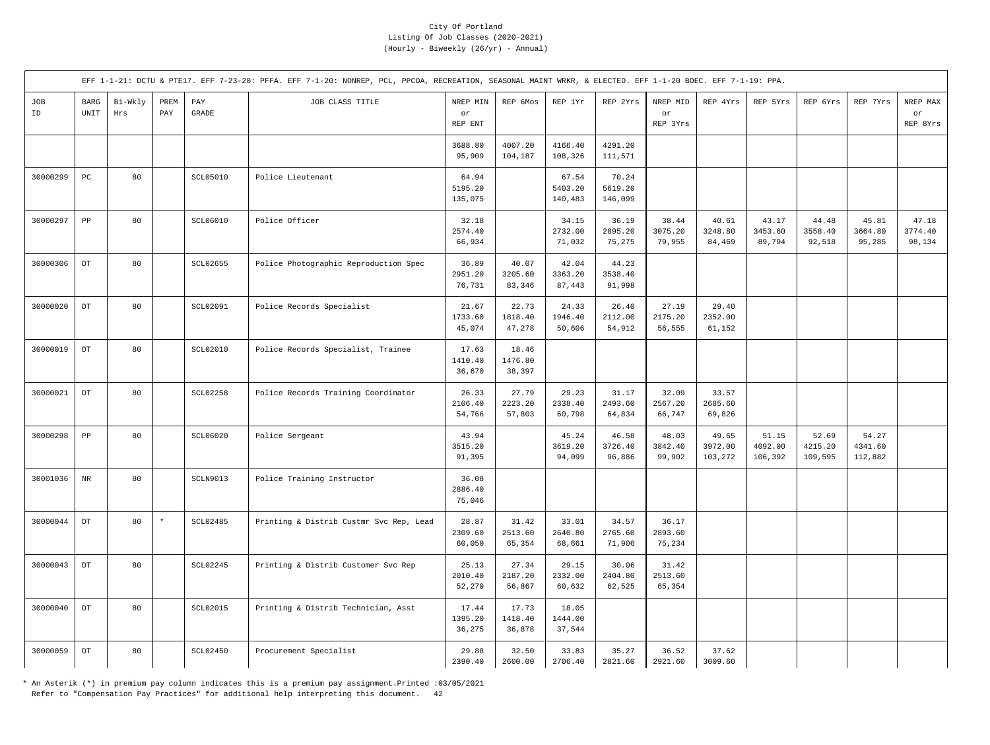|           |                                             |                |             |                       | EFF 1-1-21: DCTU & PTE17. EFF 7-23-20: PFFA. EFF 7-1-20: NONREP, PCL, PPCOA, RECREATION, SEASONAL MAINT WRKR, & ELECTED. EFF 1-1-20 BOEC. EFF 7-1-19: PPA. |                                  |                            |                             |                             |                            |                             |                             |                             |                             |                            |
|-----------|---------------------------------------------|----------------|-------------|-----------------------|------------------------------------------------------------------------------------------------------------------------------------------------------------|----------------------------------|----------------------------|-----------------------------|-----------------------------|----------------------------|-----------------------------|-----------------------------|-----------------------------|-----------------------------|----------------------------|
| JOB<br>ID | <b>BARG</b><br>$\ensuremath{\mathsf{UNIT}}$ | Bi-Wkly<br>Hrs | PREM<br>PAY | PAY<br>$\mbox{GRADE}$ | JOB CLASS TITLE                                                                                                                                            | NREP MIN<br>$\circ r$<br>REP ENT | REP 6Mos                   | REP 1Yr                     | REP 2Yrs                    | NREP MID<br>or<br>REP 3Yrs | REP 4Yrs                    | REP 5Yrs                    | REP 6Yrs                    | REP 7Yrs                    | NREP MAX<br>or<br>REP 8Yrs |
|           |                                             |                |             |                       |                                                                                                                                                            | 3688.80<br>95,909                | 4007.20<br>104,187         | 4166.40<br>108,326          | 4291.20<br>111,571          |                            |                             |                             |                             |                             |                            |
| 30000299  | $_{\rm PC}$                                 | 80             |             | <b>SCL05010</b>       | Police Lieutenant                                                                                                                                          | 64.94<br>5195.20<br>135,075      |                            | 67.54<br>5403.20<br>140,483 | 70.24<br>5619.20<br>146,099 |                            |                             |                             |                             |                             |                            |
| 30000297  | ${\tt PP}$                                  | 80             |             | SCL06010              | Police Officer                                                                                                                                             | 32.18<br>2574.40<br>66,934       |                            | 34.15<br>2732.00<br>71,032  | 36.19<br>2895.20<br>75,275  | 38.44<br>3075.20<br>79,955 | 40.61<br>3248.80<br>84,469  | 43.17<br>3453.60<br>89,794  | 44.48<br>3558.40<br>92,518  | 45.81<br>3664.80<br>95,285  | 47.18<br>3774.40<br>98,134 |
| 30000306  | $\mathop{\rm DT}\nolimits$                  | 80             |             | <b>SCL02655</b>       | Police Photographic Reproduction Spec                                                                                                                      | 36.89<br>2951.20<br>76,731       | 40.07<br>3205.60<br>83,346 | 42.04<br>3363.20<br>87,443  | 44.23<br>3538.40<br>91,998  |                            |                             |                             |                             |                             |                            |
| 30000020  | $_{\rm DT}$                                 | 80             |             | SCL02091              | Police Records Specialist                                                                                                                                  | 21.67<br>1733.60<br>45,074       | 22.73<br>1818.40<br>47,278 | 24.33<br>1946.40<br>50,606  | 26.40<br>2112.00<br>54,912  | 27.19<br>2175.20<br>56,555 | 29.40<br>2352.00<br>61,152  |                             |                             |                             |                            |
| 30000019  | DT                                          | 80             |             | <b>SCL02010</b>       | Police Records Specialist, Trainee                                                                                                                         | 17.63<br>1410.40<br>36,670       | 18.46<br>1476.80<br>38,397 |                             |                             |                            |                             |                             |                             |                             |                            |
| 30000021  | $_{\rm DT}$                                 | 80             |             | <b>SCL02258</b>       | Police Records Training Coordinator                                                                                                                        | 26.33<br>2106.40<br>54,766       | 27.79<br>2223.20<br>57,803 | 29.23<br>2338.40<br>60,798  | 31.17<br>2493.60<br>64,834  | 32.09<br>2567.20<br>66,747 | 33.57<br>2685.60<br>69,826  |                             |                             |                             |                            |
| 30000298  | ${\tt PP}$                                  | 80             |             | SCL06020              | Police Sergeant                                                                                                                                            | 43.94<br>3515.20<br>91,395       |                            | 45.24<br>3619.20<br>94,099  | 46.58<br>3726.40<br>96,886  | 48.03<br>3842.40<br>99,902 | 49.65<br>3972.00<br>103,272 | 51.15<br>4092.00<br>106,392 | 52.69<br>4215.20<br>109,595 | 54.27<br>4341.60<br>112,882 |                            |
| 30001036  | $\rm{NR}$                                   | 80             |             | SCLN9013              | Police Training Instructor                                                                                                                                 | 36.08<br>2886.40<br>75,046       |                            |                             |                             |                            |                             |                             |                             |                             |                            |
| 30000044  | $_{\rm DT}$                                 | 80             | $^\star$    | <b>SCL02485</b>       | Printing & Distrib Custmr Svc Rep, Lead                                                                                                                    | 28.87<br>2309.60<br>60,050       | 31.42<br>2513.60<br>65,354 | 33.01<br>2640.80<br>68,661  | 34.57<br>2765.60<br>71,906  | 36.17<br>2893.60<br>75,234 |                             |                             |                             |                             |                            |
| 30000043  | $_{\rm DT}$                                 | 80             |             | <b>SCL02245</b>       | Printing & Distrib Customer Svc Rep                                                                                                                        | 25.13<br>2010.40<br>52,270       | 27.34<br>2187.20<br>56,867 | 29.15<br>2332.00<br>60,632  | 30.06<br>2404.80<br>62,525  | 31.42<br>2513.60<br>65,354 |                             |                             |                             |                             |                            |
| 30000040  | $\mathop{\rm DT}\nolimits$                  | 80             |             | <b>SCL02015</b>       | Printing & Distrib Technician, Asst                                                                                                                        | 17.44<br>1395.20<br>36,275       | 17.73<br>1418.40<br>36,878 | 18.05<br>1444.00<br>37,544  |                             |                            |                             |                             |                             |                             |                            |
| 30000059  | $_{\rm DT}$                                 | 80             |             | <b>SCL02450</b>       | Procurement Specialist                                                                                                                                     | 29.88<br>2390.40                 | 32.50<br>2600.00           | 33.83<br>2706.40            | 35.27<br>2821.60            | 36.52<br>2921.60           | 37.62<br>3009.60            |                             |                             |                             |                            |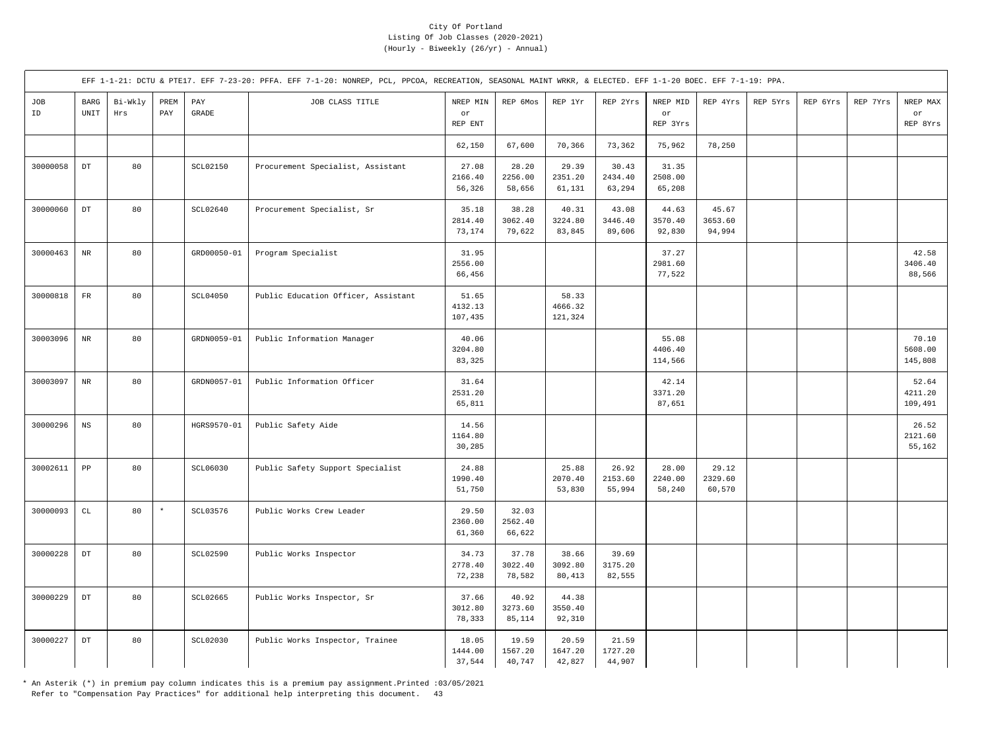|           |                                             |                |             |                       | EFF 1-1-21: DCTU & PTE17. EFF 7-23-20: PFFA. EFF 7-1-20: NONREP, PCL, PPCOA, RECREATION, SEASONAL MAINT WRKR, & ELECTED. EFF 1-1-20 BOEC. EFF 7-1-19: PPA. |                             |                            |                             |                            |                             |                            |          |          |          |                             |
|-----------|---------------------------------------------|----------------|-------------|-----------------------|------------------------------------------------------------------------------------------------------------------------------------------------------------|-----------------------------|----------------------------|-----------------------------|----------------------------|-----------------------------|----------------------------|----------|----------|----------|-----------------------------|
| JOB<br>ID | <b>BARG</b><br>$\ensuremath{\mathsf{UNIT}}$ | Bi-Wkly<br>Hrs | PREM<br>PAY | PAY<br>$\mbox{GRADE}$ | JOB CLASS TITLE                                                                                                                                            | NREP MIN<br>or<br>REP ENT   | REP 6Mos                   | REP 1Yr                     | REP 2Yrs                   | NREP MID<br>or<br>REP 3Yrs  | REP 4Yrs                   | REP 5Yrs | REP 6Yrs | REP 7Yrs | NREP MAX<br>or<br>REP 8Yrs  |
|           |                                             |                |             |                       |                                                                                                                                                            | 62,150                      | 67,600                     | 70,366                      | 73,362                     | 75,962                      | 78,250                     |          |          |          |                             |
| 30000058  | $\mathop{\rm DT}\nolimits$                  | 80             |             | SCL02150              | Procurement Specialist, Assistant                                                                                                                          | 27.08<br>2166.40<br>56,326  | 28.20<br>2256.00<br>58,656 | 29.39<br>2351.20<br>61,131  | 30.43<br>2434.40<br>63,294 | 31.35<br>2508.00<br>65,208  |                            |          |          |          |                             |
| 30000060  | $_{\rm DT}$                                 | 80             |             | SCL02640              | Procurement Specialist, Sr                                                                                                                                 | 35.18<br>2814.40<br>73,174  | 38.28<br>3062.40<br>79,622 | 40.31<br>3224.80<br>83,845  | 43.08<br>3446.40<br>89,606 | 44.63<br>3570.40<br>92,830  | 45.67<br>3653.60<br>94,994 |          |          |          |                             |
| 30000463  | $\rm{NR}$                                   | 80             |             | GRD00050-01           | Program Specialist                                                                                                                                         | 31.95<br>2556.00<br>66,456  |                            |                             |                            | 37.27<br>2981.60<br>77,522  |                            |          |          |          | 42.58<br>3406.40<br>88,566  |
| 30000818  | $_{\rm FR}$                                 | 80             |             | <b>SCL04050</b>       | Public Education Officer, Assistant                                                                                                                        | 51.65<br>4132.13<br>107,435 |                            | 58.33<br>4666.32<br>121,324 |                            |                             |                            |          |          |          |                             |
| 30003096  | $\rm NR$                                    | 80             |             | GRDN0059-01           | Public Information Manager                                                                                                                                 | 40.06<br>3204.80<br>83,325  |                            |                             |                            | 55.08<br>4406.40<br>114,566 |                            |          |          |          | 70.10<br>5608.00<br>145,808 |
| 30003097  | $_{\rm NR}$                                 | 80             |             | GRDN0057-01           | Public Information Officer                                                                                                                                 | 31.64<br>2531.20<br>65,811  |                            |                             |                            | 42.14<br>3371.20<br>87,651  |                            |          |          |          | 52.64<br>4211.20<br>109,491 |
| 30000296  | $_{\rm NS}$                                 | 80             |             | HGRS9570-01           | Public Safety Aide                                                                                                                                         | 14.56<br>1164.80<br>30,285  |                            |                             |                            |                             |                            |          |          |          | 26.52<br>2121.60<br>55,162  |
| 30002611  | ${\tt pp}$                                  | 80             |             | SCL06030              | Public Safety Support Specialist                                                                                                                           | 24.88<br>1990.40<br>51,750  |                            | 25.88<br>2070.40<br>53,830  | 26.92<br>2153.60<br>55,994 | 28.00<br>2240.00<br>58,240  | 29.12<br>2329.60<br>60,570 |          |          |          |                             |
| 30000093  | $\mathtt{CL}$                               | 80             | $\star$     | SCL03576              | Public Works Crew Leader                                                                                                                                   | 29.50<br>2360.00<br>61,360  | 32.03<br>2562.40<br>66,622 |                             |                            |                             |                            |          |          |          |                             |
| 30000228  | $\mathop{\rm DT}\nolimits$                  | 80             |             | <b>SCL02590</b>       | Public Works Inspector                                                                                                                                     | 34.73<br>2778.40<br>72,238  | 37.78<br>3022.40<br>78,582 | 38.66<br>3092.80<br>80,413  | 39.69<br>3175.20<br>82,555 |                             |                            |          |          |          |                             |
| 30000229  | $_{\rm DT}$                                 | 80             |             | SCL02665              | Public Works Inspector, Sr                                                                                                                                 | 37.66<br>3012.80<br>78,333  | 40.92<br>3273.60<br>85,114 | 44.38<br>3550.40<br>92,310  |                            |                             |                            |          |          |          |                             |
| 30000227  | $\mathop{\rm DT}\nolimits$                  | 80             |             | SCL02030              | Public Works Inspector, Trainee                                                                                                                            | 18.05<br>1444.00<br>37,544  | 19.59<br>1567.20<br>40,747 | 20.59<br>1647.20<br>42,827  | 21.59<br>1727.20<br>44,907 |                             |                            |          |          |          |                             |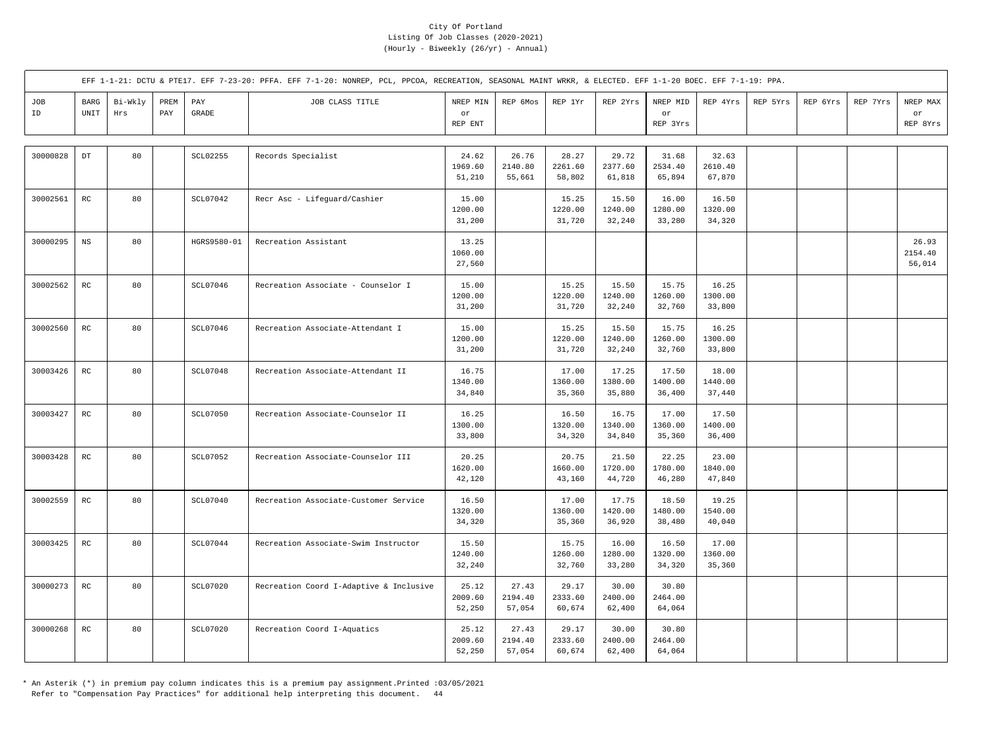|           |                        |                |             |              | EFF 1-1-21: DCTU & PTE17. EFF 7-23-20: PFFA. EFF 7-1-20: NONREP, PCL, PPCOA, RECREATION, SEASONAL MAINT WRKR, & ELECTED. EFF 1-1-20 BOEC. EFF 7-1-19: PPA. |                            |                            |                            |                            |                            |                            |          |          |          |                            |
|-----------|------------------------|----------------|-------------|--------------|------------------------------------------------------------------------------------------------------------------------------------------------------------|----------------------------|----------------------------|----------------------------|----------------------------|----------------------------|----------------------------|----------|----------|----------|----------------------------|
| JOB<br>ID | BARG<br>UNIT           | Bi-Wkly<br>Hrs | PREM<br>PAY | PAY<br>GRADE | JOB CLASS TITLE                                                                                                                                            | NREP MIN<br>or<br>REP ENT  | REP 6Mos                   | REP 1Yr                    | REP 2Yrs                   | NREP MID<br>or<br>REP 3Yrs | REP 4Yrs                   | REP 5Yrs | REP 6Yrs | REP 7Yrs | NREP MAX<br>or<br>REP 8Yrs |
| 30000828  | $_{\rm DT}$            | 80             |             | SCL02255     | Records Specialist                                                                                                                                         | 24.62<br>1969.60<br>51,210 | 26.76<br>2140.80<br>55,661 | 28.27<br>2261.60<br>58,802 | 29.72<br>2377.60<br>61,818 | 31.68<br>2534.40<br>65,894 | 32.63<br>2610.40<br>67,870 |          |          |          |                            |
| 30002561  | RC                     | 80             |             | SCL07042     | Recr Asc - Lifeguard/Cashier                                                                                                                               | 15.00<br>1200.00<br>31,200 |                            | 15.25<br>1220.00<br>31,720 | 15.50<br>1240.00<br>32,240 | 16.00<br>1280.00<br>33,280 | 16.50<br>1320.00<br>34,320 |          |          |          |                            |
| 30000295  | $_{\rm NS}$            | 80             |             | HGRS9580-01  | Recreation Assistant                                                                                                                                       | 13.25<br>1060.00<br>27,560 |                            |                            |                            |                            |                            |          |          |          | 26.93<br>2154.40<br>56,014 |
| 30002562  | $_{\rm RC}$            | 80             |             | SCL07046     | Recreation Associate - Counselor I                                                                                                                         | 15.00<br>1200.00<br>31,200 |                            | 15.25<br>1220.00<br>31,720 | 15.50<br>1240.00<br>32,240 | 15.75<br>1260.00<br>32,760 | 16.25<br>1300.00<br>33,800 |          |          |          |                            |
| 30002560  | RC                     | 80             |             | SCL07046     | Recreation Associate-Attendant I                                                                                                                           | 15.00<br>1200.00<br>31,200 |                            | 15.25<br>1220.00<br>31,720 | 15.50<br>1240.00<br>32,240 | 15.75<br>1260.00<br>32,760 | 16.25<br>1300.00<br>33,800 |          |          |          |                            |
| 30003426  | RC                     | 80             |             | SCL07048     | Recreation Associate-Attendant II                                                                                                                          | 16.75<br>1340.00<br>34,840 |                            | 17.00<br>1360.00<br>35,360 | 17.25<br>1380.00<br>35,880 | 17.50<br>1400.00<br>36,400 | 18.00<br>1440.00<br>37,440 |          |          |          |                            |
| 30003427  | $\mathbb{R}\mathbb{C}$ | 80             |             | SCL07050     | Recreation Associate-Counselor II                                                                                                                          | 16.25<br>1300.00<br>33,800 |                            | 16.50<br>1320.00<br>34,320 | 16.75<br>1340.00<br>34,840 | 17.00<br>1360.00<br>35,360 | 17.50<br>1400.00<br>36,400 |          |          |          |                            |
| 30003428  | $_{\rm RC}$            | 80             |             | SCL07052     | Recreation Associate-Counselor III                                                                                                                         | 20.25<br>1620.00<br>42,120 |                            | 20.75<br>1660.00<br>43,160 | 21.50<br>1720.00<br>44,720 | 22.25<br>1780.00<br>46,280 | 23.00<br>1840.00<br>47,840 |          |          |          |                            |
| 30002559  | RC                     | 80             |             | SCL07040     | Recreation Associate-Customer Service                                                                                                                      | 16.50<br>1320.00<br>34,320 |                            | 17.00<br>1360.00<br>35,360 | 17.75<br>1420.00<br>36,920 | 18.50<br>1480.00<br>38,480 | 19.25<br>1540.00<br>40,040 |          |          |          |                            |
| 30003425  | $\mathbb{R}\mathbb{C}$ | 80             |             | SCL07044     | Recreation Associate-Swim Instructor                                                                                                                       | 15.50<br>1240.00<br>32,240 |                            | 15.75<br>1260.00<br>32,760 | 16.00<br>1280.00<br>33,280 | 16.50<br>1320.00<br>34,320 | 17.00<br>1360.00<br>35,360 |          |          |          |                            |
| 30000273  | $_{\rm RC}$            | 80             |             | SCL07020     | Recreation Coord I-Adaptive & Inclusive                                                                                                                    | 25.12<br>2009.60<br>52,250 | 27.43<br>2194.40<br>57,054 | 29.17<br>2333.60<br>60,674 | 30.00<br>2400.00<br>62,400 | 30.80<br>2464.00<br>64,064 |                            |          |          |          |                            |
| 30000268  | $_{\rm RC}$            | 80             |             | SCL07020     | Recreation Coord I-Aquatics                                                                                                                                | 25.12<br>2009.60<br>52,250 | 27.43<br>2194.40<br>57,054 | 29.17<br>2333.60<br>60,674 | 30.00<br>2400.00<br>62,400 | 30.80<br>2464.00<br>64,064 |                            |          |          |          |                            |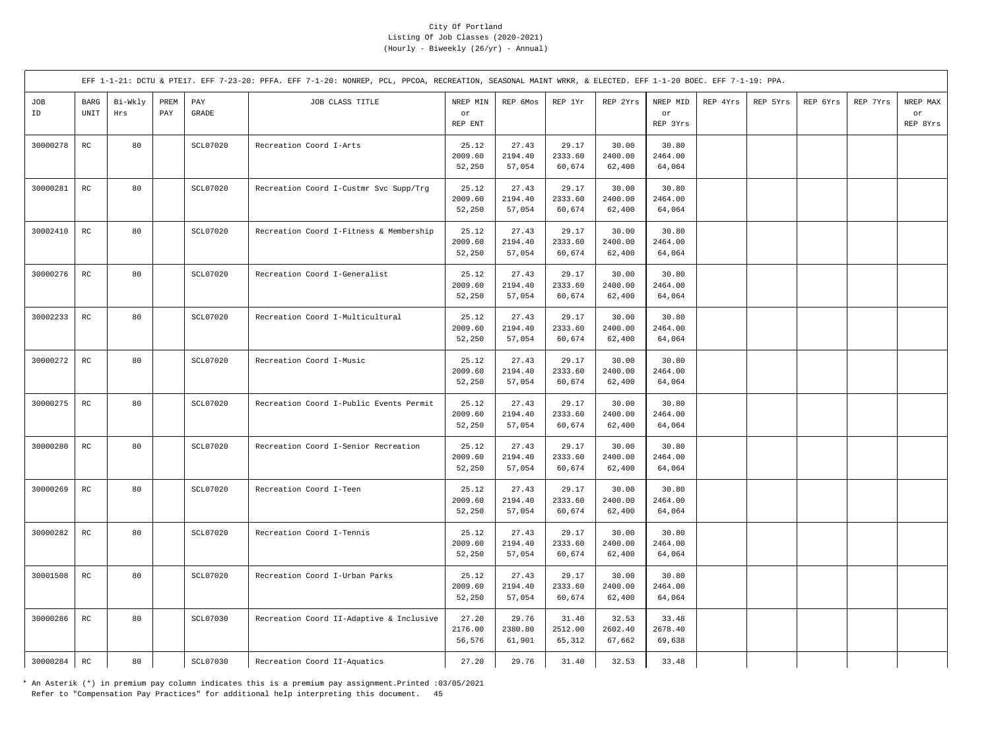|           |                     |                |             |              | EFF 1-1-21: DCTU & PTE17. EFF 7-23-20: PFFA. EFF 7-1-20: NONREP, PCL, PPCOA, RECREATION, SEASONAL MAINT WRKR, & ELECTED. EFF 1-1-20 BOEC. EFF 7-1-19: PPA. |                            |                            |                            |                            |                            |          |          |          |          |                            |
|-----------|---------------------|----------------|-------------|--------------|------------------------------------------------------------------------------------------------------------------------------------------------------------|----------------------------|----------------------------|----------------------------|----------------------------|----------------------------|----------|----------|----------|----------|----------------------------|
| JOB<br>ID | <b>BARG</b><br>UNIT | Bi-Wkly<br>Hrs | PREM<br>PAY | PAY<br>GRADE | JOB CLASS TITLE                                                                                                                                            | NREP MIN<br>or<br>REP ENT  | REP 6Mos                   | REP 1Yr                    | REP 2Yrs                   | NREP MID<br>or<br>REP 3Yrs | REP 4Yrs | REP 5Yrs | REP 6Yrs | REP 7Yrs | NREP MAX<br>or<br>REP 8Yrs |
| 30000278  | $_{\rm RC}$         | 80             |             | SCL07020     | Recreation Coord I-Arts                                                                                                                                    | 25.12<br>2009.60<br>52,250 | 27.43<br>2194.40<br>57,054 | 29.17<br>2333.60<br>60,674 | 30.00<br>2400.00<br>62,400 | 30.80<br>2464.00<br>64,064 |          |          |          |          |                            |
| 30000281  | $_{\rm RC}$         | 80             |             | SCL07020     | Recreation Coord I-Custmr Svc Supp/Trg                                                                                                                     | 25.12<br>2009.60<br>52,250 | 27.43<br>2194.40<br>57,054 | 29.17<br>2333.60<br>60,674 | 30.00<br>2400.00<br>62,400 | 30.80<br>2464.00<br>64,064 |          |          |          |          |                            |
| 30002410  | $_{\rm RC}$         | 80             |             | SCL07020     | Recreation Coord I-Fitness & Membership                                                                                                                    | 25.12<br>2009.60<br>52,250 | 27.43<br>2194.40<br>57,054 | 29.17<br>2333.60<br>60,674 | 30.00<br>2400.00<br>62,400 | 30.80<br>2464.00<br>64,064 |          |          |          |          |                            |
| 30000276  | RC                  | 80             |             | SCL07020     | Recreation Coord I-Generalist                                                                                                                              | 25.12<br>2009.60<br>52,250 | 27.43<br>2194.40<br>57,054 | 29.17<br>2333.60<br>60,674 | 30.00<br>2400.00<br>62,400 | 30.80<br>2464.00<br>64,064 |          |          |          |          |                            |
| 30002233  | $_{\rm RC}$         | 80             |             | SCL07020     | Recreation Coord I-Multicultural                                                                                                                           | 25.12<br>2009.60<br>52,250 | 27.43<br>2194.40<br>57,054 | 29.17<br>2333.60<br>60,674 | 30.00<br>2400.00<br>62,400 | 30.80<br>2464.00<br>64,064 |          |          |          |          |                            |
| 30000272  | $_{\rm RC}$         | 80             |             | SCL07020     | Recreation Coord I-Music                                                                                                                                   | 25.12<br>2009.60<br>52,250 | 27.43<br>2194.40<br>57,054 | 29.17<br>2333.60<br>60,674 | 30.00<br>2400.00<br>62,400 | 30.80<br>2464.00<br>64,064 |          |          |          |          |                            |
| 30000275  | RC                  | 80             |             | SCL07020     | Recreation Coord I-Public Events Permit                                                                                                                    | 25.12<br>2009.60<br>52,250 | 27.43<br>2194.40<br>57,054 | 29.17<br>2333.60<br>60,674 | 30.00<br>2400.00<br>62,400 | 30.80<br>2464.00<br>64,064 |          |          |          |          |                            |
| 30000280  | $_{\rm RC}$         | 80             |             | SCL07020     | Recreation Coord I-Senior Recreation                                                                                                                       | 25.12<br>2009.60<br>52,250 | 27.43<br>2194.40<br>57,054 | 29.17<br>2333.60<br>60,674 | 30.00<br>2400.00<br>62,400 | 30.80<br>2464.00<br>64,064 |          |          |          |          |                            |
| 30000269  | RC                  | 80             |             | SCL07020     | Recreation Coord I-Teen                                                                                                                                    | 25.12<br>2009.60<br>52,250 | 27.43<br>2194.40<br>57,054 | 29.17<br>2333.60<br>60,674 | 30.00<br>2400.00<br>62,400 | 30.80<br>2464.00<br>64,064 |          |          |          |          |                            |
| 30000282  | RC                  | 80             |             | SCL07020     | Recreation Coord I-Tennis                                                                                                                                  | 25.12<br>2009.60<br>52,250 | 27.43<br>2194.40<br>57,054 | 29.17<br>2333.60<br>60,674 | 30.00<br>2400.00<br>62,400 | 30.80<br>2464.00<br>64,064 |          |          |          |          |                            |
| 30001508  | $_{\rm RC}$         | 80             |             | SCL07020     | Recreation Coord I-Urban Parks                                                                                                                             | 25.12<br>2009.60<br>52,250 | 27.43<br>2194.40<br>57,054 | 29.17<br>2333.60<br>60,674 | 30.00<br>2400.00<br>62,400 | 30.80<br>2464.00<br>64,064 |          |          |          |          |                            |
| 30000286  | RC                  | 80             |             | SCL07030     | Recreation Coord II-Adaptive & Inclusive                                                                                                                   | 27.20<br>2176.00<br>56,576 | 29.76<br>2380.80<br>61,901 | 31.40<br>2512.00<br>65,312 | 32.53<br>2602.40<br>67,662 | 33.48<br>2678.40<br>69,638 |          |          |          |          |                            |
| 30000284  | RC                  | 80             |             | SCL07030     | Recreation Coord II-Aquatics                                                                                                                               | 27.20                      | 29.76                      | 31.40                      | 32.53                      | 33.48                      |          |          |          |          |                            |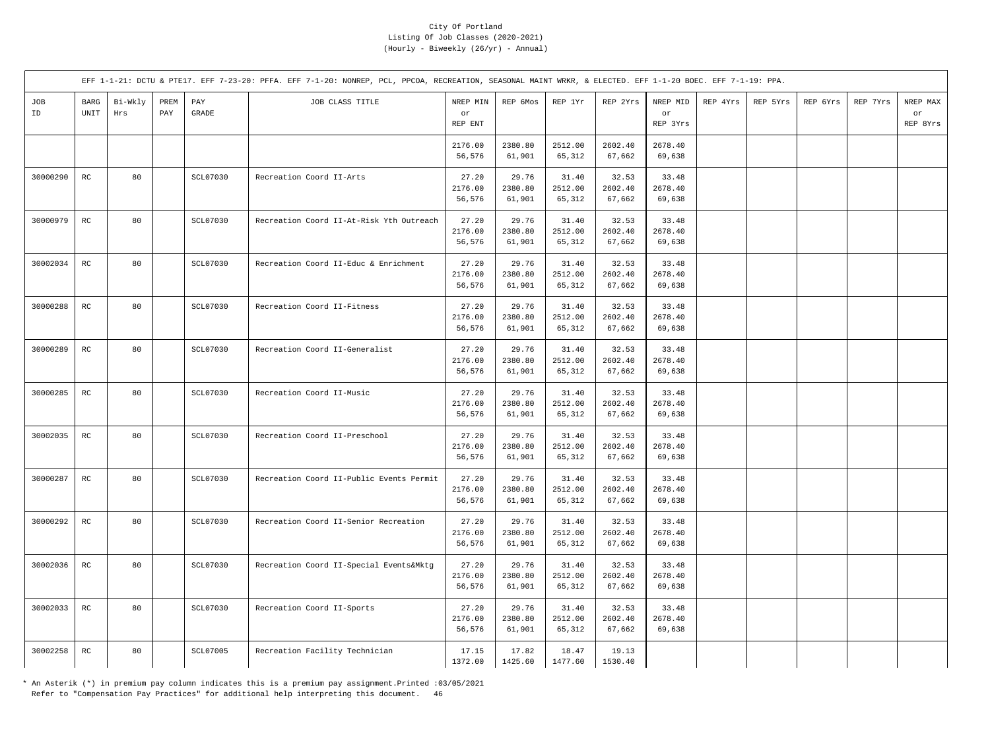|           |                       |                |             |                       | EFF 1-1-21: DCTU & PTE17. EFF 7-23-20: PFFA. EFF 7-1-20: NONREP, PCL, PPCOA, RECREATION, SEASONAL MAINT WRKR, & ELECTED. EFF 1-1-20 BOEC. EFF 7-1-19: PPA. |                            |                            |                            |                            |                            |          |          |          |          |                            |
|-----------|-----------------------|----------------|-------------|-----------------------|------------------------------------------------------------------------------------------------------------------------------------------------------------|----------------------------|----------------------------|----------------------------|----------------------------|----------------------------|----------|----------|----------|----------|----------------------------|
| JOB<br>ID | $_{\rm BARG}$<br>UNIT | Bi-Wkly<br>Hrs | PREM<br>PAY | PAY<br>$\mbox{GRADE}$ | JOB CLASS TITLE                                                                                                                                            | NREP MIN<br>or<br>REP ENT  | REP 6Mos                   | REP 1Yr                    | REP 2Yrs                   | NREP MID<br>or<br>REP 3Yrs | REP 4Yrs | REP 5Yrs | REP 6Yrs | REP 7Yrs | NREP MAX<br>or<br>REP 8Yrs |
|           |                       |                |             |                       |                                                                                                                                                            | 2176.00<br>56,576          | 2380.80<br>61,901          | 2512.00<br>65,312          | 2602.40<br>67,662          | 2678.40<br>69,638          |          |          |          |          |                            |
| 30000290  | $_{\rm RC}$           | 80             |             | SCL07030              | Recreation Coord II-Arts                                                                                                                                   | 27.20<br>2176.00<br>56,576 | 29.76<br>2380.80<br>61,901 | 31.40<br>2512.00<br>65,312 | 32.53<br>2602.40<br>67,662 | 33.48<br>2678.40<br>69,638 |          |          |          |          |                            |
| 30000979  | RC                    | 80             |             | SCL07030              | Recreation Coord II-At-Risk Yth Outreach                                                                                                                   | 27.20<br>2176.00<br>56,576 | 29.76<br>2380.80<br>61,901 | 31.40<br>2512.00<br>65,312 | 32.53<br>2602.40<br>67,662 | 33.48<br>2678.40<br>69,638 |          |          |          |          |                            |
| 30002034  | $_{\rm RC}$           | 80             |             | SCL07030              | Recreation Coord II-Educ & Enrichment                                                                                                                      | 27.20<br>2176.00<br>56,576 | 29.76<br>2380.80<br>61,901 | 31.40<br>2512.00<br>65,312 | 32.53<br>2602.40<br>67,662 | 33.48<br>2678.40<br>69,638 |          |          |          |          |                            |
| 30000288  | $_{\rm RC}$           | 80             |             | SCL07030              | Recreation Coord II-Fitness                                                                                                                                | 27.20<br>2176.00<br>56,576 | 29.76<br>2380.80<br>61,901 | 31.40<br>2512.00<br>65,312 | 32.53<br>2602.40<br>67,662 | 33.48<br>2678.40<br>69,638 |          |          |          |          |                            |
| 30000289  | RC                    | 80             |             | SCL07030              | Recreation Coord II-Generalist                                                                                                                             | 27.20<br>2176.00<br>56,576 | 29.76<br>2380.80<br>61,901 | 31.40<br>2512.00<br>65,312 | 32.53<br>2602.40<br>67,662 | 33.48<br>2678.40<br>69,638 |          |          |          |          |                            |
| 30000285  | $_{\rm RC}$           | 80             |             | SCL07030              | Recreation Coord II-Music                                                                                                                                  | 27.20<br>2176.00<br>56,576 | 29.76<br>2380.80<br>61,901 | 31.40<br>2512.00<br>65,312 | 32.53<br>2602.40<br>67,662 | 33.48<br>2678.40<br>69,638 |          |          |          |          |                            |
| 30002035  | $_{\rm RC}$           | 80             |             | SCL07030              | Recreation Coord II-Preschool                                                                                                                              | 27.20<br>2176.00<br>56,576 | 29.76<br>2380.80<br>61,901 | 31.40<br>2512.00<br>65,312 | 32.53<br>2602.40<br>67,662 | 33.48<br>2678.40<br>69,638 |          |          |          |          |                            |
| 30000287  | $_{\rm RC}$           | 80             |             | SCL07030              | Recreation Coord II-Public Events Permit                                                                                                                   | 27.20<br>2176.00<br>56,576 | 29.76<br>2380.80<br>61,901 | 31.40<br>2512.00<br>65,312 | 32.53<br>2602.40<br>67,662 | 33.48<br>2678.40<br>69,638 |          |          |          |          |                            |
| 30000292  | $_{\rm RC}$           | 80             |             | SCL07030              | Recreation Coord II-Senior Recreation                                                                                                                      | 27.20<br>2176.00<br>56,576 | 29.76<br>2380.80<br>61,901 | 31.40<br>2512.00<br>65,312 | 32.53<br>2602.40<br>67,662 | 33.48<br>2678.40<br>69,638 |          |          |          |          |                            |
| 30002036  | $_{\rm RC}$           | 80             |             | <b>SCL07030</b>       | Recreation Coord II-Special Events&Mktg                                                                                                                    | 27.20<br>2176.00<br>56,576 | 29.76<br>2380.80<br>61,901 | 31.40<br>2512.00<br>65,312 | 32.53<br>2602.40<br>67,662 | 33.48<br>2678.40<br>69,638 |          |          |          |          |                            |
| 30002033  | $_{\rm RC}$           | 80             |             | SCL07030              | Recreation Coord II-Sports                                                                                                                                 | 27.20<br>2176.00<br>56,576 | 29.76<br>2380.80<br>61,901 | 31.40<br>2512.00<br>65,312 | 32.53<br>2602.40<br>67,662 | 33.48<br>2678.40<br>69,638 |          |          |          |          |                            |
| 30002258  | $_{\rm RC}$           | 80             |             | SCL07005              | Recreation Facility Technician                                                                                                                             | 17.15<br>1372.00           | 17.82<br>1425.60           | 18.47<br>1477.60           | 19.13<br>1530.40           |                            |          |          |          |          |                            |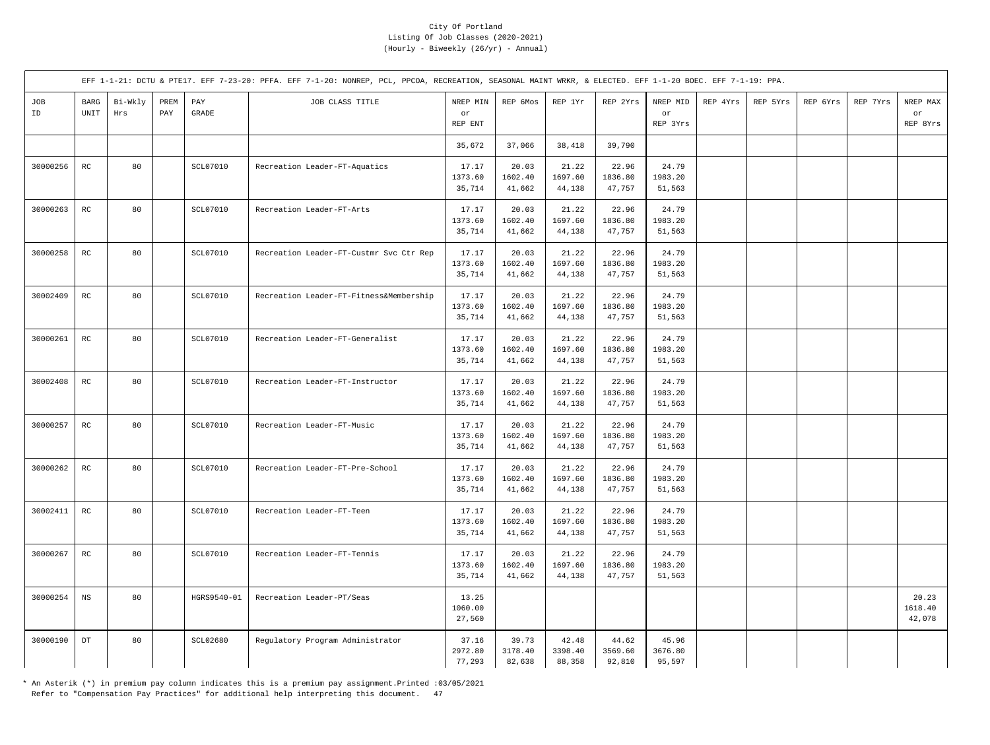|           |                            |                |             |                       | EFF 1-1-21: DCTU & PTE17. EFF 7-23-20: PFFA. EFF 7-1-20: NONREP, PCL, PPCOA, RECREATION, SEASONAL MAINT WRKR, & ELECTED. EFF 1-1-20 BOEC. EFF 7-1-19: PPA. |                            |                            |                            |                            |                            |          |          |          |          |                            |
|-----------|----------------------------|----------------|-------------|-----------------------|------------------------------------------------------------------------------------------------------------------------------------------------------------|----------------------------|----------------------------|----------------------------|----------------------------|----------------------------|----------|----------|----------|----------|----------------------------|
| JOB<br>ID | BARG<br>UNIT               | Bi-Wkly<br>Hrs | PREM<br>PAY | PAY<br>$\mbox{GRADE}$ | JOB CLASS TITLE                                                                                                                                            | NREP MIN<br>or<br>REP ENT  | REP 6Mos                   | REP 1Yr                    | REP 2Yrs                   | NREP MID<br>or<br>REP 3Yrs | REP 4Yrs | REP 5Yrs | REP 6Yrs | REP 7Yrs | NREP MAX<br>or<br>REP 8Yrs |
|           |                            |                |             |                       |                                                                                                                                                            | 35,672                     | 37,066                     | 38,418                     | 39,790                     |                            |          |          |          |          |                            |
| 30000256  | $_{\rm RC}$                | 80             |             | <b>SCL07010</b>       | Recreation Leader-FT-Aquatics                                                                                                                              | 17.17<br>1373.60<br>35,714 | 20.03<br>1602.40<br>41,662 | 21.22<br>1697.60<br>44,138 | 22.96<br>1836.80<br>47,757 | 24.79<br>1983.20<br>51,563 |          |          |          |          |                            |
| 30000263  | $_{\rm RC}$                | 80             |             | SCL07010              | Recreation Leader-FT-Arts                                                                                                                                  | 17.17<br>1373.60<br>35,714 | 20.03<br>1602.40<br>41,662 | 21.22<br>1697.60<br>44,138 | 22.96<br>1836.80<br>47,757 | 24.79<br>1983.20<br>51,563 |          |          |          |          |                            |
| 30000258  | RC                         | 80             |             | SCL07010              | Recreation Leader-FT-Custmr Svc Ctr Rep                                                                                                                    | 17.17<br>1373.60<br>35,714 | 20.03<br>1602.40<br>41,662 | 21.22<br>1697.60<br>44,138 | 22.96<br>1836.80<br>47,757 | 24.79<br>1983.20<br>51,563 |          |          |          |          |                            |
| 30002409  | RC                         | 80             |             | <b>SCL07010</b>       | Recreation Leader-FT-Fitness&Membership                                                                                                                    | 17.17<br>1373.60<br>35,714 | 20.03<br>1602.40<br>41,662 | 21.22<br>1697.60<br>44,138 | 22.96<br>1836.80<br>47,757 | 24.79<br>1983.20<br>51,563 |          |          |          |          |                            |
| 30000261  | $_{\rm RC}$                | 80             |             | SCL07010              | Recreation Leader-FT-Generalist                                                                                                                            | 17.17<br>1373.60<br>35,714 | 20.03<br>1602.40<br>41,662 | 21.22<br>1697.60<br>44,138 | 22.96<br>1836.80<br>47,757 | 24.79<br>1983.20<br>51,563 |          |          |          |          |                            |
| 30002408  | $_{\rm RC}$                | 80             |             | <b>SCL07010</b>       | Recreation Leader-FT-Instructor                                                                                                                            | 17.17<br>1373.60<br>35,714 | 20.03<br>1602.40<br>41,662 | 21.22<br>1697.60<br>44,138 | 22.96<br>1836.80<br>47,757 | 24.79<br>1983.20<br>51,563 |          |          |          |          |                            |
| 30000257  | RC                         | 80             |             | <b>SCL07010</b>       | Recreation Leader-FT-Music                                                                                                                                 | 17.17<br>1373.60<br>35,714 | 20.03<br>1602.40<br>41,662 | 21.22<br>1697.60<br>44,138 | 22.96<br>1836.80<br>47,757 | 24.79<br>1983.20<br>51,563 |          |          |          |          |                            |
| 30000262  | RC                         | 80             |             | SCL07010              | Recreation Leader-FT-Pre-School                                                                                                                            | 17.17<br>1373.60<br>35,714 | 20.03<br>1602.40<br>41,662 | 21.22<br>1697.60<br>44,138 | 22.96<br>1836.80<br>47,757 | 24.79<br>1983.20<br>51,563 |          |          |          |          |                            |
| 30002411  | $_{\rm RC}$                | 80             |             | <b>SCL07010</b>       | Recreation Leader-FT-Teen                                                                                                                                  | 17.17<br>1373.60<br>35,714 | 20.03<br>1602.40<br>41,662 | 21.22<br>1697.60<br>44,138 | 22.96<br>1836.80<br>47,757 | 24.79<br>1983.20<br>51,563 |          |          |          |          |                            |
| 30000267  | RC                         | 80             |             | <b>SCL07010</b>       | Recreation Leader-FT-Tennis                                                                                                                                | 17.17<br>1373.60<br>35,714 | 20.03<br>1602.40<br>41,662 | 21.22<br>1697.60<br>44,138 | 22.96<br>1836.80<br>47,757 | 24.79<br>1983.20<br>51,563 |          |          |          |          |                            |
| 30000254  | $_{\rm NS}$                | 80             |             | HGRS9540-01           | Recreation Leader-PT/Seas                                                                                                                                  | 13.25<br>1060.00<br>27,560 |                            |                            |                            |                            |          |          |          |          | 20.23<br>1618.40<br>42,078 |
| 30000190  | $\mathop{\rm DT}\nolimits$ | 80             |             | <b>SCL02680</b>       | Regulatory Program Administrator                                                                                                                           | 37.16<br>2972.80<br>77,293 | 39.73<br>3178.40<br>82,638 | 42.48<br>3398.40<br>88,358 | 44.62<br>3569.60<br>92,810 | 45.96<br>3676.80<br>95,597 |          |          |          |          |                            |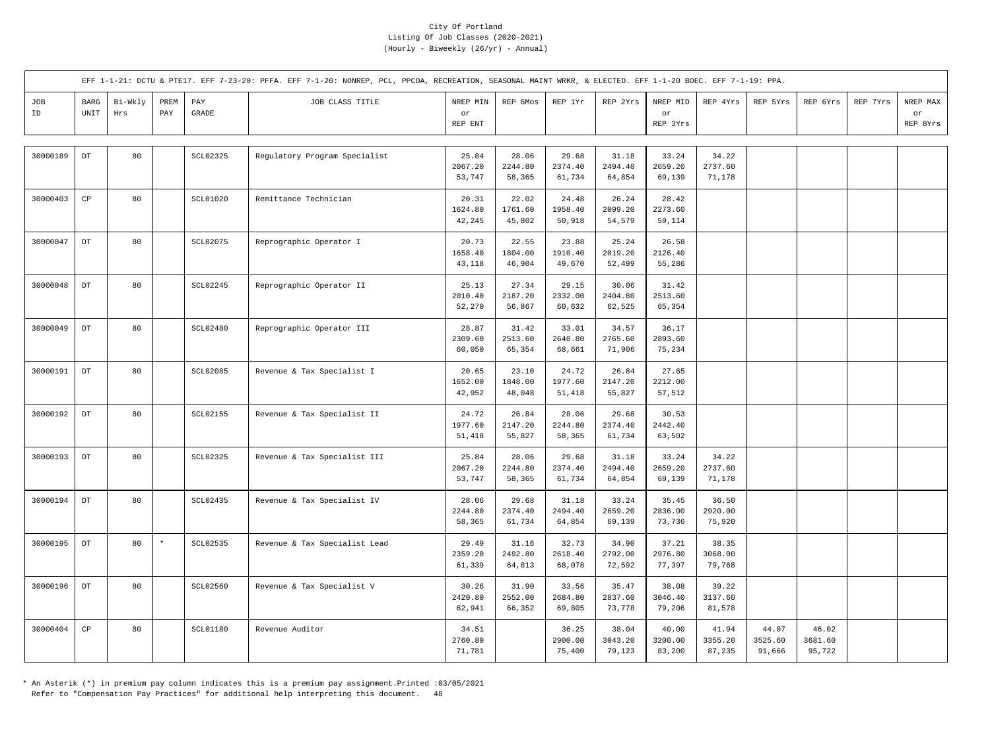|           |                            |                |             |                       | EFF 1-1-21: DCTU & PTE17. EFF 7-23-20: PFFA. EFF 7-1-20: NONREP, PCL, PPCOA, RECREATION, SEASONAL MAINT WRKR, & ELECTED. EFF 1-1-20 BOEC. EFF 7-1-19: PPA. |                            |                            |                            |                            |                            |                            |                            |                            |          |                            |
|-----------|----------------------------|----------------|-------------|-----------------------|------------------------------------------------------------------------------------------------------------------------------------------------------------|----------------------------|----------------------------|----------------------------|----------------------------|----------------------------|----------------------------|----------------------------|----------------------------|----------|----------------------------|
| JOB<br>ID | <b>BARG</b><br>UNIT        | Bi-Wkly<br>Hrs | PREM<br>PAY | PAY<br>$\mbox{GRADE}$ | JOB CLASS TITLE                                                                                                                                            | NREP MIN<br>or<br>REP ENT  | REP 6Mos                   | REP 1Yr                    | REP 2Yrs                   | NREP MID<br>or<br>REP 3Yrs | REP 4Yrs                   | REP 5Yrs                   | REP 6Yrs                   | REP 7Yrs | NREP MAX<br>or<br>REP 8Yrs |
|           |                            |                |             |                       |                                                                                                                                                            |                            |                            |                            |                            |                            |                            |                            |                            |          |                            |
| 30000189  | DT                         | 80             |             | <b>SCL02325</b>       | Regulatory Program Specialist                                                                                                                              | 25.84<br>2067.20<br>53,747 | 28.06<br>2244.80<br>58,365 | 29.68<br>2374.40<br>61,734 | 31.18<br>2494.40<br>64,854 | 33.24<br>2659.20<br>69,139 | 34.22<br>2737.60<br>71,178 |                            |                            |          |                            |
| 30000403  | CP                         | 80             |             | <b>SCL01020</b>       | Remittance Technician                                                                                                                                      | 20.31<br>1624.80<br>42,245 | 22.02<br>1761.60<br>45,802 | 24.48<br>1958.40<br>50,918 | 26.24<br>2099.20<br>54,579 | 28.42<br>2273.60<br>59,114 |                            |                            |                            |          |                            |
| 30000047  | $\mathop{\rm DT}\nolimits$ | 80             |             | SCL02075              | Reprographic Operator I                                                                                                                                    | 20.73<br>1658.40<br>43,118 | 22.55<br>1804.00<br>46,904 | 23.88<br>1910.40<br>49,670 | 25.24<br>2019.20<br>52,499 | 26.58<br>2126.40<br>55,286 |                            |                            |                            |          |                            |
| 30000048  | $_{\rm DT}$                | 80             |             | <b>SCL02245</b>       | Reprographic Operator II                                                                                                                                   | 25.13<br>2010.40<br>52,270 | 27.34<br>2187.20<br>56,867 | 29.15<br>2332.00<br>60,632 | 30.06<br>2404.80<br>62,525 | 31.42<br>2513.60<br>65,354 |                            |                            |                            |          |                            |
| 30000049  | $\mathop{\rm DT}\nolimits$ | 80             |             | <b>SCL02480</b>       | Reprographic Operator III                                                                                                                                  | 28.87<br>2309.60<br>60,050 | 31.42<br>2513.60<br>65,354 | 33.01<br>2640.80<br>68,661 | 34.57<br>2765.60<br>71,906 | 36.17<br>2893.60<br>75,234 |                            |                            |                            |          |                            |
| 30000191  | $\mathop{\rm DT}\nolimits$ | 80             |             | SCL02085              | Revenue & Tax Specialist I                                                                                                                                 | 20.65<br>1652.00<br>42,952 | 23.10<br>1848.00<br>48,048 | 24.72<br>1977.60<br>51,418 | 26.84<br>2147.20<br>55,827 | 27.65<br>2212.00<br>57,512 |                            |                            |                            |          |                            |
| 30000192  | $_{\rm DT}$                | 80             |             | <b>SCL02155</b>       | Revenue & Tax Specialist II                                                                                                                                | 24.72<br>1977.60<br>51,418 | 26.84<br>2147.20<br>55,827 | 28.06<br>2244.80<br>58,365 | 29.68<br>2374.40<br>61,734 | 30.53<br>2442.40<br>63,502 |                            |                            |                            |          |                            |
| 30000193  | $_{\mathrm{DT}}$           | 80             |             | SCL02325              | Revenue & Tax Specialist III                                                                                                                               | 25.84<br>2067.20<br>53,747 | 28.06<br>2244.80<br>58,365 | 29.68<br>2374.40<br>61,734 | 31.18<br>2494.40<br>64,854 | 33.24<br>2659.20<br>69,139 | 34.22<br>2737.60<br>71,178 |                            |                            |          |                            |
| 30000194  | $_{\rm DT}$                | 80             |             | SCL02435              | Revenue & Tax Specialist IV                                                                                                                                | 28.06<br>2244.80<br>58,365 | 29.68<br>2374.40<br>61,734 | 31.18<br>2494.40<br>64,854 | 33.24<br>2659.20<br>69,139 | 35.45<br>2836.00<br>73,736 | 36.50<br>2920.00<br>75,920 |                            |                            |          |                            |
| 30000195  | $\mathop{\rm DT}\nolimits$ | 80             | $\star$     | SCL02535              | Revenue & Tax Specialist Lead                                                                                                                              | 29.49<br>2359.20<br>61,339 | 31.16<br>2492.80<br>64,813 | 32.73<br>2618.40<br>68,078 | 34.90<br>2792.00<br>72,592 | 37.21<br>2976.80<br>77,397 | 38.35<br>3068.00<br>79,768 |                            |                            |          |                            |
| 30000196  | $_{\rm DT}$                | 80             |             | SCL02560              | Revenue & Tax Specialist V                                                                                                                                 | 30.26<br>2420.80<br>62,941 | 31.90<br>2552.00<br>66,352 | 33.56<br>2684.80<br>69,805 | 35.47<br>2837.60<br>73,778 | 38.08<br>3046.40<br>79,206 | 39.22<br>3137.60<br>81,578 |                            |                            |          |                            |
| 30000404  | $_{\rm CP}$                | 80             |             | <b>SCL01180</b>       | Revenue Auditor                                                                                                                                            | 34.51<br>2760.80<br>71,781 |                            | 36.25<br>2900.00<br>75,400 | 38.04<br>3043.20<br>79,123 | 40.00<br>3200.00<br>83,200 | 41.94<br>3355.20<br>87,235 | 44.07<br>3525.60<br>91,666 | 46.02<br>3681.60<br>95,722 |          |                            |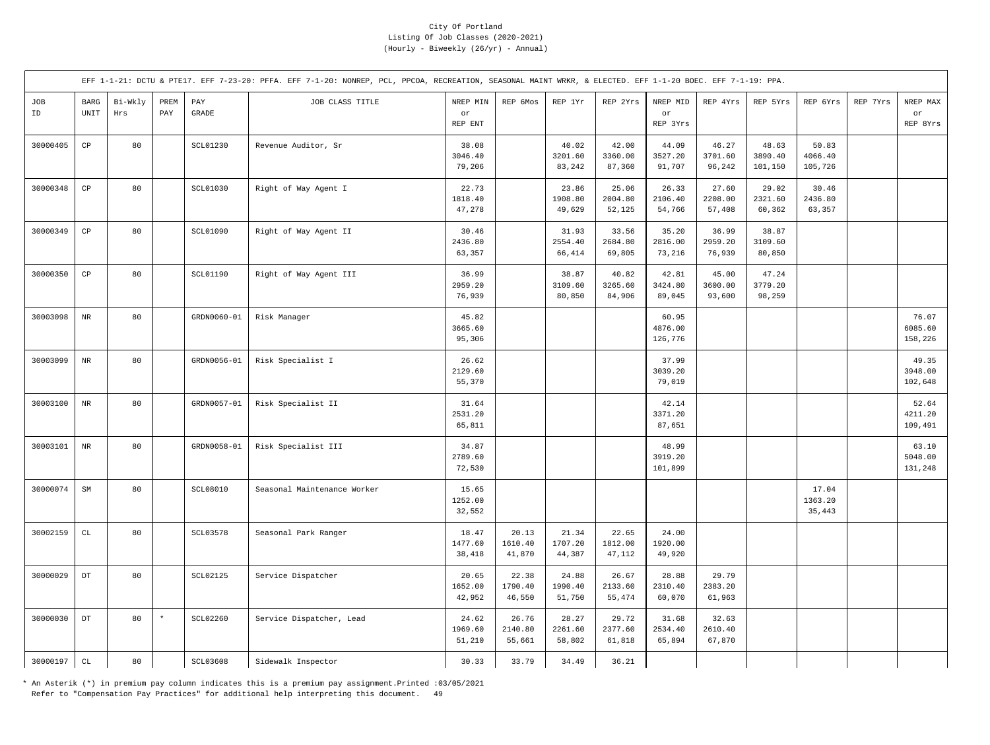|           | EFF 1-1-21: DCTU & PTE17. EFF 7-23-20: PFFA. EFF 7-1-20: NONREP, PCL, PPCOA, RECREATION, SEASONAL MAINT WRKR, & ELECTED. EFF 1-1-20 BOEC. EFF 7-1-19: PPA. |                |             |                       |                             |                            |                            |                            |                            |                             |                            |                             |                             |          |                             |
|-----------|------------------------------------------------------------------------------------------------------------------------------------------------------------|----------------|-------------|-----------------------|-----------------------------|----------------------------|----------------------------|----------------------------|----------------------------|-----------------------------|----------------------------|-----------------------------|-----------------------------|----------|-----------------------------|
| JOB<br>ID | BARG<br>UNIT                                                                                                                                               | Bi-Wkly<br>Hrs | PREM<br>PAY | PAY<br>$\mbox{GRADE}$ | JOB CLASS TITLE             | NREP MIN<br>or<br>REP ENT  | REP 6Mos                   | REP 1Yr                    | REP 2Yrs                   | NREP MID<br>or<br>REP 3Yrs  | REP 4Yrs                   | REP 5Yrs                    | REP 6Yrs                    | REP 7Yrs | NREP MAX<br>or<br>REP 8Yrs  |
| 30000405  | $_{\rm CP}$                                                                                                                                                | 80             |             | SCL01230              | Revenue Auditor, Sr         | 38.08<br>3046.40<br>79,206 |                            | 40.02<br>3201.60<br>83,242 | 42.00<br>3360.00<br>87,360 | 44.09<br>3527.20<br>91,707  | 46.27<br>3701.60<br>96,242 | 48.63<br>3890.40<br>101,150 | 50.83<br>4066.40<br>105,726 |          |                             |
| 30000348  | $\mathbb{C}\mathbb{P}$                                                                                                                                     | 80             |             | SCL01030              | Right of Way Agent I        | 22.73<br>1818.40<br>47,278 |                            | 23.86<br>1908.80<br>49,629 | 25.06<br>2004.80<br>52,125 | 26.33<br>2106.40<br>54,766  | 27.60<br>2208.00<br>57,408 | 29.02<br>2321.60<br>60,362  | 30.46<br>2436.80<br>63,357  |          |                             |
| 30000349  | $_{\rm CP}$                                                                                                                                                | 80             |             | <b>SCL01090</b>       | Right of Way Agent II       | 30.46<br>2436.80<br>63,357 |                            | 31.93<br>2554.40<br>66,414 | 33.56<br>2684.80<br>69,805 | 35.20<br>2816.00<br>73,216  | 36.99<br>2959.20<br>76,939 | 38.87<br>3109.60<br>80,850  |                             |          |                             |
| 30000350  | $_{\rm CP}$                                                                                                                                                | 80             |             | SCL01190              | Right of Way Agent III      | 36.99<br>2959.20<br>76,939 |                            | 38.87<br>3109.60<br>80,850 | 40.82<br>3265.60<br>84,906 | 42.81<br>3424.80<br>89,045  | 45.00<br>3600.00<br>93,600 | 47.24<br>3779.20<br>98,259  |                             |          |                             |
| 30003098  | $_{\rm NR}$                                                                                                                                                | 80             |             | GRDN0060-01           | Risk Manager                | 45.82<br>3665.60<br>95,306 |                            |                            |                            | 60.95<br>4876.00<br>126,776 |                            |                             |                             |          | 76.07<br>6085.60<br>158,226 |
| 30003099  | $\rm NR$                                                                                                                                                   | 80             |             | GRDN0056-01           | Risk Specialist I           | 26.62<br>2129.60<br>55,370 |                            |                            |                            | 37.99<br>3039.20<br>79,019  |                            |                             |                             |          | 49.35<br>3948.00<br>102,648 |
| 30003100  | $_{\rm NR}$                                                                                                                                                | 80             |             | GRDN0057-01           | Risk Specialist II          | 31.64<br>2531.20<br>65,811 |                            |                            |                            | 42.14<br>3371.20<br>87,651  |                            |                             |                             |          | 52.64<br>4211.20<br>109,491 |
| 30003101  | $_{\rm NR}$                                                                                                                                                | 80             |             | GRDN0058-01           | Risk Specialist III         | 34.87<br>2789.60<br>72,530 |                            |                            |                            | 48.99<br>3919.20<br>101,899 |                            |                             |                             |          | 63.10<br>5048.00<br>131,248 |
| 30000074  | $\mbox{SM}$                                                                                                                                                | 80             |             | SCL08010              | Seasonal Maintenance Worker | 15.65<br>1252.00<br>32,552 |                            |                            |                            |                             |                            |                             | 17.04<br>1363.20<br>35,443  |          |                             |
| 30002159  | $\mathtt{CL}$                                                                                                                                              | 80             |             | SCL03578              | Seasonal Park Ranger        | 18.47<br>1477.60<br>38,418 | 20.13<br>1610.40<br>41,870 | 21.34<br>1707.20<br>44,387 | 22.65<br>1812.00<br>47,112 | 24.00<br>1920.00<br>49,920  |                            |                             |                             |          |                             |
| 30000029  | $\mathop{\rm DT}\nolimits$                                                                                                                                 | 80             |             | <b>SCL02125</b>       | Service Dispatcher          | 20.65<br>1652.00<br>42,952 | 22.38<br>1790.40<br>46,550 | 24.88<br>1990.40<br>51,750 | 26.67<br>2133.60<br>55,474 | 28.88<br>2310.40<br>60,070  | 29.79<br>2383.20<br>61,963 |                             |                             |          |                             |
| 30000030  | $_{\rm DT}$                                                                                                                                                | 80             | $\star$     | SCL02260              | Service Dispatcher, Lead    | 24.62<br>1969.60<br>51,210 | 26.76<br>2140.80<br>55,661 | 28.27<br>2261.60<br>58,802 | 29.72<br>2377.60<br>61,818 | 31.68<br>2534.40<br>65,894  | 32.63<br>2610.40<br>67,870 |                             |                             |          |                             |
| 30000197  | $\mathtt{CL}$                                                                                                                                              | 80             |             | SCL03608              | Sidewalk Inspector          | 30.33                      | 33.79                      | 34.49                      | 36.21                      |                             |                            |                             |                             |          |                             |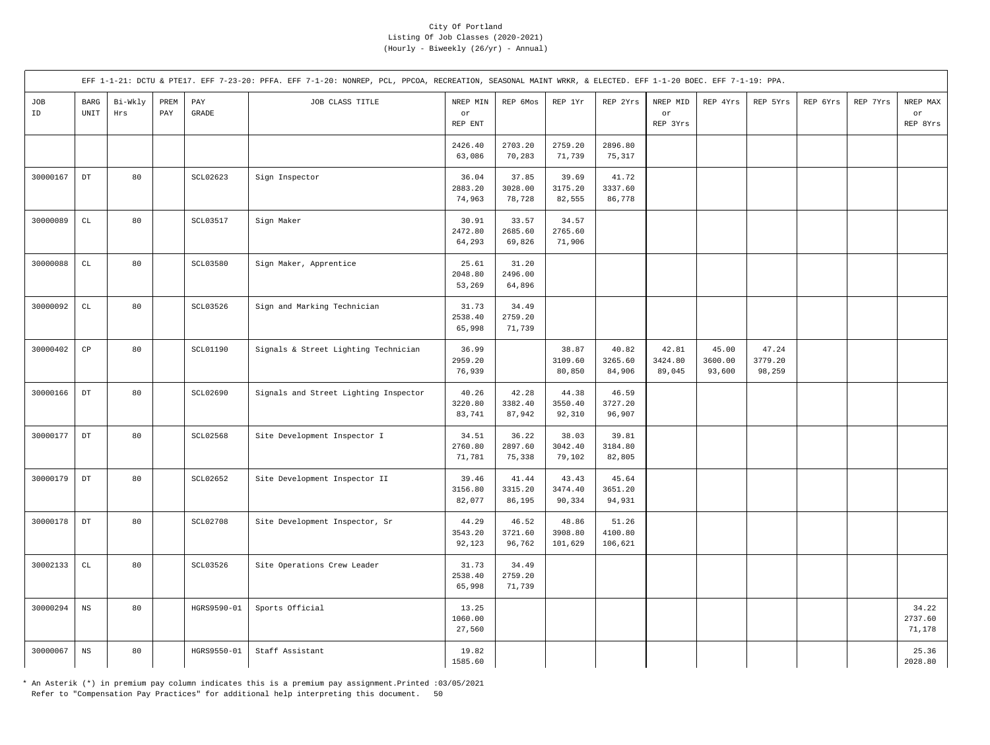|           | EFF 1-1-21: DCTU & PTE17. EFF 7-23-20: PFFA. EFF 7-1-20: NONREP, PCL, PPCOA, RECREATION, SEASONAL MAINT WRKR, & ELECTED. EFF 1-1-20 BOEC. EFF 7-1-19: PPA. |                |             |                 |                                       |                            |                            |                             |                             |                            |                            |                            |          |          |                            |
|-----------|------------------------------------------------------------------------------------------------------------------------------------------------------------|----------------|-------------|-----------------|---------------------------------------|----------------------------|----------------------------|-----------------------------|-----------------------------|----------------------------|----------------------------|----------------------------|----------|----------|----------------------------|
| JOB<br>ID | $_{\rm BARG}$<br>$\ensuremath{\mathsf{UNIT}}$                                                                                                              | Bi-Wkly<br>Hrs | PREM<br>PAY | PAY<br>GRADE    | JOB CLASS TITLE                       | NREP MIN<br>or<br>REP ENT  | REP 6Mos                   | REP 1Yr                     | REP 2Yrs                    | NREP MID<br>or<br>REP 3Yrs | REP 4Yrs                   | REP 5Yrs                   | REP 6Yrs | REP 7Yrs | NREP MAX<br>or<br>REP 8Yrs |
|           |                                                                                                                                                            |                |             |                 |                                       | 2426.40<br>63,086          | 2703.20<br>70,283          | 2759.20<br>71,739           | 2896.80<br>75,317           |                            |                            |                            |          |          |                            |
| 30000167  | $_{\rm DT}$                                                                                                                                                | 80             |             | SCL02623        | Sign Inspector                        | 36.04<br>2883.20<br>74,963 | 37.85<br>3028.00<br>78,728 | 39.69<br>3175.20<br>82,555  | 41.72<br>3337.60<br>86,778  |                            |                            |                            |          |          |                            |
| 30000089  | $\mathtt{CL}$                                                                                                                                              | 80             |             | SCL03517        | Sign Maker                            | 30.91<br>2472.80<br>64,293 | 33.57<br>2685.60<br>69,826 | 34.57<br>2765.60<br>71,906  |                             |                            |                            |                            |          |          |                            |
| 30000088  | $\mathtt{CL}$                                                                                                                                              | 80             |             | SCL03580        | Sign Maker, Apprentice                | 25.61<br>2048.80<br>53,269 | 31.20<br>2496.00<br>64,896 |                             |                             |                            |                            |                            |          |          |                            |
| 30000092  | $\mathtt{CL}$                                                                                                                                              | 80             |             | SCL03526        | Sign and Marking Technician           | 31.73<br>2538.40<br>65,998 | 34.49<br>2759.20<br>71,739 |                             |                             |                            |                            |                            |          |          |                            |
| 30000402  | $_{\rm CP}$                                                                                                                                                | 80             |             | <b>SCL01190</b> | Signals & Street Lighting Technician  | 36.99<br>2959.20<br>76,939 |                            | 38.87<br>3109.60<br>80,850  | 40.82<br>3265.60<br>84,906  | 42.81<br>3424.80<br>89,045 | 45.00<br>3600.00<br>93,600 | 47.24<br>3779.20<br>98,259 |          |          |                            |
| 30000166  | $_{\rm DT}$                                                                                                                                                | 80             |             | SCL02690        | Signals and Street Lighting Inspector | 40.26<br>3220.80<br>83,741 | 42.28<br>3382.40<br>87,942 | 44.38<br>3550.40<br>92,310  | 46.59<br>3727.20<br>96,907  |                            |                            |                            |          |          |                            |
| 30000177  | $\mathop{\rm DT}\nolimits$                                                                                                                                 | 80             |             | <b>SCL02568</b> | Site Development Inspector I          | 34.51<br>2760.80<br>71,781 | 36.22<br>2897.60<br>75,338 | 38.03<br>3042.40<br>79,102  | 39.81<br>3184.80<br>82,805  |                            |                            |                            |          |          |                            |
| 30000179  | $\mathop{\rm DT}\nolimits$                                                                                                                                 | 80             |             | SCL02652        | Site Development Inspector II         | 39.46<br>3156.80<br>82,077 | 41.44<br>3315.20<br>86,195 | 43.43<br>3474.40<br>90,334  | 45.64<br>3651.20<br>94,931  |                            |                            |                            |          |          |                            |
| 30000178  | $_{\rm DT}$                                                                                                                                                | 80             |             | <b>SCL02708</b> | Site Development Inspector, Sr        | 44.29<br>3543.20<br>92,123 | 46.52<br>3721.60<br>96,762 | 48.86<br>3908.80<br>101,629 | 51.26<br>4100.80<br>106,621 |                            |                            |                            |          |          |                            |
| 30002133  | $\mathtt{CL}$                                                                                                                                              | 80             |             | SCL03526        | Site Operations Crew Leader           | 31.73<br>2538.40<br>65,998 | 34.49<br>2759.20<br>71,739 |                             |                             |                            |                            |                            |          |          |                            |
| 30000294  | $_{\rm NS}$                                                                                                                                                | 80             |             | HGRS9590-01     | Sports Official                       | 13.25<br>1060.00<br>27,560 |                            |                             |                             |                            |                            |                            |          |          | 34.22<br>2737.60<br>71,178 |
| 30000067  | $_{\rm NS}$                                                                                                                                                | 80             |             | HGRS9550-01     | Staff Assistant                       | 19.82<br>1585.60           |                            |                             |                             |                            |                            |                            |          |          | 25.36<br>2028.80           |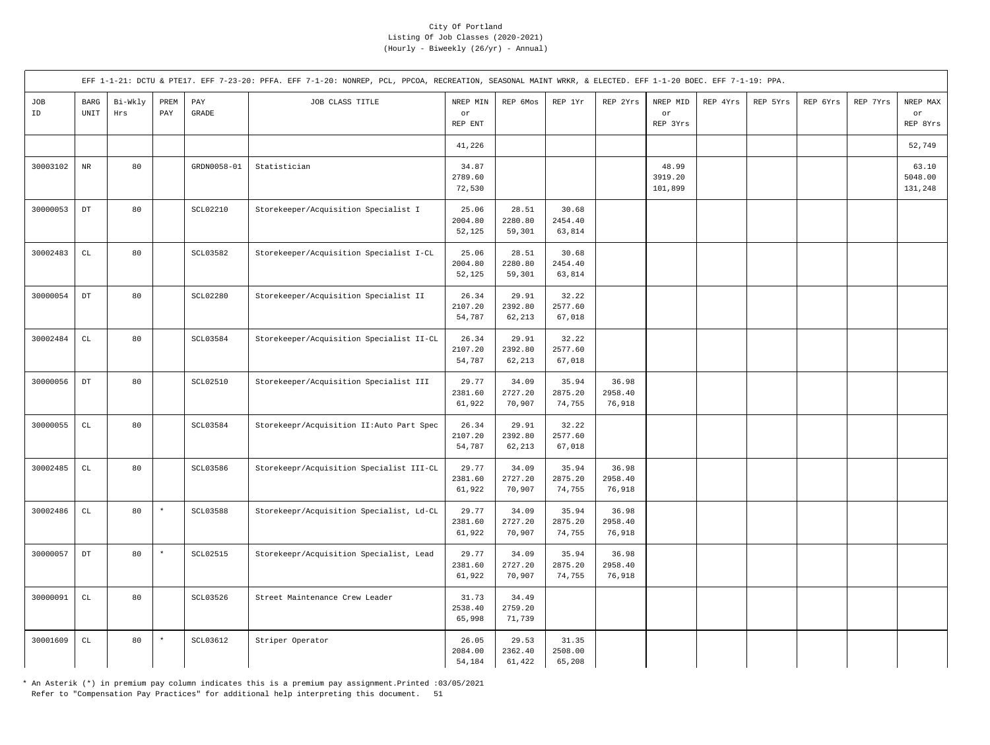|           | EFF 1-1-21: DCTU & PTE17. EFF 7-23-20: PFFA. EFF 7-1-20: NONREP, PCL, PPCOA, RECREATION, SEASONAL MAINT WRKR, & ELECTED. EFF 1-1-20 BOEC. EFF 7-1-19: PPA. |                |             |                 |                                           |                            |                            |                            |                            |                             |          |          |          |          |                             |
|-----------|------------------------------------------------------------------------------------------------------------------------------------------------------------|----------------|-------------|-----------------|-------------------------------------------|----------------------------|----------------------------|----------------------------|----------------------------|-----------------------------|----------|----------|----------|----------|-----------------------------|
| JOB<br>ID | BARG<br>$\ensuremath{\mathsf{UNIT}}$                                                                                                                       | Bi-Wkly<br>Hrs | PREM<br>PAY | PAY<br>GRADE    | JOB CLASS TITLE                           | NREP MIN<br>or<br>REP ENT  | REP 6Mos                   | REP 1Yr                    | REP 2Yrs                   | NREP MID<br>or<br>REP 3Yrs  | REP 4Yrs | REP 5Yrs | REP 6Yrs | REP 7Yrs | NREP MAX<br>or<br>REP 8Yrs  |
|           |                                                                                                                                                            |                |             |                 |                                           | 41,226                     |                            |                            |                            |                             |          |          |          |          | 52,749                      |
| 30003102  | $\rm{NR}$                                                                                                                                                  | 80             |             | GRDN0058-01     | Statistician                              | 34.87<br>2789.60<br>72,530 |                            |                            |                            | 48.99<br>3919.20<br>101,899 |          |          |          |          | 63.10<br>5048.00<br>131,248 |
| 30000053  | $_{\rm DT}$                                                                                                                                                | 80             |             | <b>SCL02210</b> | Storekeeper/Acquisition Specialist I      | 25.06<br>2004.80<br>52,125 | 28.51<br>2280.80<br>59,301 | 30.68<br>2454.40<br>63,814 |                            |                             |          |          |          |          |                             |
| 30002483  | CL                                                                                                                                                         | 80             |             | SCL03582        | Storekeeper/Acquisition Specialist I-CL   | 25.06<br>2004.80<br>52,125 | 28.51<br>2280.80<br>59,301 | 30.68<br>2454.40<br>63,814 |                            |                             |          |          |          |          |                             |
| 30000054  | $\mathop{\rm DT}\nolimits$                                                                                                                                 | 80             |             | <b>SCL02280</b> | Storekeeper/Acquisition Specialist II     | 26.34<br>2107.20<br>54,787 | 29.91<br>2392.80<br>62,213 | 32.22<br>2577.60<br>67,018 |                            |                             |          |          |          |          |                             |
| 30002484  | $\mathtt{CL}$                                                                                                                                              | 80             |             | SCL03584        | Storekeeper/Acquisition Specialist II-CL  | 26.34<br>2107.20<br>54,787 | 29.91<br>2392.80<br>62,213 | 32.22<br>2577.60<br>67,018 |                            |                             |          |          |          |          |                             |
| 30000056  | $\mathop{\rm DT}\nolimits$                                                                                                                                 | 80             |             | <b>SCL02510</b> | Storekeeper/Acquisition Specialist III    | 29.77<br>2381.60<br>61,922 | 34.09<br>2727.20<br>70,907 | 35.94<br>2875.20<br>74,755 | 36.98<br>2958.40<br>76,918 |                             |          |          |          |          |                             |
| 30000055  | CL                                                                                                                                                         | 80             |             | <b>SCL03584</b> | Storekeepr/Acquisition II: Auto Part Spec | 26.34<br>2107.20<br>54,787 | 29.91<br>2392.80<br>62,213 | 32.22<br>2577.60<br>67,018 |                            |                             |          |          |          |          |                             |
| 30002485  | $\mathtt{CL}$                                                                                                                                              | 80             |             | SCL03586        | Storekeepr/Acquisition Specialist III-CL  | 29.77<br>2381.60<br>61,922 | 34.09<br>2727.20<br>70,907 | 35.94<br>2875.20<br>74,755 | 36.98<br>2958.40<br>76,918 |                             |          |          |          |          |                             |
| 30002486  | $\mathtt{CL}$                                                                                                                                              | 80             | $\star$     | SCL03588        | Storekeepr/Acquisition Specialist, Ld-CL  | 29.77<br>2381.60<br>61,922 | 34.09<br>2727.20<br>70,907 | 35.94<br>2875.20<br>74,755 | 36.98<br>2958.40<br>76,918 |                             |          |          |          |          |                             |
| 30000057  | $_{\rm DT}$                                                                                                                                                | 80             | $\star$     | <b>SCL02515</b> | Storekeepr/Acquisition Specialist, Lead   | 29.77<br>2381.60<br>61,922 | 34.09<br>2727.20<br>70,907 | 35.94<br>2875.20<br>74,755 | 36.98<br>2958.40<br>76,918 |                             |          |          |          |          |                             |
| 30000091  | $\mathtt{CL}$                                                                                                                                              | 80             |             | SCL03526        | Street Maintenance Crew Leader            | 31.73<br>2538.40<br>65,998 | 34.49<br>2759.20<br>71,739 |                            |                            |                             |          |          |          |          |                             |
| 30001609  | $\mathtt{CL}$                                                                                                                                              | 80             | $\star$     | SCL03612        | Striper Operator                          | 26.05<br>2084.00<br>54,184 | 29.53<br>2362.40<br>61,422 | 31.35<br>2508.00<br>65,208 |                            |                             |          |          |          |          |                             |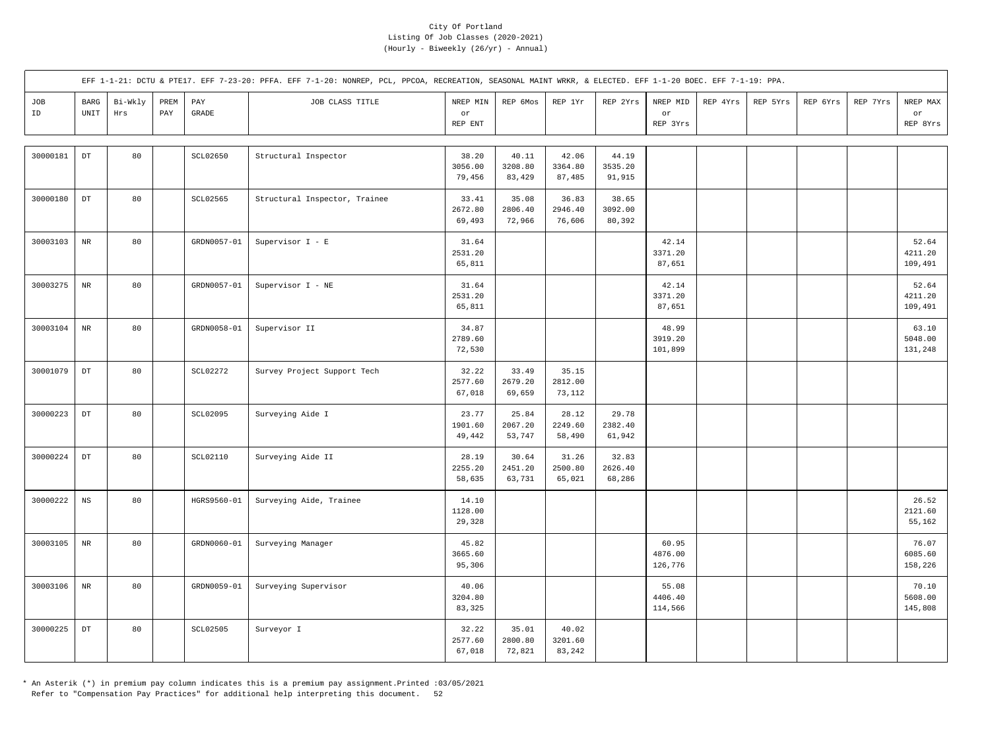|           | EFF 1-1-21: DCTU & PTE17. EFF 7-23-20: PFFA. EFF 7-1-20: NONREP, PCL, PPCOA, RECREATION, SEASONAL MAINT WRKR, & ELECTED. EFF 1-1-20 BOEC. EFF 7-1-19: PPA. |                |             |                       |                               |                            |                            |                            |                            |                                   |          |          |          |          |                             |
|-----------|------------------------------------------------------------------------------------------------------------------------------------------------------------|----------------|-------------|-----------------------|-------------------------------|----------------------------|----------------------------|----------------------------|----------------------------|-----------------------------------|----------|----------|----------|----------|-----------------------------|
| JOB<br>ID | $_{\rm BARG}$<br>UNIT                                                                                                                                      | Bi-Wkly<br>Hrs | PREM<br>PAY | PAY<br>$\mbox{GRADE}$ | JOB CLASS TITLE               | NREP MIN<br>or<br>REP ENT  | REP 6Mos                   | REP 1Yr                    | REP 2Yrs                   | NREP MID<br>$\circ r$<br>REP 3Yrs | REP 4Yrs | REP 5Yrs | REP 6Yrs | REP 7Yrs | NREP MAX<br>or<br>REP 8Yrs  |
| 30000181  | $\mathop{\rm DT}\nolimits$                                                                                                                                 | 80             |             | SCL02650              | Structural Inspector          | 38.20<br>3056.00<br>79,456 | 40.11<br>3208.80<br>83,429 | 42.06<br>3364.80<br>87,485 | 44.19<br>3535.20<br>91,915 |                                   |          |          |          |          |                             |
| 30000180  | $_{\rm DT}$                                                                                                                                                | 80             |             | SCL02565              | Structural Inspector, Trainee | 33.41<br>2672.80<br>69,493 | 35.08<br>2806.40<br>72,966 | 36.83<br>2946.40<br>76,606 | 38.65<br>3092.00<br>80,392 |                                   |          |          |          |          |                             |
| 30003103  | $\rm{NR}$                                                                                                                                                  | 80             |             | GRDN0057-01           | Supervisor I - E              | 31.64<br>2531.20<br>65,811 |                            |                            |                            | 42.14<br>3371.20<br>87,651        |          |          |          |          | 52.64<br>4211.20<br>109,491 |
| 30003275  | $\rm{NR}$                                                                                                                                                  | 80             |             | GRDN0057-01           | Supervisor I - NE             | 31.64<br>2531.20<br>65,811 |                            |                            |                            | 42.14<br>3371.20<br>87,651        |          |          |          |          | 52.64<br>4211.20<br>109,491 |
| 30003104  | $\rm NR$                                                                                                                                                   | 80             |             | GRDN0058-01           | Supervisor II                 | 34.87<br>2789.60<br>72,530 |                            |                            |                            | 48.99<br>3919.20<br>101,899       |          |          |          |          | 63.10<br>5048.00<br>131,248 |
| 30001079  | $\mathop{\rm DT}\nolimits$                                                                                                                                 | 80             |             | <b>SCL02272</b>       | Survey Project Support Tech   | 32.22<br>2577.60<br>67,018 | 33.49<br>2679.20<br>69,659 | 35.15<br>2812.00<br>73,112 |                            |                                   |          |          |          |          |                             |
| 30000223  | $\mathop{\rm DT}\nolimits$                                                                                                                                 | 80             |             | SCL02095              | Surveying Aide I              | 23.77<br>1901.60<br>49,442 | 25.84<br>2067.20<br>53,747 | 28.12<br>2249.60<br>58,490 | 29.78<br>2382.40<br>61,942 |                                   |          |          |          |          |                             |
| 30000224  | $\mathop{\rm DT}\nolimits$                                                                                                                                 | 80             |             | SCL02110              | Surveying Aide II             | 28.19<br>2255.20<br>58,635 | 30.64<br>2451.20<br>63,731 | 31.26<br>2500.80<br>65,021 | 32.83<br>2626.40<br>68,286 |                                   |          |          |          |          |                             |
| 30000222  | $_{\rm NS}$                                                                                                                                                | 80             |             | HGRS9560-01           | Surveying Aide, Trainee       | 14.10<br>1128.00<br>29,328 |                            |                            |                            |                                   |          |          |          |          | 26.52<br>2121.60<br>55,162  |
| 30003105  | $_{\rm NR}$                                                                                                                                                | 80             |             | GRDN0060-01           | Surveying Manager             | 45.82<br>3665.60<br>95,306 |                            |                            |                            | 60.95<br>4876.00<br>126,776       |          |          |          |          | 76.07<br>6085.60<br>158,226 |
| 30003106  | $\rm{NR}$                                                                                                                                                  | 80             |             | GRDN0059-01           | Surveying Supervisor          | 40.06<br>3204.80<br>83,325 |                            |                            |                            | 55.08<br>4406.40<br>114,566       |          |          |          |          | 70.10<br>5608.00<br>145,808 |
| 30000225  | $_{\mathrm{DT}}$                                                                                                                                           | 80             |             | <b>SCL02505</b>       | Surveyor I                    | 32.22<br>2577.60<br>67,018 | 35.01<br>2800.80<br>72,821 | 40.02<br>3201.60<br>83,242 |                            |                                   |          |          |          |          |                             |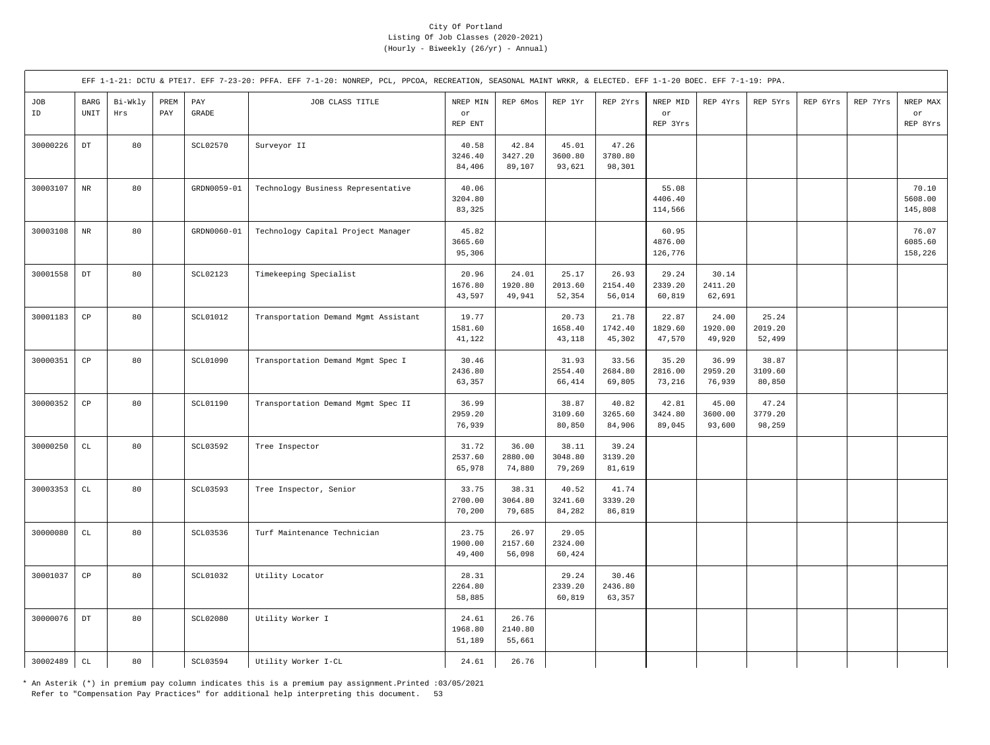|           |                        |                |             |                     | EFF 1-1-21: DCTU & PTE17. EFF 7-23-20: PFFA. EFF 7-1-20: NONREP, PCL, PPCOA, RECREATION, SEASONAL MAINT WRKR, & ELECTED. EFF 1-1-20 BOEC. EFF 7-1-19: PPA. |                            |                            |                            |                            |                             |                            |                            |          |          |                             |
|-----------|------------------------|----------------|-------------|---------------------|------------------------------------------------------------------------------------------------------------------------------------------------------------|----------------------------|----------------------------|----------------------------|----------------------------|-----------------------------|----------------------------|----------------------------|----------|----------|-----------------------------|
| JOB<br>ID | <b>BARG</b><br>UNIT    | Bi-Wkly<br>Hrs | PREM<br>PAY | PAY<br><b>GRADE</b> | JOB CLASS TITLE                                                                                                                                            | NREP MIN<br>or<br>REP ENT  | REP 6Mos                   | REP 1Yr                    | REP 2Yrs                   | NREP MID<br>or<br>REP 3Yrs  | REP 4Yrs                   | REP 5Yrs                   | REP 6Yrs | REP 7Yrs | NREP MAX<br>or<br>REP 8Yrs  |
| 30000226  | $_{\rm DT}$            | 80             |             | <b>SCL02570</b>     | Surveyor II                                                                                                                                                | 40.58<br>3246.40<br>84,406 | 42.84<br>3427.20<br>89,107 | 45.01<br>3600.80<br>93,621 | 47.26<br>3780.80<br>98,301 |                             |                            |                            |          |          |                             |
| 30003107  | $\rm{NR}$              | 80             |             | GRDN0059-01         | Technology Business Representative                                                                                                                         | 40.06<br>3204.80<br>83,325 |                            |                            |                            | 55.08<br>4406.40<br>114,566 |                            |                            |          |          | 70.10<br>5608.00<br>145,808 |
| 30003108  | $\rm{NR}$              | 80             |             | GRDN0060-01         | Technology Capital Project Manager                                                                                                                         | 45.82<br>3665.60<br>95,306 |                            |                            |                            | 60.95<br>4876.00<br>126,776 |                            |                            |          |          | 76.07<br>6085.60<br>158,226 |
| 30001558  | $_{\rm DT}$            | 80             |             | SCL02123            | Timekeeping Specialist                                                                                                                                     | 20.96<br>1676.80<br>43,597 | 24.01<br>1920.80<br>49,941 | 25.17<br>2013.60<br>52,354 | 26.93<br>2154.40<br>56,014 | 29.24<br>2339.20<br>60,819  | 30.14<br>2411.20<br>62,691 |                            |          |          |                             |
| 30001183  | $_{\rm CP}$            | 80             |             | SCL01012            | Transportation Demand Mgmt Assistant                                                                                                                       | 19.77<br>1581.60<br>41,122 |                            | 20.73<br>1658.40<br>43,118 | 21.78<br>1742.40<br>45,302 | 22.87<br>1829.60<br>47,570  | 24.00<br>1920.00<br>49,920 | 25.24<br>2019.20<br>52,499 |          |          |                             |
| 30000351  | $\mathbb{C}\mathbb{P}$ | 80             |             | SCL01090            | Transportation Demand Mgmt Spec I                                                                                                                          | 30.46<br>2436.80<br>63,357 |                            | 31.93<br>2554.40<br>66,414 | 33.56<br>2684.80<br>69,805 | 35.20<br>2816.00<br>73,216  | 36.99<br>2959.20<br>76,939 | 38.87<br>3109.60<br>80,850 |          |          |                             |
| 30000352  | $_{\rm CP}$            | 80             |             | SCL01190            | Transportation Demand Mgmt Spec II                                                                                                                         | 36.99<br>2959.20<br>76,939 |                            | 38.87<br>3109.60<br>80,850 | 40.82<br>3265.60<br>84,906 | 42.81<br>3424.80<br>89,045  | 45.00<br>3600.00<br>93,600 | 47.24<br>3779.20<br>98,259 |          |          |                             |
| 30000250  | $\mathtt{CL}$          | 80             |             | SCL03592            | Tree Inspector                                                                                                                                             | 31.72<br>2537.60<br>65,978 | 36.00<br>2880.00<br>74,880 | 38.11<br>3048.80<br>79,269 | 39.24<br>3139.20<br>81,619 |                             |                            |                            |          |          |                             |
| 30003353  | $\mathbb{C}\mathbb{L}$ | 80             |             | SCL03593            | Tree Inspector, Senior                                                                                                                                     | 33.75<br>2700.00<br>70,200 | 38.31<br>3064.80<br>79,685 | 40.52<br>3241.60<br>84,282 | 41.74<br>3339.20<br>86,819 |                             |                            |                            |          |          |                             |
| 30000080  | $\mathtt{CL}$          | 80             |             | SCL03536            | Turf Maintenance Technician                                                                                                                                | 23.75<br>1900.00<br>49,400 | 26.97<br>2157.60<br>56,098 | 29.05<br>2324.00<br>60,424 |                            |                             |                            |                            |          |          |                             |
| 30001037  | $_{\rm CP}$            | 80             |             | SCL01032            | Utility Locator                                                                                                                                            | 28.31<br>2264.80<br>58,885 |                            | 29.24<br>2339.20<br>60,819 | 30.46<br>2436.80<br>63,357 |                             |                            |                            |          |          |                             |
| 30000076  | $_{\rm DT}$            | 80             |             | <b>SCL02080</b>     | Utility Worker I                                                                                                                                           | 24.61<br>1968.80<br>51,189 | 26.76<br>2140.80<br>55,661 |                            |                            |                             |                            |                            |          |          |                             |
| 30002489  | $\mathtt{CL}$          | 80             |             | SCL03594            | Utility Worker I-CL                                                                                                                                        | 24.61                      | 26.76                      |                            |                            |                             |                            |                            |          |          |                             |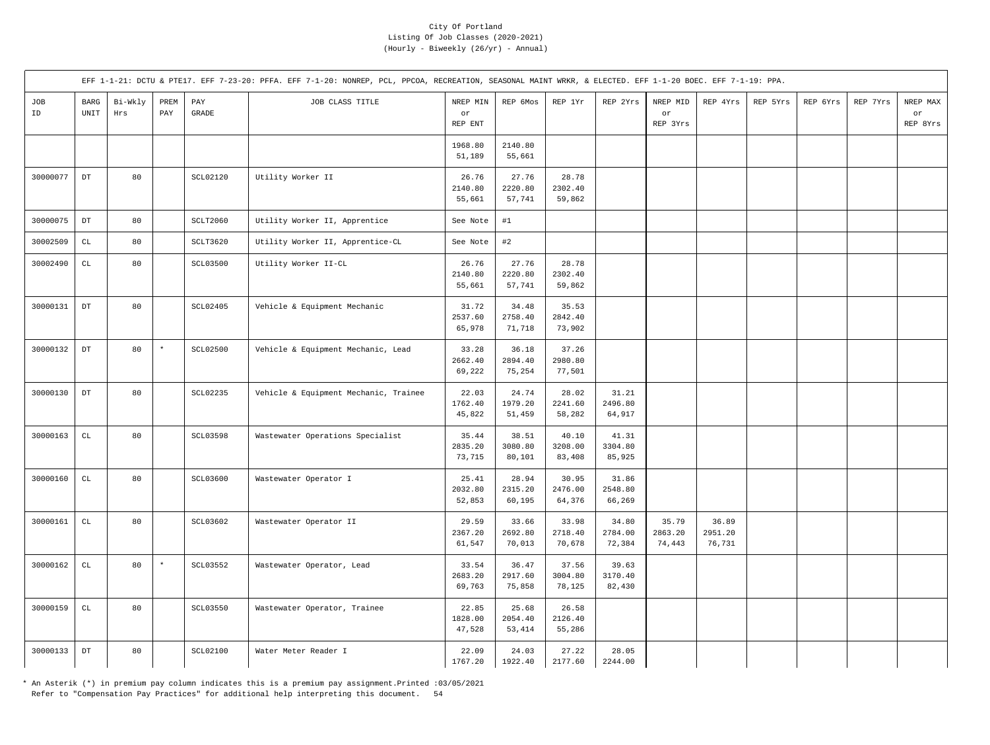|           |                        |                |                                     |                                  | EFF 1-1-21: DCTU & PTE17. EFF 7-23-20: PFFA. EFF 7-1-20: NONREP, PCL, PPCOA, RECREATION, SEASONAL MAINT WRKR, & ELECTED. EFF 1-1-20 BOEC. EFF 7-1-19: PPA. |                            |                             |                            |                            |                            |                            |          |          |          |                            |
|-----------|------------------------|----------------|-------------------------------------|----------------------------------|------------------------------------------------------------------------------------------------------------------------------------------------------------|----------------------------|-----------------------------|----------------------------|----------------------------|----------------------------|----------------------------|----------|----------|----------|----------------------------|
| JOB<br>ID | $_{\rm BARG}$<br>UNIT  | Bi-Wkly<br>Hrs | PREM<br>$\ensuremath{\mathrm{PAY}}$ | $\mathop{\mathrm{PAY}}$<br>GRADE | JOB CLASS TITLE                                                                                                                                            | NREP MIN<br>or<br>REP ENT  | REP 6Mos                    | REP 1Yr                    | REP 2Yrs                   | NREP MID<br>or<br>REP 3Yrs | REP 4Yrs                   | REP 5Yrs | REP 6Yrs | REP 7Yrs | NREP MAX<br>or<br>REP 8Yrs |
|           |                        |                |                                     |                                  |                                                                                                                                                            | 1968.80<br>51,189          | 2140.80<br>55,661           |                            |                            |                            |                            |          |          |          |                            |
| 30000077  | $_{\rm DT}$            | 80             |                                     | <b>SCL02120</b>                  | Utility Worker II                                                                                                                                          | 26.76<br>2140.80<br>55,661 | 27.76<br>2220.80<br>57,741  | 28.78<br>2302.40<br>59,862 |                            |                            |                            |          |          |          |                            |
| 30000075  | $_{\mathrm{DT}}$       | 80             |                                     | SCLT2060                         | Utility Worker II, Apprentice                                                                                                                              | See Note                   | #1                          |                            |                            |                            |                            |          |          |          |                            |
| 30002509  | $\mathtt{CL}$          | 80             |                                     | SCLT3620                         | Utility Worker II, Apprentice-CL                                                                                                                           | See Note                   | #2                          |                            |                            |                            |                            |          |          |          |                            |
| 30002490  | $\mathtt{CL}$          | 80             |                                     | SCL03500                         | Utility Worker II-CL                                                                                                                                       | 26.76<br>2140.80<br>55,661 | 27.76<br>2220.80<br>57,741  | 28.78<br>2302.40<br>59,862 |                            |                            |                            |          |          |          |                            |
| 30000131  | $_{\rm DT}$            | 80             |                                     | SCL02405                         | Vehicle & Equipment Mechanic                                                                                                                               | 31.72<br>2537.60<br>65,978 | 34.48<br>2758.40<br>71,718  | 35.53<br>2842.40<br>73,902 |                            |                            |                            |          |          |          |                            |
| 30000132  | $_{\rm DT}$            | 80             | $^\star$                            | <b>SCL02500</b>                  | Vehicle & Equipment Mechanic, Lead                                                                                                                         | 33.28<br>2662.40<br>69,222 | 36.18<br>2894.40<br>75,254  | 37.26<br>2980.80<br>77,501 |                            |                            |                            |          |          |          |                            |
| 30000130  | $_{\rm DT}$            | 80             |                                     | SCL02235                         | Vehicle & Equipment Mechanic, Trainee                                                                                                                      | 22.03<br>1762.40<br>45,822 | 24.74<br>1979.20<br>51,459  | 28.02<br>2241.60<br>58,282 | 31.21<br>2496.80<br>64,917 |                            |                            |          |          |          |                            |
| 30000163  | $\mathbb{C}\mathbb{L}$ | 80             |                                     | <b>SCL03598</b>                  | Wastewater Operations Specialist                                                                                                                           | 35.44<br>2835.20<br>73,715 | 38.51<br>3080.80<br>80,101  | 40.10<br>3208.00<br>83,408 | 41.31<br>3304.80<br>85,925 |                            |                            |          |          |          |                            |
| 30000160  | $\mathtt{CL}$          | 80             |                                     | SCL03600                         | Wastewater Operator I                                                                                                                                      | 25.41<br>2032.80<br>52,853 | 28.94<br>2315.20<br>60,195  | 30.95<br>2476.00<br>64,376 | 31.86<br>2548.80<br>66,269 |                            |                            |          |          |          |                            |
| 30000161  | $\mathtt{CL}$          | 80             |                                     | SCL03602                         | Wastewater Operator II                                                                                                                                     | 29.59<br>2367.20<br>61,547 | 33.66<br>2692.80<br>70,013  | 33.98<br>2718.40<br>70,678 | 34.80<br>2784.00<br>72,384 | 35.79<br>2863.20<br>74,443 | 36.89<br>2951.20<br>76,731 |          |          |          |                            |
| 30000162  | $\mathtt{CL}$          | 80             | $\star$                             | SCL03552                         | Wastewater Operator, Lead                                                                                                                                  | 33.54<br>2683.20<br>69,763 | 36.47<br>2917.60<br>75,858  | 37.56<br>3004.80<br>78,125 | 39.63<br>3170.40<br>82,430 |                            |                            |          |          |          |                            |
| 30000159  | $\mathtt{CL}$          | 80             |                                     | SCL03550                         | Wastewater Operator, Trainee                                                                                                                               | 22.85<br>1828.00<br>47,528 | 25.68<br>2054.40<br>53, 414 | 26.58<br>2126.40<br>55,286 |                            |                            |                            |          |          |          |                            |
| 30000133  | $_{\rm DT}$            | 80             |                                     | SCL02100                         | Water Meter Reader I                                                                                                                                       | 22.09<br>1767.20           | 24.03<br>1922.40            | 27.22<br>2177.60           | 28.05<br>2244.00           |                            |                            |          |          |          |                            |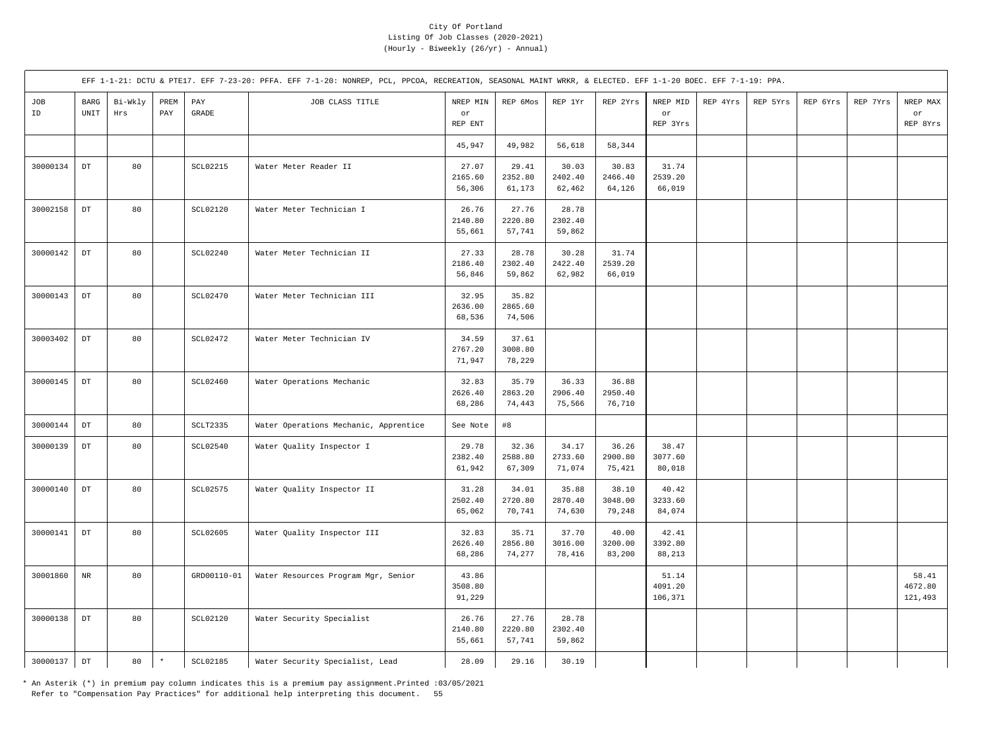|           |                       |                |             |                 | EFF 1-1-21: DCTU & PTE17. EFF 7-23-20: PFFA. EFF 7-1-20: NONREP, PCL, PPCOA, RECREATION, SEASONAL MAINT WRKR, & ELECTED. EFF 1-1-20 BOEC. EFF 7-1-19: PPA. |                            |                            |                            |                            |                             |          |          |          |          |                             |
|-----------|-----------------------|----------------|-------------|-----------------|------------------------------------------------------------------------------------------------------------------------------------------------------------|----------------------------|----------------------------|----------------------------|----------------------------|-----------------------------|----------|----------|----------|----------|-----------------------------|
| JOB<br>ID | $_{\rm BARG}$<br>UNIT | Bi-Wkly<br>Hrs | PREM<br>PAY | PAY<br>GRADE    | JOB CLASS TITLE                                                                                                                                            | NREP MIN<br>or<br>REP ENT  | REP 6Mos                   | REP 1Yr                    | REP 2Yrs                   | NREP MID<br>or<br>REP 3Yrs  | REP 4Yrs | REP 5Yrs | REP 6Yrs | REP 7Yrs | NREP MAX<br>or<br>REP 8Yrs  |
|           |                       |                |             |                 |                                                                                                                                                            | 45,947                     | 49,982                     | 56,618                     | 58,344                     |                             |          |          |          |          |                             |
| 30000134  | $_{\rm DT}$           | 80             |             | <b>SCL02215</b> | Water Meter Reader II                                                                                                                                      | 27.07<br>2165.60<br>56,306 | 29.41<br>2352.80<br>61,173 | 30.03<br>2402.40<br>62,462 | 30.83<br>2466.40<br>64,126 | 31.74<br>2539.20<br>66,019  |          |          |          |          |                             |
| 30002158  | $_{\rm DT}$           | 80             |             | SCL02120        | Water Meter Technician I                                                                                                                                   | 26.76<br>2140.80<br>55,661 | 27.76<br>2220.80<br>57,741 | 28.78<br>2302.40<br>59,862 |                            |                             |          |          |          |          |                             |
| 30000142  | $_{\rm DT}$           | 80             |             | SCL02240        | Water Meter Technician II                                                                                                                                  | 27.33<br>2186.40<br>56,846 | 28.78<br>2302.40<br>59,862 | 30.28<br>2422.40<br>62,982 | 31.74<br>2539.20<br>66,019 |                             |          |          |          |          |                             |
| 30000143  | $_{\mathrm{DT}}$      | 80             |             | SCL02470        | Water Meter Technician III                                                                                                                                 | 32.95<br>2636.00<br>68,536 | 35.82<br>2865.60<br>74,506 |                            |                            |                             |          |          |          |          |                             |
| 30003402  | $_{\rm DT}$           | 80             |             | <b>SCL02472</b> | Water Meter Technician IV                                                                                                                                  | 34.59<br>2767.20<br>71,947 | 37.61<br>3008.80<br>78,229 |                            |                            |                             |          |          |          |          |                             |
| 30000145  | $_{\rm DT}$           | 80             |             | SCL02460        | Water Operations Mechanic                                                                                                                                  | 32.83<br>2626.40<br>68,286 | 35.79<br>2863.20<br>74,443 | 36.33<br>2906.40<br>75,566 | 36.88<br>2950.40<br>76,710 |                             |          |          |          |          |                             |
| 30000144  | $_{\rm DT}$           | 80             |             | SCLT2335        | Water Operations Mechanic, Apprentice                                                                                                                      | See Note                   | #8                         |                            |                            |                             |          |          |          |          |                             |
| 30000139  | $_{\rm DT}$           | 80             |             | SCL02540        | Water Quality Inspector I                                                                                                                                  | 29.78<br>2382.40<br>61,942 | 32.36<br>2588.80<br>67,309 | 34.17<br>2733.60<br>71,074 | 36.26<br>2900.80<br>75,421 | 38.47<br>3077.60<br>80,018  |          |          |          |          |                             |
| 30000140  | $_{\rm DT}$           | 80             |             | <b>SCL02575</b> | Water Quality Inspector II                                                                                                                                 | 31.28<br>2502.40<br>65,062 | 34.01<br>2720.80<br>70,741 | 35.88<br>2870.40<br>74,630 | 38.10<br>3048.00<br>79,248 | 40.42<br>3233.60<br>84,074  |          |          |          |          |                             |
| 30000141  | $_{\rm DT}$           | 80             |             | SCL02605        | Water Quality Inspector III                                                                                                                                | 32.83<br>2626.40<br>68,286 | 35.71<br>2856.80<br>74,277 | 37.70<br>3016.00<br>78,416 | 40.00<br>3200.00<br>83,200 | 42.41<br>3392.80<br>88,213  |          |          |          |          |                             |
| 30001860  | $\rm{NR}$             | 80             |             | GRD00110-01     | Water Resources Program Mgr, Senior                                                                                                                        | 43.86<br>3508.80<br>91,229 |                            |                            |                            | 51.14<br>4091.20<br>106,371 |          |          |          |          | 58.41<br>4672.80<br>121,493 |
| 30000138  | $_{\rm DT}$           | 80             |             | SCL02120        | Water Security Specialist                                                                                                                                  | 26.76<br>2140.80<br>55,661 | 27.76<br>2220.80<br>57,741 | 28.78<br>2302.40<br>59,862 |                            |                             |          |          |          |          |                             |
| 30000137  | $_{\mathrm{DT}}$      | 80             | $\star$     | SCL02185        | Water Security Specialist, Lead                                                                                                                            | 28.09                      | 29.16                      | 30.19                      |                            |                             |          |          |          |          |                             |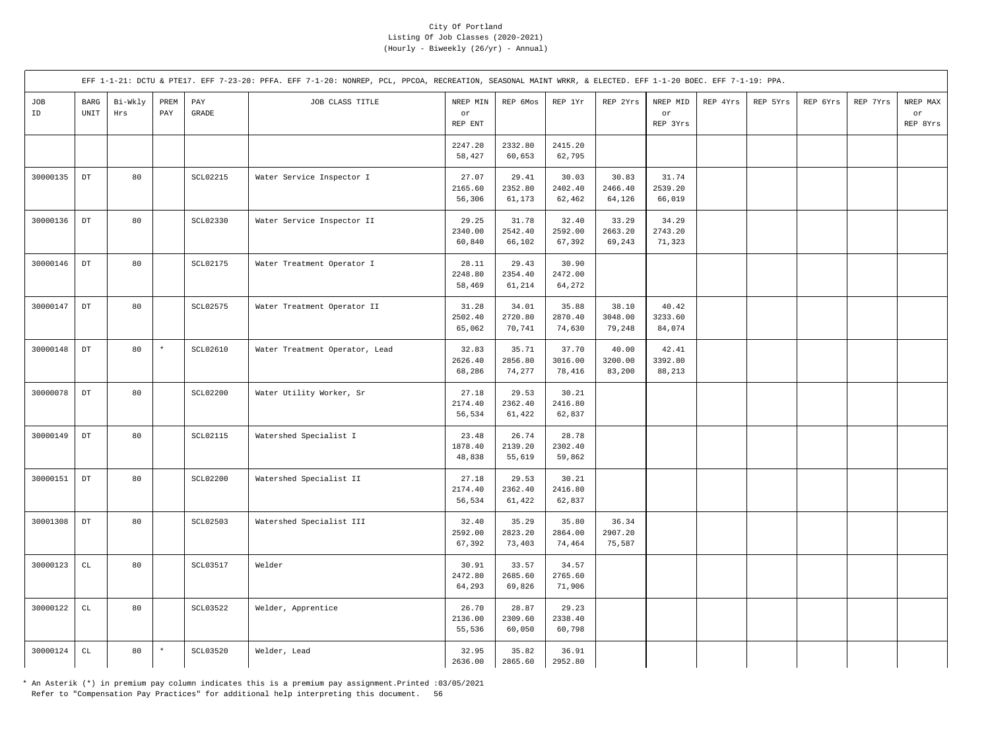|           |                       |                |                                     |                                           | EFF 1-1-21: DCTU & PTE17. EFF 7-23-20: PFFA. EFF 7-1-20: NONREP, PCL, PPCOA, RECREATION, SEASONAL MAINT WRKR, & ELECTED. EFF 1-1-20 BOEC. EFF 7-1-19: PPA. |                            |                            |                            |                            |                            |          |          |          |          |                            |
|-----------|-----------------------|----------------|-------------------------------------|-------------------------------------------|------------------------------------------------------------------------------------------------------------------------------------------------------------|----------------------------|----------------------------|----------------------------|----------------------------|----------------------------|----------|----------|----------|----------|----------------------------|
| JOB<br>ID | $_{\rm BARG}$<br>UNIT | Bi-Wkly<br>Hrs | PREM<br>$\ensuremath{\mathrm{PAY}}$ | $\mathop{\mathrm{PAY}}$<br>$\mbox{GRADE}$ | JOB CLASS TITLE                                                                                                                                            | NREP MIN<br>or<br>REP ENT  | REP 6Mos                   | REP 1Yr                    | REP 2Yrs                   | NREP MID<br>or<br>REP 3Yrs | REP 4Yrs | REP 5Yrs | REP 6Yrs | REP 7Yrs | NREP MAX<br>or<br>REP 8Yrs |
|           |                       |                |                                     |                                           |                                                                                                                                                            | 2247.20<br>58,427          | 2332.80<br>60,653          | 2415.20<br>62,795          |                            |                            |          |          |          |          |                            |
| 30000135  | $_{\rm DT}$           | 80             |                                     | SCL02215                                  | Water Service Inspector I                                                                                                                                  | 27.07<br>2165.60<br>56,306 | 29.41<br>2352.80<br>61,173 | 30.03<br>2402.40<br>62,462 | 30.83<br>2466.40<br>64,126 | 31.74<br>2539.20<br>66,019 |          |          |          |          |                            |
| 30000136  | $_{\rm DT}$           | 80             |                                     | SCL02330                                  | Water Service Inspector II                                                                                                                                 | 29.25<br>2340.00<br>60,840 | 31.78<br>2542.40<br>66,102 | 32.40<br>2592.00<br>67,392 | 33.29<br>2663.20<br>69,243 | 34.29<br>2743.20<br>71,323 |          |          |          |          |                            |
| 30000146  | $_{\rm DT}$           | 80             |                                     | SCL02175                                  | Water Treatment Operator I                                                                                                                                 | 28.11<br>2248.80<br>58,469 | 29.43<br>2354.40<br>61,214 | 30.90<br>2472.00<br>64,272 |                            |                            |          |          |          |          |                            |
| 30000147  | $_{\rm DT}$           | 80             |                                     | SCL02575                                  | Water Treatment Operator II                                                                                                                                | 31.28<br>2502.40<br>65,062 | 34.01<br>2720.80<br>70,741 | 35.88<br>2870.40<br>74,630 | 38.10<br>3048.00<br>79,248 | 40.42<br>3233.60<br>84,074 |          |          |          |          |                            |
| 30000148  | $_{\rm DT}$           | 80             | $^\star$                            | SCL02610                                  | Water Treatment Operator, Lead                                                                                                                             | 32.83<br>2626.40<br>68,286 | 35.71<br>2856.80<br>74,277 | 37.70<br>3016.00<br>78,416 | 40.00<br>3200.00<br>83,200 | 42.41<br>3392.80<br>88,213 |          |          |          |          |                            |
| 30000078  | $_{\rm DT}$           | 80             |                                     | <b>SCL02200</b>                           | Water Utility Worker, Sr                                                                                                                                   | 27.18<br>2174.40<br>56,534 | 29.53<br>2362.40<br>61,422 | 30.21<br>2416.80<br>62,837 |                            |                            |          |          |          |          |                            |
| 30000149  | $_{\rm DT}$           | 80             |                                     | SCL02115                                  | Watershed Specialist I                                                                                                                                     | 23.48<br>1878.40<br>48,838 | 26.74<br>2139.20<br>55,619 | 28.78<br>2302.40<br>59,862 |                            |                            |          |          |          |          |                            |
| 30000151  | $_{\rm DT}$           | 80             |                                     | <b>SCL02200</b>                           | Watershed Specialist II                                                                                                                                    | 27.18<br>2174.40<br>56,534 | 29.53<br>2362.40<br>61,422 | 30.21<br>2416.80<br>62,837 |                            |                            |          |          |          |          |                            |
| 30001308  | $_{\rm DT}$           | 80             |                                     | <b>SCL02503</b>                           | Watershed Specialist III                                                                                                                                   | 32.40<br>2592.00<br>67,392 | 35.29<br>2823.20<br>73,403 | 35.80<br>2864.00<br>74,464 | 36.34<br>2907.20<br>75,587 |                            |          |          |          |          |                            |
| 30000123  | $\mathtt{CL}$         | 80             |                                     | <b>SCL03517</b>                           | Welder                                                                                                                                                     | 30.91<br>2472.80<br>64,293 | 33.57<br>2685.60<br>69,826 | 34.57<br>2765.60<br>71,906 |                            |                            |          |          |          |          |                            |
| 30000122  | $\mathtt{CL}$         | 80             |                                     | SCL03522                                  | Welder, Apprentice                                                                                                                                         | 26.70<br>2136.00<br>55,536 | 28.87<br>2309.60<br>60,050 | 29.23<br>2338.40<br>60,798 |                            |                            |          |          |          |          |                            |
| 30000124  | $\mathtt{CL}$         | 80             | $\star$                             | SCL03520                                  | Welder, Lead                                                                                                                                               | 32.95<br>2636.00           | 35.82<br>2865.60           | 36.91<br>2952.80           |                            |                            |          |          |          |          |                            |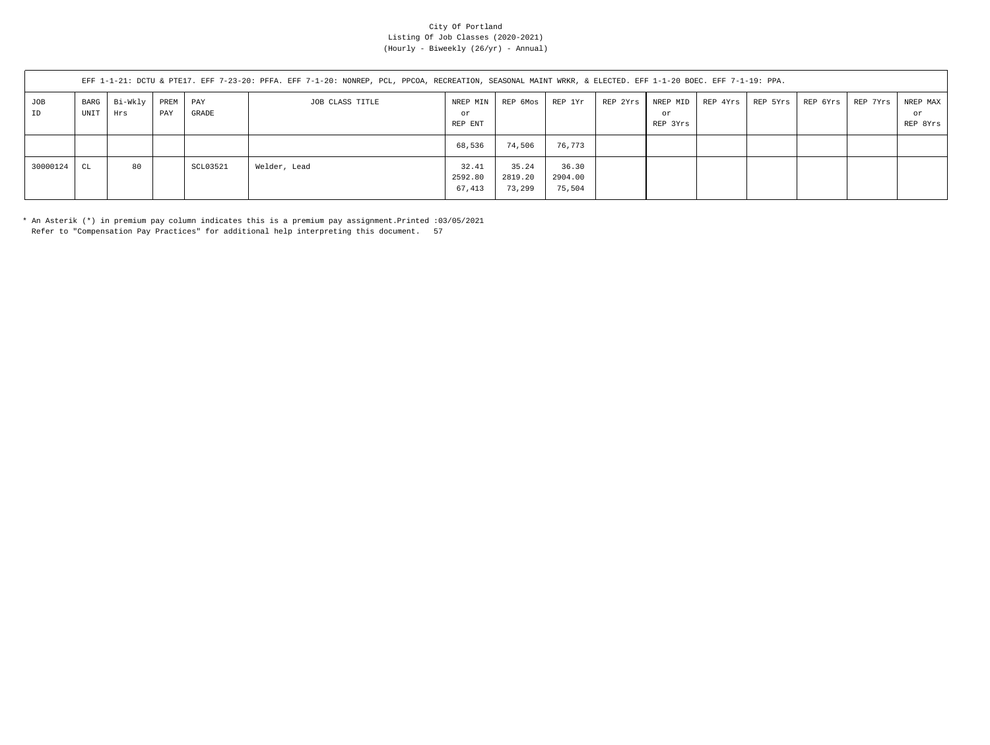|           | EFF 1-1-21: DCTU & PTE17. EFF 7-23-20: PFFA. EFF 7-1-20: NONREP, PCL, PPCOA, RECREATION, SEASONAL MAINT WRKR, & ELECTED. EFF 1-1-20 BOEC. EFF 7-1-19: PPA. |                     |             |              |                 |                            |                            |                            |          |                |  |                                |          |          |                            |
|-----------|------------------------------------------------------------------------------------------------------------------------------------------------------------|---------------------|-------------|--------------|-----------------|----------------------------|----------------------------|----------------------------|----------|----------------|--|--------------------------------|----------|----------|----------------------------|
| JOB<br>ID | UNIT                                                                                                                                                       | BARG Bi-Wkly<br>Hrs | PREM<br>PAY | PAY<br>GRADE | JOB CLASS TITLE | NREP MIN<br>or<br>REP ENT  | REP 6Mos                   | REP 1Yr                    | REP 2Yrs | or<br>REP 3Yrs |  | NREP MID   REP 4Yrs   REP 5Yrs | REP 6Yrs | REP 7Yrs | NREP MAX<br>or<br>REP 8Yrs |
|           |                                                                                                                                                            |                     |             |              |                 | 68,536                     | 74,506                     | 76,773                     |          |                |  |                                |          |          |                            |
| 30000124  | CL                                                                                                                                                         | 80                  |             | SCL03521     | Welder, Lead    | 32.41<br>2592.80<br>67,413 | 35.24<br>2819.20<br>73,299 | 36.30<br>2904.00<br>75,504 |          |                |  |                                |          |          |                            |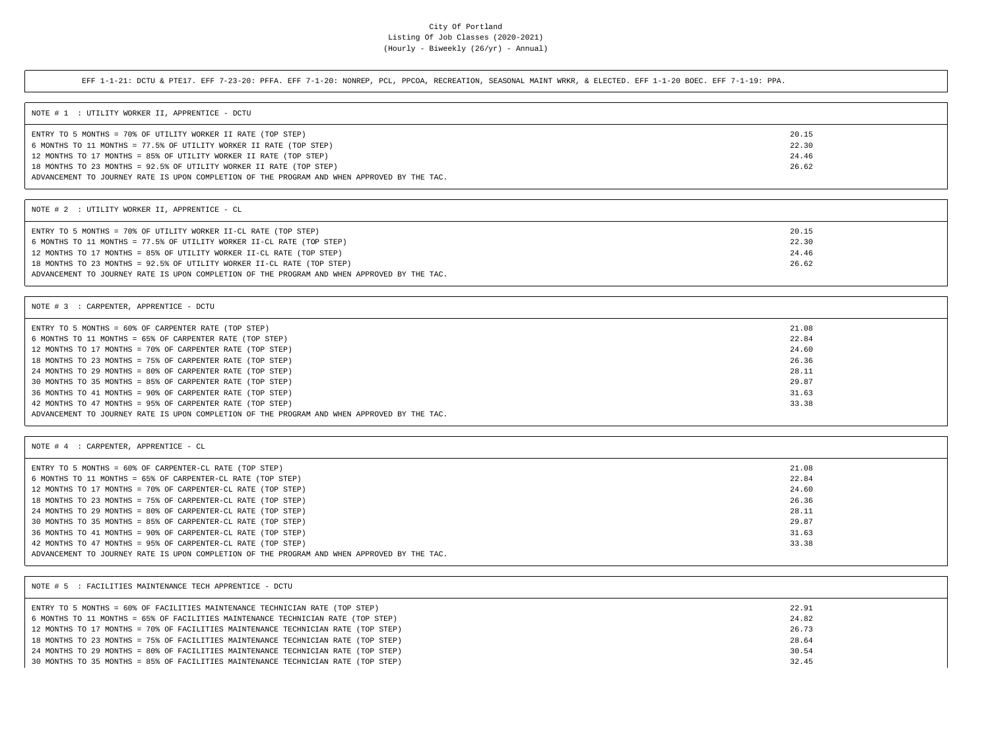EFF 1-1-21: DCTU & PTE17. EFF 7-23-20: PFFA. EFF 7-1-20: NONREP, PCL, PPCOA, RECREATION, SEASONAL MAINT WRKR, & ELECTED. EFF 1-1-20 BOEC. EFF 7-1-19: PPA.

| NOTE # 1 : UTILITY WORKER II, APPRENTICE - DCTU                                             |       |
|---------------------------------------------------------------------------------------------|-------|
| ENTRY TO 5 MONTHS = 70% OF UTILITY WORKER II RATE (TOP STEP)                                | 20.15 |
| 6 MONTHS TO 11 MONTHS = 77.5% OF UTILITY WORKER II RATE (TOP STEP)                          | 22.30 |
| 12 MONTHS TO 17 MONTHS = 85% OF UTILITY WORKER II RATE (TOP STEP)                           | 24.46 |
| 18 MONTHS TO 23 MONTHS = 92.5% OF UTILITY WORKER II RATE (TOP STEP)                         | 26.62 |
| ADVANCEMENT TO JOURNEY RATE IS UPON COMPLETION OF THE PROGRAM AND WHEN APPROVED BY THE TAC. |       |

NOTE # 2 : UTILITY WORKER II, APPRENTICE - CL

| ENTRY TO 5 MONTHS = 70% OF UTILITY WORKER II-CL RATE (TOP STEP)                             | 20.15 |  |
|---------------------------------------------------------------------------------------------|-------|--|
| 6 MONTHS TO 11 MONTHS = 77.5% OF UTILITY WORKER II-CL RATE (TOP STEP)                       | 22.30 |  |
| 12 MONTHS TO 17 MONTHS = 85% OF UTILITY WORKER II-CL RATE (TOP STEP)                        | 24.46 |  |
| 18 MONTHS TO 23 MONTHS = 92.5% OF UTILITY WORKER II-CL RATE (TOP STEP)                      | 26.62 |  |
| ADVANCEMENT TO JOURNEY RATE IS UPON COMPLETION OF THE PROGRAM AND WHEN APPROVED BY THE TAC. |       |  |

| NOTE # 3 : CARPENTER, APPRENTICE - DCTU                                                     |       |  |
|---------------------------------------------------------------------------------------------|-------|--|
| ENTRY TO 5 MONTHS = 60% OF CARPENTER RATE (TOP STEP)                                        | 21.08 |  |
| 6 MONTHS TO 11 MONTHS = 65% OF CARPENTER RATE (TOP STEP)                                    | 22.84 |  |
| 12 MONTHS TO 17 MONTHS = 70% OF CARPENTER RATE (TOP STEP)                                   | 24.60 |  |
| 18 MONTHS TO 23 MONTHS = 75% OF CARPENTER RATE (TOP STEP)                                   | 26.36 |  |
| 24 MONTHS TO 29 MONTHS = 80% OF CARPENTER RATE (TOP STEP)                                   | 28.11 |  |
| 30 MONTHS TO 35 MONTHS = 85% OF CARPENTER RATE (TOP STEP)                                   | 29.87 |  |
| 36 MONTHS TO 41 MONTHS = 90% OF CARPENTER RATE (TOP STEP)                                   | 31.63 |  |
| 42 MONTHS TO 47 MONTHS = 95% OF CARPENTER RATE (TOP STEP)                                   | 33.38 |  |
| ADVANCEMENT TO JOURNEY RATE IS UPON COMPLETION OF THE PROGRAM AND WHEN APPROVED BY THE TAC. |       |  |

| NOTE # 4 : CARPENTER, APPRENTICE - CL                                                       |       |
|---------------------------------------------------------------------------------------------|-------|
| ENTRY TO 5 MONTHS = 60% OF CARPENTER-CL RATE (TOP STEP)                                     | 21.08 |
| 6 MONTHS TO 11 MONTHS = 65% OF CARPENTER-CL RATE (TOP STEP)                                 | 22.84 |
| 12 MONTHS TO 17 MONTHS = 70% OF CARPENTER-CL RATE (TOP STEP)                                | 24.60 |
| 18 MONTHS TO 23 MONTHS = 75% OF CARPENTER-CL RATE (TOP STEP)                                | 26.36 |
| 24 MONTHS TO 29 MONTHS = 80% OF CARPENTER-CL RATE (TOP STEP)                                | 28.11 |
| 30 MONTHS TO 35 MONTHS = 85% OF CARPENTER-CL RATE (TOP STEP)                                | 29.87 |
| 36 MONTHS TO 41 MONTHS = 90% OF CARPENTER-CL RATE (TOP STEP)                                | 31.63 |
| 42 MONTHS TO 47 MONTHS = 95% OF CARPENTER-CL RATE (TOP STEP)                                | 33.38 |
| ADVANCEMENT TO JOURNEY RATE IS UPON COMPLETION OF THE PROGRAM AND WHEN APPROVED BY THE TAC. |       |

| NOTE # 5 : FACILITIES MAINTENANCE TECH APPRENTICE - DCTU                          |       |
|-----------------------------------------------------------------------------------|-------|
| ENTRY TO 5 MONTHS = 60% OF FACILITIES MAINTENANCE TECHNICIAN RATE (TOP STEP)      | 22.91 |
| 6 MONTHS TO 11 MONTHS = 65% OF FACILITIES MAINTENANCE TECHNICIAN RATE (TOP STEP)  | 24.82 |
| 12 MONTHS TO 17 MONTHS = 70% OF FACILITIES MAINTENANCE TECHNICIAN RATE (TOP STEP) | 26.73 |
| 18 MONTHS TO 23 MONTHS = 75% OF FACILITIES MAINTENANCE TECHNICIAN RATE (TOP STEP) | 28.64 |
| 24 MONTHS TO 29 MONTHS = 80% OF FACILITIES MAINTENANCE TECHNICIAN RATE (TOP STEP) | 30.54 |
| 30 MONTHS TO 35 MONTHS = 85% OF FACILITIES MAINTENANCE TECHNICIAN RATE (TOP STEP) | 32.45 |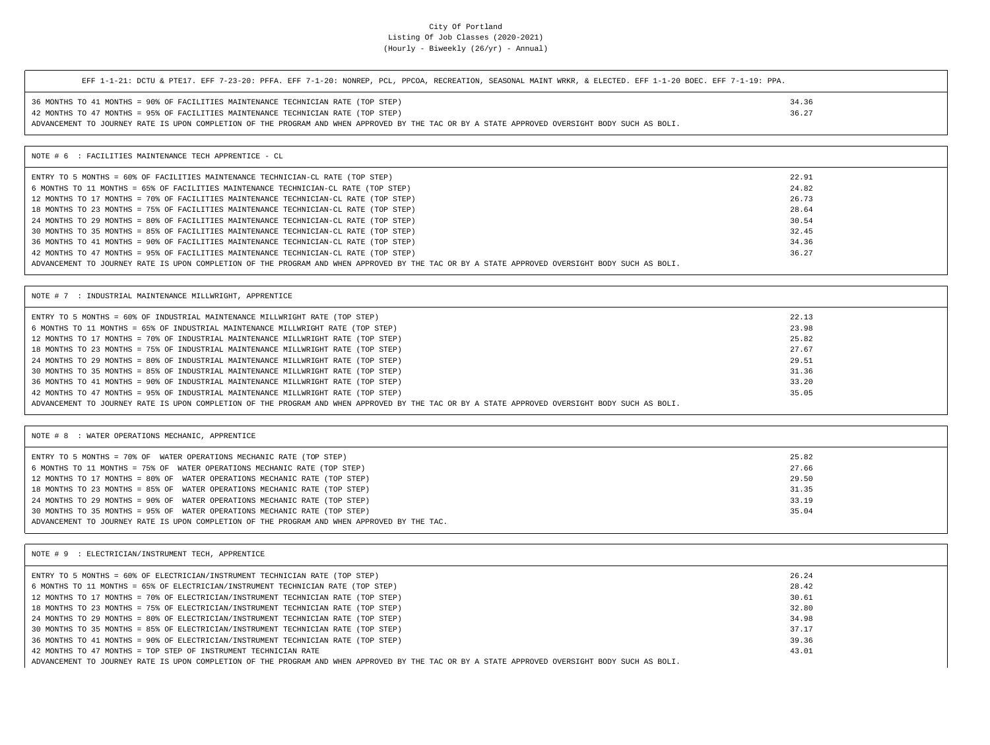| EFF 1-1-21: DCTU & PTE17. EFF 7-23-20: PFFA. EFF 7-1-20: NONREP, PCL, PPCOA, RECREATION, SEASONAL MAINT WRKR, & ELECTED. EFF 1-1-20 BOEC. EFF 7-1-19: PPA. |       |
|------------------------------------------------------------------------------------------------------------------------------------------------------------|-------|
| 36 MONTHS TO 41 MONTHS = 90% OF FACILITIES MAINTENANCE TECHNICIAN RATE (TOP STEP)                                                                          | 34.36 |
| 42 MONTHS TO 47 MONTHS = 95% OF FACILITIES MAINTENANCE TECHNICIAN RATE (TOP STEP)                                                                          | 36.27 |
| ADVANCEMENT TO JOURNEY RATE IS UPON COMPLETION OF THE PROGRAM AND WHEN APPROVED BY THE TAC OR BY A STATE APPROVED OVERSIGHT BODY SUCH AS BOLI.             |       |
| NOTE # 6 : FACILITIES MAINTENANCE TECH APPRENTICE - CL                                                                                                     |       |
| ENTRY TO 5 MONTHS = 60% OF FACILITIES MAINTENANCE TECHNICIAN-CL RATE (TOP STEP)                                                                            | 22.91 |
| 6 MONTHS TO 11 MONTHS = 65% OF FACILITIES MAINTENANCE TECHNICIAN-CL RATE (TOP STEP)                                                                        | 24.82 |
| 12 MONTHS TO 17 MONTHS = 70% OF FACILITIES MAINTENANCE TECHNICIAN-CL RATE (TOP STEP)                                                                       | 26.73 |
| 18 MONTHS TO 23 MONTHS = 75% OF FACILITIES MAINTENANCE TECHNICIAN-CL RATE (TOP STEP)                                                                       | 28.64 |
| 24 MONTHS TO 29 MONTHS = 80% OF FACILITIES MAINTENANCE TECHNICIAN-CL RATE (TOP STEP)                                                                       | 30.54 |
| 30 MONTHS TO 35 MONTHS = 85% OF FACILITIES MAINTENANCE TECHNICIAN-CL RATE (TOP STEP)                                                                       | 32.45 |
| 36 MONTHS TO 41 MONTHS = 90% OF FACILITIES MAINTENANCE TECHNICIAN-CL RATE (TOP STEP)                                                                       | 34.36 |
| 42 MONTHS TO 47 MONTHS = 95% OF FACILITIES MAINTENANCE TECHNICIAN-CL RATE (TOP STEP)                                                                       | 36.27 |
| ADVANCEMENT TO JOURNEY RATE IS UPON COMPLETION OF THE PROGRAM AND WHEN APPROVED BY THE TAC OR BY A STATE APPROVED OVERSIGHT BODY SUCH AS BOLI.             |       |
|                                                                                                                                                            |       |
|                                                                                                                                                            |       |

| ENTRY TO 5 MONTHS = 60% OF INDUSTRIAL MAINTENANCE MILLWRIGHT RATE (TOP STEP)                                                                   | 22.13 |  |
|------------------------------------------------------------------------------------------------------------------------------------------------|-------|--|
| 6 MONTHS TO 11 MONTHS = 65% OF INDUSTRIAL MAINTENANCE MILLWRIGHT RATE (TOP STEP)                                                               | 23.98 |  |
| 12 MONTHS TO 17 MONTHS = 70% OF INDUSTRIAL MAINTENANCE MILLWRIGHT RATE (TOP STEP)                                                              | 25.82 |  |
| 18 MONTHS TO 23 MONTHS = 75% OF INDUSTRIAL MAINTENANCE MILLWRIGHT RATE (TOP STEP)                                                              | 27.67 |  |
| 24 MONTHS TO 29 MONTHS = 80% OF INDUSTRIAL MAINTENANCE MILLWRIGHT RATE (TOP STEP)                                                              | 29.51 |  |
| 30 MONTHS TO 35 MONTHS = 85% OF INDUSTRIAL MAINTENANCE MILLWRIGHT RATE (TOP STEP)                                                              | 31.36 |  |
| 36 MONTHS TO 41 MONTHS = 90% OF INDUSTRIAL MAINTENANCE MILLWRIGHT RATE (TOP STEP)                                                              | 33.20 |  |
| 42 MONTHS TO 47 MONTHS = 95% OF INDUSTRIAL MAINTENANCE MILLWRIGHT RATE (TOP STEP)                                                              | 35.05 |  |
| ADVANCEMENT TO JOURNEY RATE IS UPON COMPLETION OF THE PROGRAM AND WHEN APPROVED BY THE TAC OR BY A STATE APPROVED OVERSIGHT BODY SUCH AS BOLI. |       |  |
|                                                                                                                                                |       |  |

| NOTE # 8 : WATER OPERATIONS MECHANIC, APPRENTICE                                            |       |
|---------------------------------------------------------------------------------------------|-------|
| ENTRY TO 5 MONTHS = 70% OF WATER OPERATIONS MECHANIC RATE (TOP STEP)                        | 25.82 |
| 6 MONTHS TO 11 MONTHS = 75% OF WATER OPERATIONS MECHANIC RATE (TOP STEP)                    | 27.66 |
| 12 MONTHS TO 17 MONTHS = 80% OF WATER OPERATIONS MECHANIC RATE (TOP STEP)                   | 29.50 |
| 18 MONTHS TO 23 MONTHS = 85% OF WATER OPERATIONS MECHANIC RATE (TOP STEP)                   | 31.35 |
| 24 MONTHS TO 29 MONTHS = 90% OF WATER OPERATIONS MECHANIC RATE (TOP STEP)                   | 33.19 |
| 30 MONTHS TO 35 MONTHS = 95% OF WATER OPERATIONS MECHANIC RATE (TOP STEP)                   | 35.04 |
| ADVANCEMENT TO JOURNEY RATE IS UPON COMPLETION OF THE PROGRAM AND WHEN APPROVED BY THE TAC. |       |

| NOTE # 9 : ELECTRICIAN/INSTRUMENT TECH, APPRENTICE                                                                                             |       |  |
|------------------------------------------------------------------------------------------------------------------------------------------------|-------|--|
| ENTRY TO 5 MONTHS = 60% OF ELECTRICIAN/INSTRUMENT TECHNICIAN RATE (TOP STEP)                                                                   | 26.24 |  |
| 6 MONTHS TO 11 MONTHS = 65% OF ELECTRICIAN/INSTRUMENT TECHNICIAN RATE (TOP STEP)                                                               | 28.42 |  |
| 12 MONTHS TO 17 MONTHS = 70% OF ELECTRICIAN/INSTRUMENT TECHNICIAN RATE (TOP STEP)                                                              | 30.61 |  |
| 18 MONTHS TO 23 MONTHS = 75% OF ELECTRICIAN/INSTRUMENT TECHNICIAN RATE (TOP STEP)                                                              | 32.80 |  |
| 24 MONTHS TO 29 MONTHS = 80% OF ELECTRICIAN/INSTRUMENT TECHNICIAN RATE (TOP STEP)                                                              | 34.98 |  |
| 30 MONTHS TO 35 MONTHS = 85% OF ELECTRICIAN/INSTRUMENT TECHNICIAN RATE (TOP STEP)                                                              | 37.17 |  |
| 36 MONTHS TO 41 MONTHS = 90% OF ELECTRICIAN/INSTRUMENT TECHNICIAN RATE (TOP STEP)                                                              | 39.36 |  |
| 42 MONTHS TO 47 MONTHS = TOP STEP OF INSTRUMENT TECHNICIAN RATE                                                                                | 43.01 |  |
| ADVANCEMENT TO JOURNEY RATE IS UPON COMPLETION OF THE PROGRAM AND WHEN APPROVED BY THE TAC OR BY A STATE APPROVED OVERSIGHT BODY SUCH AS BOLI. |       |  |